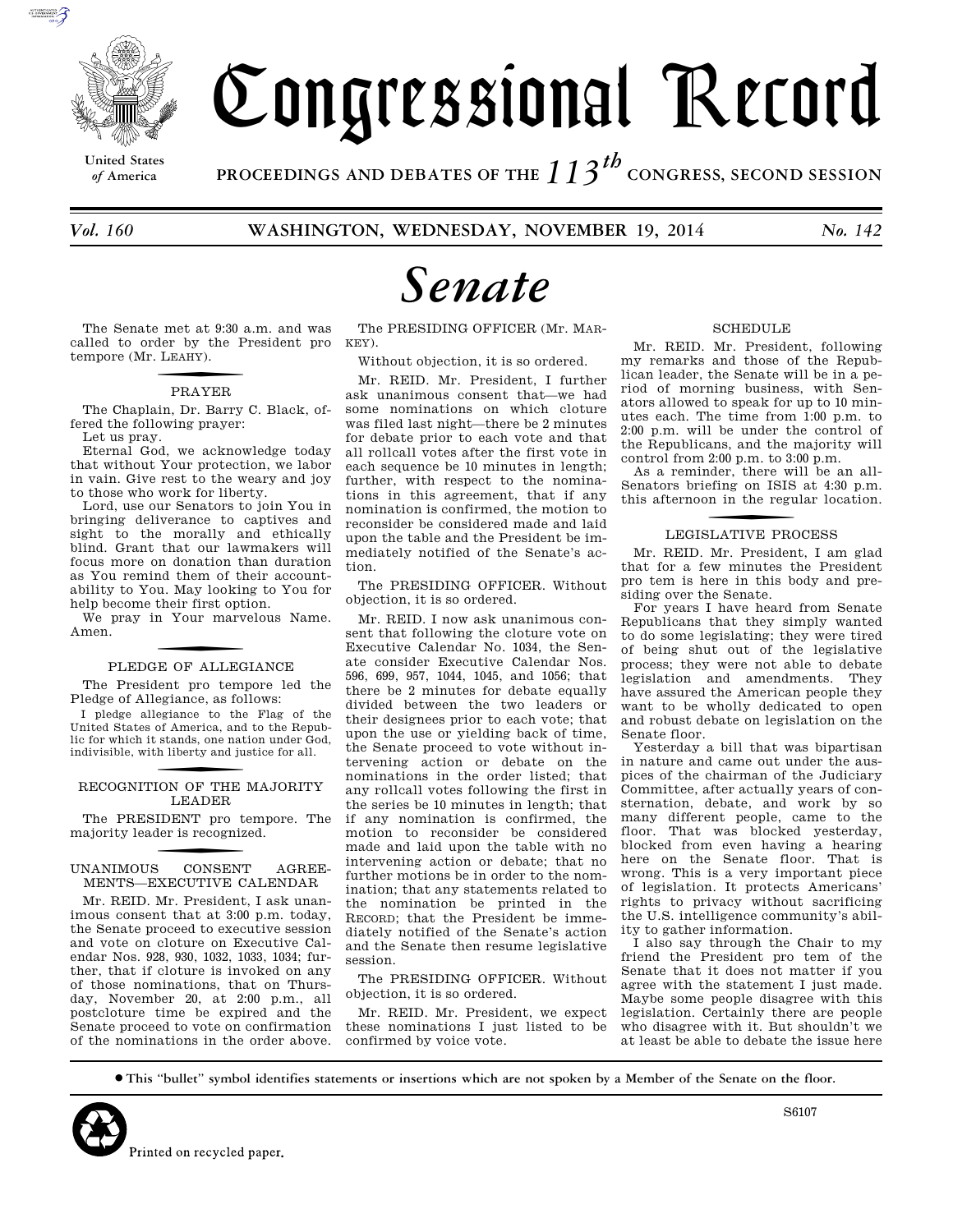

**United States**

# Congressional Record

*of* **America PROCEEDINGS AND DEBATES OF THE** *113th*  **CONGRESS, SECOND SESSION**

*Vol. 160* **WASHINGTON, WEDNESDAY, NOVEMBER 19, 2014** *No. 142* 

# *Senate*

The Senate met at 9:30 a.m. and was called to order by the President pro tempore (Mr. L EAHY).

# f PRAYER

The Chaplain, Dr. Barry C. Black, offered the following prayer:

Let us pray. Eternal God, we acknowledge today that without Your protection, we labor in vain. Give rest to the weary and joy to those who work for liberty.

Lord, use our Senators to join You in bringing deliverance to captives and sight to the morally and ethically blind. Grant that our lawmakers will focus more on donation than duration as You remind them of their accountability to You. May looking to You for help become their first option.

We pray in Your marvelous Name. Amen.

# PLEDGE OF ALLEGIANCE

The President pro tempore led the Pledge of Allegiance, as follows:

I pledge allegiance to the Flag of the United States of America, and to the Republic for which it stands, one nation under God, indivisible, with liberty and justice for all.

# RECOGNITION OF THE MAJORITY LEADER

The PRESIDENT pro tempore. The majority leader is recognized.

### CONSENT UNANIMOUS CONSENT AGREE-MENTS—EXECUTIVE CALENDAR

Mr. REID. Mr. President, I ask unanimous consent that at 3:00 p.m. today, the Senate proceed to executive session and vote on cloture on Executive Calendar Nos. 928, 930, 1032, 1033, 1034; further, that if cloture is invoked on any of those nominations, that on Thursday, November 20, at 2:00 p.m., all postcloture time be expired and the Senate proceed to vote on confirmation of the nominations in the order above.

The PRESIDING OFFICER (Mr. MAR-KEY).

Without objection, it is so ordered.

Mr. REID. Mr. President, I further ask unanimous consent that—we had some nominations on which cloture was filed last night—there be 2 minutes for debate prior to each vote and that all rollcall votes after the first vote in each sequence be 10 minutes in length; further, with respect to the nominations in this agreement, that if any nomination is confirmed, the motion to reconsider be considered made and laid upon the table and the President be immediately notified of the Senate's action.

The PRESIDING OFFICER. Without objection, it is so ordered.

Mr. REID. I now ask unanimous consent that following the cloture vote on Executive Calendar No. 1034, the Senate consider Executive Calendar Nos. 596, 699, 957, 1044, 1045, and 1056; that there be 2 minutes for debate equally divided between the two leaders or their designees prior to each vote; that upon the use or yielding back of time, the Senate proceed to vote without intervening action or debate on the nominations in the order listed; that any rollcall votes following the first in the series be 10 minutes in length; that if any nomination is confirmed, the motion to reconsider be considered made and laid upon the table with no intervening action or debate; that no further motions be in order to the nomination; that any statements related to the nomination be printed in the RECORD; that the President be immediately notified of the Senate's action and the Senate then resume legislative session.

The PRESIDING OFFICER. Without objection, it is so ordered.

Mr. REID. Mr. President, we expect these nominations I just listed to be confirmed by voice vote.

Mr. REID. Mr. President, following my remarks and those of the Republican leader, the Senate will be in a period of morning business, with Senators allowed to speak for up to 10 minutes each. The time from 1:00 p.m. to 2:00 p.m. will be under the control of the Republicans, and the majority will control from 2:00 p.m. to 3:00 p.m.

SCHEDULE

As a reminder, there will be an all-Senators briefing on ISIS at 4:30 p.m. this afternoon in the regular location.

# LEGISLATIVE PROCESS

Mr. REID. Mr. President, I am glad that for a few minutes the President pro tem is here in this body and presiding over the Senate.

For years I have heard from Senate Republicans that they simply wanted to do some legislating; they were tired of being shut out of the legislative process; they were not able to debate legislation and amendments. They have assured the American people they want to be wholly dedicated to open and robust debate on legislation on the Senate floor.

Yesterday a bill that was bipartisan in nature and came out under the auspices of the chairman of the Judiciary Committee, after actually years of consternation, debate, and work by so many different people, came to the floor. That was blocked yesterday, blocked from even having a hearing here on the Senate floor. That is wrong. This is a very important piece of legislation. It protects Americans' rights to privacy without sacrificing the U.S. intelligence community's ability to gather information.

I also say through the Chair to my friend the President pro tem of the Senate that it does not matter if you agree with the statement I just made. Maybe some people disagree with this legislation. Certainly there are people who disagree with it. But shouldn't we at least be able to debate the issue here

∑ **This ''bullet'' symbol identifies statements or insertions which are not spoken by a Member of the Senate on the floor.**



S6107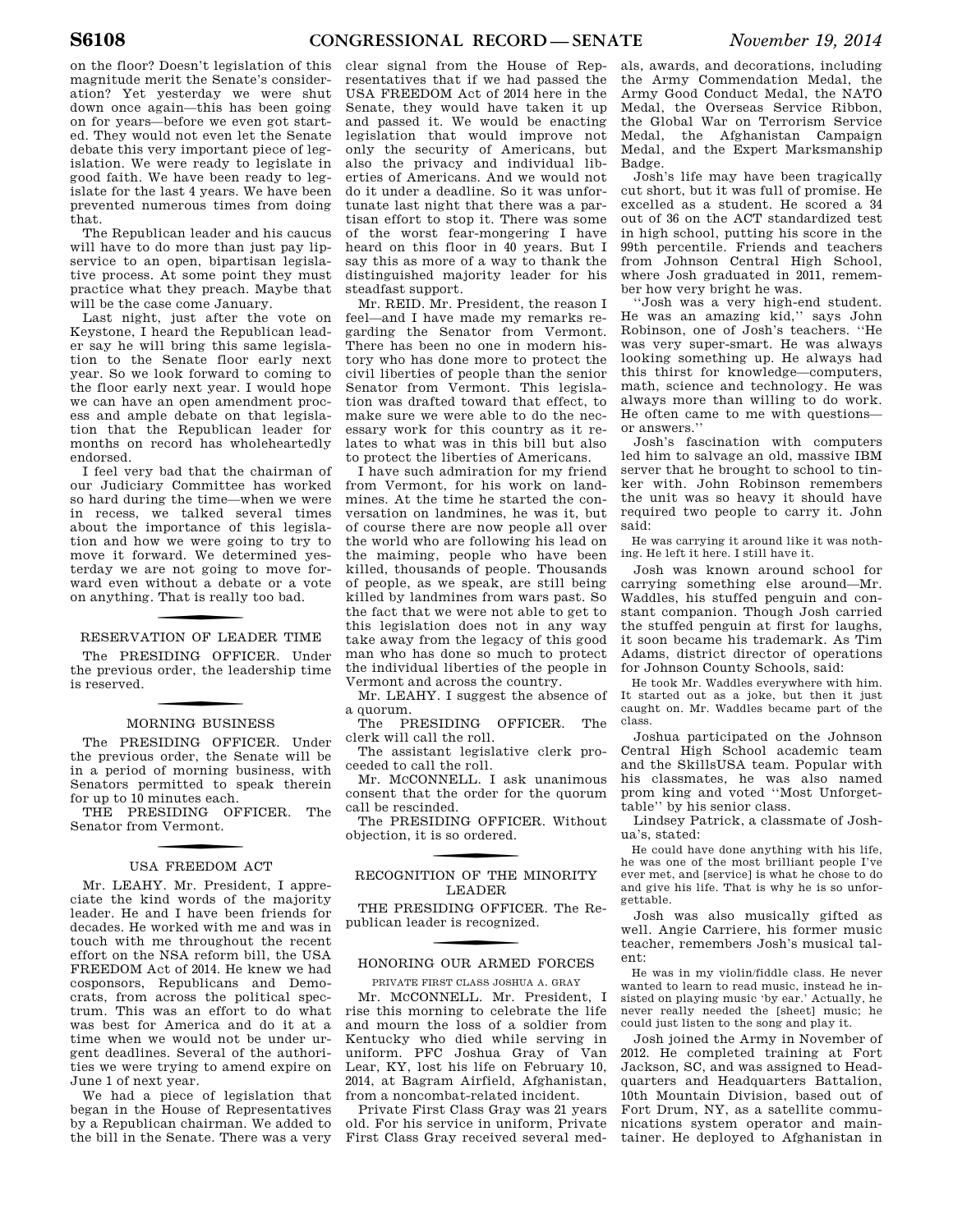on the floor? Doesn't legislation of this magnitude merit the Senate's consideration? Yet yesterday we were shut down once again—this has been going on for years—before we even got started. They would not even let the Senate debate this very important piece of legislation. We were ready to legislate in good faith. We have been ready to legislate for the last 4 years. We have been prevented numerous times from doing that.

The Republican leader and his caucus will have to do more than just pay lipservice to an open, bipartisan legislative process. At some point they must practice what they preach. Maybe that will be the case come January.

Last night, just after the vote on Keystone, I heard the Republican leader say he will bring this same legislation to the Senate floor early next year. So we look forward to coming to the floor early next year. I would hope we can have an open amendment process and ample debate on that legislation that the Republican leader for months on record has wholeheartedly endorsed.

I feel very bad that the chairman of our Judiciary Committee has worked so hard during the time—when we were in recess, we talked several times about the importance of this legislation and how we were going to try to move it forward. We determined yesterday we are not going to move forward even without a debate or a vote on anything. That is really too bad.

# f RESERVATION OF LEADER TIME

The PRESIDING OFFICER. Under the previous order, the leadership time is reserved.

# f MORNING BUSINESS

The PRESIDING OFFICER. Under the previous order, the Senate will be in a period of morning business, with Senators permitted to speak therein for up to 10 minutes each.

THE PRESIDING OFFICER. The Senator from Vermont.

### USA FREEDOM ACT

Mr. LEAHY. Mr. President, I appreciate the kind words of the majority leader. He and I have been friends for decades. He worked with me and was in touch with me throughout the recent effort on the NSA reform bill, the USA FREEDOM Act of 2014. He knew we had cosponsors, Republicans and Democrats, from across the political spectrum. This was an effort to do what was best for America and do it at a time when we would not be under urgent deadlines. Several of the authorities we were trying to amend expire on June 1 of next year.

We had a piece of legislation that began in the House of Representatives by a Republican chairman. We added to the bill in the Senate. There was a very

clear signal from the House of Representatives that if we had passed the USA FREEDOM Act of 2014 here in the Senate, they would have taken it up and passed it. We would be enacting legislation that would improve not only the security of Americans, but also the privacy and individual liberties of Americans. And we would not do it under a deadline. So it was unfortunate last night that there was a partisan effort to stop it. There was some of the worst fear-mongering I have heard on this floor in 40 years. But I say this as more of a way to thank the distinguished majority leader for his steadfast support.

Mr. REID. Mr. President, the reason I feel—and I have made my remarks regarding the Senator from Vermont. There has been no one in modern history who has done more to protect the civil liberties of people than the senior Senator from Vermont. This legislation was drafted toward that effect, to make sure we were able to do the necessary work for this country as it relates to what was in this bill but also to protect the liberties of Americans.

I have such admiration for my friend from Vermont, for his work on landmines. At the time he started the conversation on landmines, he was it, but of course there are now people all over the world who are following his lead on the maiming, people who have been killed, thousands of people. Thousands of people, as we speak, are still being killed by landmines from wars past. So the fact that we were not able to get to this legislation does not in any way take away from the legacy of this good man who has done so much to protect the individual liberties of the people in Vermont and across the country.

Mr. LEAHY. I suggest the absence of a quorum.

The PRESIDING OFFICER. The clerk will call the roll.

The assistant legislative clerk proceeded to call the roll.

Mr. MCCONNELL. I ask unanimous consent that the order for the quorum call be rescinded.

The PRESIDING OFFICER. Without objection, it is so ordered.

# RECOGNITION OF THE MINORITY LEADER

THE PRESIDING OFFICER. The Republican leader is recognized.

# f HONORING OUR ARMED FORCES

PRIVATE FIRST CLASS JOSHUA A. GRAY

Mr. MCCONNELL. Mr. President, I rise this morning to celebrate the life and mourn the loss of a soldier from Kentucky who died while serving in uniform. PFC Joshua Gray of Van Lear, KY, lost his life on February 10, 2014, at Bagram Airfield, Afghanistan, from a noncombat-related incident.

Private First Class Gray was 21 years old. For his service in uniform, Private First Class Gray received several medals, awards, and decorations, including the Army Commendation Medal, the Army Good Conduct Medal, the NATO Medal, the Overseas Service Ribbon, the Global War on Terrorism Service Medal, the Afghanistan Campaign Medal, and the Expert Marksmanship Badge.

Josh's life may have been tragically cut short, but it was full of promise. He excelled as a student. He scored a 34 out of 36 on the ACT standardized test in high school, putting his score in the 99th percentile. Friends and teachers from Johnson Central High School, where Josh graduated in 2011, remember how very bright he was.

''Josh was a very high-end student. He was an amazing kid,'' says John Robinson, one of Josh's teachers. ''He was very super-smart. He was always looking something up. He always had this thirst for knowledge—computers, math, science and technology. He was always more than willing to do work. He often came to me with questions or answers.''

Josh's fascination with computers led him to salvage an old, massive IBM server that he brought to school to tinker with. John Robinson remembers the unit was so heavy it should have required two people to carry it. John said:

He was carrying it around like it was nothing. He left it here. I still have it.

Josh was known around school for carrying something else around—Mr. Waddles, his stuffed penguin and constant companion. Though Josh carried the stuffed penguin at first for laughs, it soon became his trademark. As Tim Adams, district director of operations for Johnson County Schools, said:

He took Mr. Waddles everywhere with him. It started out as a joke, but then it just caught on. Mr. Waddles became part of the class.

Joshua participated on the Johnson Central High School academic team and the SkillsUSA team. Popular with his classmates, he was also named prom king and voted ''Most Unforgettable'' by his senior class.

Lindsey Patrick, a classmate of Joshua's, stated:

He could have done anything with his life, he was one of the most brilliant people I've ever met, and [service] is what he chose to do and give his life. That is why he is so unforgettable.

Josh was also musically gifted as well. Angie Carriere, his former music teacher, remembers Josh's musical talent:

He was in my violin/fiddle class. He never wanted to learn to read music, instead he insisted on playing music 'by ear.' Actually, he never really needed the [sheet] music; he could just listen to the song and play it.

Josh joined the Army in November of 2012. He completed training at Fort Jackson, SC, and was assigned to Headquarters and Headquarters Battalion, 10th Mountain Division, based out of Fort Drum, NY, as a satellite communications system operator and maintainer. He deployed to Afghanistan in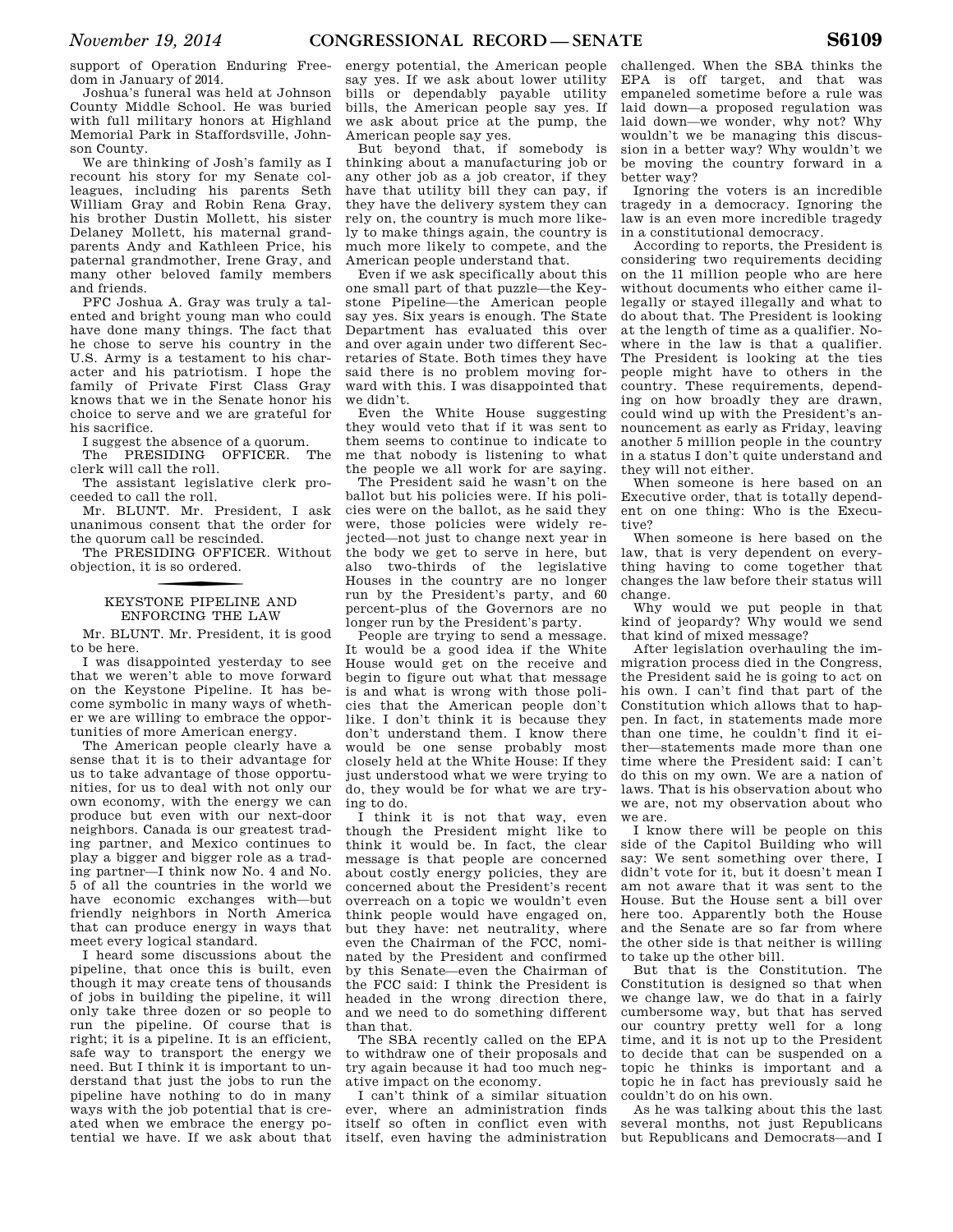support of Operation Enduring Freedom in January of 2014.

Joshua's funeral was held at Johnson County Middle School. He was buried with full military honors at Highland Memorial Park in Staffordsville, Johnson County.

We are thinking of Josh's family as I recount his story for my Senate colleagues, including his parents Seth William Gray and Robin Rena Gray, his brother Dustin Mollett, his sister Delaney Mollett, his maternal grandparents Andy and Kathleen Price, his paternal grandmother, Irene Gray, and many other beloved family members and friends.

PFC Joshua A. Gray was truly a talented and bright young man who could have done many things. The fact that he chose to serve his country in the U.S. Army is a testament to his character and his patriotism. I hope the family of Private First Class Gray knows that we in the Senate honor his choice to serve and we are grateful for his sacrifice.

I suggest the absence of a quorum.

The PRESIDING OFFICER. The clerk will call the roll.

The assistant legislative clerk proceeded to call the roll.

Mr. BLUNT. Mr. President, I ask unanimous consent that the order for the quorum call be rescinded.

The PRESIDING OFFICER. Without objection, it is so ordered.

# f KEYSTONE PIPELINE AND ENFORCING THE LAW

Mr. BLUNT. Mr. President, it is good to be here.

I was disappointed yesterday to see that we weren't able to move forward on the Keystone Pipeline. It has become symbolic in many ways of whether we are willing to embrace the opportunities of more American energy.

The American people clearly have a sense that it is to their advantage for us to take advantage of those opportunities, for us to deal with not only our own economy, with the energy we can produce but even with our next-door neighbors. Canada is our greatest trading partner, and Mexico continues to play a bigger and bigger role as a trading partner—I think now No. 4 and No. 5 of all the countries in the world we have economic exchanges with—but friendly neighbors in North America that can produce energy in ways that meet every logical standard.

I heard some discussions about the pipeline, that once this is built, even though it may create tens of thousands of jobs in building the pipeline, it will only take three dozen or so people to run the pipeline. Of course that is right; it is a pipeline. It is an efficient, safe way to transport the energy we need. But I think it is important to understand that just the jobs to run the pipeline have nothing to do in many ways with the job potential that is created when we embrace the energy potential we have. If we ask about that

energy potential, the American people say yes. If we ask about lower utility bills or dependably payable utility bills, the American people say yes. If we ask about price at the pump, the American people say yes.

But beyond that, if somebody is thinking about a manufacturing job or any other job as a job creator, if they have that utility bill they can pay, if they have the delivery system they can rely on, the country is much more likely to make things again, the country is much more likely to compete, and the American people understand that.

Even if we ask specifically about this one small part of that puzzle—the Keystone Pipeline—the American people say yes. Six years is enough. The State Department has evaluated this over and over again under two different Secretaries of State. Both times they have said there is no problem moving forward with this. I was disappointed that we didn't.

Even the White House suggesting they would veto that if it was sent to them seems to continue to indicate to me that nobody is listening to what the people we all work for are saying.

The President said he wasn't on the ballot but his policies were. If his policies were on the ballot, as he said they were, those policies were widely rejected—not just to change next year in the body we get to serve in here, but also two-thirds of the legislative Houses in the country are no longer run by the President's party, and 60 percent-plus of the Governors are no longer run by the President's party.

People are trying to send a message. It would be a good idea if the White House would get on the receive and begin to figure out what that message is and what is wrong with those policies that the American people don't like. I don't think it is because they don't understand them. I know there would be one sense probably most closely held at the White House: If they just understood what we were trying to do, they would be for what we are trying to do.

I think it is not that way, even though the President might like to think it would be. In fact, the clear message is that people are concerned about costly energy policies, they are concerned about the President's recent overreach on a topic we wouldn't even think people would have engaged on, but they have: net neutrality, where even the Chairman of the FCC, nominated by the President and confirmed by this Senate—even the Chairman of the FCC said: I think the President is headed in the wrong direction there, and we need to do something different than that.

The SBA recently called on the EPA to withdraw one of their proposals and try again because it had too much negative impact on the economy.

I can't think of a similar situation ever, where an administration finds itself so often in conflict even with itself, even having the administration

challenged. When the SBA thinks the EPA is off target, and that was empaneled sometime before a rule was laid down—a proposed regulation was laid down—we wonder, why not? Why wouldn't we be managing this discussion in a better way? Why wouldn't we be moving the country forward in a better way?

Ignoring the voters is an incredible tragedy in a democracy. Ignoring the law is an even more incredible tragedy in a constitutional democracy.

According to reports, the President is considering two requirements deciding on the 11 million people who are here without documents who either came illegally or stayed illegally and what to do about that. The President is looking at the length of time as a qualifier. Nowhere in the law is that a qualifier. The President is looking at the ties people might have to others in the country. These requirements, depending on how broadly they are drawn, could wind up with the President's announcement as early as Friday, leaving another 5 million people in the country in a status I don't quite understand and they will not either.

When someone is here based on an Executive order, that is totally dependent on one thing: Who is the Executive?

When someone is here based on the law, that is very dependent on everything having to come together that changes the law before their status will change.

Why would we put people in that kind of jeopardy? Why would we send that kind of mixed message?

After legislation overhauling the immigration process died in the Congress, the President said he is going to act on his own. I can't find that part of the Constitution which allows that to happen. In fact, in statements made more than one time, he couldn't find it either—statements made more than one time where the President said: I can't do this on my own. We are a nation of laws. That is his observation about who we are, not my observation about who we are.

I know there will be people on this side of the Capitol Building who will say: We sent something over there, I didn't vote for it, but it doesn't mean I am not aware that it was sent to the House. But the House sent a bill over here too. Apparently both the House and the Senate are so far from where the other side is that neither is willing to take up the other bill.

But that is the Constitution. The Constitution is designed so that when we change law, we do that in a fairly cumbersome way, but that has served our country pretty well for a long time, and it is not up to the President to decide that can be suspended on a topic he thinks is important and a topic he in fact has previously said he couldn't do on his own.

As he was talking about this the last several months, not just Republicans but Republicans and Democrats—and I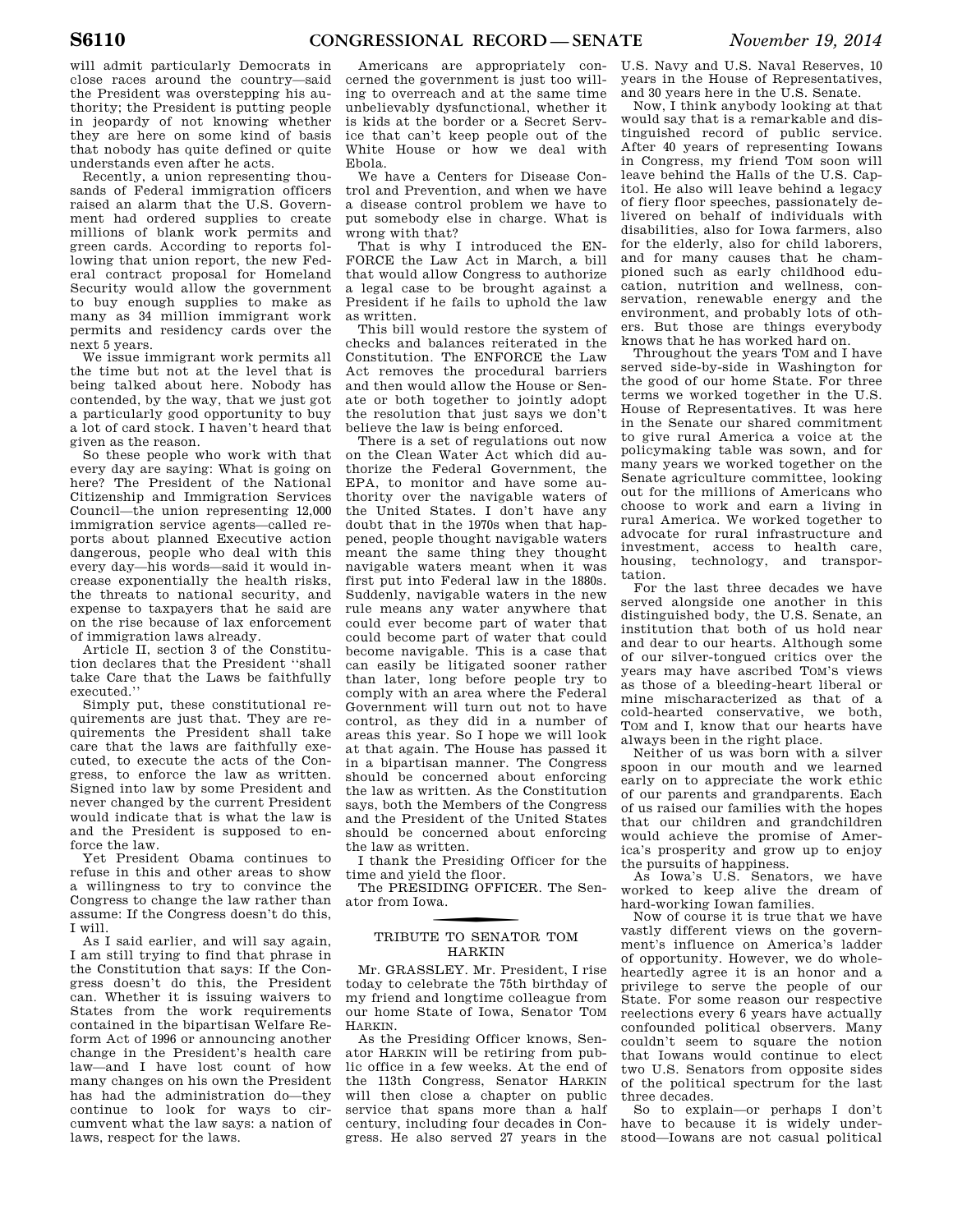will admit particularly Democrats in close races around the country—said the President was overstepping his authority; the President is putting people in jeopardy of not knowing whether they are here on some kind of basis that nobody has quite defined or quite understands even after he acts.

Recently, a union representing thousands of Federal immigration officers raised an alarm that the U.S. Government had ordered supplies to create millions of blank work permits and green cards. According to reports following that union report, the new Federal contract proposal for Homeland Security would allow the government to buy enough supplies to make as many as 34 million immigrant work permits and residency cards over the next 5 years.

We issue immigrant work permits all the time but not at the level that is being talked about here. Nobody has contended, by the way, that we just got a particularly good opportunity to buy a lot of card stock. I haven't heard that given as the reason.

So these people who work with that every day are saying: What is going on here? The President of the National Citizenship and Immigration Services Council—the union representing 12,000 immigration service agents—called reports about planned Executive action dangerous, people who deal with this every day—his words—said it would increase exponentially the health risks, the threats to national security, and expense to taxpayers that he said are on the rise because of lax enforcement of immigration laws already.

Article II, section 3 of the Constitution declares that the President ''shall take Care that the Laws be faithfully executed.''

Simply put, these constitutional requirements are just that. They are requirements the President shall take care that the laws are faithfully executed, to execute the acts of the Congress, to enforce the law as written. Signed into law by some President and never changed by the current President would indicate that is what the law is and the President is supposed to enforce the law.

Yet President Obama continues to refuse in this and other areas to show a willingness to try to convince the Congress to change the law rather than assume: If the Congress doesn't do this, I will.

As I said earlier, and will say again, I am still trying to find that phrase in the Constitution that says: If the Congress doesn't do this, the President can. Whether it is issuing waivers to States from the work requirements contained in the bipartisan Welfare Reform Act of 1996 or announcing another change in the President's health care law—and I have lost count of how many changes on his own the President has had the administration do—they continue to look for ways to circumvent what the law says: a nation of laws, respect for the laws.

Americans are appropriately concerned the government is just too willing to overreach and at the same time unbelievably dysfunctional, whether it is kids at the border or a Secret Service that can't keep people out of the White House or how we deal with Ebola.

We have a Centers for Disease Control and Prevention, and when we have a disease control problem we have to put somebody else in charge. What is wrong with that?

That is why I introduced the EN-FORCE the Law Act in March, a bill that would allow Congress to authorize a legal case to be brought against a President if he fails to uphold the law as written.

This bill would restore the system of checks and balances reiterated in the Constitution. The ENFORCE the Law Act removes the procedural barriers and then would allow the House or Senate or both together to jointly adopt the resolution that just says we don't believe the law is being enforced.

There is a set of regulations out now on the Clean Water Act which did authorize the Federal Government, the EPA, to monitor and have some authority over the navigable waters of the United States. I don't have any doubt that in the 1970s when that happened, people thought navigable waters meant the same thing they thought navigable waters meant when it was first put into Federal law in the 1880s. Suddenly, navigable waters in the new rule means any water anywhere that could ever become part of water that could become part of water that could become navigable. This is a case that can easily be litigated sooner rather than later, long before people try to comply with an area where the Federal Government will turn out not to have control, as they did in a number of areas this year. So I hope we will look at that again. The House has passed it in a bipartisan manner. The Congress should be concerned about enforcing the law as written. As the Constitution says, both the Members of the Congress and the President of the United States should be concerned about enforcing the law as written.

I thank the Presiding Officer for the time and yield the floor.

The PRESIDING OFFICER. The Senator from Iowa.

# f TRIBUTE TO SENATOR TOM HARKIN

Mr. GRASSLEY. Mr. President, I rise today to celebrate the 75th birthday of my friend and longtime colleague from our home State of Iowa, Senator TOM HARKIN.

As the Presiding Officer knows, Senator HARKIN will be retiring from public office in a few weeks. At the end of the 113th Congress, Senator HARKIN will then close a chapter on public service that spans more than a half century, including four decades in Congress. He also served 27 years in the

U.S. Navy and U.S. Naval Reserves, 10 years in the House of Representatives, and 30 years here in the U.S. Senate.

Now, I think anybody looking at that would say that is a remarkable and distinguished record of public service. After 40 years of representing Iowans in Congress, my friend TOM soon will leave behind the Halls of the U.S. Capitol. He also will leave behind a legacy of fiery floor speeches, passionately delivered on behalf of individuals with disabilities, also for Iowa farmers, also for the elderly, also for child laborers, and for many causes that he championed such as early childhood education, nutrition and wellness, conservation, renewable energy and the environment, and probably lots of others. But those are things everybody knows that he has worked hard on.

Throughout the years TOM and I have served side-by-side in Washington for the good of our home State. For three terms we worked together in the U.S. House of Representatives. It was here in the Senate our shared commitment to give rural America a voice at the policymaking table was sown, and for many years we worked together on the Senate agriculture committee, looking out for the millions of Americans who choose to work and earn a living in rural America. We worked together to advocate for rural infrastructure and investment, access to health care, housing, technology, and transportation.

For the last three decades we have served alongside one another in this distinguished body, the U.S. Senate, an institution that both of us hold near and dear to our hearts. Although some of our silver-tongued critics over the years may have ascribed TOM'S views as those of a bleeding-heart liberal or mine mischaracterized as that of a cold-hearted conservative, we both, TOM and I, know that our hearts have always been in the right place.

Neither of us was born with a silver spoon in our mouth and we learned early on to appreciate the work ethic of our parents and grandparents. Each of us raised our families with the hopes that our children and grandchildren would achieve the promise of America's prosperity and grow up to enjoy the pursuits of happiness.

As Iowa's U.S. Senators, we have worked to keep alive the dream of hard-working Iowan families.

Now of course it is true that we have vastly different views on the government's influence on America's ladder of opportunity. However, we do wholeheartedly agree it is an honor and a privilege to serve the people of our State. For some reason our respective reelections every 6 years have actually confounded political observers. Many couldn't seem to square the notion that Iowans would continue to elect two U.S. Senators from opposite sides of the political spectrum for the last three decades.

So to explain—or perhaps I don't have to because it is widely understood—Iowans are not casual political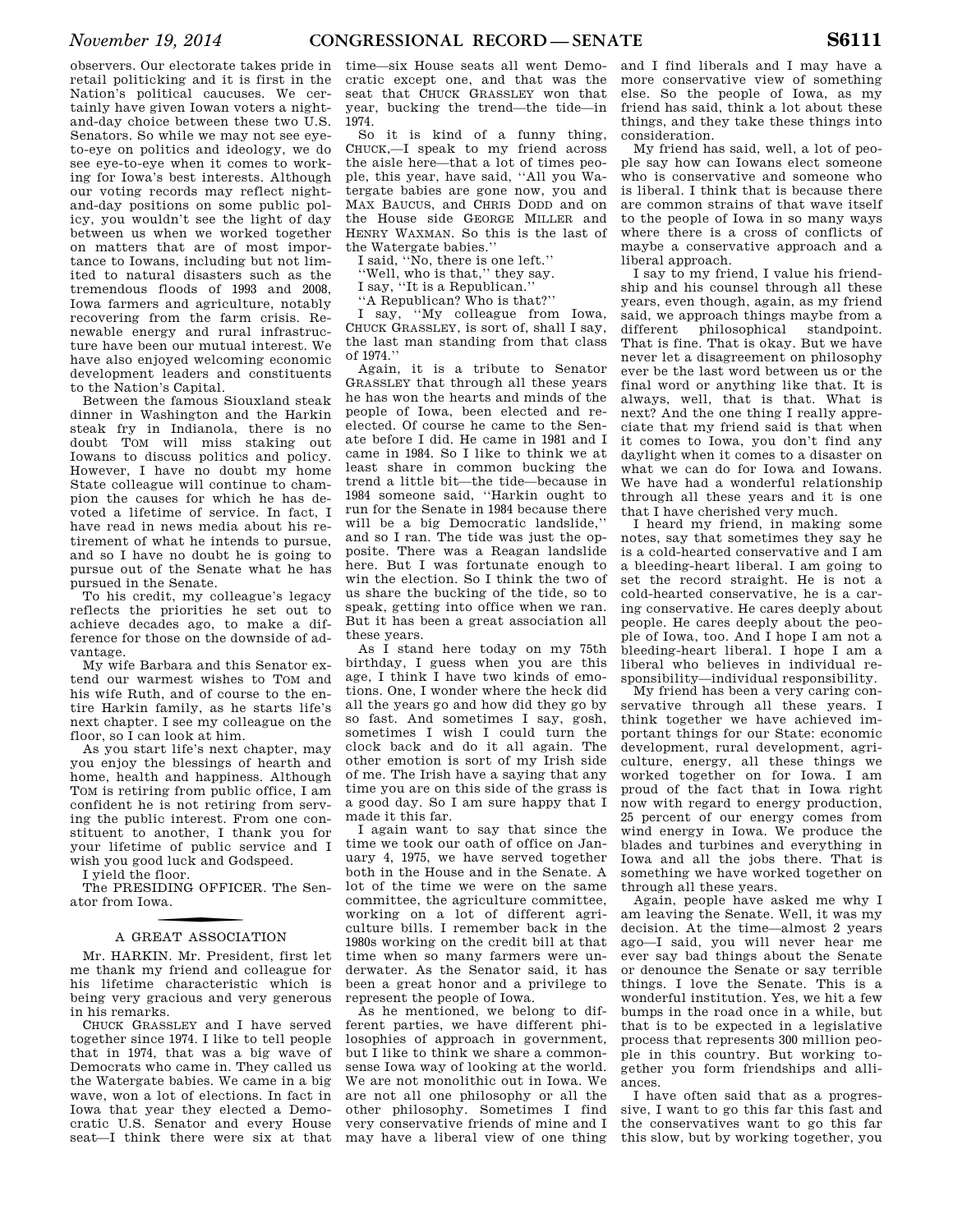observers. Our electorate takes pride in retail politicking and it is first in the Nation's political caucuses. We certainly have given Iowan voters a nightand-day choice between these two U.S. Senators. So while we may not see eyeto-eye on politics and ideology, we do see eye-to-eye when it comes to working for Iowa's best interests. Although our voting records may reflect nightand-day positions on some public policy, you wouldn't see the light of day between us when we worked together on matters that are of most importance to Iowans, including but not limited to natural disasters such as the tremendous floods of 1993 and 2008, Iowa farmers and agriculture, notably recovering from the farm crisis. Renewable energy and rural infrastructure have been our mutual interest. We have also enjoyed welcoming economic development leaders and constituents to the Nation's Capital.

Between the famous Siouxland steak dinner in Washington and the Harkin steak fry in Indianola, there is no doubt TOM will miss staking out Iowans to discuss politics and policy. However, I have no doubt my home State colleague will continue to champion the causes for which he has devoted a lifetime of service. In fact, I have read in news media about his retirement of what he intends to pursue, and so I have no doubt he is going to pursue out of the Senate what he has pursued in the Senate.

To his credit, my colleague's legacy reflects the priorities he set out to achieve decades ago, to make a difference for those on the downside of advantage.

My wife Barbara and this Senator extend our warmest wishes to TOM and his wife Ruth, and of course to the entire Harkin family, as he starts life's next chapter. I see my colleague on the floor, so I can look at him.

As you start life's next chapter, may you enjoy the blessings of hearth and home, health and happiness. Although TOM is retiring from public office, I am confident he is not retiring from serving the public interest. From one constituent to another, I thank you for your lifetime of public service and I wish you good luck and Godspeed.

I yield the floor.

The PRESIDING OFFICER. The Senator from Iowa.

# A GREAT ASSOCIATION

Mr. HARKIN. Mr. President, first let me thank my friend and colleague for his lifetime characteristic which is being very gracious and very generous in his remarks.

CHUCK GRASSLEY and I have served together since 1974. I like to tell people that in 1974, that was a big wave of Democrats who came in. They called us the Watergate babies. We came in a big wave, won a lot of elections. In fact in Iowa that year they elected a Democratic U.S. Senator and every House seat—I think there were six at that

time—six House seats all went Democratic except one, and that was the seat that CHUCK GRASSLEY won that year, bucking the trend—the tide—in 1974.

So it is kind of a funny thing, CHUCK,—I speak to my friend across the aisle here—that a lot of times people, this year, have said, ''All you Watergate babies are gone now, you and MAX BAUCUS, and CHRIS DODD and on the House side GEORGE MILLER and HENRY WAXMAN. So this is the last of the Watergate babies.''

I said, ''No, there is one left.''

''Well, who is that,'' they say.

I say, ''It is a Republican.''

''A Republican? Who is that?''

I say, ''My colleague from Iowa, CHUCK GRASSLEY, is sort of, shall I say, the last man standing from that class of 1974.''

Again, it is a tribute to Senator GRASSLEY that through all these years he has won the hearts and minds of the people of Iowa, been elected and reelected. Of course he came to the Senate before I did. He came in 1981 and I came in 1984. So I like to think we at least share in common bucking the trend a little bit—the tide—because in 1984 someone said, ''Harkin ought to run for the Senate in 1984 because there will be a big Democratic landslide." and so I ran. The tide was just the opposite. There was a Reagan landslide here. But I was fortunate enough to win the election. So I think the two of us share the bucking of the tide, so to speak, getting into office when we ran. But it has been a great association all these years.

As I stand here today on my 75th birthday, I guess when you are this age, I think I have two kinds of emotions. One, I wonder where the heck did all the years go and how did they go by so fast. And sometimes I say, gosh, sometimes I wish I could turn the clock back and do it all again. The other emotion is sort of my Irish side of me. The Irish have a saying that any time you are on this side of the grass is a good day. So I am sure happy that I made it this far.

I again want to say that since the time we took our oath of office on January 4, 1975, we have served together both in the House and in the Senate. A lot of the time we were on the same committee, the agriculture committee, working on a lot of different agriculture bills. I remember back in the 1980s working on the credit bill at that time when so many farmers were underwater. As the Senator said, it has been a great honor and a privilege to represent the people of Iowa.

As he mentioned, we belong to different parties, we have different philosophies of approach in government, but I like to think we share a commonsense Iowa way of looking at the world. We are not monolithic out in Iowa. We are not all one philosophy or all the other philosophy. Sometimes I find very conservative friends of mine and I may have a liberal view of one thing

and I find liberals and I may have a more conservative view of something else. So the people of Iowa, as my friend has said, think a lot about these things, and they take these things into consideration.

My friend has said, well, a lot of people say how can Iowans elect someone who is conservative and someone who is liberal. I think that is because there are common strains of that wave itself to the people of Iowa in so many ways where there is a cross of conflicts of maybe a conservative approach and a liberal approach.

I say to my friend, I value his friendship and his counsel through all these years, even though, again, as my friend said, we approach things maybe from a<br>different philosophical standpoint. philosophical standpoint. That is fine. That is okay. But we have never let a disagreement on philosophy ever be the last word between us or the final word or anything like that. It is always, well, that is that. What is next? And the one thing I really appreciate that my friend said is that when it comes to Iowa, you don't find any daylight when it comes to a disaster on what we can do for Iowa and Iowans. We have had a wonderful relationship through all these years and it is one that I have cherished very much.

I heard my friend, in making some notes, say that sometimes they say he is a cold-hearted conservative and I am a bleeding-heart liberal. I am going to set the record straight. He is not a cold-hearted conservative, he is a caring conservative. He cares deeply about people. He cares deeply about the people of Iowa, too. And I hope I am not a bleeding-heart liberal. I hope I am a liberal who believes in individual responsibility—individual responsibility.

My friend has been a very caring conservative through all these years. I think together we have achieved important things for our State: economic development, rural development, agriculture, energy, all these things we worked together on for Iowa. I am proud of the fact that in Iowa right now with regard to energy production, 25 percent of our energy comes from wind energy in Iowa. We produce the blades and turbines and everything in Iowa and all the jobs there. That is something we have worked together on through all these years.

Again, people have asked me why I am leaving the Senate. Well, it was my decision. At the time—almost 2 years ago—I said, you will never hear me ever say bad things about the Senate or denounce the Senate or say terrible things. I love the Senate. This is a wonderful institution. Yes, we hit a few bumps in the road once in a while, but that is to be expected in a legislative process that represents 300 million people in this country. But working together you form friendships and alliances.

I have often said that as a progressive, I want to go this far this fast and the conservatives want to go this far this slow, but by working together, you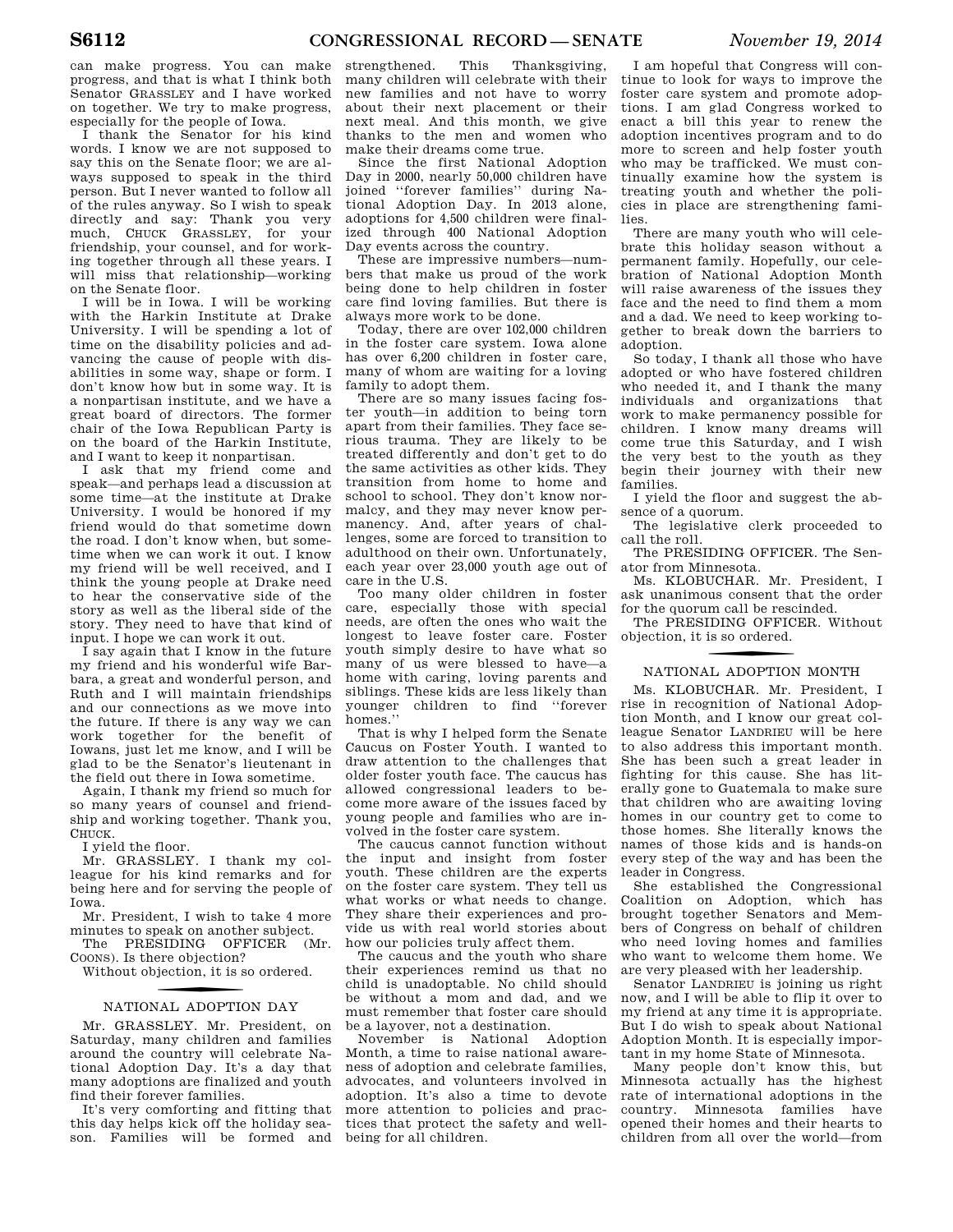can make progress. You can make progress, and that is what I think both Senator GRASSLEY and I have worked on together. We try to make progress, especially for the people of Iowa.

I thank the Senator for his kind words. I know we are not supposed to say this on the Senate floor; we are always supposed to speak in the third person. But I never wanted to follow all of the rules anyway. So I wish to speak directly and say: Thank you very much, CHUCK GRASSLEY, for your friendship, your counsel, and for working together through all these years. I will miss that relationship—working on the Senate floor.

I will be in Iowa. I will be working with the Harkin Institute at Drake University. I will be spending a lot of time on the disability policies and advancing the cause of people with disabilities in some way, shape or form. I don't know how but in some way. It is a nonpartisan institute, and we have a great board of directors. The former chair of the Iowa Republican Party is on the board of the Harkin Institute, and I want to keep it nonpartisan.

I ask that my friend come and speak—and perhaps lead a discussion at some time—at the institute at Drake University. I would be honored if my friend would do that sometime down the road. I don't know when, but sometime when we can work it out. I know my friend will be well received, and I think the young people at Drake need to hear the conservative side of the story as well as the liberal side of the story. They need to have that kind of input. I hope we can work it out.

I say again that I know in the future my friend and his wonderful wife Barbara, a great and wonderful person, and Ruth and I will maintain friendships and our connections as we move into the future. If there is any way we can work together for the benefit of Iowans, just let me know, and I will be glad to be the Senator's lieutenant in the field out there in Iowa sometime.

Again, I thank my friend so much for so many years of counsel and friendship and working together. Thank you, CHUCK.

I yield the floor.

Mr. GRASSLEY. I thank my colleague for his kind remarks and for being here and for serving the people of Iowa.

Mr. President, I wish to take 4 more minutes to speak on another subject.

The PRESIDING OFFICER (Mr. COONS). Is there objection?

Without objection, it is so ordered.

# f NATIONAL ADOPTION DAY

Mr. GRASSLEY. Mr. President, on Saturday, many children and families around the country will celebrate National Adoption Day. It's a day that many adoptions are finalized and youth find their forever families.

It's very comforting and fitting that this day helps kick off the holiday season. Families will be formed and

strengthened. This Thanksgiving, many children will celebrate with their new families and not have to worry about their next placement or their next meal. And this month, we give thanks to the men and women who make their dreams come true.

Since the first National Adoption Day in 2000, nearly 50,000 children have joined ''forever families'' during National Adoption Day. In 2013 alone, adoptions for 4,500 children were finalized through 400 National Adoption Day events across the country.

These are impressive numbers—numbers that make us proud of the work being done to help children in foster care find loving families. But there is always more work to be done.

Today, there are over 102,000 children in the foster care system. Iowa alone has over 6,200 children in foster care, many of whom are waiting for a loving family to adopt them.

There are so many issues facing foster youth—in addition to being torn apart from their families. They face serious trauma. They are likely to be treated differently and don't get to do the same activities as other kids. They transition from home to home and school to school. They don't know normalcy, and they may never know permanency. And, after years of challenges, some are forced to transition to adulthood on their own. Unfortunately, each year over 23,000 youth age out of care in the U.S.

Too many older children in foster care, especially those with special needs, are often the ones who wait the longest to leave foster care. Foster youth simply desire to have what so many of us were blessed to have—a home with caring, loving parents and siblings. These kids are less likely than younger children to find ''forever homes.''

That is why I helped form the Senate Caucus on Foster Youth. I wanted to draw attention to the challenges that older foster youth face. The caucus has allowed congressional leaders to become more aware of the issues faced by young people and families who are involved in the foster care system.

The caucus cannot function without the input and insight from foster youth. These children are the experts on the foster care system. They tell us what works or what needs to change. They share their experiences and provide us with real world stories about how our policies truly affect them.

The caucus and the youth who share their experiences remind us that no child is unadoptable. No child should be without a mom and dad, and we must remember that foster care should be a layover, not a destination.

November is National Adoption Month, a time to raise national awareness of adoption and celebrate families, advocates, and volunteers involved in adoption. It's also a time to devote more attention to policies and practices that protect the safety and wellbeing for all children.

I am hopeful that Congress will continue to look for ways to improve the foster care system and promote adoptions. I am glad Congress worked to enact a bill this year to renew the adoption incentives program and to do more to screen and help foster youth who may be trafficked. We must continually examine how the system is treating youth and whether the policies in place are strengthening families.

There are many youth who will celebrate this holiday season without a permanent family. Hopefully, our celebration of National Adoption Month will raise awareness of the issues they face and the need to find them a mom and a dad. We need to keep working together to break down the barriers to adoption.

So today, I thank all those who have adopted or who have fostered children who needed it, and I thank the many individuals and organizations that work to make permanency possible for children. I know many dreams will come true this Saturday, and I wish the very best to the youth as they begin their journey with their new families.

I yield the floor and suggest the absence of a quorum.

The legislative clerk proceeded to call the roll.

The PRESIDING OFFICER. The Senator from Minnesota.

Ms. KLOBUCHAR. Mr. President, I ask unanimous consent that the order for the quorum call be rescinded.

The PRESIDING OFFICER. Without objection, it is so ordered.

# f NATIONAL ADOPTION MONTH

Ms. KLOBUCHAR. Mr. President, I rise in recognition of National Adoption Month, and I know our great colleague Senator LANDRIEU will be here to also address this important month. She has been such a great leader in fighting for this cause. She has literally gone to Guatemala to make sure that children who are awaiting loving homes in our country get to come to those homes. She literally knows the names of those kids and is hands-on every step of the way and has been the leader in Congress.

She established the Congressional Coalition on Adoption, which has brought together Senators and Members of Congress on behalf of children who need loving homes and families who want to welcome them home. We are very pleased with her leadership.

Senator LANDRIEU is joining us right now, and I will be able to flip it over to my friend at any time it is appropriate. But I do wish to speak about National Adoption Month. It is especially important in my home State of Minnesota.

Many people don't know this, but Minnesota actually has the highest rate of international adoptions in the country. Minnesota families have opened their homes and their hearts to children from all over the world—from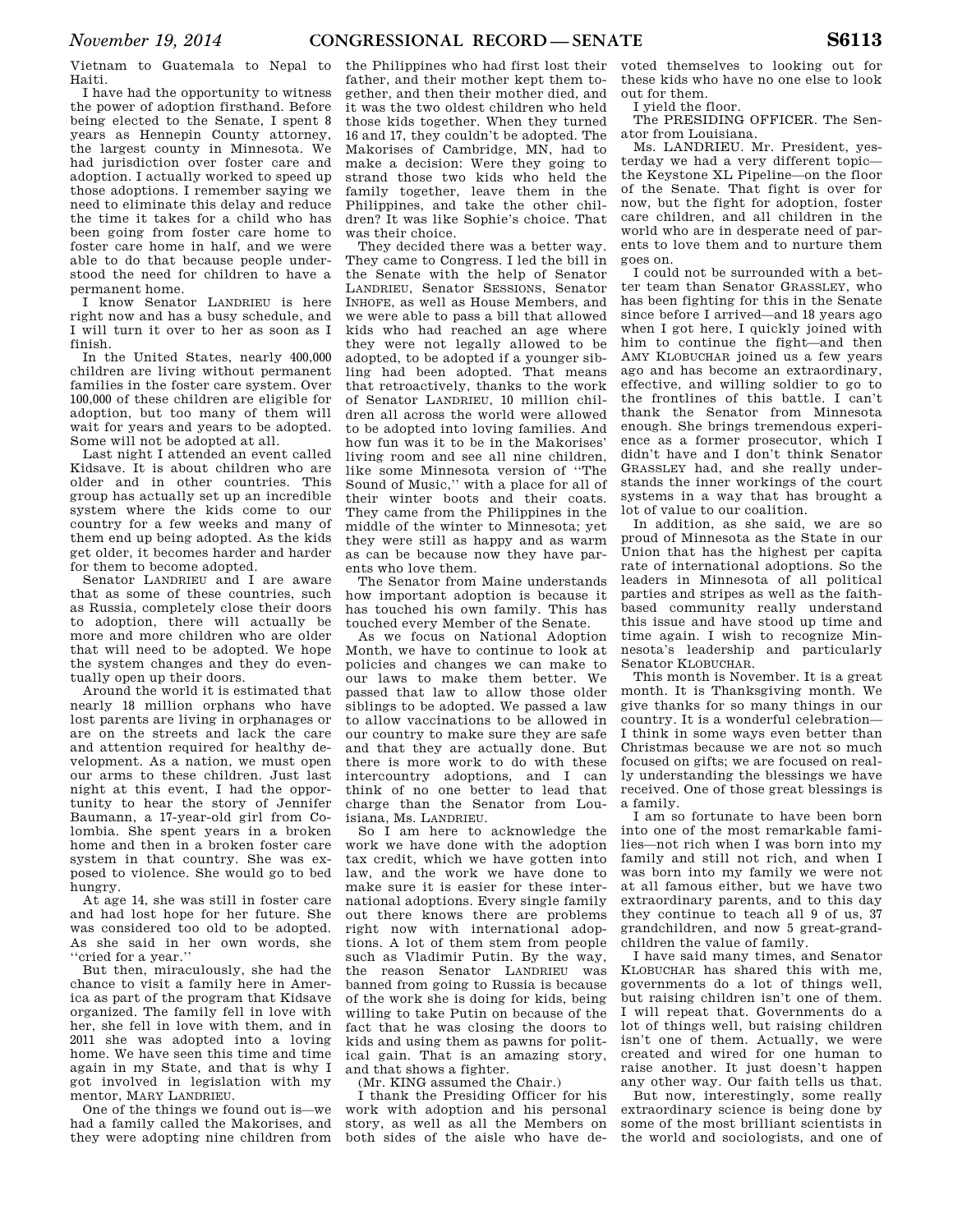Vietnam to Guatemala to Nepal to Haiti.

I have had the opportunity to witness the power of adoption firsthand. Before being elected to the Senate, I spent 8 years as Hennepin County attorney, the largest county in Minnesota. We had jurisdiction over foster care and adoption. I actually worked to speed up those adoptions. I remember saying we need to eliminate this delay and reduce the time it takes for a child who has been going from foster care home to foster care home in half, and we were able to do that because people understood the need for children to have a permanent home.

I know Senator LANDRIEU is here right now and has a busy schedule, and I will turn it over to her as soon as I finish.

In the United States, nearly 400,000 children are living without permanent families in the foster care system. Over 100,000 of these children are eligible for adoption, but too many of them will wait for years and years to be adopted. Some will not be adopted at all.

Last night I attended an event called Kidsave. It is about children who are older and in other countries. This group has actually set up an incredible system where the kids come to our country for a few weeks and many of them end up being adopted. As the kids get older, it becomes harder and harder for them to become adopted.

Senator LANDRIEU and I are aware that as some of these countries, such as Russia, completely close their doors to adoption, there will actually be more and more children who are older that will need to be adopted. We hope the system changes and they do eventually open up their doors.

Around the world it is estimated that nearly 18 million orphans who have lost parents are living in orphanages or are on the streets and lack the care and attention required for healthy development. As a nation, we must open our arms to these children. Just last night at this event, I had the opportunity to hear the story of Jennifer Baumann, a 17-year-old girl from Colombia. She spent years in a broken home and then in a broken foster care system in that country. She was exposed to violence. She would go to bed hungry.

At age 14, she was still in foster care and had lost hope for her future. She was considered too old to be adopted. As she said in her own words, she ''cried for a year.''

But then, miraculously, she had the chance to visit a family here in America as part of the program that Kidsave organized. The family fell in love with her, she fell in love with them, and in 2011 she was adopted into a loving home. We have seen this time and time again in my State, and that is why I got involved in legislation with my mentor, MARY LANDRIEU.

One of the things we found out is—we had a family called the Makorises, and they were adopting nine children from

the Philippines who had first lost their father, and their mother kept them together, and then their mother died, and it was the two oldest children who held those kids together. When they turned 16 and 17, they couldn't be adopted. The Makorises of Cambridge, MN, had to make a decision: Were they going to strand those two kids who held the family together, leave them in the Philippines, and take the other children? It was like Sophie's choice. That was their choice.

They decided there was a better way. They came to Congress. I led the bill in the Senate with the help of Senator LANDRIEU, Senator SESSIONS, Senator INHOFE, as well as House Members, and we were able to pass a bill that allowed kids who had reached an age where they were not legally allowed to be adopted, to be adopted if a younger sibling had been adopted. That means that retroactively, thanks to the work of Senator LANDRIEU, 10 million children all across the world were allowed to be adopted into loving families. And how fun was it to be in the Makorises' living room and see all nine children, like some Minnesota version of ''The Sound of Music,'' with a place for all of their winter boots and their coats. They came from the Philippines in the middle of the winter to Minnesota; yet they were still as happy and as warm as can be because now they have parents who love them.

The Senator from Maine understands how important adoption is because it has touched his own family. This has touched every Member of the Senate.

As we focus on National Adoption Month, we have to continue to look at policies and changes we can make to our laws to make them better. We passed that law to allow those older siblings to be adopted. We passed a law to allow vaccinations to be allowed in our country to make sure they are safe and that they are actually done. But there is more work to do with these intercountry adoptions, and I can think of no one better to lead that charge than the Senator from Louisiana, Ms. LANDRIEU.

So I am here to acknowledge the work we have done with the adoption tax credit, which we have gotten into law, and the work we have done to make sure it is easier for these international adoptions. Every single family out there knows there are problems right now with international adoptions. A lot of them stem from people such as Vladimir Putin. By the way, the reason Senator LANDRIEU was banned from going to Russia is because of the work she is doing for kids, being willing to take Putin on because of the fact that he was closing the doors to kids and using them as pawns for political gain. That is an amazing story, and that shows a fighter.

(Mr. KING assumed the Chair.)

I thank the Presiding Officer for his work with adoption and his personal story, as well as all the Members on both sides of the aisle who have devoted themselves to looking out for these kids who have no one else to look out for them.

I yield the floor.

The PRESIDING OFFICER. The Senator from Louisiana.

Ms. LANDRIEU. Mr. President, yesterday we had a very different topic the Keystone XL Pipeline—on the floor of the Senate. That fight is over for now, but the fight for adoption, foster care children, and all children in the world who are in desperate need of parents to love them and to nurture them goes on.

I could not be surrounded with a better team than Senator GRASSLEY, who has been fighting for this in the Senate since before I arrived—and 18 years ago when I got here, I quickly joined with him to continue the fight—and then AMY KLOBUCHAR joined us a few years ago and has become an extraordinary, effective, and willing soldier to go to the frontlines of this battle. I can't thank the Senator from Minnesota enough. She brings tremendous experience as a former prosecutor, which I didn't have and I don't think Senator GRASSLEY had, and she really understands the inner workings of the court systems in a way that has brought a lot of value to our coalition.

In addition, as she said, we are so proud of Minnesota as the State in our Union that has the highest per capita rate of international adoptions. So the leaders in Minnesota of all political parties and stripes as well as the faithbased community really understand this issue and have stood up time and time again. I wish to recognize Minnesota's leadership and particularly Senator KLOBUCHAR.

This month is November. It is a great month. It is Thanksgiving month. We give thanks for so many things in our country. It is a wonderful celebration— I think in some ways even better than Christmas because we are not so much focused on gifts; we are focused on really understanding the blessings we have received. One of those great blessings is a family.

I am so fortunate to have been born into one of the most remarkable families—not rich when I was born into my family and still not rich, and when I was born into my family we were not at all famous either, but we have two extraordinary parents, and to this day they continue to teach all 9 of us, 37 grandchildren, and now 5 great-grandchildren the value of family.

I have said many times, and Senator KLOBUCHAR has shared this with me, governments do a lot of things well, but raising children isn't one of them. I will repeat that. Governments do a lot of things well, but raising children isn't one of them. Actually, we were created and wired for one human to raise another. It just doesn't happen any other way. Our faith tells us that.

But now, interestingly, some really extraordinary science is being done by some of the most brilliant scientists in the world and sociologists, and one of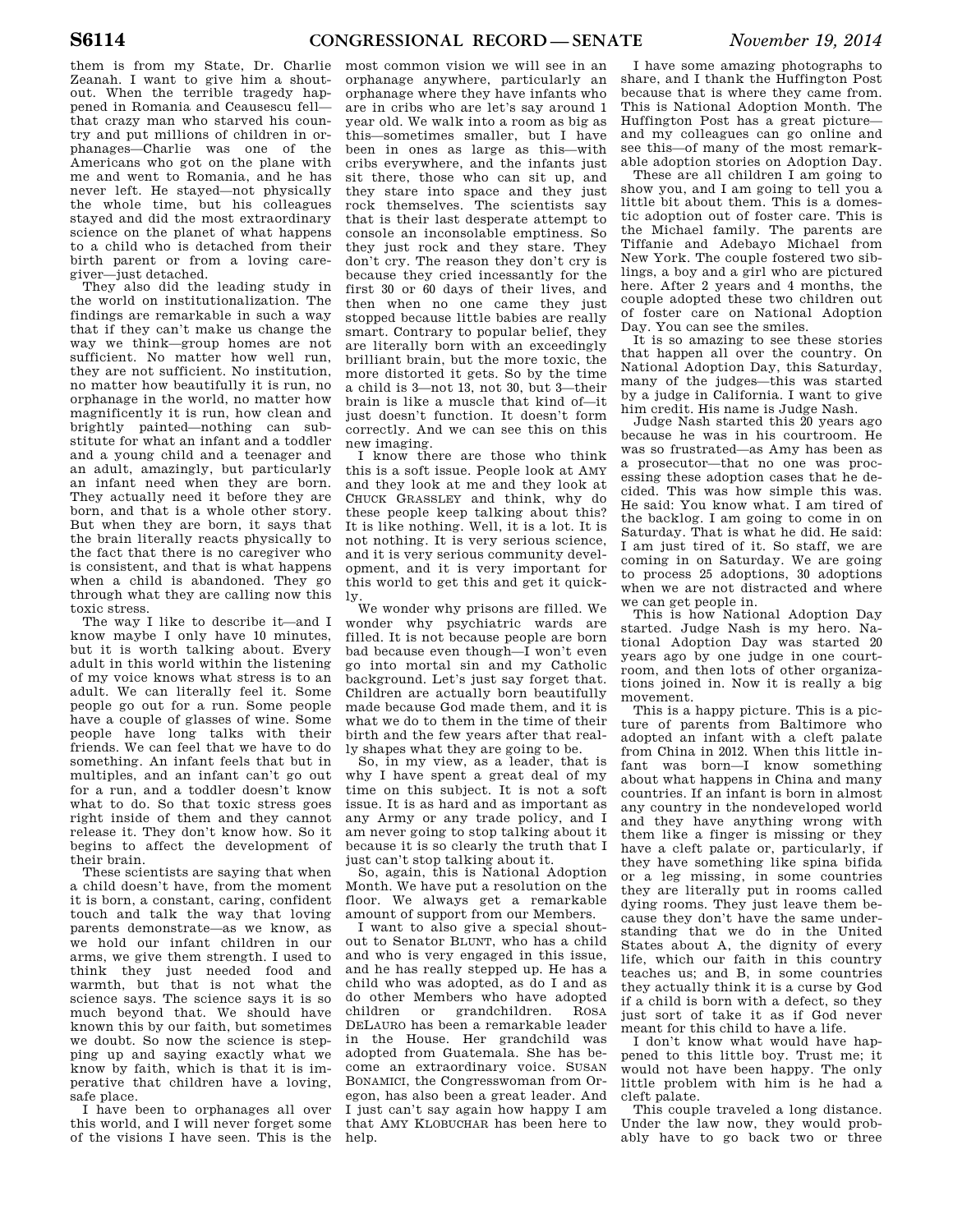them is from my State, Dr. Charlie Zeanah. I want to give him a shoutout. When the terrible tragedy happened in Romania and Ceausescu fell that crazy man who starved his country and put millions of children in orphanages—Charlie was one of the Americans who got on the plane with me and went to Romania, and he has never left. He stayed—not physically the whole time, but his colleagues stayed and did the most extraordinary science on the planet of what happens to a child who is detached from their birth parent or from a loving caregiver—just detached.

They also did the leading study in the world on institutionalization. The findings are remarkable in such a way that if they can't make us change the way we think—group homes are not sufficient. No matter how well run, they are not sufficient. No institution, no matter how beautifully it is run, no orphanage in the world, no matter how magnificently it is run, how clean and brightly painted—nothing can substitute for what an infant and a toddler and a young child and a teenager and an adult, amazingly, but particularly an infant need when they are born. They actually need it before they are born, and that is a whole other story. But when they are born, it says that the brain literally reacts physically to the fact that there is no caregiver who is consistent, and that is what happens when a child is abandoned. They go through what they are calling now this toxic stress.

The way I like to describe it—and I know maybe I only have 10 minutes, but it is worth talking about. Every adult in this world within the listening of my voice knows what stress is to an adult. We can literally feel it. Some people go out for a run. Some people have a couple of glasses of wine. Some people have long talks with their friends. We can feel that we have to do something. An infant feels that but in multiples, and an infant can't go out for a run, and a toddler doesn't know what to do. So that toxic stress goes right inside of them and they cannot release it. They don't know how. So it begins to affect the development of their brain.

These scientists are saying that when a child doesn't have, from the moment it is born, a constant, caring, confident touch and talk the way that loving parents demonstrate—as we know, as we hold our infant children in our arms, we give them strength. I used to think they just needed food and warmth, but that is not what the science says. The science says it is so much beyond that. We should have known this by our faith, but sometimes we doubt. So now the science is stepping up and saying exactly what we know by faith, which is that it is imperative that children have a loving, safe place.

I have been to orphanages all over this world, and I will never forget some of the visions I have seen. This is the

most common vision we will see in an orphanage anywhere, particularly an orphanage where they have infants who are in cribs who are let's say around 1 year old. We walk into a room as big as this—sometimes smaller, but I have been in ones as large as this—with cribs everywhere, and the infants just sit there, those who can sit up, and they stare into space and they just rock themselves. The scientists say that is their last desperate attempt to console an inconsolable emptiness. So they just rock and they stare. They don't cry. The reason they don't cry is because they cried incessantly for the first 30 or 60 days of their lives, and then when no one came they just stopped because little babies are really smart. Contrary to popular belief, they are literally born with an exceedingly brilliant brain, but the more toxic, the more distorted it gets. So by the time a child is 3—not 13, not 30, but 3—their brain is like a muscle that kind of—it just doesn't function. It doesn't form correctly. And we can see this on this new imaging.

I know there are those who think this is a soft issue. People look at AMY and they look at me and they look at CHUCK GRASSLEY and think, why do these people keep talking about this? It is like nothing. Well, it is a lot. It is not nothing. It is very serious science, and it is very serious community development, and it is very important for this world to get this and get it quickly.

We wonder why prisons are filled. We wonder why psychiatric wards are filled. It is not because people are born bad because even though—I won't even go into mortal sin and my Catholic background. Let's just say forget that. Children are actually born beautifully made because God made them, and it is what we do to them in the time of their birth and the few years after that really shapes what they are going to be.

So, in my view, as a leader, that is why I have spent a great deal of my time on this subject. It is not a soft issue. It is as hard and as important as any Army or any trade policy, and I am never going to stop talking about it because it is so clearly the truth that I just can't stop talking about it.

So, again, this is National Adoption Month. We have put a resolution on the floor. We always get a remarkable amount of support from our Members.

I want to also give a special shoutout to Senator BLUNT, who has a child and who is very engaged in this issue, and he has really stepped up. He has a child who was adopted, as do I and as do other Members who have adopted children or grandchildren. ROSA DELAURO has been a remarkable leader in the House. Her grandchild was adopted from Guatemala. She has become an extraordinary voice. SUSAN BONAMICI, the Congresswoman from Oregon, has also been a great leader. And I just can't say again how happy I am that AMY KLOBUCHAR has been here to help.

I have some amazing photographs to share, and I thank the Huffington Post because that is where they came from. This is National Adoption Month. The Huffington Post has a great picture and my colleagues can go online and see this—of many of the most remarkable adoption stories on Adoption Day.

These are all children I am going to show you, and I am going to tell you a little bit about them. This is a domestic adoption out of foster care. This is the Michael family. The parents are Tiffanie and Adebayo Michael from New York. The couple fostered two siblings, a boy and a girl who are pictured here. After 2 years and 4 months, the couple adopted these two children out of foster care on National Adoption Day. You can see the smiles.

It is so amazing to see these stories that happen all over the country. On National Adoption Day, this Saturday, many of the judges—this was started by a judge in California. I want to give him credit. His name is Judge Nash.

Judge Nash started this 20 years ago because he was in his courtroom. He was so frustrated—as Amy has been as a prosecutor—that no one was processing these adoption cases that he decided. This was how simple this was. He said: You know what. I am tired of the backlog. I am going to come in on Saturday. That is what he did. He said: I am just tired of it. So staff, we are coming in on Saturday. We are going to process 25 adoptions, 30 adoptions when we are not distracted and where we can get people in.

This is how National Adoption Day started. Judge Nash is my hero. National Adoption Day was started 20 years ago by one judge in one courtroom, and then lots of other organizations joined in. Now it is really a big movement.

This is a happy picture. This is a picture of parents from Baltimore who adopted an infant with a cleft palate from China in 2012. When this little infant was born—I know something about what happens in China and many countries. If an infant is born in almost any country in the nondeveloped world and they have anything wrong with them like a finger is missing or they have a cleft palate or, particularly, if they have something like spina bifida or a leg missing, in some countries they are literally put in rooms called dying rooms. They just leave them because they don't have the same understanding that we do in the United States about A, the dignity of every life, which our faith in this country teaches us; and B, in some countries they actually think it is a curse by God if a child is born with a defect, so they just sort of take it as if God never meant for this child to have a life.

I don't know what would have happened to this little boy. Trust me; it would not have been happy. The only little problem with him is he had a cleft palate.

This couple traveled a long distance. Under the law now, they would probably have to go back two or three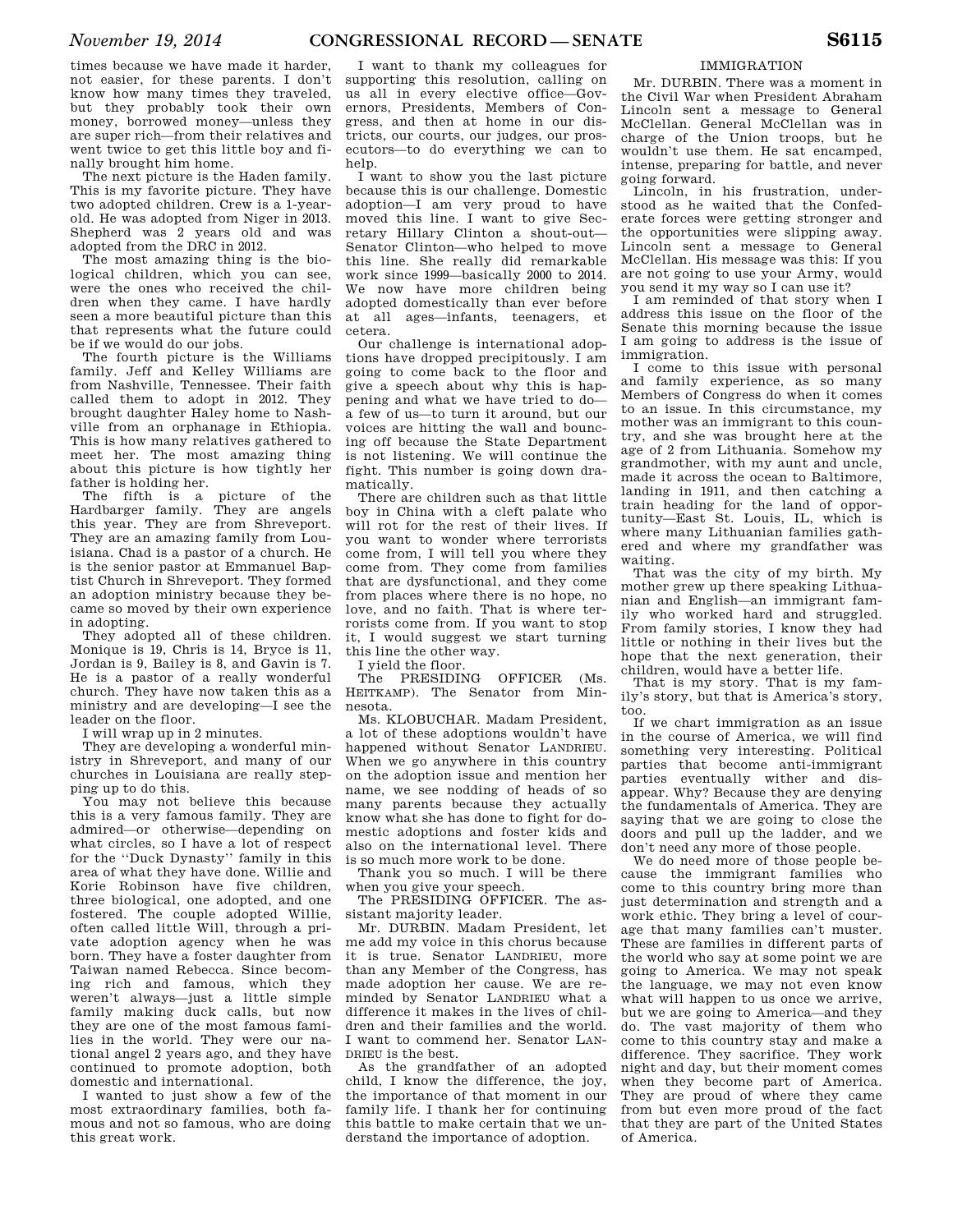times because we have made it harder, not easier, for these parents. I don't know how many times they traveled, but they probably took their own money, borrowed money—unless they are super rich—from their relatives and went twice to get this little boy and finally brought him home.

The next picture is the Haden family. This is my favorite picture. They have two adopted children. Crew is a 1-yearold. He was adopted from Niger in 2013. Shepherd was 2 years old and was adopted from the DRC in 2012.

The most amazing thing is the biological children, which you can see, were the ones who received the children when they came. I have hardly seen a more beautiful picture than this that represents what the future could be if we would do our jobs.

The fourth picture is the Williams family. Jeff and Kelley Williams are from Nashville, Tennessee. Their faith called them to adopt in 2012. They brought daughter Haley home to Nashville from an orphanage in Ethiopia. This is how many relatives gathered to meet her. The most amazing thing about this picture is how tightly her father is holding her.

The fifth is a picture of the Hardbarger family. They are angels this year. They are from Shreveport. They are an amazing family from Louisiana. Chad is a pastor of a church. He is the senior pastor at Emmanuel Baptist Church in Shreveport. They formed an adoption ministry because they became so moved by their own experience in adopting.

They adopted all of these children. Monique is 19, Chris is 14, Bryce is 11, Jordan is 9, Bailey is 8, and Gavin is 7. He is a pastor of a really wonderful church. They have now taken this as a ministry and are developing—I see the leader on the floor.

I will wrap up in 2 minutes.

They are developing a wonderful ministry in Shreveport, and many of our churches in Louisiana are really stepping up to do this.

You may not believe this because this is a very famous family. They are admired—or otherwise—depending on what circles, so I have a lot of respect for the ''Duck Dynasty'' family in this area of what they have done. Willie and Korie Robinson have five children, three biological, one adopted, and one fostered. The couple adopted Willie, often called little Will, through a private adoption agency when he was born. They have a foster daughter from Taiwan named Rebecca. Since becoming rich and famous, which they weren't always—just a little simple family making duck calls, but now they are one of the most famous families in the world. They were our national angel 2 years ago, and they have continued to promote adoption, both domestic and international.

I wanted to just show a few of the most extraordinary families, both famous and not so famous, who are doing this great work.

I want to thank my colleagues for supporting this resolution, calling on us all in every elective office—Governors, Presidents, Members of Congress, and then at home in our districts, our courts, our judges, our prosecutors—to do everything we can to help.

I want to show you the last picture because this is our challenge. Domestic adoption—I am very proud to have moved this line. I want to give Secretary Hillary Clinton a shout-out— Senator Clinton—who helped to move this line. She really did remarkable work since 1999—basically 2000 to 2014. We now have more children being adopted domestically than ever before at all ages—infants, teenagers, et cetera.

Our challenge is international adoptions have dropped precipitously. I am going to come back to the floor and give a speech about why this is happening and what we have tried to do a few of us—to turn it around, but our voices are hitting the wall and bouncing off because the State Department is not listening. We will continue the fight. This number is going down dramatically.

There are children such as that little boy in China with a cleft palate who will rot for the rest of their lives. If you want to wonder where terrorists come from, I will tell you where they come from. They come from families that are dysfunctional, and they come from places where there is no hope, no love, and no faith. That is where terrorists come from. If you want to stop it, I would suggest we start turning this line the other way.

I yield the floor.

The PRESIDING OFFICER (Ms. HEITKAMP). The Senator from Minnesota.

Ms. KLOBUCHAR. Madam President, a lot of these adoptions wouldn't have happened without Senator LANDRIEU. When we go anywhere in this country on the adoption issue and mention her name, we see nodding of heads of so many parents because they actually know what she has done to fight for domestic adoptions and foster kids and also on the international level. There is so much more work to be done.

Thank you so much. I will be there when you give your speech.

The PRESIDING OFFICER. The assistant majority leader.

Mr. DURBIN. Madam President, let me add my voice in this chorus because it is true. Senator LANDRIEU, more than any Member of the Congress, has made adoption her cause. We are reminded by Senator LANDRIEU what a difference it makes in the lives of children and their families and the world. I want to commend her. Senator LAN-DRIEU is the best.

As the grandfather of an adopted child, I know the difference, the joy, the importance of that moment in our family life. I thank her for continuing this battle to make certain that we understand the importance of adoption.

### IMMIGRATION

Mr. DURBIN. There was a moment in the Civil War when President Abraham Lincoln sent a message to General McClellan. General McClellan was in charge of the Union troops, but he wouldn't use them. He sat encamped, intense, preparing for battle, and never going forward.

Lincoln, in his frustration, understood as he waited that the Confederate forces were getting stronger and the opportunities were slipping away. Lincoln sent a message to General McClellan. His message was this: If you are not going to use your Army, would you send it my way so I can use it?

I am reminded of that story when I address this issue on the floor of the Senate this morning because the issue I am going to address is the issue of immigration.

I come to this issue with personal and family experience, as so many Members of Congress do when it comes to an issue. In this circumstance, my mother was an immigrant to this country, and she was brought here at the age of 2 from Lithuania. Somehow my grandmother, with my aunt and uncle, made it across the ocean to Baltimore, landing in 1911, and then catching a train heading for the land of opportunity—East St. Louis, IL, which is where many Lithuanian families gathered and where my grandfather was waiting.

That was the city of my birth. My mother grew up there speaking Lithuanian and English—an immigrant family who worked hard and struggled. From family stories, I know they had little or nothing in their lives but the hope that the next generation, their children, would have a better life.

That is my story. That is my family's story, but that is America's story, too.

If we chart immigration as an issue in the course of America, we will find something very interesting. Political parties that become anti-immigrant parties eventually wither and disappear. Why? Because they are denying the fundamentals of America. They are saying that we are going to close the doors and pull up the ladder, and we don't need any more of those people.

We do need more of those people because the immigrant families who come to this country bring more than just determination and strength and a work ethic. They bring a level of courage that many families can't muster. These are families in different parts of the world who say at some point we are going to America. We may not speak the language, we may not even know what will happen to us once we arrive, but we are going to America—and they do. The vast majority of them who come to this country stay and make a difference. They sacrifice. They work night and day, but their moment comes when they become part of America. They are proud of where they came from but even more proud of the fact that they are part of the United States of America.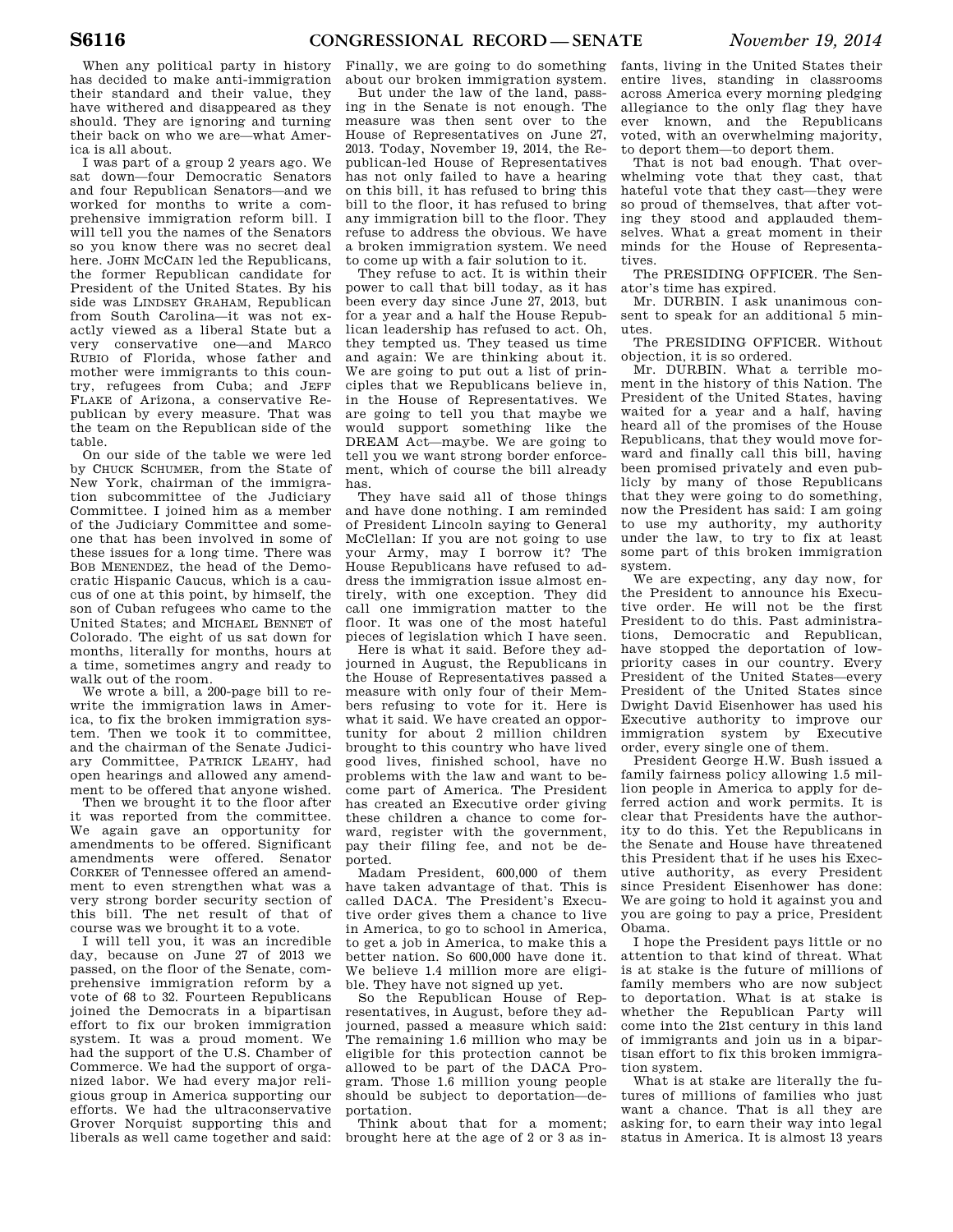When any political party in history has decided to make anti-immigration their standard and their value, they have withered and disappeared as they should. They are ignoring and turning their back on who we are—what America is all about.

I was part of a group 2 years ago. We sat down—four Democratic Senators and four Republican Senators—and we worked for months to write a comprehensive immigration reform bill. I will tell you the names of the Senators so you know there was no secret deal here. JOHN MCCAIN led the Republicans, the former Republican candidate for President of the United States. By his side was LINDSEY GRAHAM, Republican from South Carolina—it was not exactly viewed as a liberal State but a very conservative one—and MARCO RUBIO of Florida, whose father and mother were immigrants to this country, refugees from Cuba; and JEFF FLAKE of Arizona, a conservative Republican by every measure. That was the team on the Republican side of the table.

On our side of the table we were led by CHUCK SCHUMER, from the State of New York, chairman of the immigration subcommittee of the Judiciary Committee. I joined him as a member of the Judiciary Committee and someone that has been involved in some of these issues for a long time. There was BOB MENENDEZ, the head of the Democratic Hispanic Caucus, which is a caucus of one at this point, by himself, the son of Cuban refugees who came to the United States; and MICHAEL BENNET of Colorado. The eight of us sat down for months, literally for months, hours at a time, sometimes angry and ready to walk out of the room.

We wrote a bill, a 200-page bill to rewrite the immigration laws in America, to fix the broken immigration system. Then we took it to committee, and the chairman of the Senate Judiciary Committee, PATRICK LEAHY, had open hearings and allowed any amendment to be offered that anyone wished.

Then we brought it to the floor after it was reported from the committee. We again gave an opportunity for amendments to be offered. Significant amendments were offered. Senator CORKER of Tennessee offered an amendment to even strengthen what was a very strong border security section of this bill. The net result of that of course was we brought it to a vote.

I will tell you, it was an incredible day, because on June 27 of 2013 we passed, on the floor of the Senate, comprehensive immigration reform by a vote of 68 to 32. Fourteen Republicans joined the Democrats in a bipartisan effort to fix our broken immigration system. It was a proud moment. We had the support of the U.S. Chamber of Commerce. We had the support of organized labor. We had every major religious group in America supporting our efforts. We had the ultraconservative Grover Norquist supporting this and liberals as well came together and said:

Finally, we are going to do something about our broken immigration system.

But under the law of the land, passing in the Senate is not enough. The measure was then sent over to the House of Representatives on June 27, 2013. Today, November 19, 2014, the Republican-led House of Representatives has not only failed to have a hearing on this bill, it has refused to bring this bill to the floor, it has refused to bring any immigration bill to the floor. They refuse to address the obvious. We have a broken immigration system. We need to come up with a fair solution to it.

They refuse to act. It is within their power to call that bill today, as it has been every day since June 27, 2013, but for a year and a half the House Republican leadership has refused to act. Oh, they tempted us. They teased us time and again: We are thinking about it. We are going to put out a list of principles that we Republicans believe in, in the House of Representatives. We are going to tell you that maybe we would support something like the DREAM Act—maybe. We are going to tell you we want strong border enforcement, which of course the bill already has.

They have said all of those things and have done nothing. I am reminded of President Lincoln saying to General McClellan: If you are not going to use your Army, may I borrow it? The House Republicans have refused to address the immigration issue almost entirely, with one exception. They did call one immigration matter to the floor. It was one of the most hateful pieces of legislation which I have seen.

Here is what it said. Before they adjourned in August, the Republicans in the House of Representatives passed a measure with only four of their Members refusing to vote for it. Here is what it said. We have created an opportunity for about 2 million children brought to this country who have lived good lives, finished school, have no problems with the law and want to become part of America. The President has created an Executive order giving these children a chance to come forward, register with the government, pay their filing fee, and not be deported.

Madam President, 600,000 of them have taken advantage of that. This is called DACA. The President's Executive order gives them a chance to live in America, to go to school in America, to get a job in America, to make this a better nation. So 600,000 have done it. We believe 1.4 million more are eligible. They have not signed up yet.

So the Republican House of Representatives, in August, before they adjourned, passed a measure which said: The remaining 1.6 million who may be eligible for this protection cannot be allowed to be part of the DACA Program. Those 1.6 million young people should be subject to deportation—deportation.

Think about that for a moment; brought here at the age of 2 or 3 as infants, living in the United States their entire lives, standing in classrooms across America every morning pledging allegiance to the only flag they have ever known, and the Republicans voted, with an overwhelming majority, to deport them—to deport them.

That is not bad enough. That overwhelming vote that they cast, that hateful vote that they cast—they were so proud of themselves, that after voting they stood and applauded themselves. What a great moment in their minds for the House of Representatives.

The PRESIDING OFFICER. The Senator's time has expired.

Mr. DURBIN. I ask unanimous consent to speak for an additional 5 minutes.

The PRESIDING OFFICER. Without objection, it is so ordered.

Mr. DURBIN. What a terrible moment in the history of this Nation. The President of the United States, having waited for a year and a half, having heard all of the promises of the House Republicans, that they would move forward and finally call this bill, having been promised privately and even publicly by many of those Republicans that they were going to do something, now the President has said: I am going to use my authority, my authority under the law, to try to fix at least some part of this broken immigration system.

We are expecting, any day now, for the President to announce his Executive order. He will not be the first President to do this. Past administrations, Democratic and Republican, have stopped the deportation of lowpriority cases in our country. Every President of the United States—every President of the United States since Dwight David Eisenhower has used his Executive authority to improve our immigration system by Executive order, every single one of them.

President George H.W. Bush issued a family fairness policy allowing 1.5 million people in America to apply for deferred action and work permits. It is clear that Presidents have the authority to do this. Yet the Republicans in the Senate and House have threatened this President that if he uses his Executive authority, as every President since President Eisenhower has done: We are going to hold it against you and you are going to pay a price, President Obama.

I hope the President pays little or no attention to that kind of threat. What is at stake is the future of millions of family members who are now subject to deportation. What is at stake is whether the Republican Party will come into the 21st century in this land of immigrants and join us in a bipartisan effort to fix this broken immigration system.

What is at stake are literally the futures of millions of families who just want a chance. That is all they are asking for, to earn their way into legal status in America. It is almost 13 years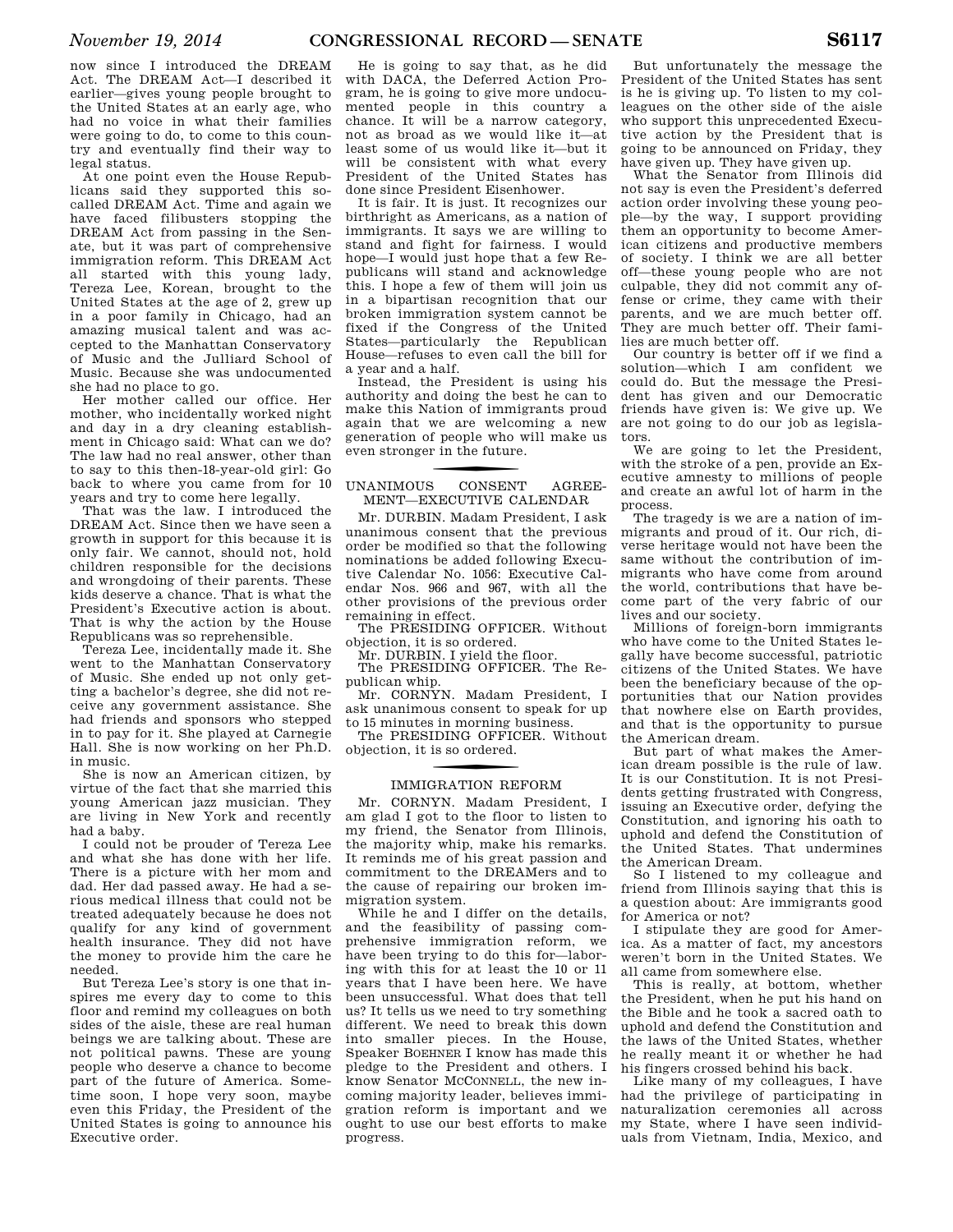now since I introduced the DREAM Act. The DREAM Act—I described it earlier—gives young people brought to the United States at an early age, who had no voice in what their families were going to do, to come to this country and eventually find their way to legal status.

At one point even the House Republicans said they supported this socalled DREAM Act. Time and again we have faced filibusters stopping the DREAM Act from passing in the Senate, but it was part of comprehensive immigration reform. This DREAM Act all started with this young lady, Tereza Lee, Korean, brought to the United States at the age of 2, grew up in a poor family in Chicago, had an amazing musical talent and was accepted to the Manhattan Conservatory of Music and the Julliard School of Music. Because she was undocumented she had no place to go.

Her mother called our office. Her mother, who incidentally worked night and day in a dry cleaning establishment in Chicago said: What can we do? The law had no real answer, other than to say to this then-18-year-old girl: Go back to where you came from for 10 years and try to come here legally.

That was the law. I introduced the DREAM Act. Since then we have seen a growth in support for this because it is only fair. We cannot, should not, hold children responsible for the decisions and wrongdoing of their parents. These kids deserve a chance. That is what the President's Executive action is about. That is why the action by the House Republicans was so reprehensible.

Tereza Lee, incidentally made it. She went to the Manhattan Conservatory of Music. She ended up not only getting a bachelor's degree, she did not receive any government assistance. She had friends and sponsors who stepped in to pay for it. She played at Carnegie Hall. She is now working on her Ph.D. in music.

She is now an American citizen, by virtue of the fact that she married this young American jazz musician. They are living in New York and recently had a baby.

I could not be prouder of Tereza Lee and what she has done with her life. There is a picture with her mom and dad. Her dad passed away. He had a serious medical illness that could not be treated adequately because he does not qualify for any kind of government health insurance. They did not have the money to provide him the care he needed.

But Tereza Lee's story is one that inspires me every day to come to this floor and remind my colleagues on both sides of the aisle, these are real human beings we are talking about. These are not political pawns. These are young people who deserve a chance to become part of the future of America. Sometime soon, I hope very soon, maybe even this Friday, the President of the United States is going to announce his Executive order.

He is going to say that, as he did with DACA, the Deferred Action Program, he is going to give more undocumented people in this country a chance. It will be a narrow category, not as broad as we would like it—at least some of us would like it—but it will be consistent with what every President of the United States has done since President Eisenhower.

It is fair. It is just. It recognizes our birthright as Americans, as a nation of immigrants. It says we are willing to stand and fight for fairness. I would hope—I would just hope that a few Republicans will stand and acknowledge this. I hope a few of them will join us in a bipartisan recognition that our broken immigration system cannot be fixed if the Congress of the United States—particularly the Republican House—refuses to even call the bill for a year and a half.

Instead, the President is using his authority and doing the best he can to make this Nation of immigrants proud again that we are welcoming a new generation of people who will make us even stronger in the future.

### CONSENT UNANIMOUS CONSENT AGREE-MENT—EXECUTIVE CALENDAR

Mr. DURBIN. Madam President, I ask unanimous consent that the previous order be modified so that the following nominations be added following Executive Calendar No. 1056: Executive Calendar Nos. 966 and 967, with all the other provisions of the previous order remaining in effect.

The PRESIDING OFFICER. Without objection, it is so ordered.

Mr. DURBIN. I yield the floor.

The PRESIDING OFFICER. The Republican whip.

Mr. CORNYN. Madam President, I ask unanimous consent to speak for up to 15 minutes in morning business.

The PRESIDING OFFICER. Without objection, it is so ordered.

# f IMMIGRATION REFORM

Mr. CORNYN. Madam President, I am glad I got to the floor to listen to my friend, the Senator from Illinois, the majority whip, make his remarks. It reminds me of his great passion and commitment to the DREAMers and to the cause of repairing our broken immigration system.

While he and I differ on the details, and the feasibility of passing comprehensive immigration reform, we have been trying to do this for—laboring with this for at least the 10 or 11 years that I have been here. We have been unsuccessful. What does that tell us? It tells us we need to try something different. We need to break this down into smaller pieces. In the House, Speaker BOEHNER I know has made this pledge to the President and others. I know Senator MCCONNELL, the new incoming majority leader, believes immigration reform is important and we ought to use our best efforts to make progress.

But unfortunately the message the President of the United States has sent is he is giving up. To listen to my colleagues on the other side of the aisle who support this unprecedented Executive action by the President that is going to be announced on Friday, they have given up. They have given up.

What the Senator from Illinois did not say is even the President's deferred action order involving these young people—by the way, I support providing them an opportunity to become American citizens and productive members of society. I think we are all better off—these young people who are not culpable, they did not commit any offense or crime, they came with their parents, and we are much better off. They are much better off. Their families are much better off.

Our country is better off if we find a solution—which I am confident we could do. But the message the President has given and our Democratic friends have given is: We give up. We are not going to do our job as legislators.

We are going to let the President, with the stroke of a pen, provide an Executive amnesty to millions of people and create an awful lot of harm in the process.

The tragedy is we are a nation of immigrants and proud of it. Our rich, diverse heritage would not have been the same without the contribution of immigrants who have come from around the world, contributions that have become part of the very fabric of our lives and our society.

Millions of foreign-born immigrants who have come to the United States legally have become successful, patriotic citizens of the United States. We have been the beneficiary because of the opportunities that our Nation provides that nowhere else on Earth provides, and that is the opportunity to pursue the American dream.

But part of what makes the American dream possible is the rule of law. It is our Constitution. It is not Presidents getting frustrated with Congress, issuing an Executive order, defying the Constitution, and ignoring his oath to uphold and defend the Constitution of the United States. That undermines the American Dream.

So I listened to my colleague and friend from Illinois saying that this is a question about: Are immigrants good for America or not?

I stipulate they are good for America. As a matter of fact, my ancestors weren't born in the United States. We all came from somewhere else.

This is really, at bottom, whether the President, when he put his hand on the Bible and he took a sacred oath to uphold and defend the Constitution and the laws of the United States, whether he really meant it or whether he had his fingers crossed behind his back.

Like many of my colleagues, I have had the privilege of participating in naturalization ceremonies all across my State, where I have seen individuals from Vietnam, India, Mexico, and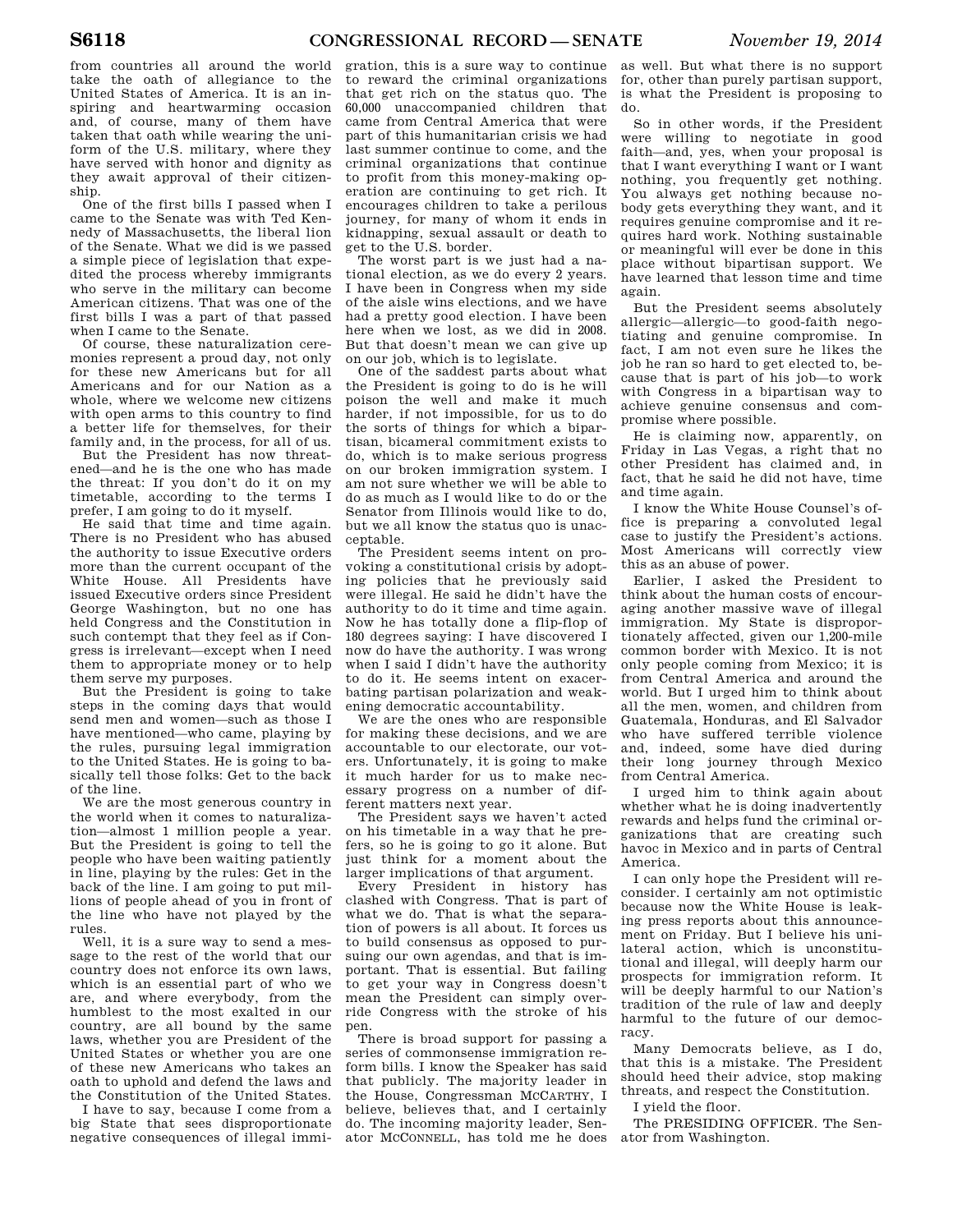from countries all around the world take the oath of allegiance to the United States of America. It is an inspiring and heartwarming occasion and, of course, many of them have taken that oath while wearing the uniform of the U.S. military, where they have served with honor and dignity as they await approval of their citizenship.

One of the first bills I passed when I came to the Senate was with Ted Kennedy of Massachusetts, the liberal lion of the Senate. What we did is we passed a simple piece of legislation that expedited the process whereby immigrants who serve in the military can become American citizens. That was one of the first bills I was a part of that passed when I came to the Senate.

Of course, these naturalization ceremonies represent a proud day, not only for these new Americans but for all Americans and for our Nation as a whole, where we welcome new citizens with open arms to this country to find a better life for themselves, for their family and, in the process, for all of us.

But the President has now threatened—and he is the one who has made the threat: If you don't do it on my timetable, according to the terms I prefer, I am going to do it myself.

He said that time and time again. There is no President who has abused the authority to issue Executive orders more than the current occupant of the White House. All Presidents have issued Executive orders since President George Washington, but no one has held Congress and the Constitution in such contempt that they feel as if Congress is irrelevant—except when I need them to appropriate money or to help them serve my purposes.

But the President is going to take steps in the coming days that would send men and women—such as those I have mentioned—who came, playing by the rules, pursuing legal immigration to the United States. He is going to basically tell those folks: Get to the back of the line.

We are the most generous country in the world when it comes to naturalization—almost 1 million people a year. But the President is going to tell the people who have been waiting patiently in line, playing by the rules: Get in the back of the line. I am going to put millions of people ahead of you in front of the line who have not played by the rules.

Well, it is a sure way to send a message to the rest of the world that our country does not enforce its own laws, which is an essential part of who we are, and where everybody, from the humblest to the most exalted in our country, are all bound by the same laws, whether you are President of the United States or whether you are one of these new Americans who takes an oath to uphold and defend the laws and the Constitution of the United States.

I have to say, because I come from a big State that sees disproportionate negative consequences of illegal immi-

gration, this is a sure way to continue to reward the criminal organizations that get rich on the status quo. The 60,000 unaccompanied children that came from Central America that were part of this humanitarian crisis we had last summer continue to come, and the criminal organizations that continue to profit from this money-making operation are continuing to get rich. It encourages children to take a perilous journey, for many of whom it ends in kidnapping, sexual assault or death to get to the U.S. border.

The worst part is we just had a national election, as we do every 2 years. I have been in Congress when my side of the aisle wins elections, and we have had a pretty good election. I have been here when we lost, as we did in 2008. But that doesn't mean we can give up on our job, which is to legislate.

One of the saddest parts about what the President is going to do is he will poison the well and make it much harder, if not impossible, for us to do the sorts of things for which a bipartisan, bicameral commitment exists to do, which is to make serious progress on our broken immigration system. I am not sure whether we will be able to do as much as I would like to do or the Senator from Illinois would like to do, but we all know the status quo is unacceptable.

The President seems intent on provoking a constitutional crisis by adopting policies that he previously said were illegal. He said he didn't have the authority to do it time and time again. Now he has totally done a flip-flop of 180 degrees saying: I have discovered I now do have the authority. I was wrong when I said I didn't have the authority to do it. He seems intent on exacerbating partisan polarization and weakening democratic accountability.

We are the ones who are responsible for making these decisions, and we are accountable to our electorate, our voters. Unfortunately, it is going to make it much harder for us to make necessary progress on a number of different matters next year.

The President says we haven't acted on his timetable in a way that he prefers, so he is going to go it alone. But just think for a moment about the larger implications of that argument.

Every President in history has clashed with Congress. That is part of what we do. That is what the separation of powers is all about. It forces us to build consensus as opposed to pursuing our own agendas, and that is important. That is essential. But failing to get your way in Congress doesn't mean the President can simply override Congress with the stroke of his pen.

There is broad support for passing a series of commonsense immigration reform bills. I know the Speaker has said that publicly. The majority leader in the House, Congressman MCCARTHY, I believe, believes that, and I certainly do. The incoming majority leader, Senator MCCONNELL, has told me he does ator from Washington.

as well. But what there is no support for, other than purely partisan support, is what the President is proposing to do.

So in other words, if the President were willing to negotiate in good faith—and, yes, when your proposal is that I want everything I want or I want nothing, you frequently get nothing. You always get nothing because nobody gets everything they want, and it requires genuine compromise and it requires hard work. Nothing sustainable or meaningful will ever be done in this place without bipartisan support. We have learned that lesson time and time again.

But the President seems absolutely allergic—allergic—to good-faith negotiating and genuine compromise. In fact, I am not even sure he likes the job he ran so hard to get elected to, because that is part of his job—to work with Congress in a bipartisan way to achieve genuine consensus and compromise where possible.

He is claiming now, apparently, on Friday in Las Vegas, a right that no other President has claimed and, in fact, that he said he did not have, time and time again.

I know the White House Counsel's office is preparing a convoluted legal case to justify the President's actions. Most Americans will correctly view this as an abuse of power.

Earlier, I asked the President to think about the human costs of encouraging another massive wave of illegal immigration. My State is disproportionately affected, given our 1,200-mile common border with Mexico. It is not only people coming from Mexico; it is from Central America and around the world. But I urged him to think about all the men, women, and children from Guatemala, Honduras, and El Salvador who have suffered terrible violence and, indeed, some have died during their long journey through Mexico from Central America.

I urged him to think again about whether what he is doing inadvertently rewards and helps fund the criminal organizations that are creating such havoc in Mexico and in parts of Central America.

I can only hope the President will reconsider. I certainly am not optimistic because now the White House is leaking press reports about this announcement on Friday. But I believe his unilateral action, which is unconstitutional and illegal, will deeply harm our prospects for immigration reform. It will be deeply harmful to our Nation's tradition of the rule of law and deeply harmful to the future of our democracy.

Many Democrats believe, as I do, that this is a mistake. The President should heed their advice, stop making threats, and respect the Constitution.

I yield the floor.

The PRESIDING OFFICER. The Sen-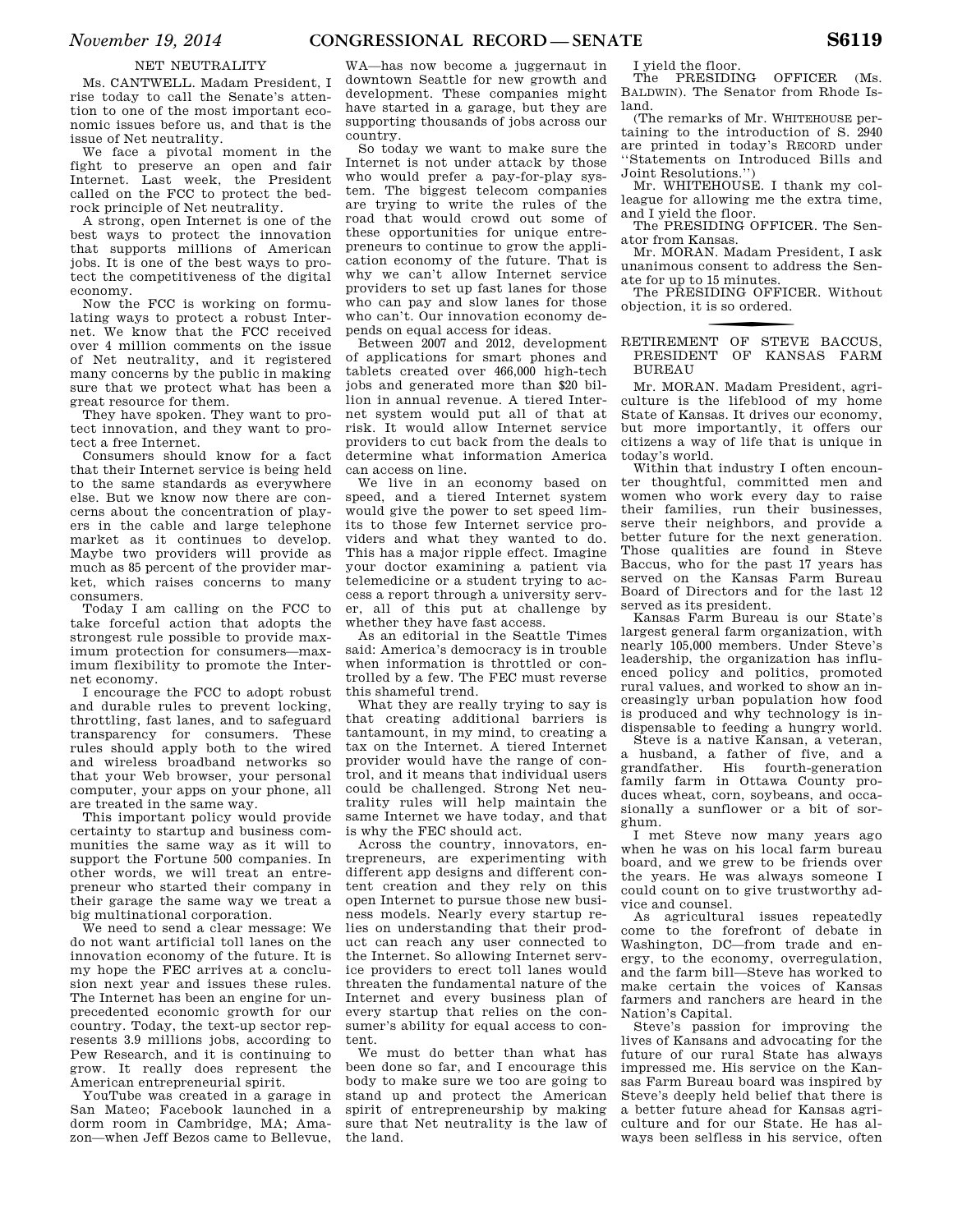### NET NEUTRALITY

Ms. CANTWELL. Madam President, I rise today to call the Senate's attention to one of the most important economic issues before us, and that is the issue of Net neutrality.

We face a pivotal moment in the fight to preserve an open and fair Internet. Last week, the President called on the FCC to protect the bedrock principle of Net neutrality.

A strong, open Internet is one of the best ways to protect the innovation that supports millions of American jobs. It is one of the best ways to protect the competitiveness of the digital economy.

Now the FCC is working on formulating ways to protect a robust Internet. We know that the FCC received over 4 million comments on the issue of Net neutrality, and it registered many concerns by the public in making sure that we protect what has been a great resource for them.

They have spoken. They want to protect innovation, and they want to protect a free Internet.

Consumers should know for a fact that their Internet service is being held to the same standards as everywhere else. But we know now there are concerns about the concentration of players in the cable and large telephone market as it continues to develop. Maybe two providers will provide as much as 85 percent of the provider market, which raises concerns to many consumers.

Today I am calling on the FCC to take forceful action that adopts the strongest rule possible to provide maximum protection for consumers—maximum flexibility to promote the Internet economy.

I encourage the FCC to adopt robust and durable rules to prevent locking, throttling, fast lanes, and to safeguard transparency for consumers. These rules should apply both to the wired and wireless broadband networks so that your Web browser, your personal computer, your apps on your phone, all are treated in the same way.

This important policy would provide certainty to startup and business communities the same way as it will to support the Fortune 500 companies. In other words, we will treat an entrepreneur who started their company in their garage the same way we treat a big multinational corporation.

We need to send a clear message: We do not want artificial toll lanes on the innovation economy of the future. It is my hope the FEC arrives at a conclusion next year and issues these rules. The Internet has been an engine for unprecedented economic growth for our country. Today, the text-up sector represents 3.9 millions jobs, according to Pew Research, and it is continuing to grow. It really does represent the American entrepreneurial spirit.

YouTube was created in a garage in San Mateo; Facebook launched in a dorm room in Cambridge, MA; Amazon—when Jeff Bezos came to Bellevue,

WA—has now become a juggernaut in downtown Seattle for new growth and development. These companies might have started in a garage, but they are supporting thousands of jobs across our country.

So today we want to make sure the Internet is not under attack by those who would prefer a pay-for-play system. The biggest telecom companies are trying to write the rules of the road that would crowd out some of these opportunities for unique entrepreneurs to continue to grow the application economy of the future. That is why we can't allow Internet service providers to set up fast lanes for those who can pay and slow lanes for those who can't. Our innovation economy depends on equal access for ideas.

Between 2007 and 2012, development of applications for smart phones and tablets created over 466,000 high-tech jobs and generated more than \$20 billion in annual revenue. A tiered Internet system would put all of that at risk. It would allow Internet service providers to cut back from the deals to determine what information America can access on line.

We live in an economy based on speed, and a tiered Internet system would give the power to set speed limits to those few Internet service providers and what they wanted to do. This has a major ripple effect. Imagine your doctor examining a patient via telemedicine or a student trying to access a report through a university server, all of this put at challenge by whether they have fast access.

As an editorial in the Seattle Times said: America's democracy is in trouble when information is throttled or controlled by a few. The FEC must reverse this shameful trend.

What they are really trying to say is that creating additional barriers is tantamount, in my mind, to creating a tax on the Internet. A tiered Internet provider would have the range of control, and it means that individual users could be challenged. Strong Net neutrality rules will help maintain the same Internet we have today, and that is why the FEC should act.

Across the country, innovators, entrepreneurs, are experimenting with different app designs and different content creation and they rely on this open Internet to pursue those new business models. Nearly every startup relies on understanding that their product can reach any user connected to the Internet. So allowing Internet service providers to erect toll lanes would threaten the fundamental nature of the Internet and every business plan of every startup that relies on the consumer's ability for equal access to content.

We must do better than what has been done so far, and I encourage this body to make sure we too are going to stand up and protect the American spirit of entrepreneurship by making sure that Net neutrality is the law of the land.

I yield the floor.

The PRESIDING OFFICER (Ms. BALDWIN). The Senator from Rhode Island.

(The remarks of Mr. WHITEHOUSE pertaining to the introduction of S. 2940 are printed in today's RECORD under ''Statements on Introduced Bills and Joint Resolutions.'')

Mr. WHITEHOUSE. I thank my colleague for allowing me the extra time, and I yield the floor.

The PRESIDING OFFICER. The Senator from Kansas.

Mr. MORAN. Madam President, I ask unanimous consent to address the Senate for up to 15 minutes.

The PRESIDING OFFICER. Without objection, it is so ordered.

## f RETIREMENT OF STEVE BACCUS, PRESIDENT OF KANSAS FARM BUREAU

Mr. MORAN. Madam President, agriculture is the lifeblood of my home State of Kansas. It drives our economy, but more importantly, it offers our citizens a way of life that is unique in today's world.

Within that industry I often encounter thoughtful, committed men and women who work every day to raise their families, run their businesses, serve their neighbors, and provide a better future for the next generation. Those qualities are found in Steve Baccus, who for the past 17 years has served on the Kansas Farm Bureau Board of Directors and for the last 12 served as its president.

Kansas Farm Bureau is our State's largest general farm organization, with nearly 105,000 members. Under Steve's leadership, the organization has influenced policy and politics, promoted rural values, and worked to show an increasingly urban population how food is produced and why technology is indispensable to feeding a hungry world.

Steve is a native Kansan, a veteran, a husband, a father of five, and a grandfather. His fourth-generation family farm in Ottawa County produces wheat, corn, soybeans, and occasionally a sunflower or a bit of sorghum.

I met Steve now many years ago when he was on his local farm bureau board, and we grew to be friends over the years. He was always someone I could count on to give trustworthy advice and counsel.

As agricultural issues repeatedly come to the forefront of debate in Washington, DC—from trade and energy, to the economy, overregulation, and the farm bill—Steve has worked to make certain the voices of Kansas farmers and ranchers are heard in the Nation's Capital.

Steve's passion for improving the lives of Kansans and advocating for the future of our rural State has always impressed me. His service on the Kansas Farm Bureau board was inspired by Steve's deeply held belief that there is a better future ahead for Kansas agriculture and for our State. He has always been selfless in his service, often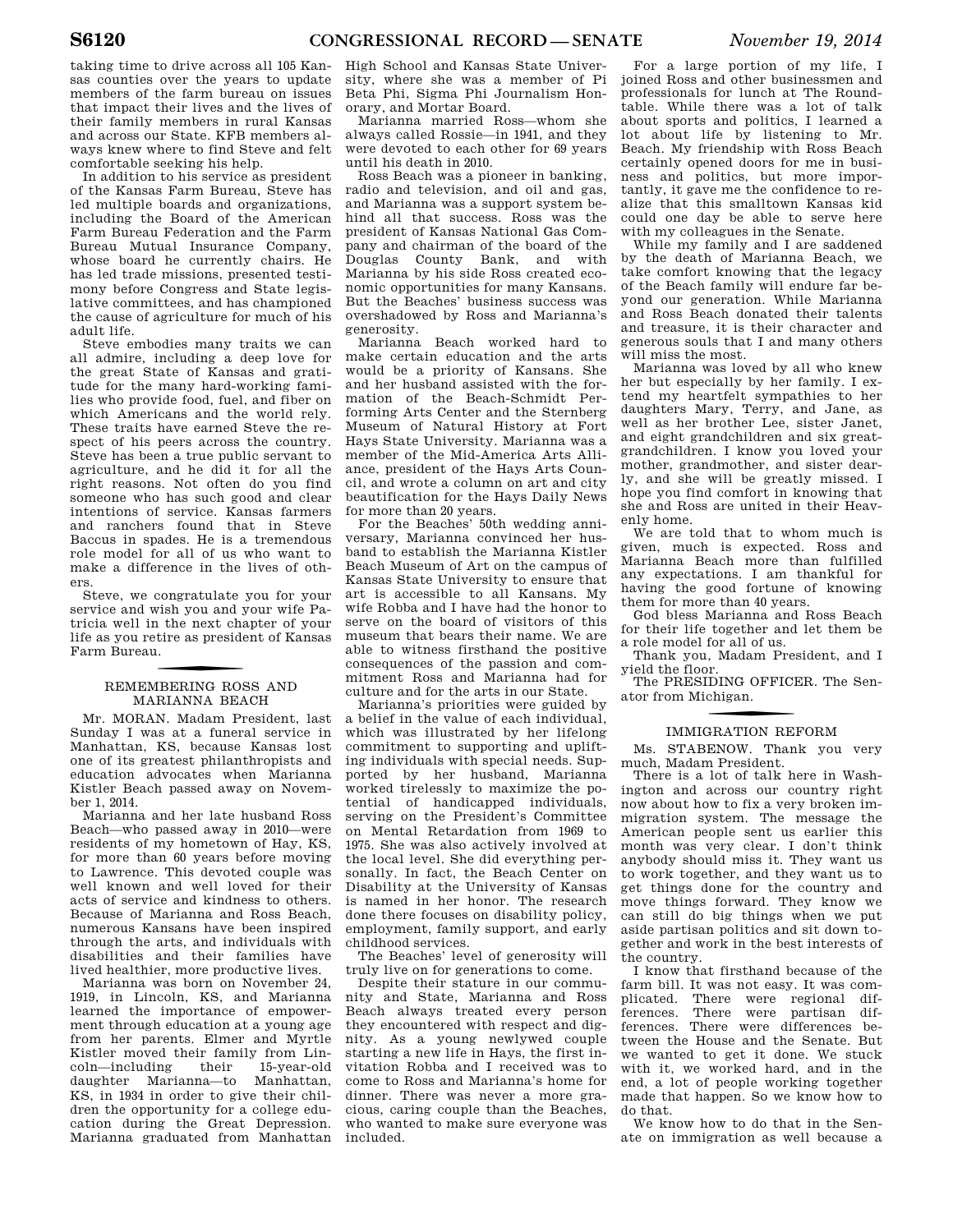taking time to drive across all 105 Kansas counties over the years to update members of the farm bureau on issues that impact their lives and the lives of their family members in rural Kansas and across our State. KFB members always knew where to find Steve and felt comfortable seeking his help.

In addition to his service as president of the Kansas Farm Bureau, Steve has led multiple boards and organizations, including the Board of the American Farm Bureau Federation and the Farm Bureau Mutual Insurance Company, whose board he currently chairs. He has led trade missions, presented testimony before Congress and State legislative committees, and has championed the cause of agriculture for much of his adult life.

Steve embodies many traits we can all admire, including a deep love for the great State of Kansas and gratitude for the many hard-working families who provide food, fuel, and fiber on which Americans and the world rely. These traits have earned Steve the respect of his peers across the country. Steve has been a true public servant to agriculture, and he did it for all the right reasons. Not often do you find someone who has such good and clear intentions of service. Kansas farmers and ranchers found that in Steve Baccus in spades. He is a tremendous role model for all of us who want to make a difference in the lives of others.

Steve, we congratulate you for your service and wish you and your wife Patricia well in the next chapter of your life as you retire as president of Kansas Farm Bureau.

# f REMEMBERING ROSS AND MARIANNA BEACH

Mr. MORAN. Madam President, last Sunday I was at a funeral service in Manhattan, KS, because Kansas lost one of its greatest philanthropists and education advocates when Marianna Kistler Beach passed away on November 1, 2014.

Marianna and her late husband Ross Beach—who passed away in 2010—were residents of my hometown of Hay, KS, for more than 60 years before moving to Lawrence. This devoted couple was well known and well loved for their acts of service and kindness to others. Because of Marianna and Ross Beach, numerous Kansans have been inspired through the arts, and individuals with disabilities and their families have lived healthier, more productive lives.

Marianna was born on November 24, 1919, in Lincoln, KS, and Marianna learned the importance of empowerment through education at a young age from her parents. Elmer and Myrtle Kistler moved their family from Lincoln—including their 15-year-old daughter Marianna—to Manhattan, KS, in 1934 in order to give their children the opportunity for a college education during the Great Depression. Marianna graduated from Manhattan

High School and Kansas State University, where she was a member of Pi Beta Phi, Sigma Phi Journalism Honorary, and Mortar Board.

Marianna married Ross—whom she always called Rossie—in 1941, and they were devoted to each other for 69 years until his death in 2010.

Ross Beach was a pioneer in banking, radio and television, and oil and gas, and Marianna was a support system behind all that success. Ross was the president of Kansas National Gas Company and chairman of the board of the Douglas County Bank, and with Marianna by his side Ross created economic opportunities for many Kansans. But the Beaches' business success was overshadowed by Ross and Marianna's generosity.

Marianna Beach worked hard to make certain education and the arts would be a priority of Kansans. She and her husband assisted with the formation of the Beach-Schmidt Performing Arts Center and the Sternberg Museum of Natural History at Fort Hays State University. Marianna was a member of the Mid-America Arts Alliance, president of the Hays Arts Council, and wrote a column on art and city beautification for the Hays Daily News for more than 20 years.

For the Beaches' 50th wedding anniversary, Marianna convinced her husband to establish the Marianna Kistler Beach Museum of Art on the campus of Kansas State University to ensure that art is accessible to all Kansans. My wife Robba and I have had the honor to serve on the board of visitors of this museum that bears their name. We are able to witness firsthand the positive consequences of the passion and commitment Ross and Marianna had for culture and for the arts in our State.

Marianna's priorities were guided by a belief in the value of each individual, which was illustrated by her lifelong commitment to supporting and uplifting individuals with special needs. Supported by her husband, Marianna worked tirelessly to maximize the potential of handicapped individuals, serving on the President's Committee on Mental Retardation from 1969 to 1975. She was also actively involved at the local level. She did everything personally. In fact, the Beach Center on Disability at the University of Kansas is named in her honor. The research done there focuses on disability policy, employment, family support, and early childhood services.

The Beaches' level of generosity will truly live on for generations to come.

Despite their stature in our community and State, Marianna and Ross Beach always treated every person they encountered with respect and dignity. As a young newlywed couple starting a new life in Hays, the first invitation Robba and I received was to come to Ross and Marianna's home for dinner. There was never a more gracious, caring couple than the Beaches, who wanted to make sure everyone was included.

For a large portion of my life, I joined Ross and other businessmen and professionals for lunch at The Roundtable. While there was a lot of talk about sports and politics, I learned a lot about life by listening to Mr. Beach. My friendship with Ross Beach certainly opened doors for me in business and politics, but more importantly, it gave me the confidence to realize that this smalltown Kansas kid could one day be able to serve here with my colleagues in the Senate.

While my family and I are saddened by the death of Marianna Beach, we take comfort knowing that the legacy of the Beach family will endure far beyond our generation. While Marianna and Ross Beach donated their talents and treasure, it is their character and generous souls that I and many others will miss the most.

Marianna was loved by all who knew her but especially by her family. I extend my heartfelt sympathies to her daughters Mary, Terry, and Jane, as well as her brother Lee, sister Janet, and eight grandchildren and six greatgrandchildren. I know you loved your mother, grandmother, and sister dearly, and she will be greatly missed. I hope you find comfort in knowing that she and Ross are united in their Heavenly home.

We are told that to whom much is given, much is expected. Ross and Marianna Beach more than fulfilled any expectations. I am thankful for having the good fortune of knowing them for more than 40 years.

God bless Marianna and Ross Beach for their life together and let them be a role model for all of us.

Thank you, Madam President, and I yield the floor.

The PRESIDING OFFICER. The Senator from Michigan.

# f IMMIGRATION REFORM

Ms. STABENOW. Thank you very much, Madam President.

There is a lot of talk here in Washington and across our country right now about how to fix a very broken immigration system. The message the American people sent us earlier this month was very clear. I don't think anybody should miss it. They want us to work together, and they want us to get things done for the country and move things forward. They know we can still do big things when we put aside partisan politics and sit down together and work in the best interests of the country.

I know that firsthand because of the farm bill. It was not easy. It was complicated. There were regional differences. There were partisan differences. There were differences between the House and the Senate. But we wanted to get it done. We stuck with it, we worked hard, and in the end, a lot of people working together made that happen. So we know how to do that.

We know how to do that in the Senate on immigration as well because a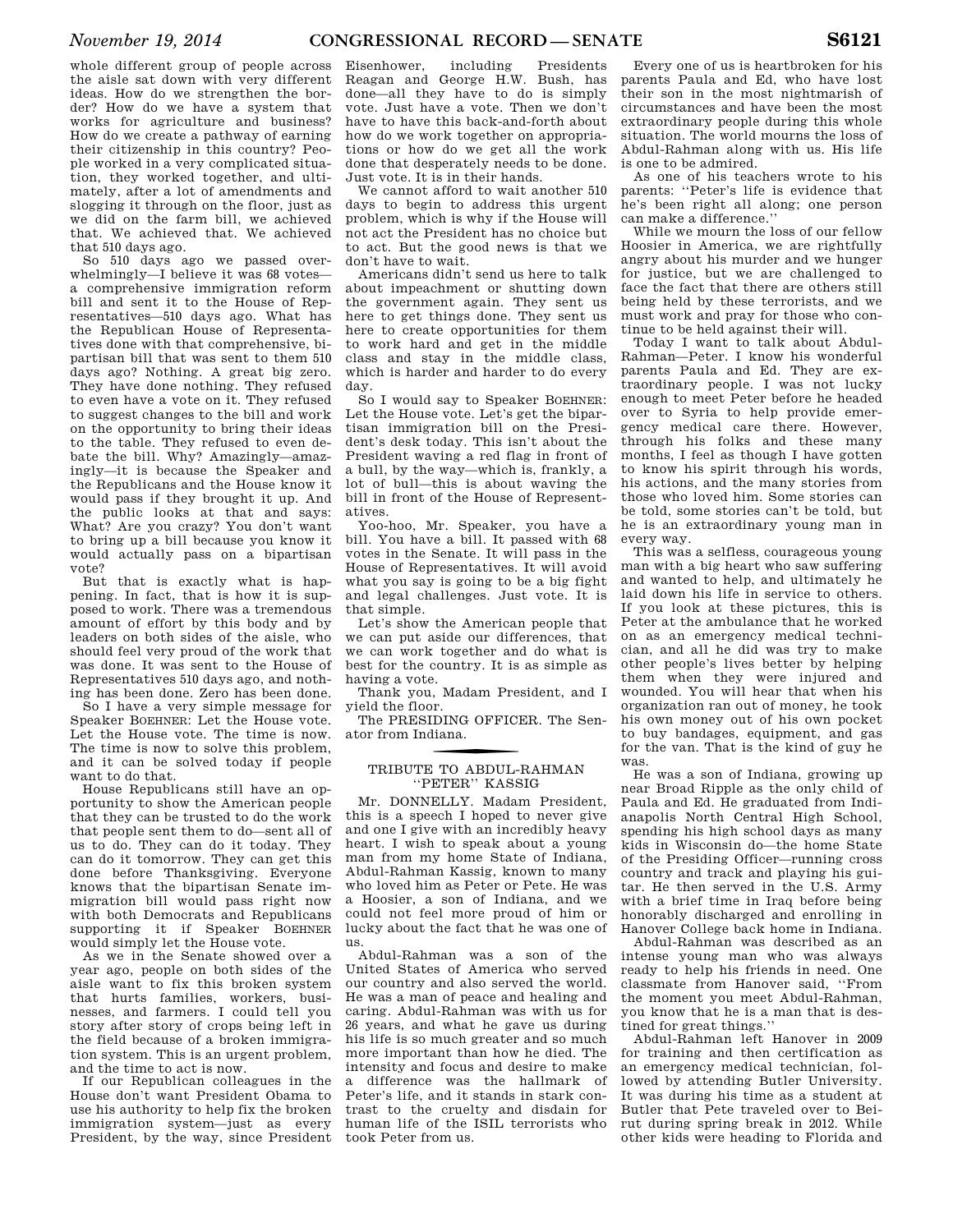whole different group of people across the aisle sat down with very different ideas. How do we strengthen the border? How do we have a system that works for agriculture and business? How do we create a pathway of earning their citizenship in this country? People worked in a very complicated situation, they worked together, and ultimately, after a lot of amendments and slogging it through on the floor, just as we did on the farm bill, we achieved that. We achieved that. We achieved that 510 days ago.

So 510 days ago we passed overwhelmingly—I believe it was 68 votes a comprehensive immigration reform bill and sent it to the House of Representatives—510 days ago. What has the Republican House of Representatives done with that comprehensive, bipartisan bill that was sent to them 510 days ago? Nothing. A great big zero. They have done nothing. They refused to even have a vote on it. They refused to suggest changes to the bill and work on the opportunity to bring their ideas to the table. They refused to even debate the bill. Why? Amazingly—amazingly—it is because the Speaker and the Republicans and the House know it would pass if they brought it up. And the public looks at that and says: What? Are you crazy? You don't want to bring up a bill because you know it would actually pass on a bipartisan vote?

But that is exactly what is happening. In fact, that is how it is supposed to work. There was a tremendous amount of effort by this body and by leaders on both sides of the aisle, who should feel very proud of the work that was done. It was sent to the House of Representatives 510 days ago, and nothing has been done. Zero has been done.

So I have a very simple message for Speaker BOEHNER: Let the House vote. Let the House vote. The time is now. The time is now to solve this problem, and it can be solved today if people want to do that.

House Republicans still have an opportunity to show the American people that they can be trusted to do the work that people sent them to do—sent all of us to do. They can do it today. They can do it tomorrow. They can get this done before Thanksgiving. Everyone knows that the bipartisan Senate immigration bill would pass right now with both Democrats and Republicans supporting it if Speaker BOEHNER would simply let the House vote.

As we in the Senate showed over a year ago, people on both sides of the aisle want to fix this broken system that hurts families, workers, businesses, and farmers. I could tell you story after story of crops being left in the field because of a broken immigration system. This is an urgent problem, and the time to act is now.

If our Republican colleagues in the House don't want President Obama to use his authority to help fix the broken immigration system—just as every President, by the way, since President

Eisenhower, including Presidents Reagan and George H.W. Bush, has done—all they have to do is simply vote. Just have a vote. Then we don't have to have this back-and-forth about how do we work together on appropriations or how do we get all the work done that desperately needs to be done. Just vote. It is in their hands.

We cannot afford to wait another 510 days to begin to address this urgent problem, which is why if the House will not act the President has no choice but to act. But the good news is that we don't have to wait.

Americans didn't send us here to talk about impeachment or shutting down the government again. They sent us here to get things done. They sent us here to create opportunities for them to work hard and get in the middle class and stay in the middle class, which is harder and harder to do every day.

So I would say to Speaker BOEHNER: Let the House vote. Let's get the bipartisan immigration bill on the President's desk today. This isn't about the President waving a red flag in front of a bull, by the way—which is, frankly, a lot of bull—this is about waving the bill in front of the House of Representatives.

Yoo-hoo, Mr. Speaker, you have a bill. You have a bill. It passed with 68 votes in the Senate. It will pass in the House of Representatives. It will avoid what you say is going to be a big fight and legal challenges. Just vote. It is that simple.

Let's show the American people that we can put aside our differences, that we can work together and do what is best for the country. It is as simple as having a vote.

Thank you, Madam President, and I yield the floor.

The PRESIDING OFFICER. The Senator from Indiana.

# f TRIBUTE TO ABDUL-RAHMAN ''PETER'' KASSIG

Mr. DONNELLY. Madam President, this is a speech I hoped to never give and one I give with an incredibly heavy heart. I wish to speak about a young man from my home State of Indiana, Abdul-Rahman Kassig, known to many who loved him as Peter or Pete. He was a Hoosier, a son of Indiana, and we could not feel more proud of him or lucky about the fact that he was one of us.

Abdul-Rahman was a son of the United States of America who served our country and also served the world. He was a man of peace and healing and caring. Abdul-Rahman was with us for 26 years, and what he gave us during his life is so much greater and so much more important than how he died. The intensity and focus and desire to make a difference was the hallmark of Peter's life, and it stands in stark contrast to the cruelty and disdain for human life of the ISIL terrorists who took Peter from us.

Every one of us is heartbroken for his parents Paula and Ed, who have lost their son in the most nightmarish of circumstances and have been the most extraordinary people during this whole situation. The world mourns the loss of Abdul-Rahman along with us. His life is one to be admired.

As one of his teachers wrote to his parents: ''Peter's life is evidence that he's been right all along; one person can make a difference.''

While we mourn the loss of our fellow Hoosier in America, we are rightfully angry about his murder and we hunger for justice, but we are challenged to face the fact that there are others still being held by these terrorists, and we must work and pray for those who continue to be held against their will.

Today I want to talk about Abdul-Rahman—Peter. I know his wonderful parents Paula and Ed. They are extraordinary people. I was not lucky enough to meet Peter before he headed over to Syria to help provide emergency medical care there. However, through his folks and these many months, I feel as though I have gotten to know his spirit through his words, his actions, and the many stories from those who loved him. Some stories can be told, some stories can't be told, but he is an extraordinary young man in every way.

This was a selfless, courageous young man with a big heart who saw suffering and wanted to help, and ultimately he laid down his life in service to others. If you look at these pictures, this is Peter at the ambulance that he worked on as an emergency medical technician, and all he did was try to make other people's lives better by helping them when they were injured and wounded. You will hear that when his organization ran out of money, he took his own money out of his own pocket to buy bandages, equipment, and gas for the van. That is the kind of guy he was.

He was a son of Indiana, growing up near Broad Ripple as the only child of Paula and Ed. He graduated from Indianapolis North Central High School, spending his high school days as many kids in Wisconsin do—the home State of the Presiding Officer—running cross country and track and playing his guitar. He then served in the U.S. Army with a brief time in Iraq before being honorably discharged and enrolling in Hanover College back home in Indiana.

Abdul-Rahman was described as an intense young man who was always ready to help his friends in need. One classmate from Hanover said, ''From the moment you meet Abdul-Rahman, you know that he is a man that is destined for great things.''

Abdul-Rahman left Hanover in 2009 for training and then certification as an emergency medical technician, followed by attending Butler University. It was during his time as a student at Butler that Pete traveled over to Beirut during spring break in 2012. While other kids were heading to Florida and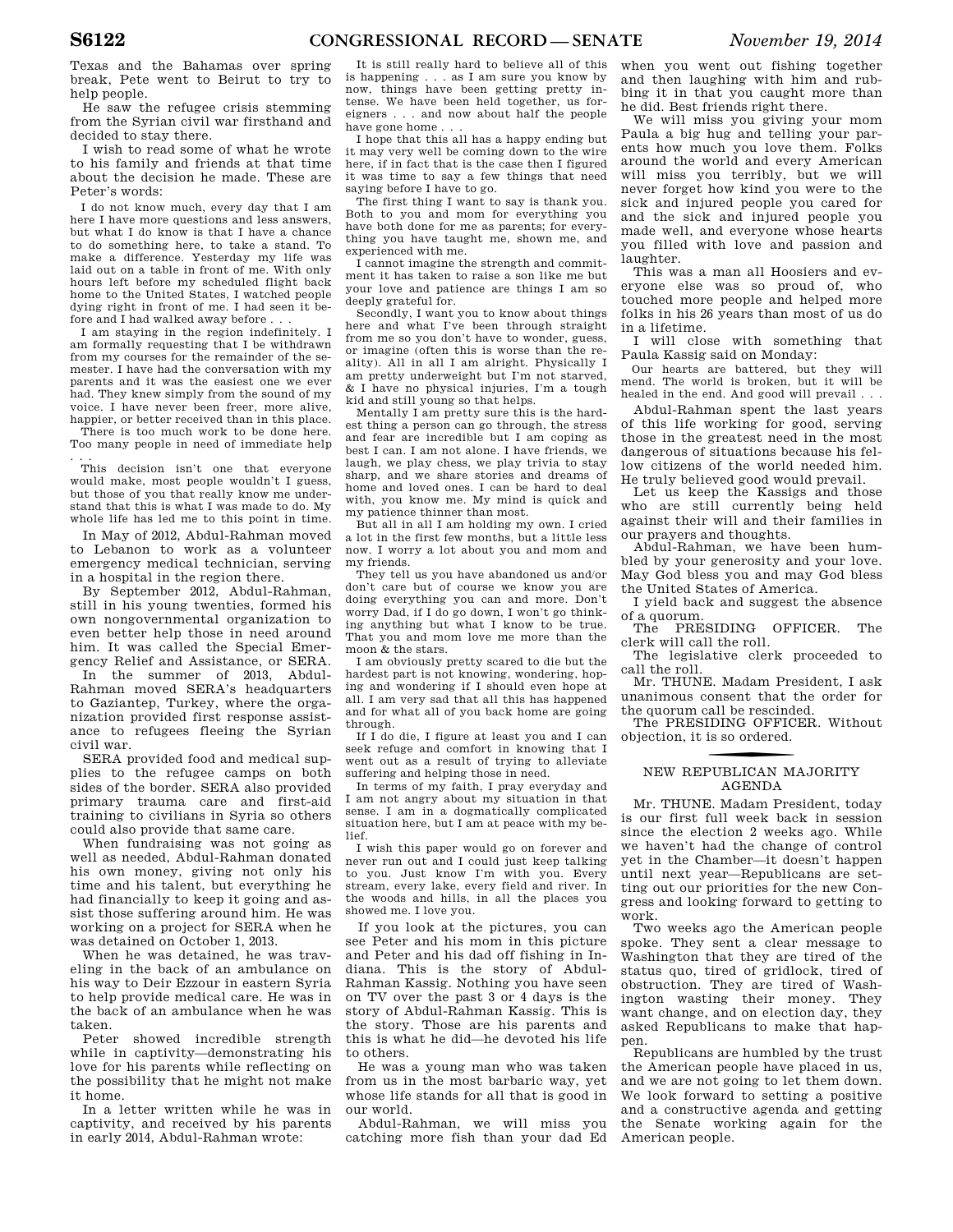Texas and the Bahamas over spring break, Pete went to Beirut to try to help people.

He saw the refugee crisis stemming from the Syrian civil war firsthand and decided to stay there.

I wish to read some of what he wrote to his family and friends at that time about the decision he made. These are Peter's words:

I do not know much, every day that I am here I have more questions and less answers, but what I do know is that I have a chance to do something here, to take a stand. To make a difference. Yesterday my life was laid out on a table in front of me. With only hours left before my scheduled flight back home to the United States, I watched people dying right in front of me. I had seen it before and I had walked away before . . .

I am staying in the region indefinitely. I am formally requesting that I be withdrawn from my courses for the remainder of the semester. I have had the conversation with my parents and it was the easiest one we ever had. They knew simply from the sound of my voice. I have never been freer, more alive, happier, or better received than in this place.

There is too much work to be done here. Too many people in need of immediate help . . .

This decision isn't one that everyone would make, most people wouldn't I guess, but those of you that really know me understand that this is what I was made to do. My whole life has led me to this point in time.

In May of 2012, Abdul-Rahman moved to Lebanon to work as a volunteer emergency medical technician, serving in a hospital in the region there.

By September 2012, Abdul-Rahman, still in his young twenties, formed his own nongovernmental organization to even better help those in need around him. It was called the Special Emergency Relief and Assistance, or SERA. In the summer of 2013, Abdul-Rahman moved SERA's headquarters to Gaziantep, Turkey, where the organization provided first response assistance to refugees fleeing the Syrian civil war.

SERA provided food and medical supplies to the refugee camps on both sides of the border. SERA also provided primary trauma care and first-aid training to civilians in Syria so others could also provide that same care.

When fundraising was not going as well as needed, Abdul-Rahman donated his own money, giving not only his time and his talent, but everything he had financially to keep it going and assist those suffering around him. He was working on a project for SERA when he was detained on October 1, 2013.

When he was detained, he was traveling in the back of an ambulance on his way to Deir Ezzour in eastern Syria to help provide medical care. He was in the back of an ambulance when he was taken.

Peter showed incredible strength while in captivity—demonstrating his love for his parents while reflecting on the possibility that he might not make it home.

In a letter written while he was in captivity, and received by his parents in early 2014, Abdul-Rahman wrote:

It is still really hard to believe all of this is happening . . . as I am sure you know by now, things have been getting pretty intense. We have been held together, us foreigners . . . and now about half the people have gone home . . .

I hope that this all has a happy ending but it may very well be coming down to the wire here, if in fact that is the case then I figured it was time to say a few things that need saying before I have to go.

The first thing I want to say is thank you. Both to you and mom for everything you have both done for me as parents; for everything you have taught me, shown me, and experienced with me.

I cannot imagine the strength and commitment it has taken to raise a son like me but your love and patience are things I am so deeply grateful for.

Secondly, I want you to know about things here and what I've been through straight from me so you don't have to wonder, guess, or imagine (often this is worse than the reality). All in all I am alright. Physically I am pretty underweight but I'm not starved, & I have no physical injuries, I'm a tough kid and still young so that helps.

Mentally I am pretty sure this is the hardest thing a person can go through, the stress and fear are incredible but I am coping as best I can. I am not alone. I have friends, we laugh, we play chess, we play trivia to stay sharp, and we share stories and dreams of home and loved ones. I can be hard to deal with, you know me. My mind is quick and my patience thinner than most.

But all in all I am holding my own. I cried a lot in the first few months, but a little less now. I worry a lot about you and mom and my friends.

They tell us you have abandoned us and/or don't care but of course we know you are doing everything you can and more. Don't worry Dad, if I do go down, I won't go thinking anything but what I know to be true. That you and mom love me more than the moon & the stars.

I am obviously pretty scared to die but the hardest part is not knowing, wondering, hoping and wondering if I should even hope at all. I am very sad that all this has happened and for what all of you back home are going through.

If I do die, I figure at least you and I can seek refuge and comfort in knowing that I went out as a result of trying to alleviate suffering and helping those in need.

In terms of my faith, I pray everyday and I am not angry about my situation in that sense. I am in a dogmatically complicated situation here, but I am at peace with my belief.

I wish this paper would go on forever and never run out and I could just keep talking to you. Just know I'm with you. Every stream, every lake, every field and river. In the woods and hills, in all the places you showed me. I love you.

If you look at the pictures, you can see Peter and his mom in this picture and Peter and his dad off fishing in Indiana. This is the story of Abdul-Rahman Kassig. Nothing you have seen on TV over the past 3 or 4 days is the story of Abdul-Rahman Kassig. This is the story. Those are his parents and this is what he did—he devoted his life to others.

He was a young man who was taken from us in the most barbaric way, yet whose life stands for all that is good in our world.

Abdul-Rahman, we will miss you catching more fish than your dad Ed

when you went out fishing together and then laughing with him and rubbing it in that you caught more than he did. Best friends right there.

We will miss you giving your mom Paula a big hug and telling your parents how much you love them. Folks around the world and every American will miss you terribly, but we will never forget how kind you were to the sick and injured people you cared for and the sick and injured people you made well, and everyone whose hearts you filled with love and passion and laughter.

This was a man all Hoosiers and everyone else was so proud of, who touched more people and helped more folks in his 26 years than most of us do in a lifetime.

I will close with something that Paula Kassig said on Monday:

Our hearts are battered, but they will mend. The world is broken, but it will be healed in the end. And good will prevail . . .

Abdul-Rahman spent the last years of this life working for good, serving those in the greatest need in the most dangerous of situations because his fellow citizens of the world needed him. He truly believed good would prevail.

Let us keep the Kassigs and those who are still currently being held against their will and their families in our prayers and thoughts.

Abdul-Rahman, we have been humbled by your generosity and your love. May God bless you and may God bless the United States of America.

I yield back and suggest the absence of a quorum.

The PRESIDING OFFICER. The clerk will call the roll.

The legislative clerk proceeded to call the roll.

Mr. THUNE. Madam President, I ask unanimous consent that the order for the quorum call be rescinded.

The PRESIDING OFFICER. Without objection, it is so ordered.

# NEW REPUBLICAN MAJORITY AGENDA

Mr. THUNE. Madam President, today is our first full week back in session since the election 2 weeks ago. While we haven't had the change of control yet in the Chamber—it doesn't happen until next year—Republicans are setting out our priorities for the new Congress and looking forward to getting to work.

Two weeks ago the American people spoke. They sent a clear message to Washington that they are tired of the status quo, tired of gridlock, tired of obstruction. They are tired of Washington wasting their money. They want change, and on election day, they asked Republicans to make that happen.

Republicans are humbled by the trust the American people have placed in us, and we are not going to let them down. We look forward to setting a positive and a constructive agenda and getting the Senate working again for the American people.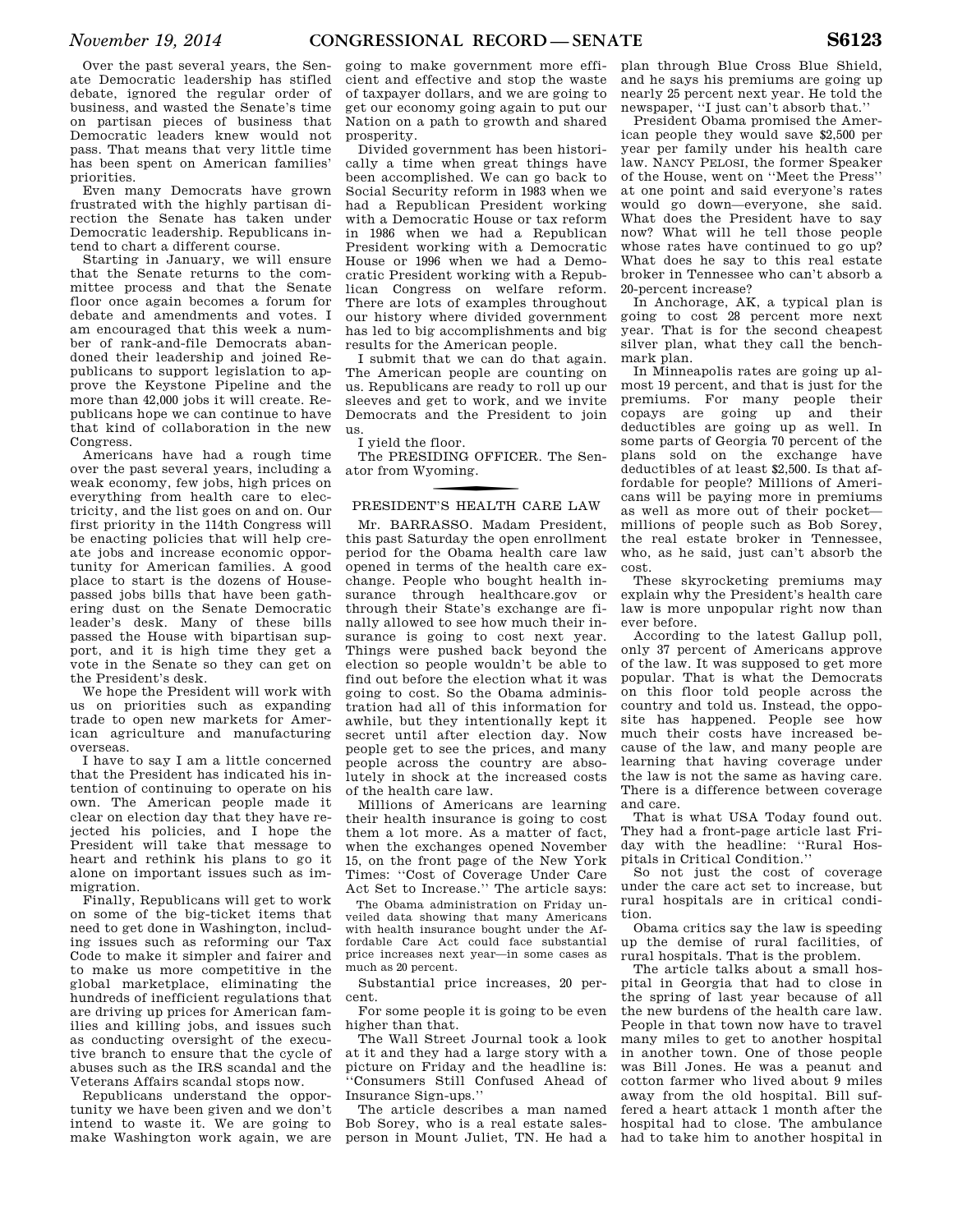ate Democratic leadership has stifled debate, ignored the regular order of business, and wasted the Senate's time on partisan pieces of business that Democratic leaders knew would not pass. That means that very little time has been spent on American families' priorities.

Even many Democrats have grown frustrated with the highly partisan direction the Senate has taken under Democratic leadership. Republicans intend to chart a different course.

Starting in January, we will ensure that the Senate returns to the committee process and that the Senate floor once again becomes a forum for debate and amendments and votes. I am encouraged that this week a number of rank-and-file Democrats abandoned their leadership and joined Republicans to support legislation to approve the Keystone Pipeline and the more than 42,000 jobs it will create. Republicans hope we can continue to have that kind of collaboration in the new Congress.

Americans have had a rough time over the past several years, including a weak economy, few jobs, high prices on everything from health care to electricity, and the list goes on and on. Our first priority in the 114th Congress will be enacting policies that will help create jobs and increase economic opportunity for American families. A good place to start is the dozens of Housepassed jobs bills that have been gathering dust on the Senate Democratic leader's desk. Many of these bills passed the House with bipartisan support, and it is high time they get a vote in the Senate so they can get on the President's desk.

We hope the President will work with us on priorities such as expanding trade to open new markets for American agriculture and manufacturing overseas.

I have to say I am a little concerned that the President has indicated his intention of continuing to operate on his own. The American people made it clear on election day that they have rejected his policies, and I hope the President will take that message to heart and rethink his plans to go it alone on important issues such as immigration.

Finally, Republicans will get to work on some of the big-ticket items that need to get done in Washington, including issues such as reforming our Tax Code to make it simpler and fairer and to make us more competitive in the global marketplace, eliminating the hundreds of inefficient regulations that are driving up prices for American families and killing jobs, and issues such as conducting oversight of the executive branch to ensure that the cycle of abuses such as the IRS scandal and the Veterans Affairs scandal stops now.

Republicans understand the opportunity we have been given and we don't intend to waste it. We are going to make Washington work again, we are

going to make government more efficient and effective and stop the waste of taxpayer dollars, and we are going to get our economy going again to put our Nation on a path to growth and shared prosperity.

Divided government has been historically a time when great things have been accomplished. We can go back to Social Security reform in 1983 when we had a Republican President working with a Democratic House or tax reform in 1986 when we had a Republican President working with a Democratic House or 1996 when we had a Democratic President working with a Republican Congress on welfare reform. There are lots of examples throughout our history where divided government has led to big accomplishments and big results for the American people.

I submit that we can do that again. The American people are counting on us. Republicans are ready to roll up our sleeves and get to work, and we invite Democrats and the President to join us.

I yield the floor.

The PRESIDING OFFICER. The Senator from Wyoming.

# f PRESIDENT'S HEALTH CARE LAW

Mr. BARRASSO. Madam President, this past Saturday the open enrollment period for the Obama health care law opened in terms of the health care exchange. People who bought health insurance through healthcare.gov or through their State's exchange are finally allowed to see how much their insurance is going to cost next year. Things were pushed back beyond the election so people wouldn't be able to find out before the election what it was going to cost. So the Obama administration had all of this information for awhile, but they intentionally kept it secret until after election day. Now people get to see the prices, and many people across the country are absolutely in shock at the increased costs of the health care law.

Millions of Americans are learning their health insurance is going to cost them a lot more. As a matter of fact, when the exchanges opened November 15, on the front page of the New York Times: ''Cost of Coverage Under Care Act Set to Increase.'' The article says:

The Obama administration on Friday unveiled data showing that many Americans with health insurance bought under the Affordable Care Act could face substantial price increases next year—in some cases as much as 20 percent.

Substantial price increases, 20 percent.

For some people it is going to be even higher than that.

The Wall Street Journal took a look at it and they had a large story with a picture on Friday and the headline is: 'Consumers Still Confused Ahead of Insurance Sign-ups.''

The article describes a man named Bob Sorey, who is a real estate salesperson in Mount Juliet, TN. He had a

plan through Blue Cross Blue Shield, and he says his premiums are going up nearly 25 percent next year. He told the newspaper, ''I just can't absorb that.''

President Obama promised the American people they would save \$2,500 per year per family under his health care law. NANCY PELOSI, the former Speaker of the House, went on ''Meet the Press'' at one point and said everyone's rates would go down—everyone, she said. What does the President have to say now? What will he tell those people whose rates have continued to go up? What does he say to this real estate broker in Tennessee who can't absorb a 20-percent increase?

In Anchorage, AK, a typical plan is going to cost 28 percent more next year. That is for the second cheapest silver plan, what they call the benchmark plan.

In Minneapolis rates are going up almost 19 percent, and that is just for the premiums. For many people their copays are going up and their deductibles are going up as well. In some parts of Georgia 70 percent of the plans sold on the exchange have deductibles of at least \$2,500. Is that affordable for people? Millions of Americans will be paying more in premiums as well as more out of their pocket millions of people such as Bob Sorey, the real estate broker in Tennessee, who, as he said, just can't absorb the cost.

These skyrocketing premiums may explain why the President's health care law is more unpopular right now than ever before.

According to the latest Gallup poll, only 37 percent of Americans approve of the law. It was supposed to get more popular. That is what the Democrats on this floor told people across the country and told us. Instead, the opposite has happened. People see how much their costs have increased because of the law, and many people are learning that having coverage under the law is not the same as having care. There is a difference between coverage and care.

That is what USA Today found out. They had a front-page article last Friday with the headline: ''Rural Hospitals in Critical Condition.''

So not just the cost of coverage under the care act set to increase, but rural hospitals are in critical condition.

Obama critics say the law is speeding up the demise of rural facilities, of rural hospitals. That is the problem.

The article talks about a small hospital in Georgia that had to close in the spring of last year because of all the new burdens of the health care law. People in that town now have to travel many miles to get to another hospital in another town. One of those people was Bill Jones. He was a peanut and cotton farmer who lived about 9 miles away from the old hospital. Bill suffered a heart attack 1 month after the hospital had to close. The ambulance had to take him to another hospital in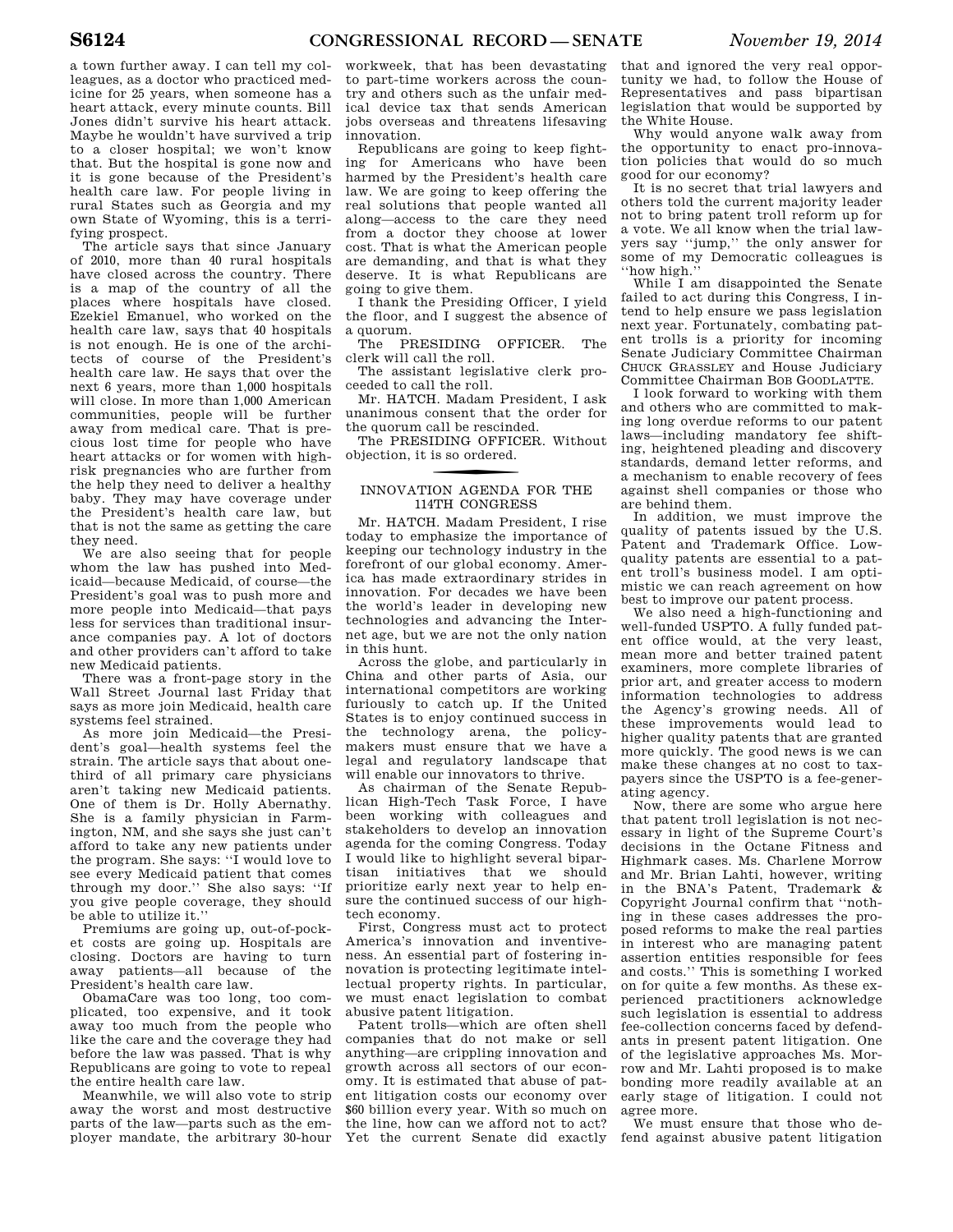a town further away. I can tell my colleagues, as a doctor who practiced medicine for 25 years, when someone has a heart attack, every minute counts. Bill Jones didn't survive his heart attack. Maybe he wouldn't have survived a trip to a closer hospital; we won't know that. But the hospital is gone now and it is gone because of the President's health care law. For people living in rural States such as Georgia and my own State of Wyoming, this is a terrifying prospect.

The article says that since January of 2010, more than 40 rural hospitals have closed across the country. There is a map of the country of all the places where hospitals have closed. Ezekiel Emanuel, who worked on the health care law, says that 40 hospitals is not enough. He is one of the architects of course of the President's health care law. He says that over the next 6 years, more than 1,000 hospitals will close. In more than 1,000 American communities, people will be further away from medical care. That is precious lost time for people who have heart attacks or for women with highrisk pregnancies who are further from the help they need to deliver a healthy baby. They may have coverage under the President's health care law, but that is not the same as getting the care they need.

We are also seeing that for people whom the law has pushed into Medicaid—because Medicaid, of course—the President's goal was to push more and more people into Medicaid—that pays less for services than traditional insurance companies pay. A lot of doctors and other providers can't afford to take new Medicaid patients.

There was a front-page story in the Wall Street Journal last Friday that says as more join Medicaid, health care systems feel strained.

As more join Medicaid—the President's goal—health systems feel the strain. The article says that about onethird of all primary care physicians aren't taking new Medicaid patients. One of them is Dr. Holly Abernathy. She is a family physician in Farmington, NM, and she says she just can't afford to take any new patients under the program. She says: ''I would love to see every Medicaid patient that comes through my door.'' She also says: ''If you give people coverage, they should be able to utilize it.''

Premiums are going up, out-of-pocket costs are going up. Hospitals are closing. Doctors are having to turn away patients—all because of the President's health care law.

ObamaCare was too long, too complicated, too expensive, and it took away too much from the people who like the care and the coverage they had before the law was passed. That is why Republicans are going to vote to repeal the entire health care law.

Meanwhile, we will also vote to strip away the worst and most destructive parts of the law—parts such as the employer mandate, the arbitrary 30-hour

workweek, that has been devastating to part-time workers across the country and others such as the unfair medical device tax that sends American jobs overseas and threatens lifesaving innovation.

Republicans are going to keep fighting for Americans who have been harmed by the President's health care law. We are going to keep offering the real solutions that people wanted all along—access to the care they need from a doctor they choose at lower cost. That is what the American people are demanding, and that is what they deserve. It is what Republicans are going to give them.

I thank the Presiding Officer, I yield the floor, and I suggest the absence of a quorum.

The PRESIDING OFFICER. The clerk will call the roll.

The assistant legislative clerk proceeded to call the roll.

Mr. HATCH. Madam President, I ask unanimous consent that the order for the quorum call be rescinded.

The PRESIDING OFFICER. Without objection, it is so ordered.

# f INNOVATION AGENDA FOR THE 114TH CONGRESS

Mr. HATCH. Madam President, I rise today to emphasize the importance of keeping our technology industry in the forefront of our global economy. America has made extraordinary strides in innovation. For decades we have been the world's leader in developing new technologies and advancing the Internet age, but we are not the only nation in this hunt.

Across the globe, and particularly in China and other parts of Asia, our international competitors are working furiously to catch up. If the United States is to enjoy continued success in the technology arena, the policymakers must ensure that we have a legal and regulatory landscape that will enable our innovators to thrive.

As chairman of the Senate Republican High-Tech Task Force, I have been working with colleagues and stakeholders to develop an innovation agenda for the coming Congress. Today I would like to highlight several bipartisan initiatives that we should prioritize early next year to help ensure the continued success of our hightech economy.

First, Congress must act to protect America's innovation and inventiveness. An essential part of fostering innovation is protecting legitimate intellectual property rights. In particular, we must enact legislation to combat abusive patent litigation.

Patent trolls—which are often shell companies that do not make or sell anything—are crippling innovation and growth across all sectors of our economy. It is estimated that abuse of patent litigation costs our economy over \$60 billion every year. With so much on the line, how can we afford not to act? Yet the current Senate did exactly

that and ignored the very real opportunity we had, to follow the House of Representatives and pass bipartisan legislation that would be supported by the White House.

Why would anyone walk away from the opportunity to enact pro-innovation policies that would do so much good for our economy?

It is no secret that trial lawyers and others told the current majority leader not to bring patent troll reform up for a vote. We all know when the trial lawyers say ''jump,'' the only answer for some of my Democratic colleagues is ''how high.''

While I am disappointed the Senate failed to act during this Congress, I intend to help ensure we pass legislation next year. Fortunately, combating patent trolls is a priority for incoming Senate Judiciary Committee Chairman CHUCK GRASSLEY and House Judiciary Committee Chairman BOB GOODLATTE.

I look forward to working with them and others who are committed to making long overdue reforms to our patent laws—including mandatory fee shifting, heightened pleading and discovery standards, demand letter reforms, and a mechanism to enable recovery of fees against shell companies or those who are behind them.

In addition, we must improve the quality of patents issued by the U.S. Patent and Trademark Office. Lowquality patents are essential to a patent troll's business model. I am optimistic we can reach agreement on how best to improve our patent process.

We also need a high-functioning and well-funded USPTO. A fully funded patent office would, at the very least, mean more and better trained patent examiners, more complete libraries of prior art, and greater access to modern information technologies to address the Agency's growing needs. All of these improvements would lead to higher quality patents that are granted more quickly. The good news is we can make these changes at no cost to taxpayers since the USPTO is a fee-generating agency.

Now, there are some who argue here that patent troll legislation is not necessary in light of the Supreme Court's decisions in the Octane Fitness and Highmark cases. Ms. Charlene Morrow and Mr. Brian Lahti, however, writing in the BNA's Patent, Trademark & Copyright Journal confirm that ''nothing in these cases addresses the proposed reforms to make the real parties in interest who are managing patent assertion entities responsible for fees and costs.'' This is something I worked on for quite a few months. As these experienced practitioners acknowledge such legislation is essential to address fee-collection concerns faced by defendants in present patent litigation. One of the legislative approaches Ms. Morrow and Mr. Lahti proposed is to make bonding more readily available at an early stage of litigation. I could not agree more.

We must ensure that those who defend against abusive patent litigation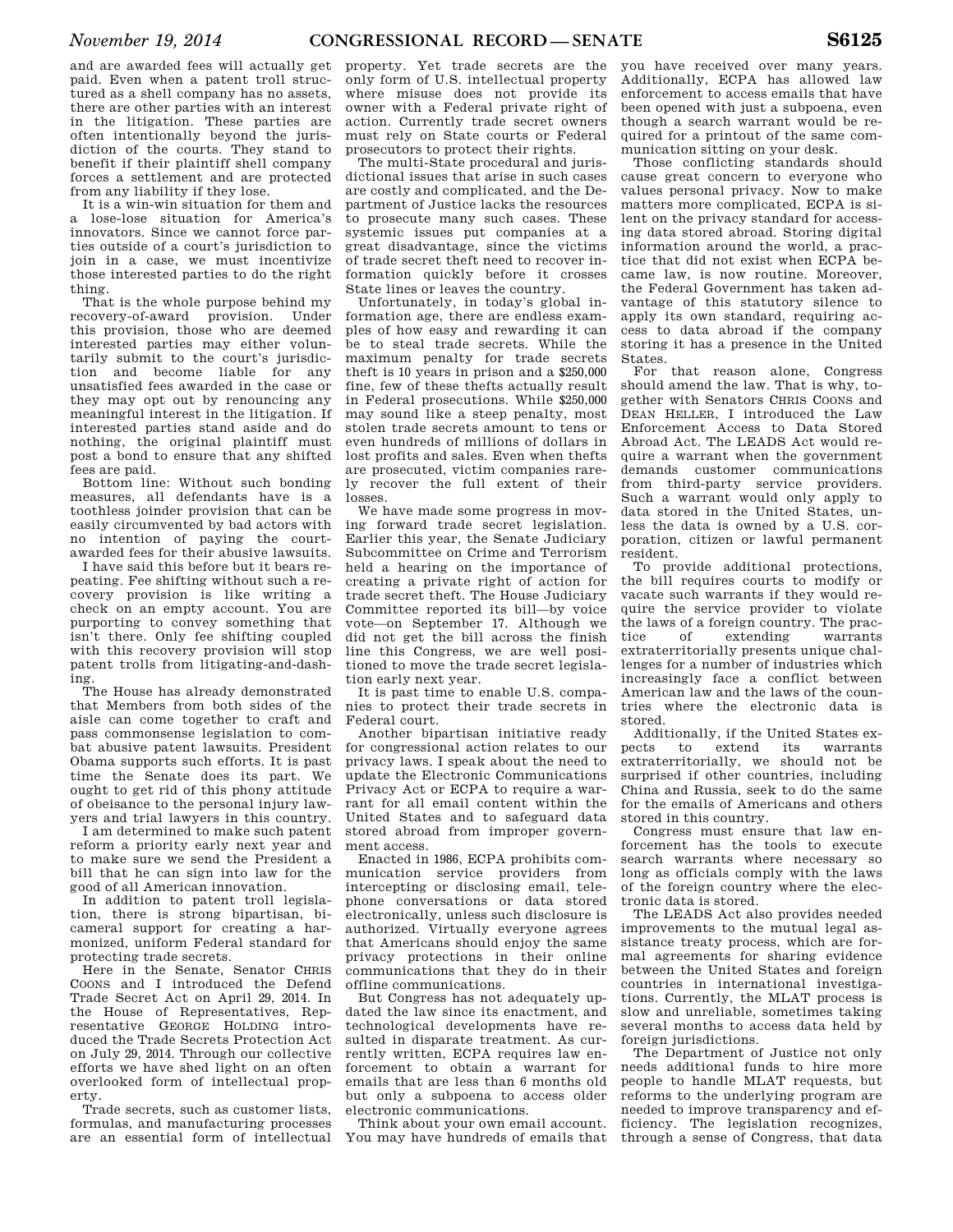and are awarded fees will actually get paid. Even when a patent troll structured as a shell company has no assets, there are other parties with an interest in the litigation. These parties are often intentionally beyond the jurisdiction of the courts. They stand to benefit if their plaintiff shell company forces a settlement and are protected from any liability if they lose.

It is a win-win situation for them and a lose-lose situation for America's innovators. Since we cannot force parties outside of a court's jurisdiction to join in a case, we must incentivize those interested parties to do the right thing.

That is the whole purpose behind my recovery-of-award provision. Under this provision, those who are deemed interested parties may either voluntarily submit to the court's jurisdiction and become liable for any unsatisfied fees awarded in the case or they may opt out by renouncing any meaningful interest in the litigation. If interested parties stand aside and do nothing, the original plaintiff must post a bond to ensure that any shifted fees are paid.

Bottom line: Without such bonding measures, all defendants have is a toothless joinder provision that can be easily circumvented by bad actors with no intention of paying the courtawarded fees for their abusive lawsuits.

I have said this before but it bears repeating. Fee shifting without such a recovery provision is like writing a check on an empty account. You are purporting to convey something that isn't there. Only fee shifting coupled with this recovery provision will stop patent trolls from litigating-and-dashing.

The House has already demonstrated that Members from both sides of the aisle can come together to craft and pass commonsense legislation to combat abusive patent lawsuits. President Obama supports such efforts. It is past time the Senate does its part. We ought to get rid of this phony attitude of obeisance to the personal injury lawyers and trial lawyers in this country.

I am determined to make such patent reform a priority early next year and to make sure we send the President a bill that he can sign into law for the good of all American innovation.

In addition to patent troll legislation, there is strong bipartisan, bicameral support for creating a harmonized, uniform Federal standard for protecting trade secrets.

Here in the Senate, Senator CHRIS COONS and I introduced the Defend Trade Secret Act on April 29, 2014. In the House of Representatives, Representative GEORGE HOLDING introduced the Trade Secrets Protection Act on July 29, 2014. Through our collective efforts we have shed light on an often overlooked form of intellectual property.

Trade secrets, such as customer lists, formulas, and manufacturing processes are an essential form of intellectual

property. Yet trade secrets are the only form of U.S. intellectual property where misuse does not provide its owner with a Federal private right of action. Currently trade secret owners must rely on State courts or Federal prosecutors to protect their rights.

The multi-State procedural and jurisdictional issues that arise in such cases are costly and complicated, and the Department of Justice lacks the resources to prosecute many such cases. These systemic issues put companies at a great disadvantage, since the victims of trade secret theft need to recover information quickly before it crosses State lines or leaves the country.

Unfortunately, in today's global information age, there are endless examples of how easy and rewarding it can be to steal trade secrets. While the maximum penalty for trade secrets theft is 10 years in prison and a \$250,000 fine, few of these thefts actually result in Federal prosecutions. While \$250,000 may sound like a steep penalty, most stolen trade secrets amount to tens or even hundreds of millions of dollars in lost profits and sales. Even when thefts are prosecuted, victim companies rarely recover the full extent of their losses.

We have made some progress in moving forward trade secret legislation. Earlier this year, the Senate Judiciary Subcommittee on Crime and Terrorism held a hearing on the importance of creating a private right of action for trade secret theft. The House Judiciary Committee reported its bill—by voice vote—on September 17. Although we did not get the bill across the finish line this Congress, we are well positioned to move the trade secret legislation early next year.

It is past time to enable U.S. companies to protect their trade secrets in Federal court.

Another bipartisan initiative ready for congressional action relates to our privacy laws. I speak about the need to update the Electronic Communications Privacy Act or ECPA to require a warrant for all email content within the United States and to safeguard data stored abroad from improper government access.

Enacted in 1986, ECPA prohibits communication service providers from intercepting or disclosing email, telephone conversations or data stored electronically, unless such disclosure is authorized. Virtually everyone agrees that Americans should enjoy the same privacy protections in their online communications that they do in their offline communications.

But Congress has not adequately updated the law since its enactment, and technological developments have resulted in disparate treatment. As currently written, ECPA requires law enforcement to obtain a warrant for emails that are less than 6 months old but only a subpoena to access older electronic communications.

Think about your own email account. You may have hundreds of emails that

you have received over many years. Additionally, ECPA has allowed law enforcement to access emails that have been opened with just a subpoena, even though a search warrant would be required for a printout of the same communication sitting on your desk.

Those conflicting standards should cause great concern to everyone who values personal privacy. Now to make matters more complicated, ECPA is silent on the privacy standard for accessing data stored abroad. Storing digital information around the world, a practice that did not exist when ECPA became law, is now routine. Moreover, the Federal Government has taken advantage of this statutory silence to apply its own standard, requiring access to data abroad if the company storing it has a presence in the United States.

For that reason alone, Congress should amend the law. That is why, together with Senators CHRIS COONS and DEAN HELLER, I introduced the Law Enforcement Access to Data Stored Abroad Act. The LEADS Act would require a warrant when the government demands customer communications from third-party service providers. Such a warrant would only apply to data stored in the United States, unless the data is owned by a U.S. corporation, citizen or lawful permanent resident.

To provide additional protections, the bill requires courts to modify or vacate such warrants if they would require the service provider to violate the laws of a foreign country. The practice of extending warrants extraterritorially presents unique challenges for a number of industries which increasingly face a conflict between American law and the laws of the countries where the electronic data is stored.

Additionally, if the United States expects to extend its warrants extraterritorially, we should not be surprised if other countries, including China and Russia, seek to do the same for the emails of Americans and others stored in this country.

Congress must ensure that law enforcement has the tools to execute search warrants where necessary so long as officials comply with the laws of the foreign country where the electronic data is stored.

The LEADS Act also provides needed improvements to the mutual legal assistance treaty process, which are formal agreements for sharing evidence between the United States and foreign countries in international investigations. Currently, the MLAT process is slow and unreliable, sometimes taking several months to access data held by foreign jurisdictions.

The Department of Justice not only needs additional funds to hire more people to handle MLAT requests, but reforms to the underlying program are needed to improve transparency and efficiency. The legislation recognizes, through a sense of Congress, that data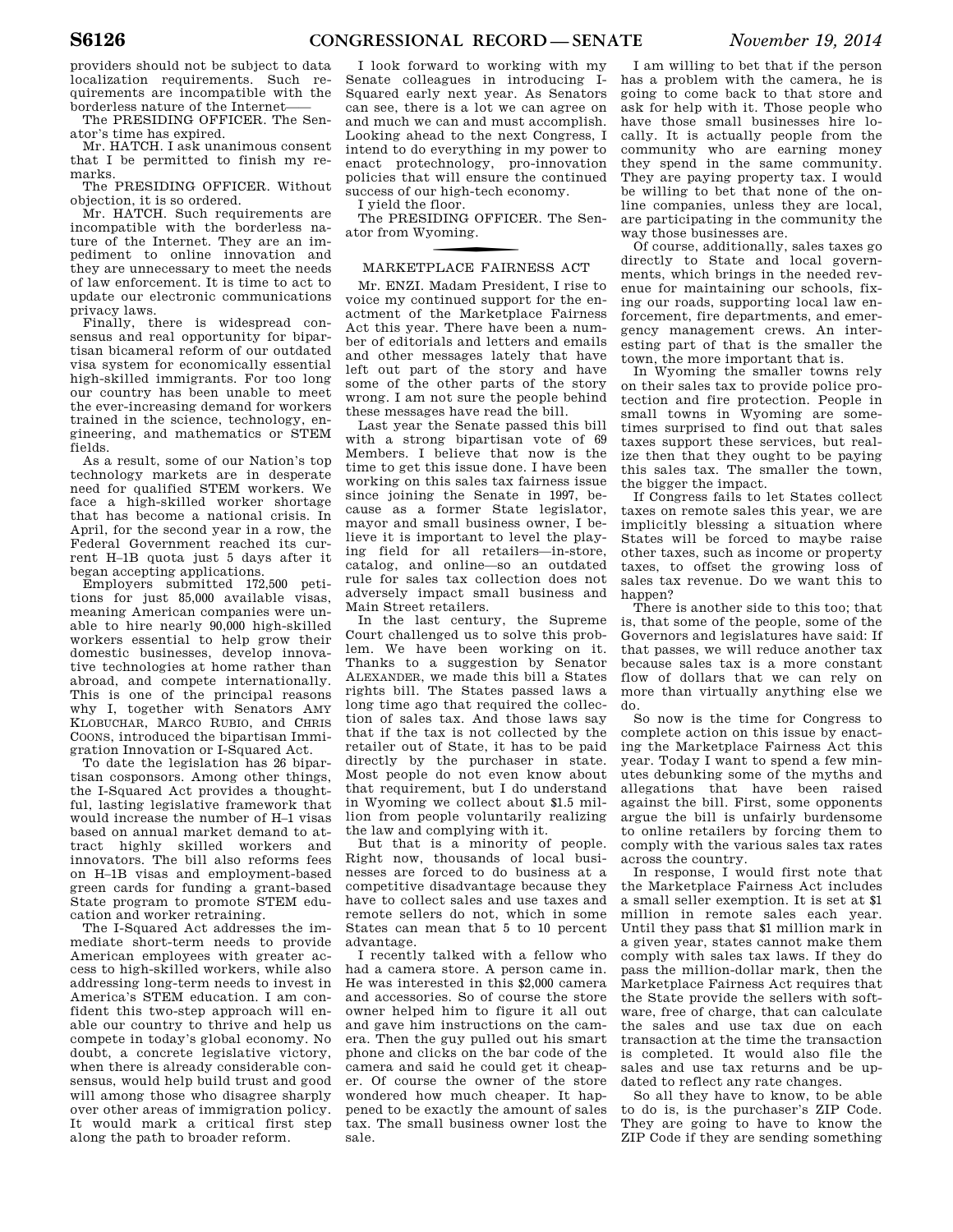providers should not be subject to data localization requirements. Such requirements are incompatible with the borderless nature of the Internet-

The PRESIDING OFFICER. The Senator's time has expired.

Mr. HATCH. I ask unanimous consent that I be permitted to finish my remarks.

The PRESIDING OFFICER. Without objection, it is so ordered.

Mr. HATCH. Such requirements are incompatible with the borderless nature of the Internet. They are an impediment to online innovation and they are unnecessary to meet the needs of law enforcement. It is time to act to update our electronic communications privacy laws.

Finally, there is widespread consensus and real opportunity for bipartisan bicameral reform of our outdated visa system for economically essential high-skilled immigrants. For too long our country has been unable to meet the ever-increasing demand for workers trained in the science, technology, engineering, and mathematics or STEM fields.

As a result, some of our Nation's top technology markets are in desperate need for qualified STEM workers. We face a high-skilled worker shortage that has become a national crisis. In April, for the second year in a row, the Federal Government reached its current H–1B quota just 5 days after it began accepting applications.

Employers submitted 172,500 petitions for just 85,000 available visas, meaning American companies were unable to hire nearly 90,000 high-skilled workers essential to help grow their domestic businesses, develop innovative technologies at home rather than abroad, and compete internationally. This is one of the principal reasons why I, together with Senators AMY KLOBUCHAR, MARCO RUBIO, and CHRIS COONS, introduced the bipartisan Immigration Innovation or I-Squared Act.

To date the legislation has 26 bipartisan cosponsors. Among other things, the I-Squared Act provides a thoughtful, lasting legislative framework that would increase the number of H–1 visas based on annual market demand to attract highly skilled workers and innovators. The bill also reforms fees on H–1B visas and employment-based green cards for funding a grant-based State program to promote STEM education and worker retraining.

The I-Squared Act addresses the immediate short-term needs to provide American employees with greater access to high-skilled workers, while also addressing long-term needs to invest in America's STEM education. I am confident this two-step approach will enable our country to thrive and help us compete in today's global economy. No doubt, a concrete legislative victory, when there is already considerable consensus, would help build trust and good will among those who disagree sharply over other areas of immigration policy. It would mark a critical first step along the path to broader reform.

I look forward to working with my Senate colleagues in introducing I-Squared early next year. As Senators can see, there is a lot we can agree on and much we can and must accomplish. Looking ahead to the next Congress, I intend to do everything in my power to enact protechnology, pro-innovation policies that will ensure the continued success of our high-tech economy.

I yield the floor. The PRESIDING OFFICER. The Senator from Wyoming.

# f MARKETPLACE FAIRNESS ACT

Mr. ENZI. Madam President, I rise to voice my continued support for the enactment of the Marketplace Fairness Act this year. There have been a number of editorials and letters and emails and other messages lately that have left out part of the story and have some of the other parts of the story wrong. I am not sure the people behind these messages have read the bill.

Last year the Senate passed this bill with a strong bipartisan vote of 69 Members. I believe that now is the time to get this issue done. I have been working on this sales tax fairness issue since joining the Senate in 1997, because as a former State legislator, mayor and small business owner, I believe it is important to level the playing field for all retailers—in-store, catalog, and online—so an outdated rule for sales tax collection does not adversely impact small business and Main Street retailers.

In the last century, the Supreme Court challenged us to solve this problem. We have been working on it. Thanks to a suggestion by Senator ALEXANDER, we made this bill a States rights bill. The States passed laws a long time ago that required the collection of sales tax. And those laws say that if the tax is not collected by the retailer out of State, it has to be paid directly by the purchaser in state. Most people do not even know about that requirement, but I do understand in Wyoming we collect about \$1.5 million from people voluntarily realizing the law and complying with it.

But that is a minority of people. Right now, thousands of local businesses are forced to do business at a competitive disadvantage because they have to collect sales and use taxes and remote sellers do not, which in some States can mean that 5 to 10 percent advantage.

I recently talked with a fellow who had a camera store. A person came in. He was interested in this \$2,000 camera and accessories. So of course the store owner helped him to figure it all out and gave him instructions on the camera. Then the guy pulled out his smart phone and clicks on the bar code of the camera and said he could get it cheaper. Of course the owner of the store wondered how much cheaper. It happened to be exactly the amount of sales tax. The small business owner lost the sale.

I am willing to bet that if the person has a problem with the camera, he is going to come back to that store and ask for help with it. Those people who have those small businesses hire locally. It is actually people from the community who are earning money they spend in the same community. They are paying property tax. I would be willing to bet that none of the online companies, unless they are local, are participating in the community the way those businesses are.

Of course, additionally, sales taxes go directly to State and local governments, which brings in the needed revenue for maintaining our schools, fixing our roads, supporting local law enforcement, fire departments, and emergency management crews. An interesting part of that is the smaller the town, the more important that is.

In Wyoming the smaller towns rely on their sales tax to provide police protection and fire protection. People in small towns in Wyoming are sometimes surprised to find out that sales taxes support these services, but realize then that they ought to be paying this sales tax. The smaller the town, the bigger the impact.

If Congress fails to let States collect taxes on remote sales this year, we are implicitly blessing a situation where States will be forced to maybe raise other taxes, such as income or property taxes, to offset the growing loss of sales tax revenue. Do we want this to happen?

There is another side to this too; that is, that some of the people, some of the Governors and legislatures have said: If that passes, we will reduce another tax because sales tax is a more constant flow of dollars that we can rely on more than virtually anything else we do.

So now is the time for Congress to complete action on this issue by enacting the Marketplace Fairness Act this year. Today I want to spend a few minutes debunking some of the myths and allegations that have been raised against the bill. First, some opponents argue the bill is unfairly burdensome to online retailers by forcing them to comply with the various sales tax rates across the country.

In response, I would first note that the Marketplace Fairness Act includes a small seller exemption. It is set at \$1 million in remote sales each year. Until they pass that \$1 million mark in a given year, states cannot make them comply with sales tax laws. If they do pass the million-dollar mark, then the Marketplace Fairness Act requires that the State provide the sellers with software, free of charge, that can calculate the sales and use tax due on each transaction at the time the transaction is completed. It would also file the sales and use tax returns and be updated to reflect any rate changes.

So all they have to know, to be able to do is, is the purchaser's ZIP Code. They are going to have to know the ZIP Code if they are sending something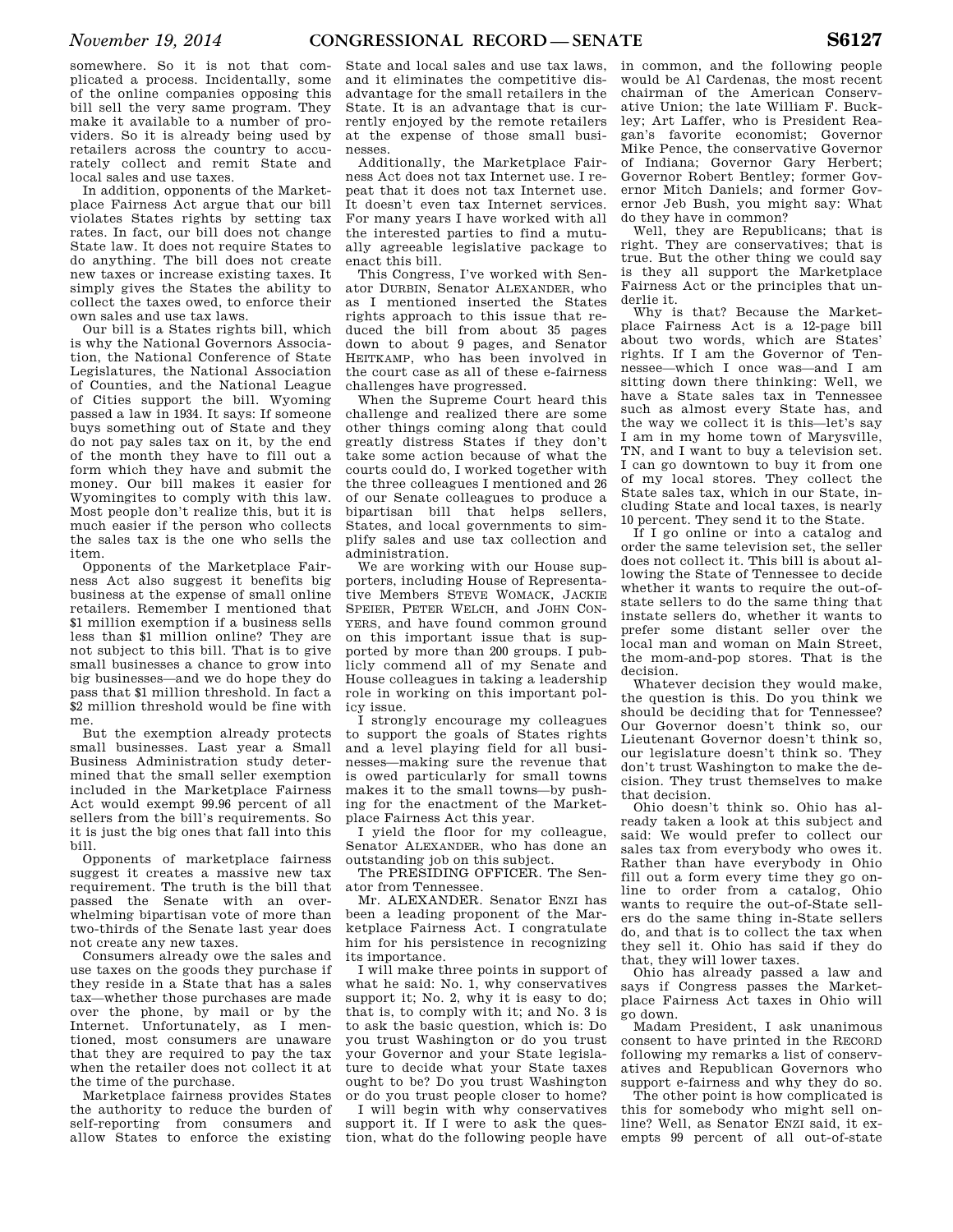somewhere. So it is not that complicated a process. Incidentally, some of the online companies opposing this bill sell the very same program. They make it available to a number of providers. So it is already being used by retailers across the country to accurately collect and remit State and local sales and use taxes.

In addition, opponents of the Marketplace Fairness Act argue that our bill violates States rights by setting tax rates. In fact, our bill does not change State law. It does not require States to do anything. The bill does not create new taxes or increase existing taxes. It simply gives the States the ability to collect the taxes owed, to enforce their own sales and use tax laws.

Our bill is a States rights bill, which is why the National Governors Association, the National Conference of State Legislatures, the National Association of Counties, and the National League of Cities support the bill. Wyoming passed a law in 1934. It says: If someone buys something out of State and they do not pay sales tax on it, by the end of the month they have to fill out a form which they have and submit the money. Our bill makes it easier for Wyomingites to comply with this law. Most people don't realize this, but it is much easier if the person who collects the sales tax is the one who sells the item.

Opponents of the Marketplace Fairness Act also suggest it benefits big business at the expense of small online retailers. Remember I mentioned that \$1 million exemption if a business sells less than \$1 million online? They are not subject to this bill. That is to give small businesses a chance to grow into big businesses—and we do hope they do pass that \$1 million threshold. In fact a \$2 million threshold would be fine with me.

But the exemption already protects small businesses. Last year a Small Business Administration study determined that the small seller exemption included in the Marketplace Fairness Act would exempt 99.96 percent of all sellers from the bill's requirements. So it is just the big ones that fall into this bill.

Opponents of marketplace fairness suggest it creates a massive new tax requirement. The truth is the bill that passed the Senate with an overwhelming bipartisan vote of more than two-thirds of the Senate last year does not create any new taxes.

Consumers already owe the sales and use taxes on the goods they purchase if they reside in a State that has a sales tax—whether those purchases are made over the phone, by mail or by the Internet. Unfortunately, as I mentioned, most consumers are unaware that they are required to pay the tax when the retailer does not collect it at the time of the purchase.

Marketplace fairness provides States the authority to reduce the burden of self-reporting from consumers and allow States to enforce the existing

State and local sales and use tax laws, and it eliminates the competitive disadvantage for the small retailers in the State. It is an advantage that is currently enjoyed by the remote retailers at the expense of those small businesses.

Additionally, the Marketplace Fairness Act does not tax Internet use. I repeat that it does not tax Internet use. It doesn't even tax Internet services. For many years I have worked with all the interested parties to find a mutually agreeable legislative package to enact this bill.

This Congress, I've worked with Senator DURBIN, Senator ALEXANDER, who as I mentioned inserted the States rights approach to this issue that reduced the bill from about 35 pages down to about 9 pages, and Senator HEITKAMP, who has been involved in the court case as all of these e-fairness challenges have progressed.

When the Supreme Court heard this challenge and realized there are some other things coming along that could greatly distress States if they don't take some action because of what the courts could do, I worked together with the three colleagues I mentioned and 26 of our Senate colleagues to produce a bipartisan bill that helps sellers, States, and local governments to simplify sales and use tax collection and administration.

We are working with our House supporters, including House of Representative Members STEVE WOMACK, JACKIE SPEIER, PETER WELCH, and JOHN CON-YERS, and have found common ground on this important issue that is supported by more than 200 groups. I publicly commend all of my Senate and House colleagues in taking a leadership role in working on this important policy issue.

I strongly encourage my colleagues to support the goals of States rights and a level playing field for all businesses—making sure the revenue that is owed particularly for small towns makes it to the small towns—by pushing for the enactment of the Marketplace Fairness Act this year.

I yield the floor for my colleague, Senator ALEXANDER, who has done an outstanding job on this subject.

The PRESIDING OFFICER. The Senator from Tennessee.

Mr. ALEXANDER. Senator ENZI has been a leading proponent of the Marketplace Fairness Act. I congratulate him for his persistence in recognizing its importance.

I will make three points in support of what he said: No. 1, why conservatives support it; No. 2, why it is easy to do; that is, to comply with it; and No. 3 is to ask the basic question, which is: Do you trust Washington or do you trust your Governor and your State legislature to decide what your State taxes ought to be? Do you trust Washington or do you trust people closer to home?

I will begin with why conservatives support it. If I were to ask the question, what do the following people have

in common, and the following people would be Al Cardenas, the most recent chairman of the American Conservative Union; the late William F. Buckley; Art Laffer, who is President Reagan's favorite economist; Governor Mike Pence, the conservative Governor of Indiana; Governor Gary Herbert; Governor Robert Bentley; former Governor Mitch Daniels; and former Governor Jeb Bush, you might say: What do they have in common?

Well, they are Republicans; that is right. They are conservatives; that is true. But the other thing we could say is they all support the Marketplace Fairness Act or the principles that underlie it.

Why is that? Because the Marketplace Fairness Act is a 12-page bill about two words, which are States' rights. If I am the Governor of Tennessee—which I once was—and I am sitting down there thinking: Well, we have a State sales tax in Tennessee such as almost every State has, and the way we collect it is this—let's say I am in my home town of Marysville, TN, and I want to buy a television set. I can go downtown to buy it from one of my local stores. They collect the State sales tax, which in our State, including State and local taxes, is nearly 10 percent. They send it to the State.

If I go online or into a catalog and order the same television set, the seller does not collect it. This bill is about allowing the State of Tennessee to decide whether it wants to require the out-ofstate sellers to do the same thing that instate sellers do, whether it wants to prefer some distant seller over the local man and woman on Main Street, the mom-and-pop stores. That is the decision.

Whatever decision they would make, the question is this. Do you think we should be deciding that for Tennessee? Our Governor doesn't think so, our Lieutenant Governor doesn't think so, our legislature doesn't think so. They don't trust Washington to make the decision. They trust themselves to make that decision.

Ohio doesn't think so. Ohio has already taken a look at this subject and said: We would prefer to collect our sales tax from everybody who owes it. Rather than have everybody in Ohio fill out a form every time they go online to order from a catalog, Ohio wants to require the out-of-State sellers do the same thing in-State sellers do, and that is to collect the tax when they sell it. Ohio has said if they do that, they will lower taxes.

Ohio has already passed a law and says if Congress passes the Marketplace Fairness Act taxes in Ohio will go down.

Madam President, I ask unanimous consent to have printed in the RECORD following my remarks a list of conservatives and Republican Governors who support e-fairness and why they do so.

The other point is how complicated is this for somebody who might sell online? Well, as Senator ENZI said, it exempts 99 percent of all out-of-state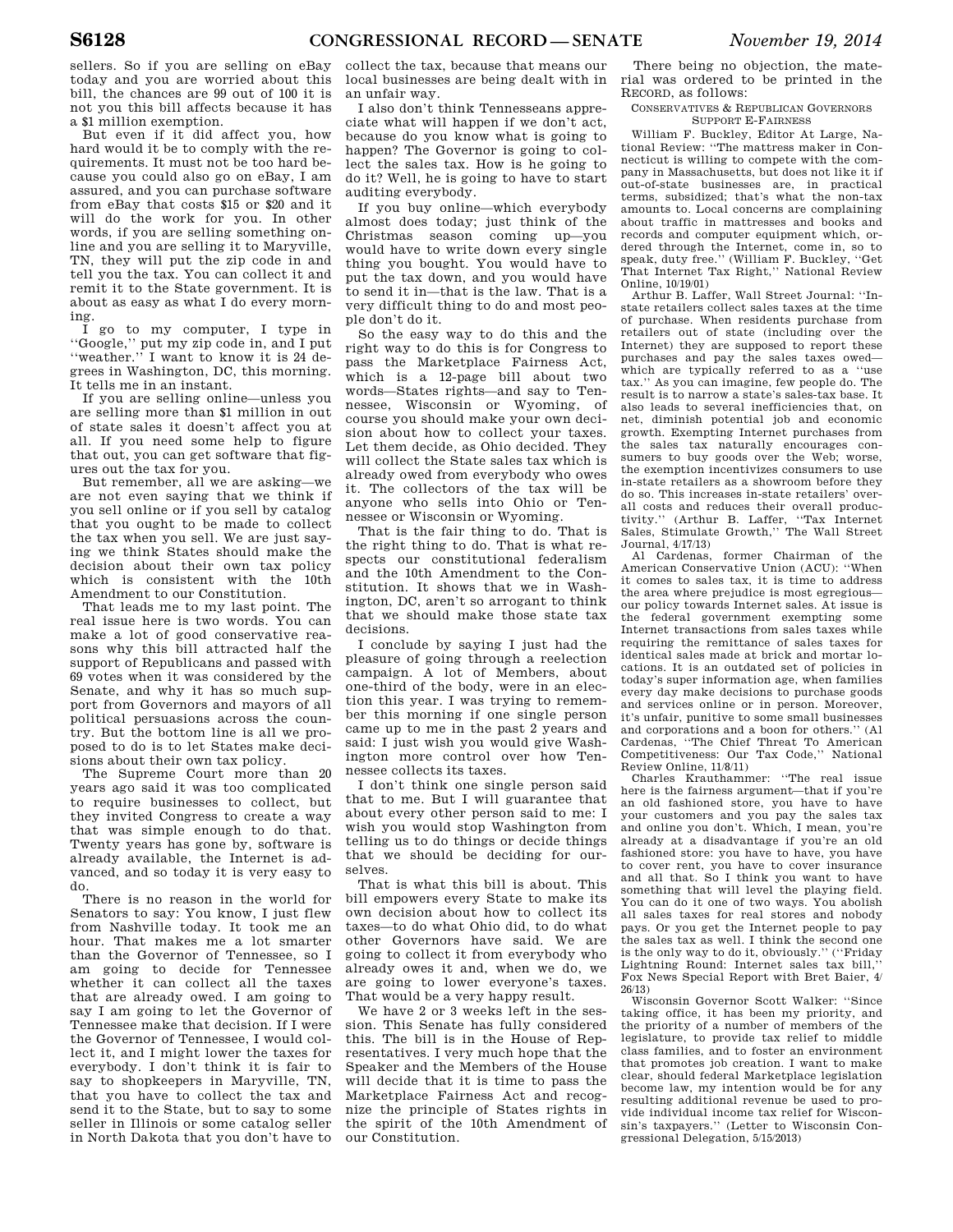sellers. So if you are selling on eBay today and you are worried about this bill, the chances are 99 out of 100 it is not you this bill affects because it has a \$1 million exemption.

But even if it did affect you, how hard would it be to comply with the requirements. It must not be too hard because you could also go on eBay, I am assured, and you can purchase software from eBay that costs \$15 or \$20 and it will do the work for you. In other words, if you are selling something online and you are selling it to Maryville, TN, they will put the zip code in and tell you the tax. You can collect it and remit it to the State government. It is about as easy as what I do every morning.

I go to my computer, I type in ''Google,'' put my zip code in, and I put ''weather.'' I want to know it is 24 degrees in Washington, DC, this morning. It tells me in an instant.

If you are selling online—unless you are selling more than \$1 million in out of state sales it doesn't affect you at all. If you need some help to figure that out, you can get software that figures out the tax for you.

But remember, all we are asking—we are not even saying that we think if you sell online or if you sell by catalog that you ought to be made to collect the tax when you sell. We are just saying we think States should make the decision about their own tax policy which is consistent with the 10th Amendment to our Constitution.

That leads me to my last point. The real issue here is two words. You can make a lot of good conservative reasons why this bill attracted half the support of Republicans and passed with 69 votes when it was considered by the Senate, and why it has so much support from Governors and mayors of all political persuasions across the country. But the bottom line is all we proposed to do is to let States make decisions about their own tax policy.

The Supreme Court more than 20 years ago said it was too complicated to require businesses to collect, but they invited Congress to create a way that was simple enough to do that. Twenty years has gone by, software is already available, the Internet is advanced, and so today it is very easy to do.

There is no reason in the world for Senators to say: You know, I just flew from Nashville today. It took me an hour. That makes me a lot smarter than the Governor of Tennessee, so I am going to decide for Tennessee whether it can collect all the taxes that are already owed. I am going to say I am going to let the Governor of Tennessee make that decision. If I were the Governor of Tennessee, I would collect it, and I might lower the taxes for everybody. I don't think it is fair to say to shopkeepers in Maryville, TN, that you have to collect the tax and send it to the State, but to say to some seller in Illinois or some catalog seller in North Dakota that you don't have to

collect the tax, because that means our local businesses are being dealt with in an unfair way.

I also don't think Tennesseans appreciate what will happen if we don't act, because do you know what is going to happen? The Governor is going to collect the sales tax. How is he going to do it? Well, he is going to have to start auditing everybody.

If you buy online—which everybody almost does today; just think of the Christmas season coming up—you would have to write down every single thing you bought. You would have to put the tax down, and you would have to send it in—that is the law. That is a very difficult thing to do and most people don't do it.

So the easy way to do this and the right way to do this is for Congress to pass the Marketplace Fairness Act, which is a 12-page bill about two words—States rights—and say to Tennessee, Wisconsin or Wyoming, of course you should make your own decision about how to collect your taxes. Let them decide, as Ohio decided. They will collect the State sales tax which is already owed from everybody who owes it. The collectors of the tax will be anyone who sells into Ohio or Tennessee or Wisconsin or Wyoming.

That is the fair thing to do. That is the right thing to do. That is what respects our constitutional federalism and the 10th Amendment to the Constitution. It shows that we in Washington, DC, aren't so arrogant to think that we should make those state tax decisions.

I conclude by saying I just had the pleasure of going through a reelection campaign. A lot of Members, about one-third of the body, were in an election this year. I was trying to remember this morning if one single person came up to me in the past 2 years and said: I just wish you would give Washington more control over how Tennessee collects its taxes.

I don't think one single person said that to me. But I will guarantee that about every other person said to me: I wish you would stop Washington from telling us to do things or decide things that we should be deciding for ourselves.

That is what this bill is about. This bill empowers every State to make its own decision about how to collect its taxes—to do what Ohio did, to do what other Governors have said. We are going to collect it from everybody who already owes it and, when we do, we are going to lower everyone's taxes. That would be a very happy result.

We have 2 or 3 weeks left in the session. This Senate has fully considered this. The bill is in the House of Representatives. I very much hope that the Speaker and the Members of the House will decide that it is time to pass the Marketplace Fairness Act and recognize the principle of States rights in the spirit of the 10th Amendment of our Constitution.

There being no objection, the material was ordered to be printed in the RECORD, as follows:

CONSERVATIVES & REPUBLICAN GOVERNORS SUPPORT E-FAIRNESS

William F. Buckley, Editor At Large, National Review: ''The mattress maker in Connecticut is willing to compete with the company in Massachusetts, but does not like it if out-of-state businesses are, in practical terms, subsidized; that's what the non-tax amounts to. Local concerns are complaining about traffic in mattresses and books and records and computer equipment which, ordered through the Internet, come in, so to speak, duty free.'' (William F. Buckley, ''Get That Internet Tax Right,'' National Review Online, 10/19/01)

Arthur B. Laffer, Wall Street Journal: ''Instate retailers collect sales taxes at the time of purchase. When residents purchase from retailers out of state (including over the Internet) they are supposed to report these purchases and pay the sales taxes owed which are typically referred to as a ''use tax.'' As you can imagine, few people do. The result is to narrow a state's sales-tax base. It also leads to several inefficiencies that, on net, diminish potential job and economic growth. Exempting Internet purchases from the sales tax naturally encourages consumers to buy goods over the Web; worse, the exemption incentivizes consumers to use in-state retailers as a showroom before they do so. This increases in-state retailers' overall costs and reduces their overall productivity.'' (Arthur B. Laffer, ''Tax Internet Sales, Stimulate Growth,'' The Wall Street Journal, 4/17/13)

Al Cardenas, former Chairman of the American Conservative Union (ACU): ''When it comes to sales tax, it is time to address the area where prejudice is most egregious our policy towards Internet sales. At issue is the federal government exempting some Internet transactions from sales taxes while requiring the remittance of sales taxes for identical sales made at brick and mortar locations. It is an outdated set of policies in today's super information age, when families every day make decisions to purchase goods and services online or in person. Moreover, it's unfair, punitive to some small businesses and corporations and a boon for others.'' (Al Cardenas, ''The Chief Threat To American Competitiveness: Our Tax Code,'' National Review Online, 11/8/11)

Charles Krauthammer: ''The real issue here is the fairness argument—that if you're an old fashioned store, you have to have your customers and you pay the sales tax and online you don't. Which, I mean, you're already at a disadvantage if you're an old fashioned store: you have to have, you have to cover rent, you have to cover insurance and all that. So I think you want to have something that will level the playing field. You can do it one of two ways. You abolish all sales taxes for real stores and nobody pays. Or you get the Internet people to pay the sales tax as well. I think the second one is the only way to do it, obviously.'' (''Friday Lightning Round: Internet sales tax bill, Fox News Special Report with Bret Baier, 4/ 26/13)

Wisconsin Governor Scott Walker: ''Since taking office, it has been my priority, and the priority of a number of members of the legislature, to provide tax relief to middle class families, and to foster an environment that promotes job creation. I want to make clear, should federal Marketplace legislation become law, my intention would be for any resulting additional revenue be used to provide individual income tax relief for Wisconsin's taxpayers.'' (Letter to Wisconsin Congressional Delegation, 5/15/2013)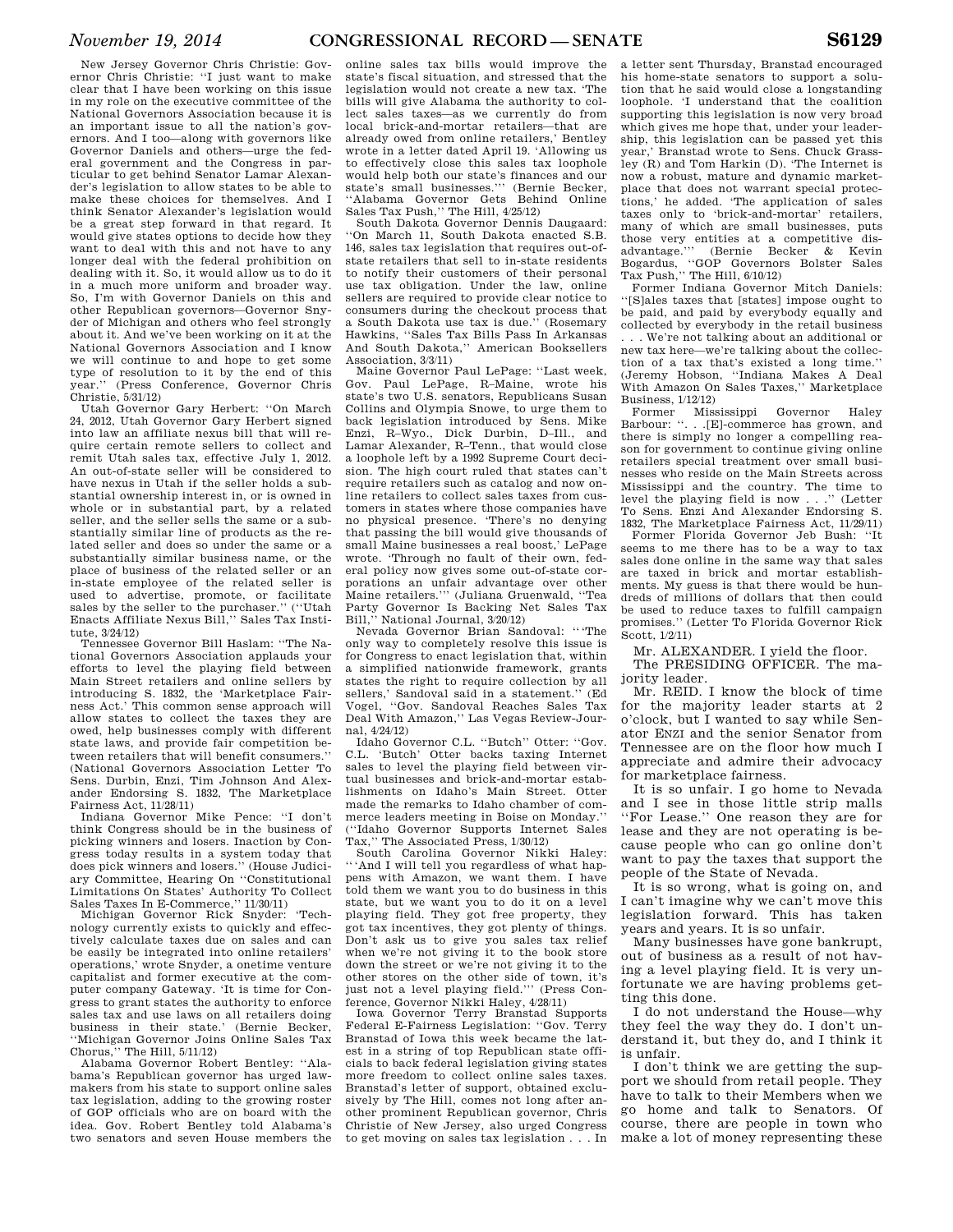New Jersey Governor Chris Christie: Governor Chris Christie: ''I just want to make clear that I have been working on this issue in my role on the executive committee of the National Governors Association because it is an important issue to all the nation's governors. And I too—along with governors like Governor Daniels and others—urge the federal government and the Congress in particular to get behind Senator Lamar Alexander's legislation to allow states to be able to make these choices for themselves. And I think Senator Alexander's legislation would be a great step forward in that regard. It would give states options to decide how they want to deal with this and not have to any longer deal with the federal prohibition on dealing with it. So, it would allow us to do it in a much more uniform and broader way. So, I'm with Governor Daniels on this and other Republican governors—Governor Snyder of Michigan and others who feel strongly about it. And we've been working on it at the National Governors Association and I know we will continue to and hope to get some type of resolution to it by the end of this year.'' (Press Conference, Governor Chris Christie, 5/31/12)

Utah Governor Gary Herbert: ''On March 24, 2012, Utah Governor Gary Herbert signed into law an affiliate nexus bill that will require certain remote sellers to collect and remit Utah sales tax, effective July 1, 2012. An out-of-state seller will be considered to have nexus in Utah if the seller holds a substantial ownership interest in, or is owned in whole or in substantial part, by a related seller, and the seller sells the same or a substantially similar line of products as the related seller and does so under the same or a substantially similar business name, or the place of business of the related seller or an in-state employee of the related seller is used to advertise, promote, or facilitate sales by the seller to the purchaser.'' (''Utah Enacts Affiliate Nexus Bill,'' Sales Tax Institute, 3/24/12)

Tennessee Governor Bill Haslam: ''The National Governors Association applauds your efforts to level the playing field between Main Street retailers and online sellers by introducing S. 1832, the 'Marketplace Fairness Act.' This common sense approach will allow states to collect the taxes they are owed, help businesses comply with different state laws, and provide fair competition between retailers that will benefit consumers.'' (National Governors Association Letter To Sens. Durbin, Enzi, Tim Johnson And Alexander Endorsing S. 1832, The Marketplace Fairness Act, 11/28/11)

Indiana Governor Mike Pence: ''I don't think Congress should be in the business of picking winners and losers. Inaction by Congress today results in a system today that does pick winners and losers.'' (House Judiciary Committee, Hearing On ''Constitutional Limitations On States' Authority To Collect Sales Taxes In E-Commerce,'' 11/30/11)

Michigan Governor Rick Snyder: 'Technology currently exists to quickly and effectively calculate taxes due on sales and can be easily be integrated into online retailers' operations,' wrote Snyder, a onetime venture capitalist and former executive at the computer company Gateway. 'It is time for Congress to grant states the authority to enforce sales tax and use laws on all retailers doing business in their state.' (Bernie Becker, ''Michigan Governor Joins Online Sales Tax Chorus,'' The Hill, 5/11/12)

Alabama Governor Robert Bentley: ''Alabama's Republican governor has urged lawmakers from his state to support online sales tax legislation, adding to the growing roster of GOP officials who are on board with the idea. Gov. Robert Bentley told Alabama's two senators and seven House members the

online sales tax bills would improve the state's fiscal situation, and stressed that the legislation would not create a new tax. 'The bills will give Alabama the authority to collect sales taxes—as we currently do from local brick-and-mortar retailers—that are already owed from online retailers,' Bentley wrote in a letter dated April 19. 'Allowing us to effectively close this sales tax loophole would help both our state's finances and our state's small businesses.''' (Bernie Becker, ''Alabama Governor Gets Behind Online Sales Tax Push,'' The Hill, 4/25/12)

South Dakota Governor Dennis Daugaard: On March 11, South Dakota enacted S.B. 146, sales tax legislation that requires out-ofstate retailers that sell to in-state residents to notify their customers of their personal use tax obligation. Under the law, online sellers are required to provide clear notice to consumers during the checkout process that a South Dakota use tax is due.'' (Rosemary Hawkins, ''Sales Tax Bills Pass In Arkansas And South Dakota,'' American Booksellers Association, 3/3/11)

Maine Governor Paul LePage: ''Last week, Gov. Paul LePage, R–Maine, wrote his state's two U.S. senators, Republicans Susan Collins and Olympia Snowe, to urge them to back legislation introduced by Sens. Mike Enzi, R–Wyo., Dick Durbin, D–Ill., and Lamar Alexander, R–Tenn., that would close a loophole left by a 1992 Supreme Court decision. The high court ruled that states can't require retailers such as catalog and now online retailers to collect sales taxes from customers in states where those companies have no physical presence. 'There's no denying that passing the bill would give thousands of small Maine businesses a real boost,' LePage wrote. 'Through no fault of their own, federal policy now gives some out-of-state corporations an unfair advantage over other Maine retailers.''' (Juliana Gruenwald, ''Tea Party Governor Is Backing Net Sales Tax Bill,'' National Journal, 3/20/12)

Nevada Governor Brian Sandoval: '''The only way to completely resolve this issue is for Congress to enact legislation that, within a simplified nationwide framework, grants states the right to require collection by all sellers,' Sandoval said in a statement.'' (Ed Vogel, ''Gov. Sandoval Reaches Sales Tax Deal With Amazon,'' Las Vegas Review-Journal, 4/24/12)

Idaho Governor C.L. ''Butch'' Otter: ''Gov. C.L. 'Butch' Otter backs taxing Internet sales to level the playing field between virtual businesses and brick-and-mortar establishments on Idaho's Main Street. Otter made the remarks to Idaho chamber of commerce leaders meeting in Boise on Monday.'' (''Idaho Governor Supports Internet Sales Tax,'' The Associated Press, 1/30/12)

South Carolina Governor Nikki Haley: '''And I will tell you regardless of what happens with Amazon, we want them. I have told them we want you to do business in this state, but we want you to do it on a level playing field. They got free property, they got tax incentives, they got plenty of things. Don't ask us to give you sales tax relief when we're not giving it to the book store down the street or we're not giving it to the other stores on the other side of town, it's just not a level playing field.''' (Press Conference, Governor Nikki Haley, 4/28/11)

Iowa Governor Terry Branstad Supports Federal E-Fairness Legislation: ''Gov. Terry Branstad of Iowa this week became the latest in a string of top Republican state officials to back federal legislation giving states more freedom to collect online sales taxes. Branstad's letter of support, obtained exclusively by The Hill, comes not long after another prominent Republican governor, Chris Christie of New Jersey, also urged Congress to get moving on sales tax legislation . . . In

a letter sent Thursday, Branstad encouraged his home-state senators to support a solution that he said would close a longstanding loophole. 'I understand that the coalition supporting this legislation is now very broad which gives me hope that, under your leadership, this legislation can be passed yet this year,' Branstad wrote to Sens. Chuck Grassley (R) and Tom Harkin (D). 'The Internet is now a robust, mature and dynamic marketplace that does not warrant special protections,' he added. 'The application of sales taxes only to 'brick-and-mortar' retailers, many of which are small businesses, puts those very entities at a competitive dis-<br>advantage." (Bernie Becker & Kevin (Bernie Becker & Kevin Bogardus, ''GOP Governors Bolster Sales Tax Push,'' The Hill, 6/10/12)

Former Indiana Governor Mitch Daniels: ''[S]ales taxes that [states] impose ought to be paid, and paid by everybody equally and collected by everybody in the retail business . . . We're not talking about an additional or

new tax here—we're talking about the collection of a tax that's existed a long time.'' (Jeremy Hobson, ''Indiana Makes A Deal With Amazon On Sales Taxes,'' Marketplace Business, 1/12/12)

Former Mississippi Governor Haley Barbour: ''. . .[E]-commerce has grown, and there is simply no longer a compelling reason for government to continue giving online retailers special treatment over small businesses who reside on the Main Streets across Mississippi and the country. The time to level the playing field is now . . .'' (Letter To Sens. Enzi And Alexander Endorsing S. 1832, The Marketplace Fairness Act, 11/29/11)

Former Florida Governor Jeb Bush: ''It seems to me there has to be a way to tax sales done online in the same way that sales are taxed in brick and mortar establishments. My guess is that there would be hundreds of millions of dollars that then could be used to reduce taxes to fulfill campaign promises.'' (Letter To Florida Governor Rick Scott, 1/2/11)

Mr. ALEXANDER. I yield the floor.

The PRESIDING OFFICER. The majority leader.

Mr. REID. I know the block of time for the majority leader starts at 2 o'clock, but I wanted to say while Senator ENZI and the senior Senator from Tennessee are on the floor how much I appreciate and admire their advocacy for marketplace fairness.

It is so unfair. I go home to Nevada and I see in those little strip malls ''For Lease.'' One reason they are for lease and they are not operating is because people who can go online don't want to pay the taxes that support the people of the State of Nevada.

It is so wrong, what is going on, and I can't imagine why we can't move this legislation forward. This has taken years and years. It is so unfair.

Many businesses have gone bankrupt. out of business as a result of not having a level playing field. It is very unfortunate we are having problems getting this done.

I do not understand the House—why they feel the way they do. I don't understand it, but they do, and I think it is unfair.

I don't think we are getting the support we should from retail people. They have to talk to their Members when we go home and talk to Senators. Of course, there are people in town who make a lot of money representing these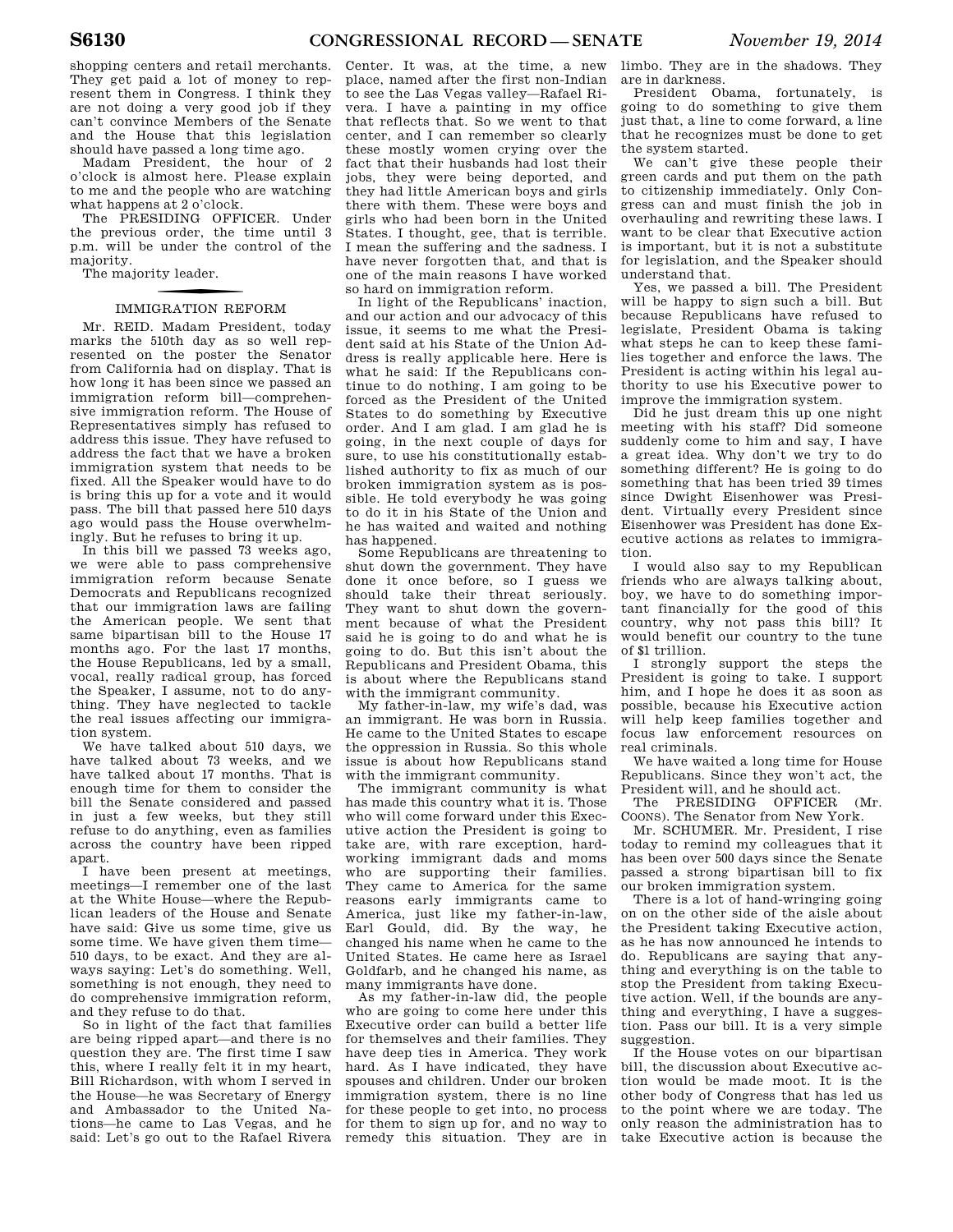shopping centers and retail merchants. They get paid a lot of money to represent them in Congress. I think they are not doing a very good job if they can't convince Members of the Senate and the House that this legislation should have passed a long time ago.

Madam President, the hour of 2 o'clock is almost here. Please explain to me and the people who are watching what happens at 2 o'clock.

The PRESIDING OFFICER. Under the previous order, the time until 3 p.m. will be under the control of the majority.

The majority leader.

# f IMMIGRATION REFORM

Mr. REID. Madam President, today marks the 510th day as so well represented on the poster the Senator from California had on display. That is how long it has been since we passed an immigration reform bill—comprehensive immigration reform. The House of Representatives simply has refused to address this issue. They have refused to address the fact that we have a broken immigration system that needs to be fixed. All the Speaker would have to do is bring this up for a vote and it would pass. The bill that passed here 510 days ago would pass the House overwhelmingly. But he refuses to bring it up.

In this bill we passed 73 weeks ago, we were able to pass comprehensive immigration reform because Senate Democrats and Republicans recognized that our immigration laws are failing the American people. We sent that same bipartisan bill to the House 17 months ago. For the last 17 months, the House Republicans, led by a small, vocal, really radical group, has forced the Speaker, I assume, not to do anything. They have neglected to tackle the real issues affecting our immigration system.

We have talked about 510 days, we have talked about 73 weeks, and we have talked about 17 months. That is enough time for them to consider the bill the Senate considered and passed in just a few weeks, but they still refuse to do anything, even as families across the country have been ripped apart.

I have been present at meetings, meetings—I remember one of the last at the White House—where the Republican leaders of the House and Senate have said: Give us some time, give us some time. We have given them time— 510 days, to be exact. And they are always saying: Let's do something. Well, something is not enough, they need to do comprehensive immigration reform, and they refuse to do that.

So in light of the fact that families are being ripped apart—and there is no question they are. The first time I saw this, where I really felt it in my heart, Bill Richardson, with whom I served in the House—he was Secretary of Energy and Ambassador to the United Nations—he came to Las Vegas, and he said: Let's go out to the Rafael Rivera

Center. It was, at the time, a new place, named after the first non-Indian to see the Las Vegas valley—Rafael Rivera. I have a painting in my office that reflects that. So we went to that center, and I can remember so clearly these mostly women crying over the fact that their husbands had lost their jobs, they were being deported, and they had little American boys and girls there with them. These were boys and girls who had been born in the United States. I thought, gee, that is terrible. I mean the suffering and the sadness. I have never forgotten that, and that is one of the main reasons I have worked so hard on immigration reform.

In light of the Republicans' inaction, and our action and our advocacy of this issue, it seems to me what the President said at his State of the Union Address is really applicable here. Here is what he said: If the Republicans continue to do nothing, I am going to be forced as the President of the United States to do something by Executive order. And I am glad. I am glad he is going, in the next couple of days for sure, to use his constitutionally established authority to fix as much of our broken immigration system as is possible. He told everybody he was going to do it in his State of the Union and he has waited and waited and nothing has happened.

Some Republicans are threatening to shut down the government. They have done it once before, so I guess we should take their threat seriously. They want to shut down the government because of what the President said he is going to do and what he is going to do. But this isn't about the Republicans and President Obama, this is about where the Republicans stand with the immigrant community.

My father-in-law, my wife's dad, was an immigrant. He was born in Russia. He came to the United States to escape the oppression in Russia. So this whole issue is about how Republicans stand with the immigrant community.

The immigrant community is what has made this country what it is. Those who will come forward under this Executive action the President is going to take are, with rare exception, hardworking immigrant dads and moms who are supporting their families. They came to America for the same reasons early immigrants came to America, just like my father-in-law, Earl Gould, did. By the way, he changed his name when he came to the United States. He came here as Israel Goldfarb, and he changed his name, as many immigrants have done.

As my father-in-law did, the people who are going to come here under this Executive order can build a better life for themselves and their families. They have deep ties in America. They work hard. As I have indicated, they have spouses and children. Under our broken immigration system, there is no line for these people to get into, no process for them to sign up for, and no way to remedy this situation. They are in

limbo. They are in the shadows. They are in darkness.

President Obama, fortunately, is going to do something to give them just that, a line to come forward, a line that he recognizes must be done to get the system started.

We can't give these people their green cards and put them on the path to citizenship immediately. Only Congress can and must finish the job in overhauling and rewriting these laws. I want to be clear that Executive action is important, but it is not a substitute for legislation, and the Speaker should understand that.

Yes, we passed a bill. The President will be happy to sign such a bill. But because Republicans have refused to legislate, President Obama is taking what steps he can to keep these families together and enforce the laws. The President is acting within his legal authority to use his Executive power to improve the immigration system.

Did he just dream this up one night meeting with his staff? Did someone suddenly come to him and say, I have a great idea. Why don't we try to do something different? He is going to do something that has been tried 39 times since Dwight Eisenhower was President. Virtually every President since Eisenhower was President has done Executive actions as relates to immigration.

I would also say to my Republican friends who are always talking about, boy, we have to do something important financially for the good of this country, why not pass this bill? It would benefit our country to the tune of \$1 trillion.

I strongly support the steps the President is going to take. I support him, and I hope he does it as soon as possible, because his Executive action will help keep families together and focus law enforcement resources on real criminals.

We have waited a long time for House Republicans. Since they won't act, the President will, and he should act.

The PRESIDING OFFICER (Mr. COONS). The Senator from New York.

Mr. SCHUMER. Mr. President, I rise today to remind my colleagues that it has been over 500 days since the Senate passed a strong bipartisan bill to fix our broken immigration system.

There is a lot of hand-wringing going on on the other side of the aisle about the President taking Executive action, as he has now announced he intends to do. Republicans are saying that anything and everything is on the table to stop the President from taking Executive action. Well, if the bounds are anything and everything, I have a suggestion. Pass our bill. It is a very simple suggestion.

If the House votes on our bipartisan bill, the discussion about Executive action would be made moot. It is the other body of Congress that has led us to the point where we are today. The only reason the administration has to take Executive action is because the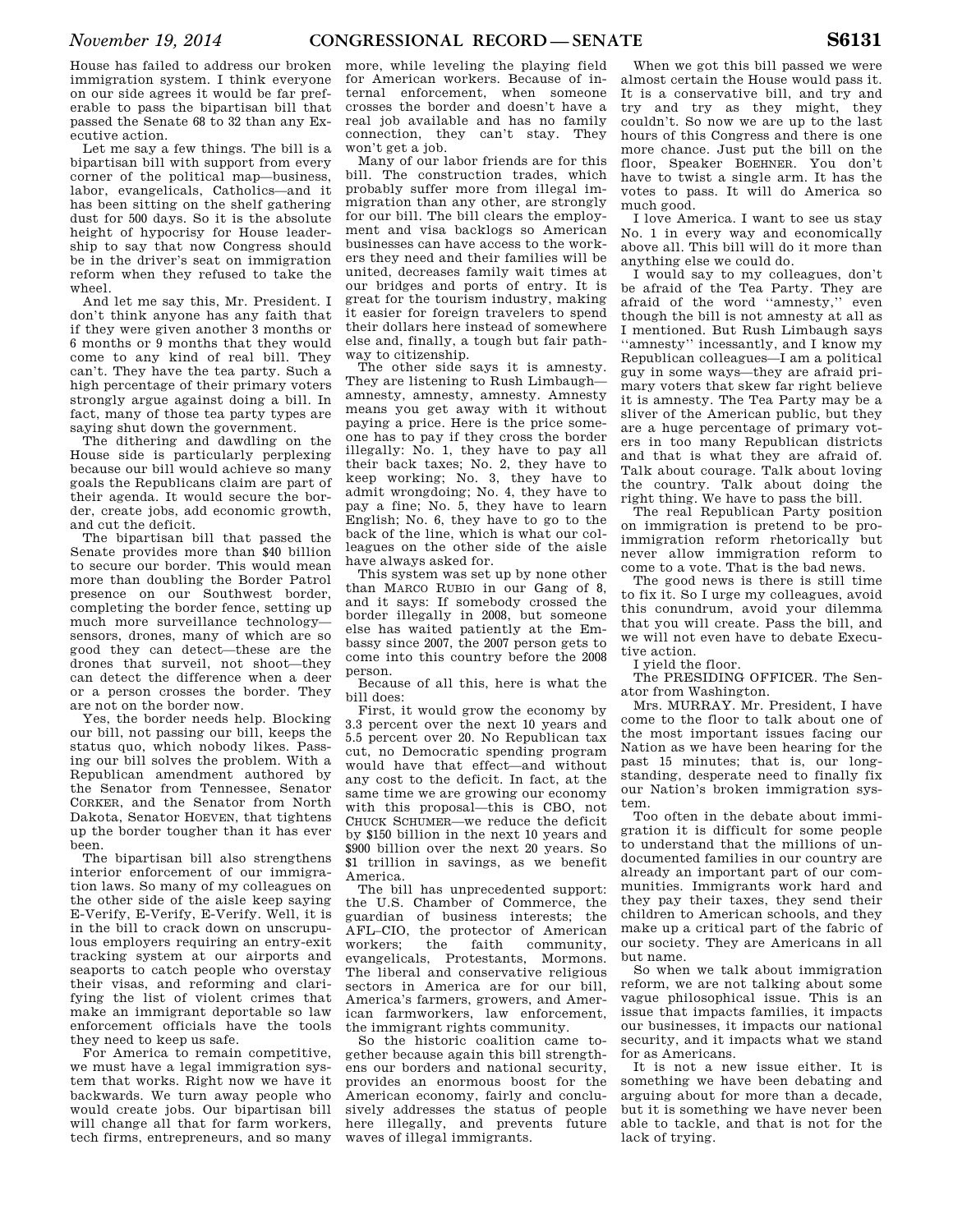House has failed to address our broken immigration system. I think everyone on our side agrees it would be far preferable to pass the bipartisan bill that passed the Senate 68 to 32 than any Executive action.

Let me say a few things. The bill is a bipartisan bill with support from every corner of the political map—business, labor, evangelicals, Catholics—and it has been sitting on the shelf gathering dust for 500 days. So it is the absolute height of hypocrisy for House leadership to say that now Congress should be in the driver's seat on immigration reform when they refused to take the wheel.

And let me say this, Mr. President. I don't think anyone has any faith that if they were given another 3 months or 6 months or 9 months that they would come to any kind of real bill. They can't. They have the tea party. Such a high percentage of their primary voters strongly argue against doing a bill. In fact, many of those tea party types are saying shut down the government.

The dithering and dawdling on the House side is particularly perplexing because our bill would achieve so many goals the Republicans claim are part of their agenda. It would secure the border, create jobs, add economic growth, and cut the deficit.

The bipartisan bill that passed the Senate provides more than \$40 billion to secure our border. This would mean more than doubling the Border Patrol presence on our Southwest border, completing the border fence, setting up much more surveillance technology sensors, drones, many of which are so good they can detect—these are the drones that surveil, not shoot—they can detect the difference when a deer or a person crosses the border. They are not on the border now.

Yes, the border needs help. Blocking our bill, not passing our bill, keeps the status quo, which nobody likes. Passing our bill solves the problem. With a Republican amendment authored by the Senator from Tennessee, Senator CORKER, and the Senator from North Dakota, Senator HOEVEN, that tightens up the border tougher than it has ever been.

The bipartisan bill also strengthens interior enforcement of our immigration laws. So many of my colleagues on the other side of the aisle keep saying E-Verify, E-Verify, E-Verify. Well, it is in the bill to crack down on unscrupulous employers requiring an entry-exit tracking system at our airports and seaports to catch people who overstay their visas, and reforming and clarifying the list of violent crimes that make an immigrant deportable so law enforcement officials have the tools they need to keep us safe.

For America to remain competitive, we must have a legal immigration system that works. Right now we have it backwards. We turn away people who would create jobs. Our bipartisan bill will change all that for farm workers, tech firms, entrepreneurs, and so many

more, while leveling the playing field for American workers. Because of internal enforcement, when someone crosses the border and doesn't have a real job available and has no family connection, they can't stay. They won't get a job.

Many of our labor friends are for this bill. The construction trades, which probably suffer more from illegal immigration than any other, are strongly for our bill. The bill clears the employment and visa backlogs so American businesses can have access to the workers they need and their families will be united, decreases family wait times at our bridges and ports of entry. It is great for the tourism industry, making it easier for foreign travelers to spend their dollars here instead of somewhere else and, finally, a tough but fair pathway to citizenship.

The other side says it is amnesty. They are listening to Rush Limbaugh amnesty, amnesty, amnesty. Amnesty means you get away with it without paying a price. Here is the price someone has to pay if they cross the border illegally: No. 1, they have to pay all their back taxes; No. 2, they have to keep working; No. 3, they have to admit wrongdoing; No. 4, they have to pay a fine; No. 5, they have to learn English; No. 6, they have to go to the back of the line, which is what our colleagues on the other side of the aisle have always asked for.

This system was set up by none other than MARCO RUBIO in our Gang of 8, and it says: If somebody crossed the border illegally in 2008, but someone else has waited patiently at the Embassy since 2007, the 2007 person gets to come into this country before the 2008 person.

Because of all this, here is what the bill does:

First, it would grow the economy by 3.3 percent over the next 10 years and 5.5 percent over 20. No Republican tax cut, no Democratic spending program would have that effect—and without any cost to the deficit. In fact, at the same time we are growing our economy with this proposal—this is CBO, not CHUCK SCHUMER—we reduce the deficit by \$150 billion in the next 10 years and \$900 billion over the next 20 years. So \$1 trillion in savings, as we benefit America.

The bill has unprecedented support: the U.S. Chamber of Commerce, the guardian of business interests; the AFL–CIO, the protector of American workers; the faith community, evangelicals, Protestants, Mormons. The liberal and conservative religious sectors in America are for our bill, America's farmers, growers, and American farmworkers, law enforcement, the immigrant rights community.

So the historic coalition came together because again this bill strengthens our borders and national security, provides an enormous boost for the American economy, fairly and conclusively addresses the status of people here illegally, and prevents future waves of illegal immigrants.

When we got this bill passed we were almost certain the House would pass it. It is a conservative bill, and try and try and try as they might, they couldn't. So now we are up to the last hours of this Congress and there is one more chance. Just put the bill on the floor, Speaker BOEHNER. You don't have to twist a single arm. It has the votes to pass. It will do America so much good.

I love America. I want to see us stay No. 1 in every way and economically above all. This bill will do it more than anything else we could do.

I would say to my colleagues, don't be afraid of the Tea Party. They are afraid of the word ''amnesty,'' even though the bill is not amnesty at all as I mentioned. But Rush Limbaugh says ''amnesty'' incessantly, and I know my Republican colleagues—I am a political guy in some ways—they are afraid primary voters that skew far right believe it is amnesty. The Tea Party may be a sliver of the American public, but they are a huge percentage of primary voters in too many Republican districts and that is what they are afraid of. Talk about courage. Talk about loving the country. Talk about doing the right thing. We have to pass the bill.

The real Republican Party position on immigration is pretend to be proimmigration reform rhetorically but never allow immigration reform to come to a vote. That is the bad news.

The good news is there is still time to fix it. So I urge my colleagues, avoid this conundrum, avoid your dilemma that you will create. Pass the bill, and we will not even have to debate Executive action.

I yield the floor.

The PRESIDING OFFICER. The Senator from Washington.

Mrs. MURRAY. Mr. President, I have come to the floor to talk about one of the most important issues facing our Nation as we have been hearing for the past 15 minutes; that is, our longstanding, desperate need to finally fix our Nation's broken immigration system.

Too often in the debate about immigration it is difficult for some people to understand that the millions of undocumented families in our country are already an important part of our communities. Immigrants work hard and they pay their taxes, they send their children to American schools, and they make up a critical part of the fabric of our society. They are Americans in all but name.

So when we talk about immigration reform, we are not talking about some vague philosophical issue. This is an issue that impacts families, it impacts our businesses, it impacts our national security, and it impacts what we stand for as Americans.

It is not a new issue either. It is something we have been debating and arguing about for more than a decade, but it is something we have never been able to tackle, and that is not for the lack of trying.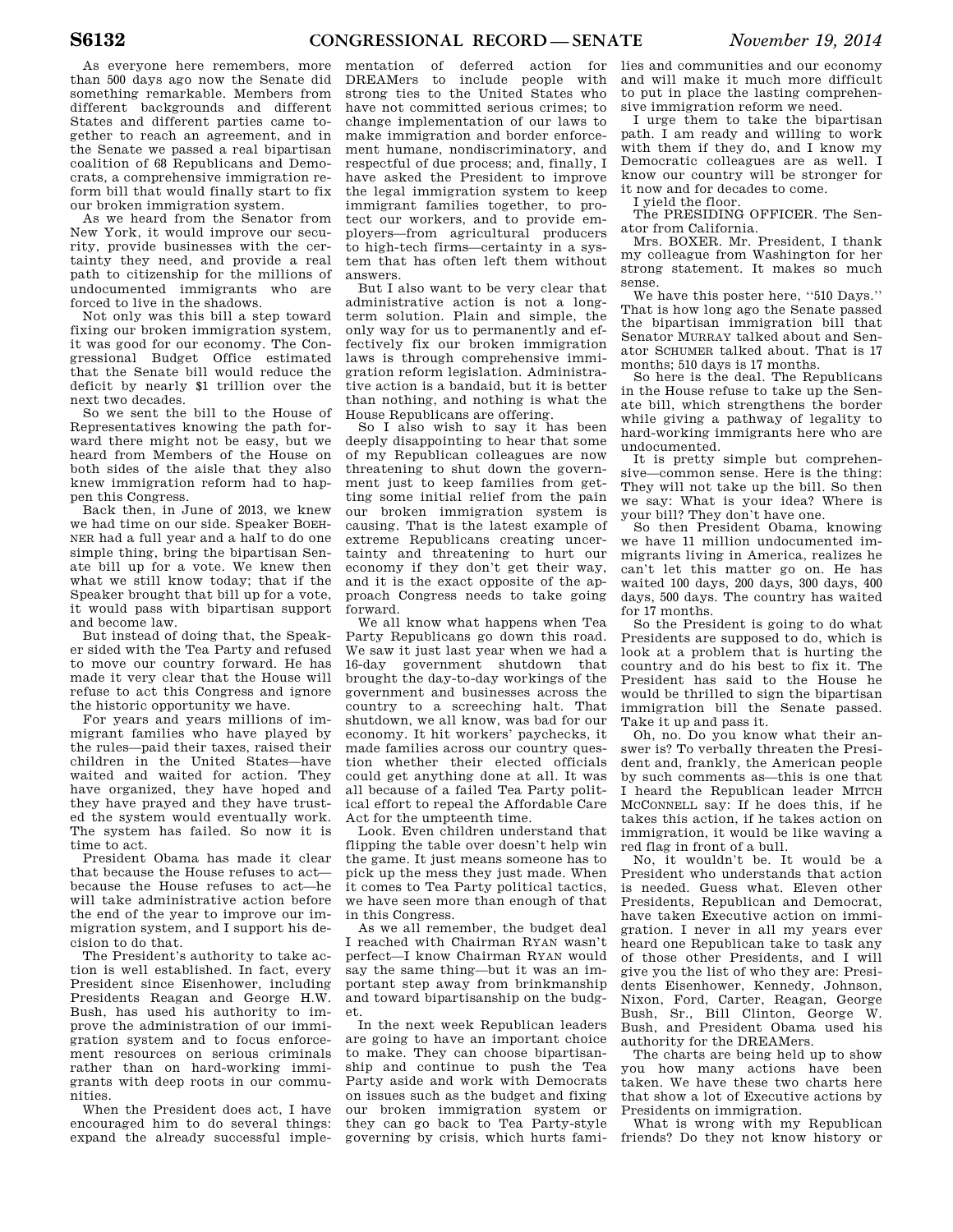As everyone here remembers, more than 500 days ago now the Senate did something remarkable. Members from different backgrounds and different States and different parties came together to reach an agreement, and in the Senate we passed a real bipartisan coalition of 68 Republicans and Democrats, a comprehensive immigration reform bill that would finally start to fix our broken immigration system.

As we heard from the Senator from New York, it would improve our security, provide businesses with the certainty they need, and provide a real path to citizenship for the millions of undocumented immigrants who are forced to live in the shadows.

Not only was this bill a step toward fixing our broken immigration system, it was good for our economy. The Congressional Budget Office estimated that the Senate bill would reduce the deficit by nearly \$1 trillion over the next two decades.

So we sent the bill to the House of Representatives knowing the path forward there might not be easy, but we heard from Members of the House on both sides of the aisle that they also knew immigration reform had to happen this Congress.

Back then, in June of 2013, we knew we had time on our side. Speaker BOEH-NER had a full year and a half to do one simple thing, bring the bipartisan Senate bill up for a vote. We knew then what we still know today; that if the Speaker brought that bill up for a vote, it would pass with bipartisan support and become law.

But instead of doing that, the Speaker sided with the Tea Party and refused to move our country forward. He has made it very clear that the House will refuse to act this Congress and ignore the historic opportunity we have.

For years and years millions of immigrant families who have played by the rules—paid their taxes, raised their children in the United States—have waited and waited for action. They have organized, they have hoped and they have prayed and they have trusted the system would eventually work. The system has failed. So now it is time to act.

President Obama has made it clear that because the House refuses to act because the House refuses to act—he will take administrative action before the end of the year to improve our immigration system, and I support his decision to do that.

The President's authority to take action is well established. In fact, every President since Eisenhower, including Presidents Reagan and George H.W. Bush, has used his authority to improve the administration of our immigration system and to focus enforcement resources on serious criminals rather than on hard-working immigrants with deep roots in our communities.

When the President does act, I have encouraged him to do several things: expand the already successful imple-

mentation of deferred action for DREAMers to include people with strong ties to the United States who have not committed serious crimes; to change implementation of our laws to make immigration and border enforcement humane, nondiscriminatory, and respectful of due process; and, finally, I have asked the President to improve the legal immigration system to keep immigrant families together, to protect our workers, and to provide employers—from agricultural producers to high-tech firms—certainty in a system that has often left them without answers.

But I also want to be very clear that administrative action is not a longterm solution. Plain and simple, the only way for us to permanently and effectively fix our broken immigration laws is through comprehensive immigration reform legislation. Administrative action is a bandaid, but it is better than nothing, and nothing is what the House Republicans are offering.

So I also wish to say it has been deeply disappointing to hear that some of my Republican colleagues are now threatening to shut down the government just to keep families from getting some initial relief from the pain our broken immigration system is causing. That is the latest example of extreme Republicans creating uncertainty and threatening to hurt our economy if they don't get their way, and it is the exact opposite of the approach Congress needs to take going forward.

We all know what happens when Tea Party Republicans go down this road. We saw it just last year when we had a<br>16-day government shutdown that government shutdown that brought the day-to-day workings of the government and businesses across the country to a screeching halt. That shutdown, we all know, was bad for our economy. It hit workers' paychecks, it made families across our country question whether their elected officials could get anything done at all. It was all because of a failed Tea Party political effort to repeal the Affordable Care Act for the umpteenth time.

Look. Even children understand that flipping the table over doesn't help win the game. It just means someone has to pick up the mess they just made. When it comes to Tea Party political tactics, we have seen more than enough of that in this Congress.

As we all remember, the budget deal I reached with Chairman RYAN wasn't perfect—I know Chairman RYAN would say the same thing—but it was an important step away from brinkmanship and toward bipartisanship on the budget.

In the next week Republican leaders are going to have an important choice to make. They can choose bipartisanship and continue to push the Tea Party aside and work with Democrats on issues such as the budget and fixing our broken immigration system or they can go back to Tea Party-style governing by crisis, which hurts fami-

lies and communities and our economy and will make it much more difficult to put in place the lasting comprehensive immigration reform we need.

I urge them to take the bipartisan path. I am ready and willing to work with them if they do, and I know my Democratic colleagues are as well. I know our country will be stronger for it now and for decades to come.

I yield the floor.

The PRESIDING OFFICER. The Senator from California.

Mrs. BOXER. Mr. President, I thank my colleague from Washington for her strong statement. It makes so much sense.

We have this poster here, "510 Days." That is how long ago the Senate passed the bipartisan immigration bill that Senator MURRAY talked about and Senator SCHUMER talked about. That is 17 months; 510 days is 17 months.

So here is the deal. The Republicans in the House refuse to take up the Senate bill, which strengthens the border while giving a pathway of legality to hard-working immigrants here who are undocumented.

It is pretty simple but comprehensive—common sense. Here is the thing: They will not take up the bill. So then we say: What is your idea? Where is your bill? They don't have one.

So then President Obama, knowing we have 11 million undocumented immigrants living in America, realizes he can't let this matter go on. He has waited 100 days, 200 days, 300 days, 400 days, 500 days. The country has waited for 17 months.

So the President is going to do what Presidents are supposed to do, which is look at a problem that is hurting the country and do his best to fix it. The President has said to the House he would be thrilled to sign the bipartisan immigration bill the Senate passed. Take it up and pass it.

Oh, no. Do you know what their answer is? To verbally threaten the President and, frankly, the American people by such comments as—this is one that I heard the Republican leader MITCH MCCONNELL say: If he does this, if he takes this action, if he takes action on immigration, it would be like waving a red flag in front of a bull.

No, it wouldn't be. It would be a President who understands that action is needed. Guess what. Eleven other Presidents, Republican and Democrat, have taken Executive action on immigration. I never in all my years ever heard one Republican take to task any of those other Presidents, and I will give you the list of who they are: Presidents Eisenhower, Kennedy, Johnson, Nixon, Ford, Carter, Reagan, George Bush, Sr., Bill Clinton, George W. Bush, and President Obama used his authority for the DREAMers.

The charts are being held up to show you how many actions have been taken. We have these two charts here that show a lot of Executive actions by Presidents on immigration.

What is wrong with my Republican friends? Do they not know history or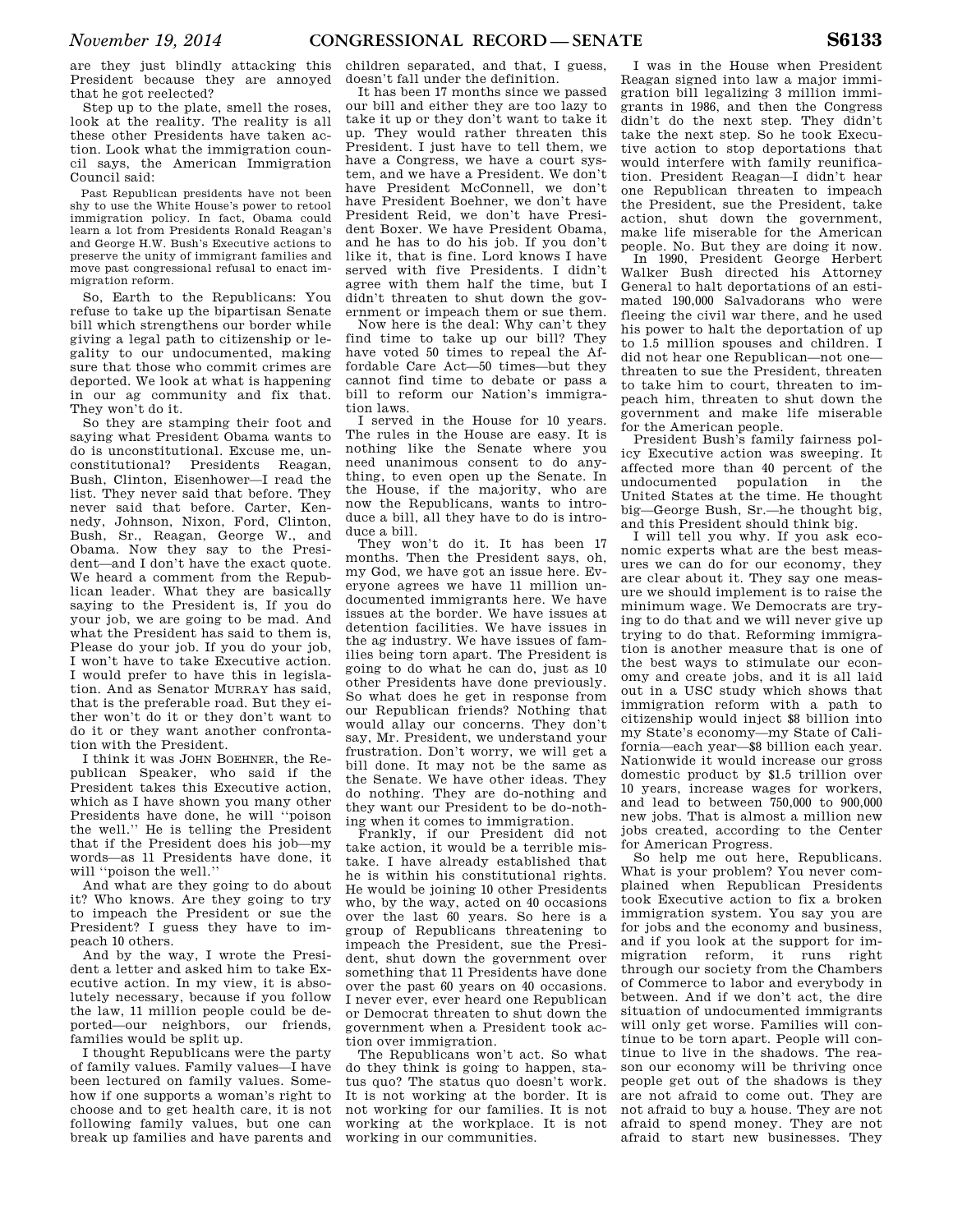are they just blindly attacking this President because they are annoyed that he got reelected?

Step up to the plate, smell the roses, look at the reality. The reality is all these other Presidents have taken action. Look what the immigration council says, the American Immigration Council said:

Past Republican presidents have not been shy to use the White House's power to retool immigration policy. In fact, Obama could learn a lot from Presidents Ronald Reagan's and George H.W. Bush's Executive actions to preserve the unity of immigrant families and move past congressional refusal to enact immigration reform.

So, Earth to the Republicans: You refuse to take up the bipartisan Senate bill which strengthens our border while giving a legal path to citizenship or legality to our undocumented, making sure that those who commit crimes are deported. We look at what is happening in our ag community and fix that. They won't do it.

So they are stamping their foot and saying what President Obama wants to do is unconstitutional. Excuse me, unconstitutional? Presidents Reagan, Bush, Clinton, Eisenhower—I read the list. They never said that before. They never said that before. Carter, Kennedy, Johnson, Nixon, Ford, Clinton, Bush, Sr., Reagan, George W., and Obama. Now they say to the President—and I don't have the exact quote. We heard a comment from the Republican leader. What they are basically saying to the President is, If you do your job, we are going to be mad. And what the President has said to them is, Please do your job. If you do your job, I won't have to take Executive action. I would prefer to have this in legislation. And as Senator MURRAY has said, that is the preferable road. But they either won't do it or they don't want to do it or they want another confrontation with the President.

I think it was JOHN BOEHNER, the Republican Speaker, who said if the President takes this Executive action, which as I have shown you many other Presidents have done, he will ''poison the well.'' He is telling the President that if the President does his job—my words—as 11 Presidents have done, it will ''poison the well.''

And what are they going to do about it? Who knows. Are they going to try to impeach the President or sue the President? I guess they have to impeach 10 others.

And by the way, I wrote the President a letter and asked him to take Executive action. In my view, it is absolutely necessary, because if you follow the law, 11 million people could be deported—our neighbors, our friends, families would be split up.

I thought Republicans were the party of family values. Family values—I have been lectured on family values. Somehow if one supports a woman's right to choose and to get health care, it is not following family values, but one can break up families and have parents and

children separated, and that, I guess, doesn't fall under the definition.

It has been 17 months since we passed our bill and either they are too lazy to take it up or they don't want to take it up. They would rather threaten this President. I just have to tell them, we have a Congress, we have a court system, and we have a President. We don't have President McConnell, we don't have President Boehner, we don't have President Reid, we don't have President Boxer. We have President Obama, and he has to do his job. If you don't like it, that is fine. Lord knows I have served with five Presidents. I didn't agree with them half the time, but I didn't threaten to shut down the government or impeach them or sue them.

Now here is the deal: Why can't they find time to take up our bill? They have voted 50 times to repeal the Affordable Care Act—50 times—but they cannot find time to debate or pass a bill to reform our Nation's immigration laws.

I served in the House for 10 years. The rules in the House are easy. It is nothing like the Senate where you need unanimous consent to do anything, to even open up the Senate. In the House, if the majority, who are now the Republicans, wants to introduce a bill, all they have to do is introduce a bill.

They won't do it. It has been 17 months. Then the President says, oh, my God, we have got an issue here. Everyone agrees we have 11 million undocumented immigrants here. We have issues at the border. We have issues at detention facilities. We have issues in the ag industry. We have issues of families being torn apart. The President is going to do what he can do, just as 10 other Presidents have done previously. So what does he get in response from our Republican friends? Nothing that would allay our concerns. They don't say, Mr. President, we understand your frustration. Don't worry, we will get a bill done. It may not be the same as the Senate. We have other ideas. They do nothing. They are do-nothing and they want our President to be do-nothing when it comes to immigration.

Frankly, if our President did not take action, it would be a terrible mistake. I have already established that he is within his constitutional rights. He would be joining 10 other Presidents who, by the way, acted on 40 occasions over the last 60 years. So here is a group of Republicans threatening to impeach the President, sue the President, shut down the government over something that 11 Presidents have done over the past 60 years on 40 occasions. I never ever, ever heard one Republican or Democrat threaten to shut down the government when a President took action over immigration.

The Republicans won't act. So what do they think is going to happen, status quo? The status quo doesn't work. It is not working at the border. It is not working for our families. It is not working at the workplace. It is not working in our communities.

I was in the House when President Reagan signed into law a major immigration bill legalizing 3 million immigrants in 1986, and then the Congress didn't do the next step. They didn't take the next step. So he took Executive action to stop deportations that would interfere with family reunification. President Reagan—I didn't hear one Republican threaten to impeach the President, sue the President, take action, shut down the government, make life miserable for the American people. No. But they are doing it now.

In 1990, President George Herbert Walker Bush directed his Attorney General to halt deportations of an estimated 190,000 Salvadorans who were fleeing the civil war there, and he used his power to halt the deportation of up to 1.5 million spouses and children. I did not hear one Republican—not one threaten to sue the President, threaten to take him to court, threaten to impeach him, threaten to shut down the government and make life miserable for the American people.

President Bush's family fairness policy Executive action was sweeping. It affected more than 40 percent of the undocumented population in the United States at the time. He thought big—George Bush, Sr.—he thought big, and this President should think big.

I will tell you why. If you ask economic experts what are the best measures we can do for our economy, they are clear about it. They say one measure we should implement is to raise the minimum wage. We Democrats are trying to do that and we will never give up trying to do that. Reforming immigration is another measure that is one of the best ways to stimulate our economy and create jobs, and it is all laid out in a USC study which shows that immigration reform with a path to citizenship would inject \$8 billion into my State's economy—my State of California—each year—\$8 billion each year. Nationwide it would increase our gross domestic product by \$1.5 trillion over 10 years, increase wages for workers, and lead to between 750,000 to 900,000 new jobs. That is almost a million new jobs created, according to the Center for American Progress.

So help me out here, Republicans. What is your problem? You never complained when Republican Presidents took Executive action to fix a broken immigration system. You say you are for jobs and the economy and business, and if you look at the support for immigration reform, it runs right through our society from the Chambers of Commerce to labor and everybody in between. And if we don't act, the dire situation of undocumented immigrants will only get worse. Families will continue to be torn apart. People will continue to live in the shadows. The reason our economy will be thriving once people get out of the shadows is they are not afraid to come out. They are not afraid to buy a house. They are not afraid to spend money. They are not afraid to start new businesses. They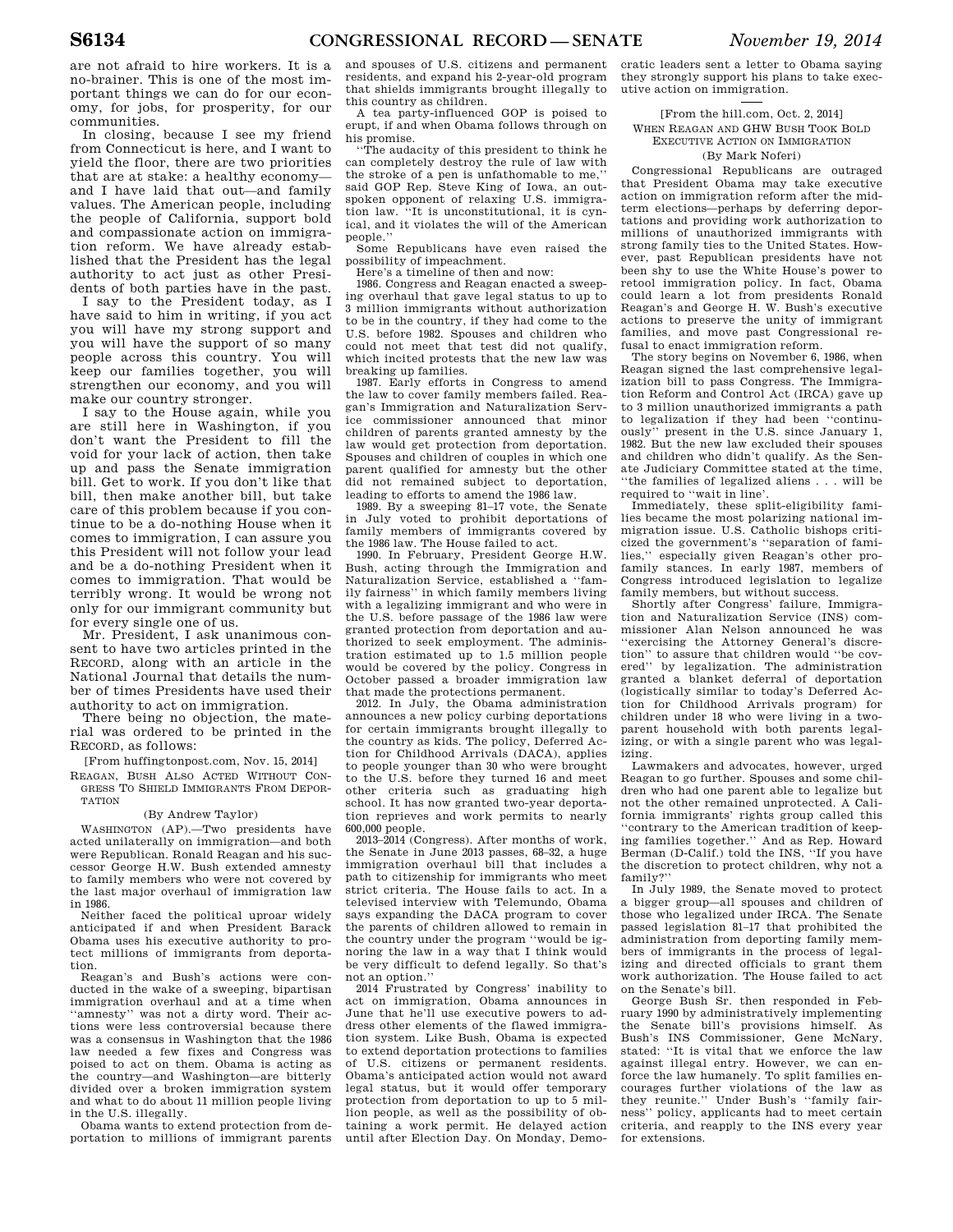are not afraid to hire workers. It is a no-brainer. This is one of the most important things we can do for our economy, for jobs, for prosperity, for our communities.

In closing, because I see my friend from Connecticut is here, and I want to yield the floor, there are two priorities that are at stake: a healthy economy and I have laid that out—and family values. The American people, including the people of California, support bold and compassionate action on immigration reform. We have already established that the President has the legal authority to act just as other Presidents of both parties have in the past.

I say to the President today, as I have said to him in writing, if you act you will have my strong support and you will have the support of so many people across this country. You will keep our families together, you will strengthen our economy, and you will make our country stronger.

I say to the House again, while you are still here in Washington, if you don't want the President to fill the void for your lack of action, then take up and pass the Senate immigration bill. Get to work. If you don't like that bill, then make another bill, but take care of this problem because if you continue to be a do-nothing House when it comes to immigration, I can assure you this President will not follow your lead and be a do-nothing President when it comes to immigration. That would be terribly wrong. It would be wrong not only for our immigrant community but for every single one of us.

Mr. President, I ask unanimous consent to have two articles printed in the RECORD, along with an article in the National Journal that details the number of times Presidents have used their authority to act on immigration.

There being no objection, the material was ordered to be printed in the RECORD, as follows:

[From huffingtonpost.com, Nov. 15, 2014]

REAGAN, BUSH ALSO ACTED WITHOUT CON-GRESS TO SHIELD IMMIGRANTS FROM DEPOR-**TATION** 

### (By Andrew Taylor)

WASHINGTON (AP).—Two presidents have acted unilaterally on immigration—and both were Republican. Ronald Reagan and his successor George H.W. Bush extended amnesty to family members who were not covered by the last major overhaul of immigration law in 1986.

Neither faced the political uproar widely anticipated if and when President Barack Obama uses his executive authority to protect millions of immigrants from deportation.

Reagan's and Bush's actions were conducted in the wake of a sweeping, bipartisan immigration overhaul and at a time when ''amnesty'' was not a dirty word. Their actions were less controversial because there was a consensus in Washington that the 1986 law needed a few fixes and Congress was poised to act on them. Obama is acting as the country—and Washington—are bitterly divided over a broken immigration system and what to do about 11 million people living in the U.S. illegally.

Obama wants to extend protection from deportation to millions of immigrant parents and spouses of U.S. citizens and permanent residents, and expand his 2-year-old program that shields immigrants brought illegally to this country as children.

A tea party-influenced GOP is poised to erupt, if and when Obama follows through on his promise.

''The audacity of this president to think he can completely destroy the rule of law with the stroke of a pen is unfathomable to me,'' said GOP Rep. Steve King of Iowa, an outspoken opponent of relaxing U.S. immigration law. ''It is unconstitutional, it is cynical, and it violates the will of the American people.''

Some Republicans have even raised the possibility of impeachment.

Here's a timeline of then and now:

1986. Congress and Reagan enacted a sweeping overhaul that gave legal status to up to 3 million immigrants without authorization to be in the country, if they had come to the U.S. before 1982. Spouses and children who could not meet that test did not qualify, which incited protests that the new law was breaking up families.

1987. Early efforts in Congress to amend the law to cover family members failed. Reagan's Immigration and Naturalization Service commissioner announced that minor children of parents granted amnesty by the law would get protection from deportation. Spouses and children of couples in which one parent qualified for amnesty but the other did not remained subject to deportation, leading to efforts to amend the 1986 law.

1989. By a sweeping 81–17 vote, the Senate in July voted to prohibit deportations of family members of immigrants covered by the 1986 law. The House failed to act.

1990. In February, President George H.W. Bush, acting through the Immigration and Naturalization Service, established a ''family fairness'' in which family members living with a legalizing immigrant and who were in the U.S. before passage of the 1986 law were granted protection from deportation and authorized to seek employment. The administration estimated up to 1.5 million people would be covered by the policy. Congress in October passed a broader immigration law that made the protections permanent.

2012. In July, the Obama administration announces a new policy curbing deportations for certain immigrants brought illegally to the country as kids. The policy, Deferred Action for Childhood Arrivals (DACA), applies to people younger than 30 who were brought to the U.S. before they turned 16 and meet other criteria such as graduating high school. It has now granted two-year deportation reprieves and work permits to nearly 600,000 people.

2013–2014 (Congress). After months of work, the Senate in June 2013 passes, 68–32, a huge immigration overhaul bill that includes a path to citizenship for immigrants who meet strict criteria. The House fails to act. In a televised interview with Telemundo, Obama says expanding the DACA program to cover the parents of children allowed to remain in the country under the program ''would be ignoring the law in a way that I think would be very difficult to defend legally. So that's not an option.''

2014 Frustrated by Congress' inability to act on immigration, Obama announces in June that he'll use executive powers to address other elements of the flawed immigration system. Like Bush, Obama is expected to extend deportation protections to families of U.S. citizens or permanent residents. Obama's anticipated action would not award legal status, but it would offer temporary protection from deportation to up to 5 million people, as well as the possibility of obtaining a work permit. He delayed action until after Election Day. On Monday, Democratic leaders sent a letter to Obama saying they strongly support his plans to take executive action on immigration.

### [From the hill.com, Oct. 2, 2014] WHEN REAGAN AND GHW BUSH TOOK BOLD EXECUTIVE ACTION ON IMMIGRATION

### (By Mark Noferi)

Congressional Republicans are outraged that President Obama may take executive action on immigration reform after the midterm elections—perhaps by deferring deportations and providing work authorization to millions of unauthorized immigrants with strong family ties to the United States. However, past Republican presidents have not been shy to use the White House's power to retool immigration policy. In fact, Obama could learn a lot from presidents Ronald Reagan's and George H. W. Bush's executive actions to preserve the unity of immigrant families, and move past Congressional refusal to enact immigration reform.

The story begins on November 6, 1986, when Reagan signed the last comprehensive legalization bill to pass Congress. The Immigration Reform and Control Act (IRCA) gave up to 3 million unauthorized immigrants a path to legalization if they had been ''continuously'' present in the U.S. since January 1, 1982. But the new law excluded their spouses and children who didn't qualify. As the Senate Judiciary Committee stated at the time, ''the families of legalized aliens . . . will be required to ''wait in line'.

Immediately, these split-eligibility families became the most polarizing national immigration issue. U.S. Catholic bishops criticized the government's ''separation of families,'' especially given Reagan's other profamily stances. In early 1987, members of Congress introduced legislation to legalize family members, but without success.

Shortly after Congress' failure, Immigration and Naturalization Service (INS) commissioner Alan Nelson announced he was ''exercising the Attorney General's discretion'' to assure that children would ''be covered'' by legalization. The administration granted a blanket deferral of deportation (logistically similar to today's Deferred Action for Childhood Arrivals program) for children under 18 who were living in a twoparent household with both parents legalizing, or with a single parent who was legalizing.

Lawmakers and advocates, however, urged Reagan to go further. Spouses and some children who had one parent able to legalize but not the other remained unprotected. A California immigrants' rights group called this ''contrary to the American tradition of keeping families together.'' And as Rep. Howard Berman (D-Calif.) told the INS, ''If you have the discretion to protect children, why not a family?''

In July 1989, the Senate moved to protect a bigger group—all spouses and children of those who legalized under IRCA. The Senate passed legislation 81–17 that prohibited the administration from deporting family members of immigrants in the process of legalizing and directed officials to grant them work authorization. The House failed to act on the Senate's bill.

George Bush Sr. then responded in February 1990 by administratively implementing the Senate bill's provisions himself. As Bush's INS Commissioner, Gene McNary, stated: ''It is vital that we enforce the law against illegal entry. However, we can enforce the law humanely. To split families encourages further violations of the law as they reunite.'' Under Bush's ''family fairness'' policy, applicants had to meet certain criteria, and reapply to the INS every year for extensions.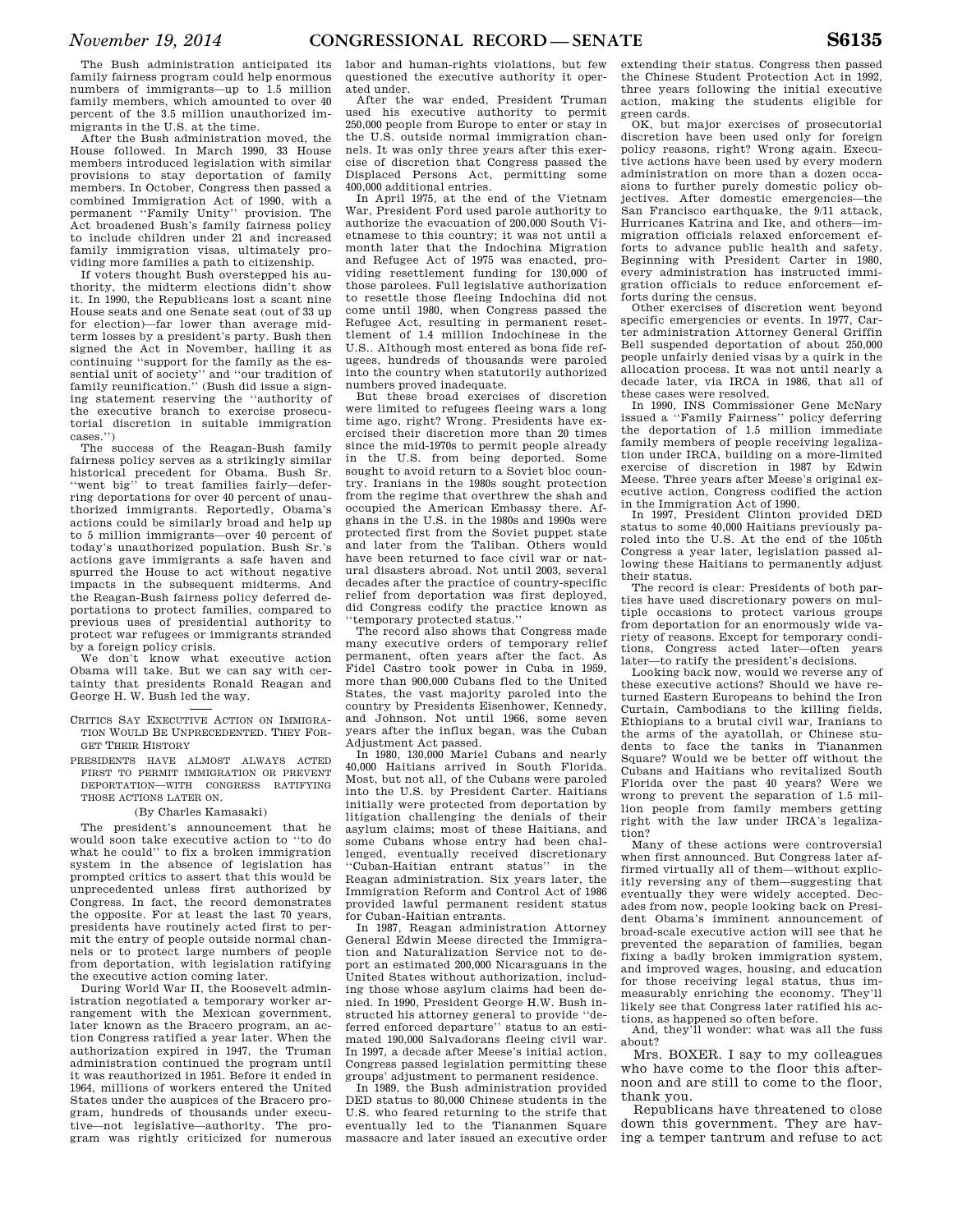The Bush administration anticipated its family fairness program could help enormous numbers of immigrants—up to 1.5 million family members, which amounted to over 40 percent of the 3.5 million unauthorized immigrants in the U.S. at the time.

After the Bush administration moved, the House followed. In March 1990, 33 House members introduced legislation with similar provisions to stay deportation of family members. In October, Congress then passed a combined Immigration Act of 1990, with a permanent ''Family Unity'' provision. The Act broadened Bush's family fairness policy to include children under 21 and increased family immigration visas, ultimately providing more families a path to citizenship.

If voters thought Bush overstepped his authority, the midterm elections didn't show it. In 1990, the Republicans lost a scant nine House seats and one Senate seat (out of 33 up for election)—far lower than average midterm losses by a president's party. Bush then signed the Act in November, hailing it as continuing ''support for the family as the essential unit of society'' and ''our tradition of family reunification.'' (Bush did issue a signing statement reserving the ''authority of the executive branch to exercise prosecutorial discretion in suitable immigration cases.'')

The success of the Reagan-Bush family fairness policy serves as a strikingly similar historical precedent for Obama. Bush Sr. ''went big'' to treat families fairly—deferring deportations for over 40 percent of unauthorized immigrants. Reportedly, Obama's actions could be similarly broad and help up to 5 million immigrants—over 40 percent of today's unauthorized population. Bush Sr.'s actions gave immigrants a safe haven and spurred the House to act without negative impacts in the subsequent midterms. And the Reagan-Bush fairness policy deferred deportations to protect families, compared to previous uses of presidential authority to protect war refugees or immigrants stranded by a foreign policy crisis.

We don't know what executive action Obama will take. But we can say with certainty that presidents Ronald Reagan and George H. W. Bush led the way.

- CRITICS SAY EXECUTIVE ACTION ON IMMIGRA-TION WOULD BE UNPRECEDENTED. THEY FOR-GET THEIR HISTORY
- PRESIDENTS HAVE ALMOST ALWAYS ACTED FIRST TO PERMIT IMMIGRATION OR PREVENT DEPORTATION—WITH CONGRESS RATIFYING THOSE ACTIONS LATER ON.

### (By Charles Kamasaki)

The president's announcement that he would soon take executive action to ''to do what he could'' to fix a broken immigration system in the absence of legislation has prompted critics to assert that this would be unprecedented unless first authorized by Congress. In fact, the record demonstrates the opposite. For at least the last 70 years, presidents have routinely acted first to permit the entry of people outside normal channels or to protect large numbers of people from deportation, with legislation ratifying the executive action coming later.

During World War II, the Roosevelt administration negotiated a temporary worker arrangement with the Mexican government, later known as the Bracero program, an action Congress ratified a year later. When the authorization expired in 1947, the Truman administration continued the program until it was reauthorized in 1951. Before it ended in 1964, millions of workers entered the United States under the auspices of the Bracero program, hundreds of thousands under executive—not legislative—authority. The program was rightly criticized for numerous

labor and human-rights violations, but few questioned the executive authority it operated under.

After the war ended, President Truman used his executive authority to permit 250,000 people from Europe to enter or stay in the U.S. outside normal immigration channels. It was only three years after this exercise of discretion that Congress passed the Displaced Persons Act, permitting some 400,000 additional entries.

In April 1975, at the end of the Vietnam War, President Ford used parole authority to authorize the evacuation of 200,000 South Vietnamese to this country; it was not until a month later that the Indochina Migration and Refugee Act of 1975 was enacted, providing resettlement funding for 130,000 of those parolees. Full legislative authorization to resettle those fleeing Indochina did not come until 1980, when Congress passed the Refugee Act, resulting in permanent resettlement of 1.4 million Indochinese in the U.S.. Although most entered as bona fide refugees, hundreds of thousands were paroled into the country when statutorily authorized numbers proved inadequate.

But these broad exercises of discretion were limited to refugees fleeing wars a long time ago, right? Wrong. Presidents have exercised their discretion more than 20 times since the mid-1970s to permit people already in the U.S. from being deported. Some sought to avoid return to a Soviet bloc country. Iranians in the 1980s sought protection from the regime that overthrew the shah and occupied the American Embassy there. Afghans in the U.S. in the 1980s and 1990s were protected first from the Soviet puppet state and later from the Taliban. Others would have been returned to face civil war or natural disasters abroad. Not until 2003, several decades after the practice of country-specific relief from deportation was first deployed, did Congress codify the practice known as ''temporary protected status.''

The record also shows that Congress made many executive orders of temporary relief permanent, often years after the fact. As Fidel Castro took power in Cuba in 1959, more than 900,000 Cubans fled to the United States, the vast majority paroled into the country by Presidents Eisenhower, Kennedy, and Johnson. Not until 1966, some seven years after the influx began, was the Cuban Adjustment Act passed.

In 1980, 130,000 Mariel Cubans and nearly 40,000 Haitians arrived in South Florida. Most, but not all, of the Cubans were paroled into the U.S. by President Carter. Haitians initially were protected from deportation by litigation challenging the denials of their asylum claims; most of these Haitians, and some Cubans whose entry had been challenged, eventually received discretionary ''Cuban-Haitian entrant status'' in the Reagan administration. Six years later, the Immigration Reform and Control Act of 1986 provided lawful permanent resident status for Cuban-Haitian entrants.

In 1987, Reagan administration Attorney General Edwin Meese directed the Immigration and Naturalization Service not to deport an estimated 200,000 Nicaraguans in the United States without authorization, including those whose asylum claims had been denied. In 1990, President George H.W. Bush instructed his attorney general to provide ''deferred enforced departure'' status to an estimated 190,000 Salvadorans fleeing civil war. In 1997, a decade after Meese's initial action, Congress passed legislation permitting these groups' adjustment to permanent residence.

In 1989, the Bush administration provided DED status to 80,000 Chinese students in the U.S. who feared returning to the strife that eventually led to the Tiananmen Square massacre and later issued an executive order

extending their status. Congress then passed the Chinese Student Protection Act in 1992, three years following the initial executive action, making the students eligible for green cards.

OK, but major exercises of prosecutorial discretion have been used only for foreign policy reasons, right? Wrong again. Executive actions have been used by every modern administration on more than a dozen occasions to further purely domestic policy objectives. After domestic emergencies—the San Francisco earthquake, the 9/11 attack, Hurricanes Katrina and Ike, and others—immigration officials relaxed enforcement efforts to advance public health and safety. Beginning with President Carter in 1980, every administration has instructed immigration officials to reduce enforcement efforts during the census.

Other exercises of discretion went beyond specific emergencies or events. In 1977, Carter administration Attorney General Griffin Bell suspended deportation of about 250,000 people unfairly denied visas by a quirk in the allocation process. It was not until nearly a decade later, via IRCA in 1986, that all of these cases were resolved.

In 1990, INS Commissioner Gene McNary issued a ''Family Fairness'' policy deferring the deportation of 1.5 million immediate family members of people receiving legalization under IRCA, building on a more-limited exercise of discretion in 1987 by Edwin Meese. Three years after Meese's original executive action, Congress codified the action in the Immigration Act of 1990.

In 1997, President Clinton provided DED status to some 40,000 Haitians previously paroled into the U.S. At the end of the 105th Congress a year later, legislation passed allowing these Haitians to permanently adjust their status.

The record is clear: Presidents of both parties have used discretionary powers on multiple occasions to protect various groups from deportation for an enormously wide variety of reasons. Except for temporary conditions, Congress acted later—often years later—to ratify the president's decisions.

Looking back now, would we reverse any of these executive actions? Should we have returned Eastern Europeans to behind the Iron Curtain, Cambodians to the killing fields, Ethiopians to a brutal civil war, Iranians to the arms of the ayatollah, or Chinese students to face the tanks in Tiananmen Square? Would we be better off without the Cubans and Haitians who revitalized South Florida over the past 40 years? Were we wrong to prevent the separation of 1.5 million people from family members getting right with the law under IRCA's legalization?

Many of these actions were controversial when first announced. But Congress later affirmed virtually all of them—without explicitly reversing any of them—suggesting that eventually they were widely accepted. Decades from now, people looking back on President Obama's imminent announcement of broad-scale executive action will see that he prevented the separation of families, began fixing a badly broken immigration system, and improved wages, housing, and education for those receiving legal status, thus immeasurably enriching the economy. They'll likely see that Congress later ratified his actions, as happened so often before.

And, they'll wonder: what was all the fuss about?

Mrs. BOXER. I say to my colleagues who have come to the floor this afternoon and are still to come to the floor, thank you.

Republicans have threatened to close down this government. They are having a temper tantrum and refuse to act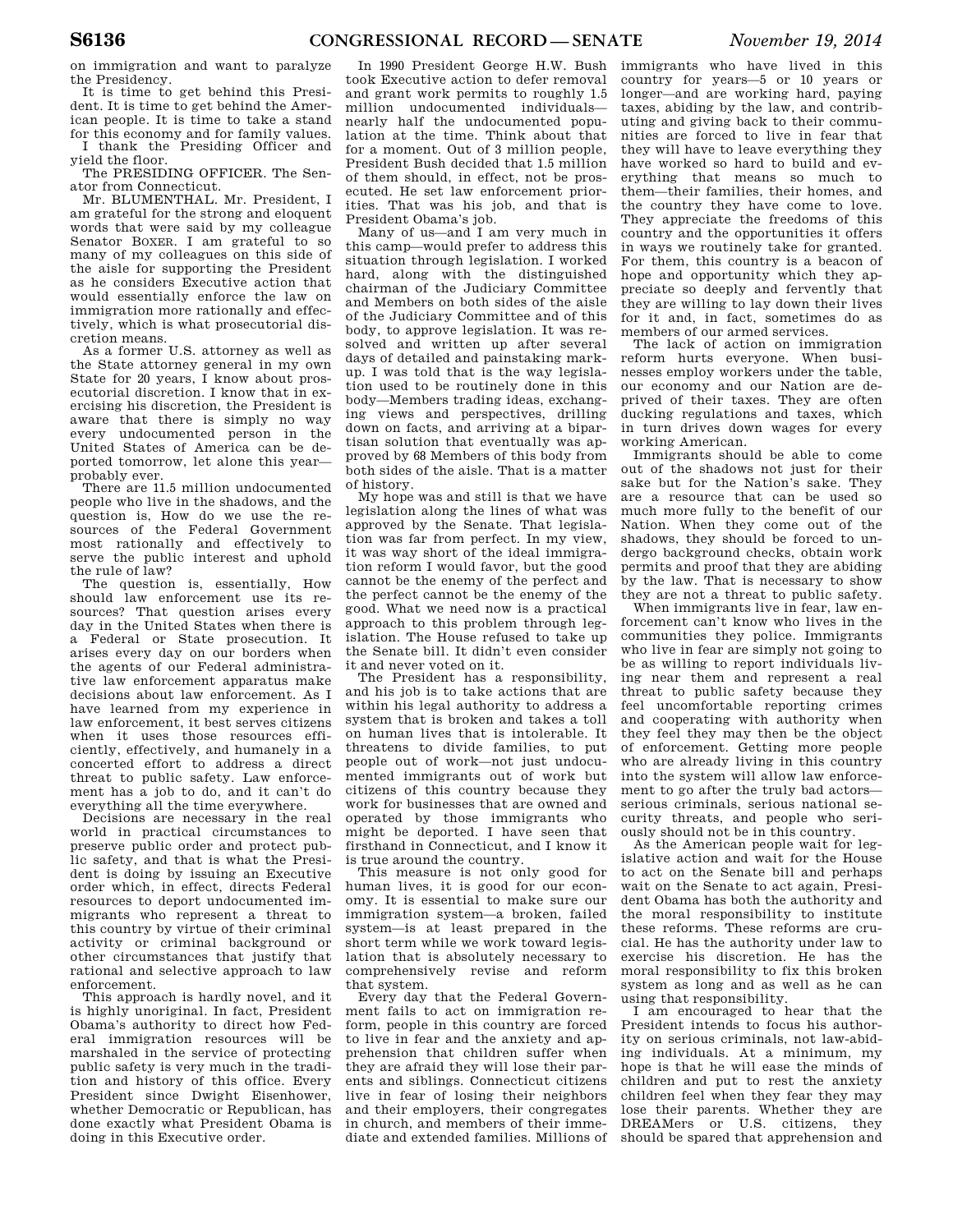on immigration and want to paralyze the Presidency.

It is time to get behind this President. It is time to get behind the American people. It is time to take a stand for this economy and for family values.

I thank the Presiding Officer and yield the floor.

The PRESIDING OFFICER. The Senator from Connecticut.

Mr. BLUMENTHAL. Mr. President, I am grateful for the strong and eloquent words that were said by my colleague Senator BOXER. I am grateful to so many of my colleagues on this side of the aisle for supporting the President as he considers Executive action that would essentially enforce the law on immigration more rationally and effectively, which is what prosecutorial discretion means.

As a former U.S. attorney as well as the State attorney general in my own State for 20 years, I know about prosecutorial discretion. I know that in exercising his discretion, the President is aware that there is simply no way every undocumented person in the United States of America can be deported tomorrow, let alone this year probably ever.

There are 11.5 million undocumented people who live in the shadows, and the question is, How do we use the resources of the Federal Government most rationally and effectively to serve the public interest and uphold the rule of law?

The question is, essentially, How should law enforcement use its resources? That question arises every day in the United States when there is a Federal or State prosecution. It arises every day on our borders when the agents of our Federal administrative law enforcement apparatus make decisions about law enforcement. As I have learned from my experience in law enforcement, it best serves citizens when it uses those resources efficiently, effectively, and humanely in a concerted effort to address a direct threat to public safety. Law enforcement has a job to do, and it can't do everything all the time everywhere.

Decisions are necessary in the real world in practical circumstances to preserve public order and protect public safety, and that is what the President is doing by issuing an Executive order which, in effect, directs Federal resources to deport undocumented immigrants who represent a threat to this country by virtue of their criminal activity or criminal background or other circumstances that justify that rational and selective approach to law enforcement.

This approach is hardly novel, and it is highly unoriginal. In fact, President Obama's authority to direct how Federal immigration resources will be marshaled in the service of protecting public safety is very much in the tradition and history of this office. Every President since Dwight Eisenhower, whether Democratic or Republican, has done exactly what President Obama is doing in this Executive order.

In 1990 President George H.W. Bush took Executive action to defer removal and grant work permits to roughly 1.5 million undocumented individuals nearly half the undocumented population at the time. Think about that for a moment. Out of 3 million people, President Bush decided that 1.5 million of them should, in effect, not be prosecuted. He set law enforcement priorities. That was his job, and that is President Obama's job.

Many of us—and I am very much in this camp—would prefer to address this situation through legislation. I worked hard, along with the distinguished chairman of the Judiciary Committee and Members on both sides of the aisle of the Judiciary Committee and of this body, to approve legislation. It was resolved and written up after several days of detailed and painstaking markup. I was told that is the way legislation used to be routinely done in this body—Members trading ideas, exchanging views and perspectives, drilling down on facts, and arriving at a bipartisan solution that eventually was approved by 68 Members of this body from both sides of the aisle. That is a matter of history.

My hope was and still is that we have legislation along the lines of what was approved by the Senate. That legislation was far from perfect. In my view, it was way short of the ideal immigration reform I would favor, but the good cannot be the enemy of the perfect and the perfect cannot be the enemy of the good. What we need now is a practical approach to this problem through legislation. The House refused to take up the Senate bill. It didn't even consider it and never voted on it.

The President has a responsibility, and his job is to take actions that are within his legal authority to address a system that is broken and takes a toll on human lives that is intolerable. It threatens to divide families, to put people out of work—not just undocumented immigrants out of work but citizens of this country because they work for businesses that are owned and operated by those immigrants who might be deported. I have seen that firsthand in Connecticut, and I know it is true around the country.

This measure is not only good for human lives, it is good for our economy. It is essential to make sure our immigration system—a broken, failed system—is at least prepared in the short term while we work toward legislation that is absolutely necessary to comprehensively revise and reform that system.

Every day that the Federal Government fails to act on immigration reform, people in this country are forced to live in fear and the anxiety and apprehension that children suffer when they are afraid they will lose their parents and siblings. Connecticut citizens live in fear of losing their neighbors and their employers, their congregates in church, and members of their immediate and extended families. Millions of

immigrants who have lived in this country for years—5 or 10 years or longer—and are working hard, paying taxes, abiding by the law, and contributing and giving back to their communities are forced to live in fear that they will have to leave everything they have worked so hard to build and everything that means so much to them—their families, their homes, and the country they have come to love. They appreciate the freedoms of this country and the opportunities it offers in ways we routinely take for granted. For them, this country is a beacon of hope and opportunity which they appreciate so deeply and fervently that they are willing to lay down their lives for it and, in fact, sometimes do as members of our armed services.

The lack of action on immigration reform hurts everyone. When businesses employ workers under the table, our economy and our Nation are deprived of their taxes. They are often ducking regulations and taxes, which in turn drives down wages for every working American.

Immigrants should be able to come out of the shadows not just for their sake but for the Nation's sake. They are a resource that can be used so much more fully to the benefit of our Nation. When they come out of the shadows, they should be forced to undergo background checks, obtain work permits and proof that they are abiding by the law. That is necessary to show they are not a threat to public safety.

When immigrants live in fear, law enforcement can't know who lives in the communities they police. Immigrants who live in fear are simply not going to be as willing to report individuals living near them and represent a real threat to public safety because they feel uncomfortable reporting crimes and cooperating with authority when they feel they may then be the object of enforcement. Getting more people who are already living in this country into the system will allow law enforcement to go after the truly bad actors serious criminals, serious national security threats, and people who seriously should not be in this country.

As the American people wait for legislative action and wait for the House to act on the Senate bill and perhaps wait on the Senate to act again, President Obama has both the authority and the moral responsibility to institute these reforms. These reforms are crucial. He has the authority under law to exercise his discretion. He has the moral responsibility to fix this broken system as long and as well as he can using that responsibility.

I am encouraged to hear that the President intends to focus his authority on serious criminals, not law-abiding individuals. At a minimum, my hope is that he will ease the minds of children and put to rest the anxiety children feel when they fear they may lose their parents. Whether they are DREAMers or U.S. citizens, they should be spared that apprehension and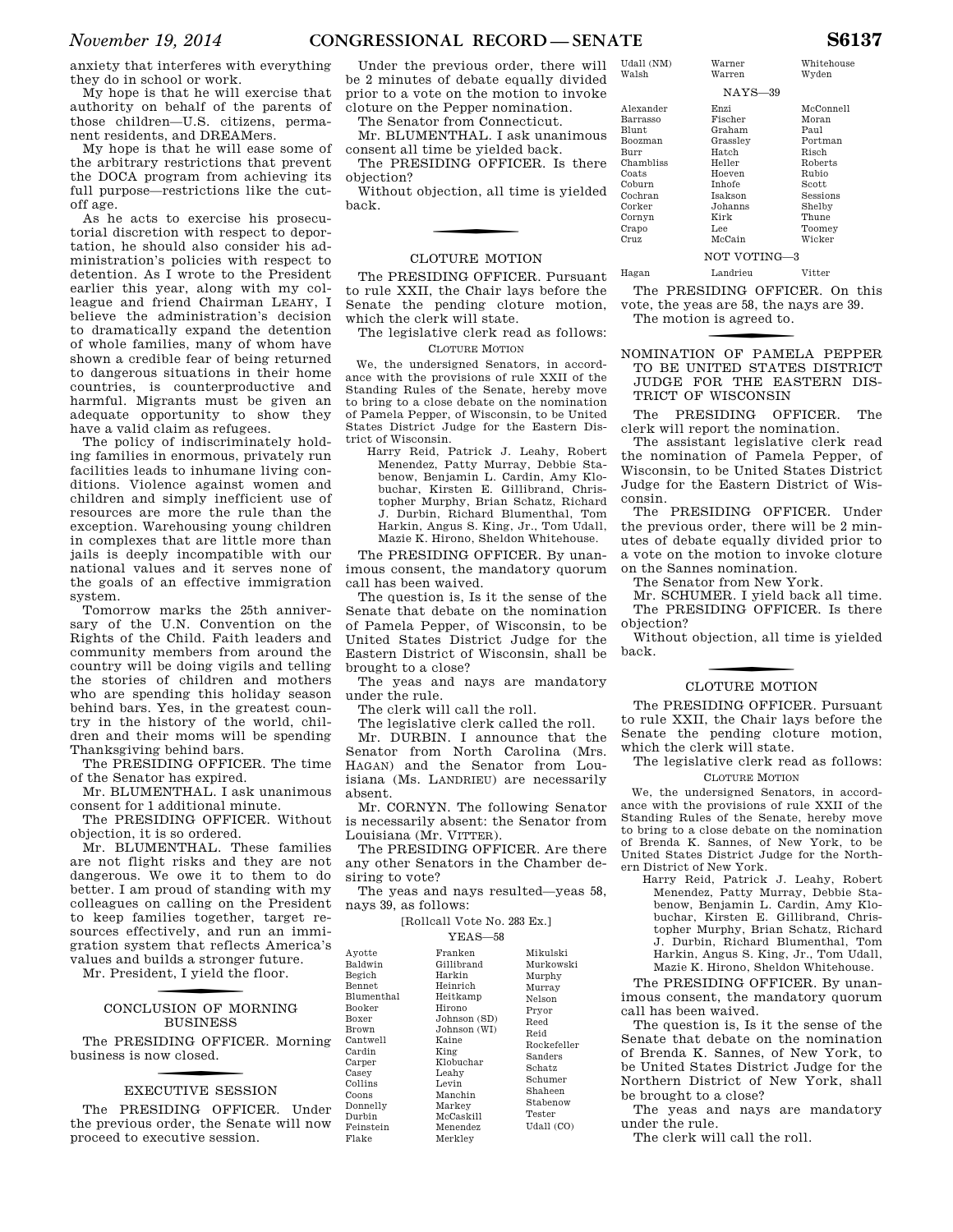anxiety that interferes with everything they do in school or work.

My hope is that he will exercise that authority on behalf of the parents of those children—U.S. citizens, permanent residents, and DREAMers.

My hope is that he will ease some of the arbitrary restrictions that prevent the DOCA program from achieving its full purpose—restrictions like the cutoff age.

As he acts to exercise his prosecutorial discretion with respect to deportation, he should also consider his administration's policies with respect to detention. As I wrote to the President earlier this year, along with my colleague and friend Chairman LEAHY, I believe the administration's decision to dramatically expand the detention of whole families, many of whom have shown a credible fear of being returned to dangerous situations in their home countries, is counterproductive and harmful. Migrants must be given an adequate opportunity to show they have a valid claim as refugees.

The policy of indiscriminately holding families in enormous, privately run facilities leads to inhumane living conditions. Violence against women and children and simply inefficient use of resources are more the rule than the exception. Warehousing young children in complexes that are little more than jails is deeply incompatible with our national values and it serves none of the goals of an effective immigration system.

Tomorrow marks the 25th anniversary of the U.N. Convention on the Rights of the Child. Faith leaders and community members from around the country will be doing vigils and telling the stories of children and mothers who are spending this holiday season behind bars. Yes, in the greatest country in the history of the world, children and their moms will be spending Thanksgiving behind bars.

The PRESIDING OFFICER. The time of the Senator has expired.

Mr. BLUMENTHAL. I ask unanimous consent for 1 additional minute.

The PRESIDING OFFICER. Without objection, it is so ordered.

Mr. BLUMENTHAL. These families are not flight risks and they are not dangerous. We owe it to them to do better. I am proud of standing with my colleagues on calling on the President to keep families together, target resources effectively, and run an immigration system that reflects America's values and builds a stronger future.

Mr. President, I yield the floor.

# CONCLUSION OF MORNING BUSINESS

The PRESIDING OFFICER. Morning business is now closed.

# f EXECUTIVE SESSION

The PRESIDING OFFICER. Under the previous order, the Senate will now proceed to executive session.  $D<sub>0</sub>$  $\overline{D}$ 

Under the previous order, there will be 2 minutes of debate equally divided prior to a vote on the motion to invoke cloture on the Pepper nomination.

The Senator from Connecticut.

Mr. BLUMENTHAL. I ask unanimous consent all time be yielded back.

The PRESIDING OFFICER. Is there objection?

Without objection, all time is yielded back.

### CLOTURE MOTION

The PRESIDING OFFICER. Pursuant to rule XXII, the Chair lays before the Senate the pending cloture motion, which the clerk will state.

The legislative clerk read as follows: CLOTURE MOTION

We, the undersigned Senators, in accordance with the provisions of rule XXII of the Standing Rules of the Senate, hereby move to bring to a close debate on the nomination of Pamela Pepper, of Wisconsin, to be United States District Judge for the Eastern District of Wisconsin.

Harry Reid, Patrick J. Leahy, Robert Menendez, Patty Murray, Debbie Stabenow, Benjamin L. Cardin, Amy Klobuchar, Kirsten E. Gillibrand, Christopher Murphy, Brian Schatz, Richard J. Durbin, Richard Blumenthal, Tom Harkin, Angus S. King, Jr., Tom Udall, Mazie K. Hirono, Sheldon Whitehouse.

The PRESIDING OFFICER. By unanimous consent, the mandatory quorum call has been waived.

The question is, Is it the sense of the Senate that debate on the nomination of Pamela Pepper, of Wisconsin, to be United States District Judge for the Eastern District of Wisconsin, shall be brought to a close?

The yeas and nays are mandatory under the rule.

The clerk will call the roll.

The legislative clerk called the roll. Mr. DURBIN. I announce that the Senator from North Carolina (Mrs. HAGAN) and the Senator from Louisiana (Ms. LANDRIEU) are necessarily absent.

Mr. CORNYN. The following Senator is necessarily absent: the Senator from Louisiana (Mr. VITTER).

The PRESIDING OFFICER. Are there any other Senators in the Chamber desiring to vote?

The yeas and nays resulted—yeas 58, nays 39, as follows:

### [Rollcall Vote No. 283 Ex.]

### YEAS—58

| Avotte<br>Baldwin<br>Begich<br><b>Bennet</b><br>Blumenthal<br>Booker<br>Boxer<br><b>Brown</b><br>Cantwell<br>Cardin<br>Carper<br>Casey<br>Collins<br>Coons | Franken<br>Gillibrand<br>Harkin<br>Heinrich<br>Heitkamp<br>Hirono<br>Johnson (SD)<br>Johnson (WI)<br>Kaine<br>King<br>Klobuchar<br>Leahv<br>Levin<br>Manchin | Mikulski<br>Murkowski<br>Murphy<br>Murray<br>Nelson<br>Prvor<br>Reed<br>Reid<br>Rockefeller<br>Sanders<br>Schatz<br>Schumer<br>Shaheen |
|------------------------------------------------------------------------------------------------------------------------------------------------------------|--------------------------------------------------------------------------------------------------------------------------------------------------------------|----------------------------------------------------------------------------------------------------------------------------------------|
| Donnelly<br>Durbin<br>Feinstein<br>Flake                                                                                                                   | Markey<br>McCaskill<br>Menendez<br>Merklev                                                                                                                   | Stabenow<br>Tester<br>Udall (CO)                                                                                                       |

| (NM) | Warner<br>Warren     | Whitehouse<br>Wyden |
|------|----------------------|---------------------|
|      | $NAYS$ <sub>29</sub> |                     |

Udall (NM) Walsh

| Alexander      | Enzi           | McConnell |
|----------------|----------------|-----------|
| Barrasso       | Fischer        | Moran     |
| <b>Blunt</b>   | Graham         | Paul      |
| <b>Boozman</b> | Grasslev       | Portman   |
| Burr           | Hatch          | Risch     |
| Chambliss      | Heller         | Roberts   |
| Coats          | Hoeven         | Rubio     |
| Coburn         | <b>Inhofe</b>  | Scott     |
| Cochran        | <b>Isakson</b> | Sessions  |
| Corker         | Johanns        | Shelby    |
| Cornyn         | Kirk           | Thune     |
| Crapo          | Lee            | Toomey    |
| Cruz           | McCain         | Wicker    |
|                |                |           |

NOT VOTING—3 Hagan Landrieu Vitter

The PRESIDING OFFICER. On this vote, the yeas are 58, the nays are 39. The motion is agreed to.

f NOMINATION OF PAMELA PEPPER TO BE UNITED STATES DISTRICT JUDGE FOR THE EASTERN DIS-TRICT OF WISCONSIN

The PRESIDING OFFICER. The clerk will report the nomination.

The assistant legislative clerk read the nomination of Pamela Pepper, of Wisconsin, to be United States District Judge for the Eastern District of Wisconsin.

The PRESIDING OFFICER. Under the previous order, there will be 2 minutes of debate equally divided prior to a vote on the motion to invoke cloture on the Sannes nomination.

The Senator from New York.

Mr. SCHUMER. I yield back all time. The PRESIDING OFFICER. Is there objection?

Without objection, all time is yielded back.

# CLOTURE MOTION

The PRESIDING OFFICER. Pursuant to rule XXII, the Chair lays before the Senate the pending cloture motion, which the clerk will state.

The legislative clerk read as follows: CLOTURE MOTION

We, the undersigned Senators, in accordance with the provisions of rule XXII of the Standing Rules of the Senate, hereby move to bring to a close debate on the nomination of Brenda K. Sannes, of New York, to be United States District Judge for the Northern District of New York.

Harry Reid, Patrick J. Leahy, Robert Menendez, Patty Murray, Debbie Stabenow, Benjamin L. Cardin, Amy Klobuchar, Kirsten E. Gillibrand, Christopher Murphy, Brian Schatz, Richard J. Durbin, Richard Blumenthal, Tom Harkin, Angus S. King, Jr., Tom Udall, Mazie K. Hirono, Sheldon Whitehouse.

The PRESIDING OFFICER. By unanimous consent, the mandatory quorum call has been waived.

The question is, Is it the sense of the Senate that debate on the nomination of Brenda K. Sannes, of New York, to be United States District Judge for the Northern District of New York, shall be brought to a close?

The yeas and nays are mandatory under the rule.

The clerk will call the roll.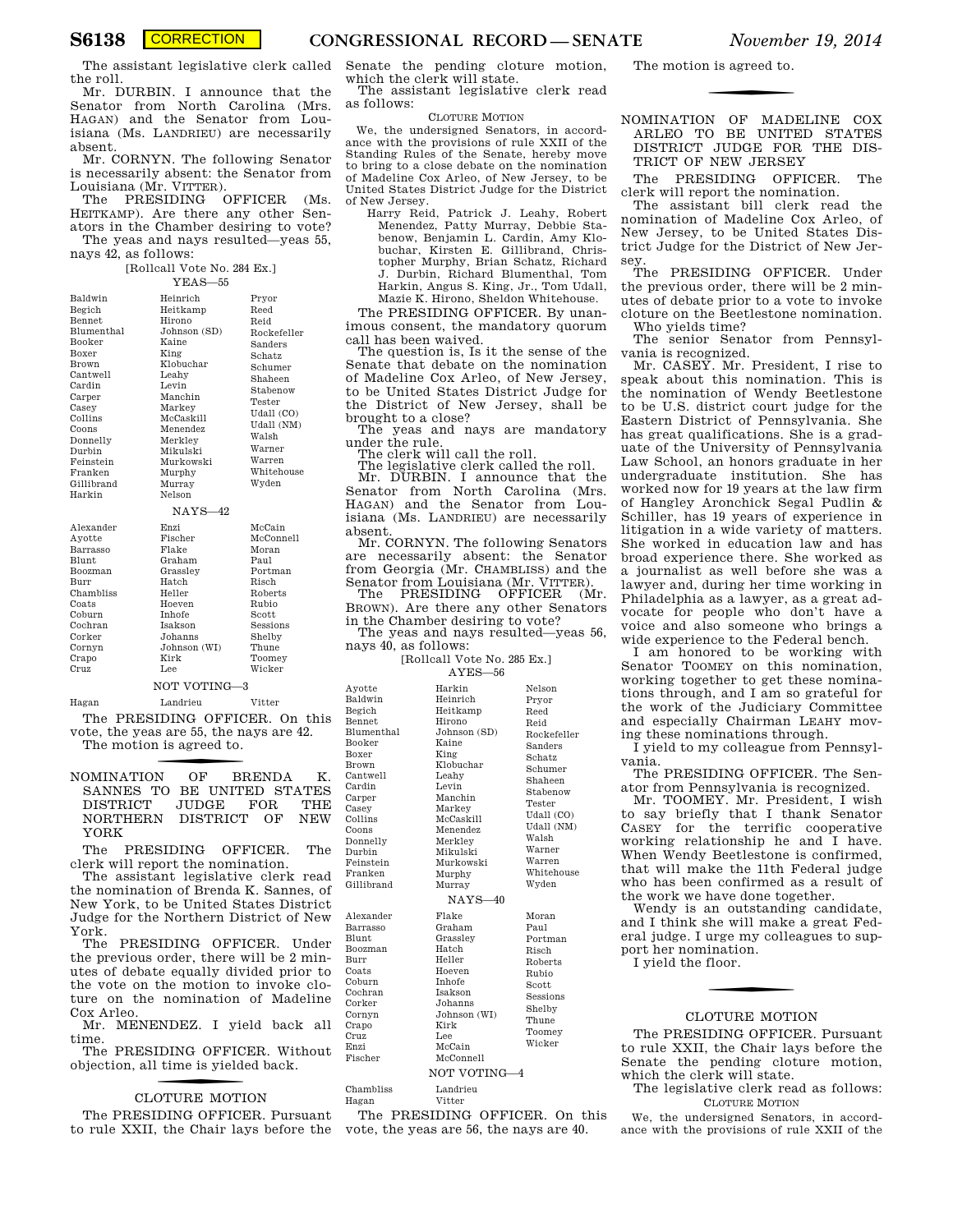The assistant legislative clerk called the roll.

Mr. DURBIN. I announce that the Senator from North Carolina (Mrs. HAGAN) and the Senator from Louisiana (Ms. LANDRIEU) are necessarily absent.

Mr. CORNYN. The following Senator is necessarily absent: the Senator from Louisiana (Mr. VITTER).

The PRESIDING OFFICER (Ms. HEITKAMP). Are there any other Senators in the Chamber desiring to vote?

The yeas and nays resulted—yeas 55, nays 42, as follows:

[Rollcall Vote No. 284 Ex.] YEAS—55

| Baldwin        | Heinrich     | Pryor       |
|----------------|--------------|-------------|
| Begich         | Heitkamp     | <b>Reed</b> |
| <b>Bennet</b>  | Hirono       | Reid        |
| Blumenthal     | Johnson (SD) | Rockefeller |
| Booker         | Kaine        | Sanders     |
| Boxer          | King         | Schatz.     |
| <b>Brown</b>   | Klobuchar    | Schumer     |
| Cantwell       | Leahv        | Shaheen     |
| Cardin         | Levin        | Stabenow    |
| Carper         | Manchin      | Tester      |
| Casev          | Markey       | Udall (CO)  |
| Collins        | McCaskill    | Udall (NM)  |
| Coons          | Menendez     | Walsh       |
| Donnelly       | Merkley      |             |
| Durbin         | Mikulski     | Warner      |
| Feinstein      | Murkowski    | Warren      |
| Franken        | Murphy       | Whitehouse  |
| Gillibrand     | Murray       | Wyden       |
| Harkin         | Nelson       |             |
|                | $NAYS-42$    |             |
| Alexander      | Enzi         | McCain      |
| Avotte         | Fischer      | McConnell   |
| Barrasso       | Flake        | Moran       |
| Blunt          | Graham       | Paul        |
| <b>Boozman</b> | Grassley     | Portman     |
| Burr           | Hatch        | Risch       |
| Chambliss      | Heller       | Roberts     |
| Coats          | Hoeven       | Rubio       |
| Coburn         | Inhofe       | Scott       |
| Cochran        | Isakson      | Sessions    |
| Corker         | Johanns      | Shelby      |
| Cornyn         | Johnson (WI) | Thune       |
| Crapo          | Kirk         | Toomey      |
| Cruz           | Lee          | Wicker      |
|                | NOT VOTING-3 |             |

The PRESIDING OFFICER. On this vote, the yeas are 55, the nays are 42. The motion is agreed to.

Hagan Landrieu Vitter

OF BRENDA NOMINATION OF BRENDA K. SANNES TO BE UNITED STATES<br>DISTRICT UUDGE FOR THE JUDGE FOR THE NORTHERN DISTRICT OF NEW YORK

The PRESIDING OFFICER. The clerk will report the nomination.

The assistant legislative clerk read the nomination of Brenda K. Sannes, of New York, to be United States District Judge for the Northern District of New York.

The PRESIDING OFFICER. Under the previous order, there will be 2 minutes of debate equally divided prior to the vote on the motion to invoke cloture on the nomination of Madeline Cox Arleo.

Mr. MENENDEZ. I yield back all time.

The PRESIDING OFFICER. Without objection, all time is yielded back.

# CLOTURE MOTION

The PRESIDING OFFICER. Pursuant to rule XXII, the Chair lays before the

Senate the pending cloture motion, which the clerk will state.

The assistant legislative clerk read as follows:

CLOTURE MOTION

We, the undersigned Senators, in accordance with the provisions of rule XXII of the Standing Rules of the Senate, hereby move to bring to a close debate on the nomination of Madeline Cox Arleo, of New Jersey, to be United States District Judge for the District of New Jersey.

Harry Reid, Patrick J. Leahy, Robert Menendez, Patty Murray, Debbie Stabenow, Benjamin L. Cardin, Amy Klobuchar, Kirsten E. Gillibrand, Christopher Murphy, Brian Schatz, Richard J. Durbin, Richard Blumenthal, Tom Harkin, Angus S. King, Jr., Tom Udall, Mazie K. Hirono, Sheldon Whitehouse.

The PRESIDING OFFICER. By unanimous consent, the mandatory quorum call has been waived.

The question is, Is it the sense of the Senate that debate on the nomination of Madeline Cox Arleo, of New Jersey, to be United States District Judge for the District of New Jersey, shall be brought to a close?

The yeas and nays are mandatory under the rule.

The clerk will call the roll.

The legislative clerk called the roll. Mr. DURBIN. I announce that the Senator from North Carolina (Mrs. HAGAN) and the Senator from Louisiana (Ms. LANDRIEU) are necessarily absent.

Mr. CORNYN. The following Senators are necessarily absent: the Senator from Georgia (Mr. CHAMBLISS) and the Senator from Louisiana (Mr. VITTER).

The PRESIDING OFFICER (Mr. BROWN). Are there any other Senators in the Chamber desiring to vote? The yeas and nays resulted—yeas 56,

nays 40, as follows:

[Rollcall Vote No. 285 Ex.] AYES—56

| Ayotte     | Harkin       | Nelson      |
|------------|--------------|-------------|
| Baldwin    | Heinrich     | Pryor       |
| Begich     | Heitkamp     | Reed        |
| Bennet     | Hirono       | Reid        |
| Blumenthal | Johnson (SD) | Rockefeller |
| Booker     | Kaine        | Sanders     |
| Boxer      | King         | Schatz      |
| Brown      | Klobuchar    | Schumer     |
| Cantwell   | Leahy        | Shaheen     |
| Cardin     | Levin        | Stabenow    |
| Carper     | Manchin      | Tester      |
| Casey      | Markey       | Udall (CO)  |
| Collins    | McCaskill    | Udall (NM)  |
| Coons      | Menendez     | Walsh       |
| Donnelly   | Merkley      | Warner      |
| Durbin     | Mikulski     | Warren      |
| Feinstein  | Murkowski    |             |
| Franken    | Murphy       | Whitehouse  |
| Gillibrand | Murrav       | Wyden       |
|            | $NAYS-40$    |             |
| Alexander  | Flake        | Moran       |
| Barrasso   | Graham       | Paul        |
| Blunt      | Grasslev     | Portman     |
| Boozman    | Hatch        | Risch       |
| Burr       | Heller       | Roberts     |
| Coats      | Hoeven       | Rubio       |
| Coburn     | Inhofe       | Scott       |
| Cochran    | Isakson      | Sessions    |
| Corker     | Johanns      | Shelby      |
| Cornyn     | Johnson (WI) | Thune       |
| Crapo      | Kirk         | Toomey      |
| Cruz       | Lee          | Wicker      |
| Fnzi       | McCain       |             |
| Fischer    | McConnell    |             |
|            | NOT VOTING-4 |             |

Chambliss Hagan Landrieu Vitter

The PRESIDING OFFICER. On this vote, the yeas are 56, the nays are 40.

The motion is agreed to.

NOMINATION OF MADELINE COX ARLEO TO BE UNITED STATES DISTRICT JUDGE FOR THE DIS-TRICT OF NEW JERSEY

The PRESIDING OFFICER. The clerk will report the nomination.

The assistant bill clerk read the nomination of Madeline Cox Arleo, of New Jersey, to be United States District Judge for the District of New Jersey.

The PRESIDING OFFICER. Under the previous order, there will be 2 minutes of debate prior to a vote to invoke cloture on the Beetlestone nomination.

Who yields time? The senior Senator from Pennsylvania is recognized.

Mr. CASEY. Mr. President, I rise to speak about this nomination. This is the nomination of Wendy Beetlestone to be U.S. district court judge for the Eastern District of Pennsylvania. She has great qualifications. She is a graduate of the University of Pennsylvania Law School, an honors graduate in her undergraduate institution. She has worked now for 19 years at the law firm of Hangley Aronchick Segal Pudlin & Schiller, has 19 years of experience in litigation in a wide variety of matters. She worked in education law and has broad experience there. She worked as a journalist as well before she was a lawyer and, during her time working in Philadelphia as a lawyer, as a great advocate for people who don't have a voice and also someone who brings a wide experience to the Federal bench.

I am honored to be working with Senator TOOMEY on this nomination, working together to get these nominations through, and I am so grateful for the work of the Judiciary Committee and especially Chairman LEAHY moving these nominations through.

I yield to my colleague from Pennsylvania.

The PRESIDING OFFICER. The Senator from Pennsylvania is recognized.

Mr. TOOMEY. Mr. President, I wish to say briefly that I thank Senator CASEY for the terrific cooperative working relationship he and I have. When Wendy Beetlestone is confirmed, that will make the 11th Federal judge who has been confirmed as a result of the work we have done together.

Wendy is an outstanding candidate, and I think she will make a great Federal judge. I urge my colleagues to support her nomination.

I yield the floor.

### CLOTURE MOTION

The PRESIDING OFFICER. Pursuant to rule XXII, the Chair lays before the Senate the pending cloture motion, which the clerk will state.

The legislative clerk read as follows: CLOTURE MOTION

We, the undersigned Senators, in accordance with the provisions of rule XXII of the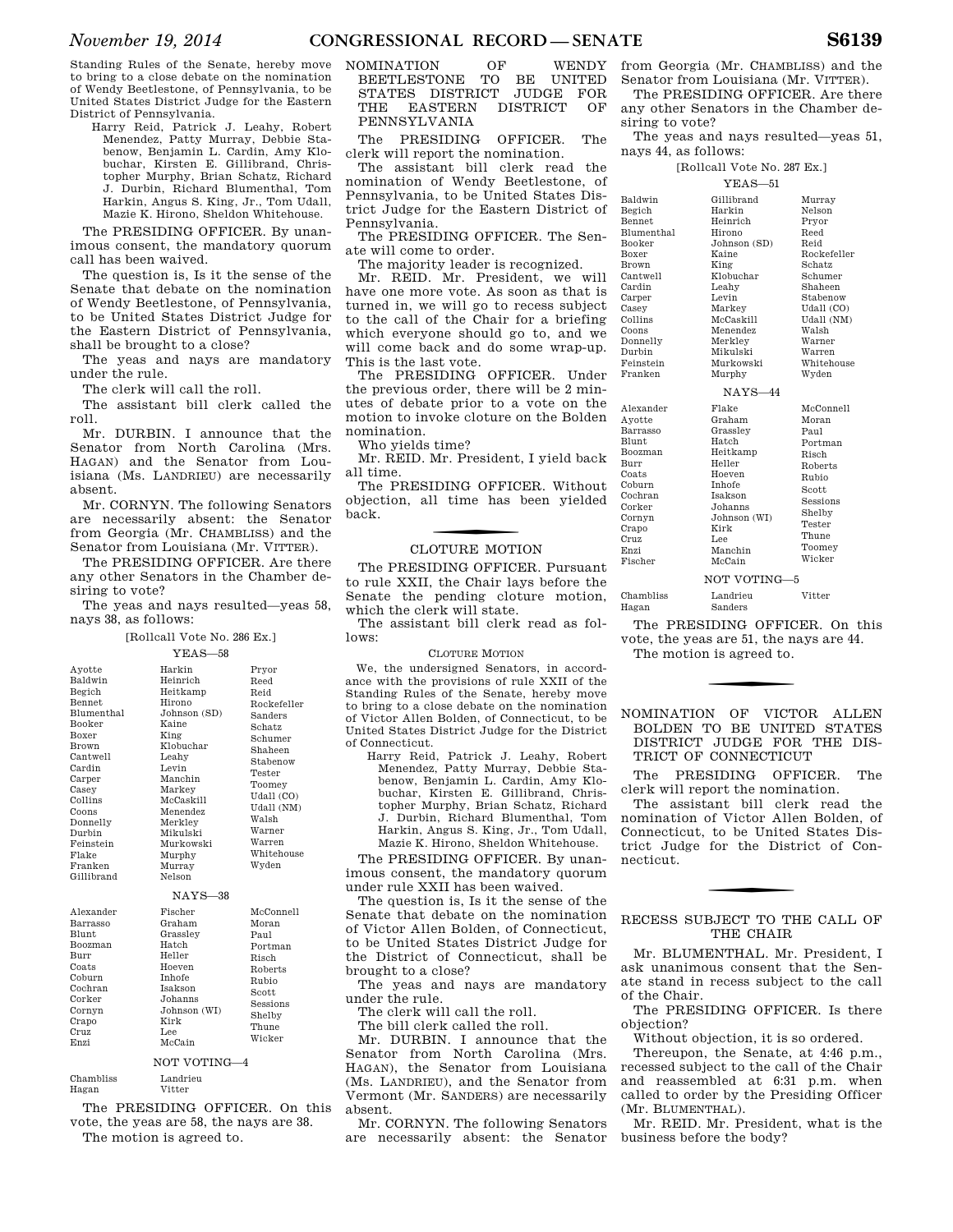Standing Rules of the Senate, hereby move to bring to a close debate on the nomination of Wendy Beetlestone, of Pennsylvania, to be United States District Judge for the Eastern District of Pennsylvania.

Harry Reid, Patrick J. Leahy, Robert Menendez, Patty Murray, Debbie Stabenow, Benjamin L. Cardin, Amy Klobuchar, Kirsten E. Gillibrand, Christopher Murphy, Brian Schatz, Richard J. Durbin, Richard Blumenthal, Tom Harkin, Angus S. King, Jr., Tom Udall, Mazie K. Hirono, Sheldon Whitehouse.

The PRESIDING OFFICER. By unanimous consent, the mandatory quorum call has been waived.

The question is, Is it the sense of the Senate that debate on the nomination of Wendy Beetlestone, of Pennsylvania, to be United States District Judge for the Eastern District of Pennsylvania, shall be brought to a close?

The yeas and nays are mandatory under the rule.

The clerk will call the roll.

The assistant bill clerk called the roll.

Mr. DURBIN. I announce that the Senator from North Carolina (Mrs. HAGAN) and the Senator from Louisiana (Ms. LANDRIEU) are necessarily absent.

Mr. CORNYN. The following Senators are necessarily absent: the Senator from Georgia (Mr. CHAMBLISS) and the Senator from Louisiana (Mr. VITTER).

The PRESIDING OFFICER. Are there any other Senators in the Chamber desiring to vote?

The yeas and nays resulted—yeas 58, nays 38, as follows:

[Rollcall Vote No. 286 Ex.]

|                                                                                                                                                                                                                                 | $YFAS - 58$                                                                                                                                                                                                                           |                                                                                                                                                                                                 |
|---------------------------------------------------------------------------------------------------------------------------------------------------------------------------------------------------------------------------------|---------------------------------------------------------------------------------------------------------------------------------------------------------------------------------------------------------------------------------------|-------------------------------------------------------------------------------------------------------------------------------------------------------------------------------------------------|
| Ayotte<br>Baldwin<br>Begich<br><b>Bennet</b><br>Blumenthal<br>Booker<br>Boxer<br><b>Brown</b><br>Cantwell<br>Cardin<br>Carper<br>Casey<br>Collins<br>Coons<br>Donnelly<br>Durbin<br>Feinstein<br>Flake<br>Franken<br>Gillibrand | Harkin<br>Heinrich<br>Heitkamp<br>Hirono<br>Johnson (SD)<br>Kaine<br>King<br>Klobuchar<br>Leahy<br>Levin<br>Manchin<br>Markey<br>McCaskill<br>Menendez<br>Merkley<br>Mikulski<br>Murkowski<br>Murphy<br>Murray<br>Nelson<br>$NAYS-38$ | Pryor<br>Reed<br>Reid<br>Rockefeller<br>Sanders<br>Schatz<br>Schumer<br>Shaheen<br>Stabenow<br>Tester<br>Toomey<br>Udall (CO)<br>Udall (NM)<br>Walsh<br>Warner<br>Warren<br>Whitehouse<br>Wyden |
| Alexander<br>Barrasso<br>Blunt<br><b>Boozman</b><br>Burr<br>Coats<br>Coburn<br>Cochran<br>Corker<br>Cornyn<br>Crapo<br>Cruz<br>Enzi                                                                                             | Fischer<br>Graham<br>Grasslev<br>Hatch<br>Heller<br>Hoeven<br><b>Inhofe</b><br><b>Isakson</b><br>Johanns<br>Johnson (WI)<br>Kirk<br>Lee<br>McCain<br>$370m$ $370m$ $370m$                                                             | McConnell<br>Moran<br>Paul<br>Portman<br>Risch<br>Roberts<br>Rubio<br>Scott<br>Sessions<br>Shelby<br>Thune<br>Wicker<br>$\overline{a}$                                                          |

NOT VOTING Landrieu

Hagan Vitter

Chambliss

The PRESIDING OFFICER. On this vote, the yeas are 58, the nays are 38. The motion is agreed to.

NOMINATION OF WENDY BEETLESTONE TO BE UNITED STATES DISTRICT JUDGE FOR THE EASTERN DISTRICT OF PENNSYLVANIA

The PRESIDING OFFICER. The clerk will report the nomination.

The assistant bill clerk read the nomination of Wendy Beetlestone, of Pennsylvania, to be United States District Judge for the Eastern District of Pennsylvania.

The PRESIDING OFFICER. The Senate will come to order.

The majority leader is recognized.

Mr. REID. Mr. President, we will have one more vote. As soon as that is turned in, we will go to recess subject to the call of the Chair for a briefing which everyone should go to, and we will come back and do some wrap-up. This is the last vote.

The PRESIDING OFFICER. Under the previous order, there will be 2 minutes of debate prior to a vote on the motion to invoke cloture on the Bolden nomination.

Who yields time?

Mr. REID. Mr. President, I yield back all time.

The PRESIDING OFFICER. Without objection, all time has been yielded back.

# CLOTURE MOTION

The PRESIDING OFFICER. Pursuant to rule XXII, the Chair lays before the Senate the pending cloture motion, which the clerk will state.

The assistant bill clerk read as follows:

### CLOTURE MOTION

We, the undersigned Senators, in accordance with the provisions of rule XXII of the Standing Rules of the Senate, hereby move to bring to a close debate on the nomination of Victor Allen Bolden, of Connecticut, to be United States District Judge for the District of Connecticut.

Harry Reid, Patrick J. Leahy, Robert Menendez, Patty Murray, Debbie Stabenow, Benjamin L. Cardin, Amy Klobuchar, Kirsten E. Gillibrand, Christopher Murphy, Brian Schatz, Richard J. Durbin, Richard Blumenthal, Tom Harkin, Angus S. King, Jr., Tom Udall, Mazie K. Hirono, Sheldon Whitehouse.

The PRESIDING OFFICER. By unanimous consent, the mandatory quorum under rule XXII has been waived.

The question is, Is it the sense of the Senate that debate on the nomination of Victor Allen Bolden, of Connecticut, to be United States District Judge for the District of Connecticut, shall be brought to a close?

The yeas and nays are mandatory under the rule.

The clerk will call the roll.

The bill clerk called the roll.

Mr. DURBIN. I announce that the Senator from North Carolina (Mrs. HAGAN), the Senator from Louisiana (Ms. LANDRIEU), and the Senator from Vermont (Mr. SANDERS) are necessarily absent.

Mr. CORNYN. The following Senators are necessarily absent: the Senator from Georgia (Mr. CHAMBLISS) and the Senator from Louisiana (Mr. VITTER).

The PRESIDING OFFICER. Are there any other Senators in the Chamber desiring to vote?

The yeas and nays resulted—yeas 51, nays 44, as follows:

[Rollcall Vote No. 287 Ex.]

|            | $YEAS - 51$  |             |
|------------|--------------|-------------|
| Baldwin    | Gillibrand   | Murray      |
| Begich     | Harkin       | Nelson      |
| Bennet     | Heinrich     | Pryor       |
| Blumenthal | Hirono       | Reed        |
| Booker     | Johnson (SD) | Reid        |
| Boxer      | Kaine        | Rockefeller |
| Brown      | King         | Schatz      |
| Cantwell   | Klobuchar    | Schumer     |
| Cardin     | Leahy        | Shaheen     |
| Carper     | Levin        | Stabenow    |
| Casey      | Markey       | Udall (CO)  |
| Collins    | McCaskill    | Udall (NM)  |
| Coons      | Menendez     | Walsh       |
| Donnelly   | Merkley      | Warner      |
| Durbin     | Mikulski     | Warren      |
| Feinstein  | Murkowski    | Whitehouse  |
| Franken    | Murphy       | Wyden       |
|            | $NAYS-44$    |             |
| Alexander  | Flake        | McConnell   |
| Ayotte     | Graham       | Moran       |
| Barrasso   | Grassley     | Paul        |
| Blunt      | Hatch        | Portman     |
| Boozman    | Heitkamp     | Risch       |
| Burr       | Heller       | Roberts     |
| Coats      | Hoeven       | Duhio       |

Johnson (WI) Manchin Rubio Scott Sessions Shelby Tester Thune Toomey Wicker

### NOT VOTING—5

Inhofe Isakson Johanns

Kirk Lee

McCain

Chambliss Hagan

Baldwin  $Be$ 

 $B1$  $B<sub>c</sub>$  $B<sub>0</sub>$  $Br$ Ca Ca  $C<sub>2</sub>$ Ca  $Co$  $Co$  $\overline{D}$ c Du  $Fe$  $Fr$ 

A<sub>1</sub>  $A<sub>x</sub>$  $B<sub>i</sub>$  $B1$ Bo  $Br$  $C<sub>O</sub>$ Coburn Cochran Corker Cornyn Crapo Cruz Enzi Fischer

> Landrieu Sanders Vitter

The PRESIDING OFFICER. On this vote, the yeas are 51, the nays are 44. The motion is agreed to.

NOMINATION OF VICTOR ALLEN BOLDEN TO BE UNITED STATES DISTRICT JUDGE FOR THE DIS-TRICT OF CONNECTICUT

The PRESIDING OFFICER. The clerk will report the nomination.

The assistant bill clerk read the nomination of Victor Allen Bolden, of Connecticut, to be United States District Judge for the District of Connecticut.

### RECESS SUBJECT TO THE CALL OF THE CHAIR

Mr. BLUMENTHAL. Mr. President, I ask unanimous consent that the Senate stand in recess subject to the call of the Chair.

The PRESIDING OFFICER. Is there objection?

Without objection, it is so ordered.

Thereupon, the Senate, at 4:46 p.m., recessed subject to the call of the Chair and reassembled at 6:31 p.m. when called to order by the Presiding Officer (Mr. BLUMENTHAL).

Mr. REID. Mr. President, what is the business before the body?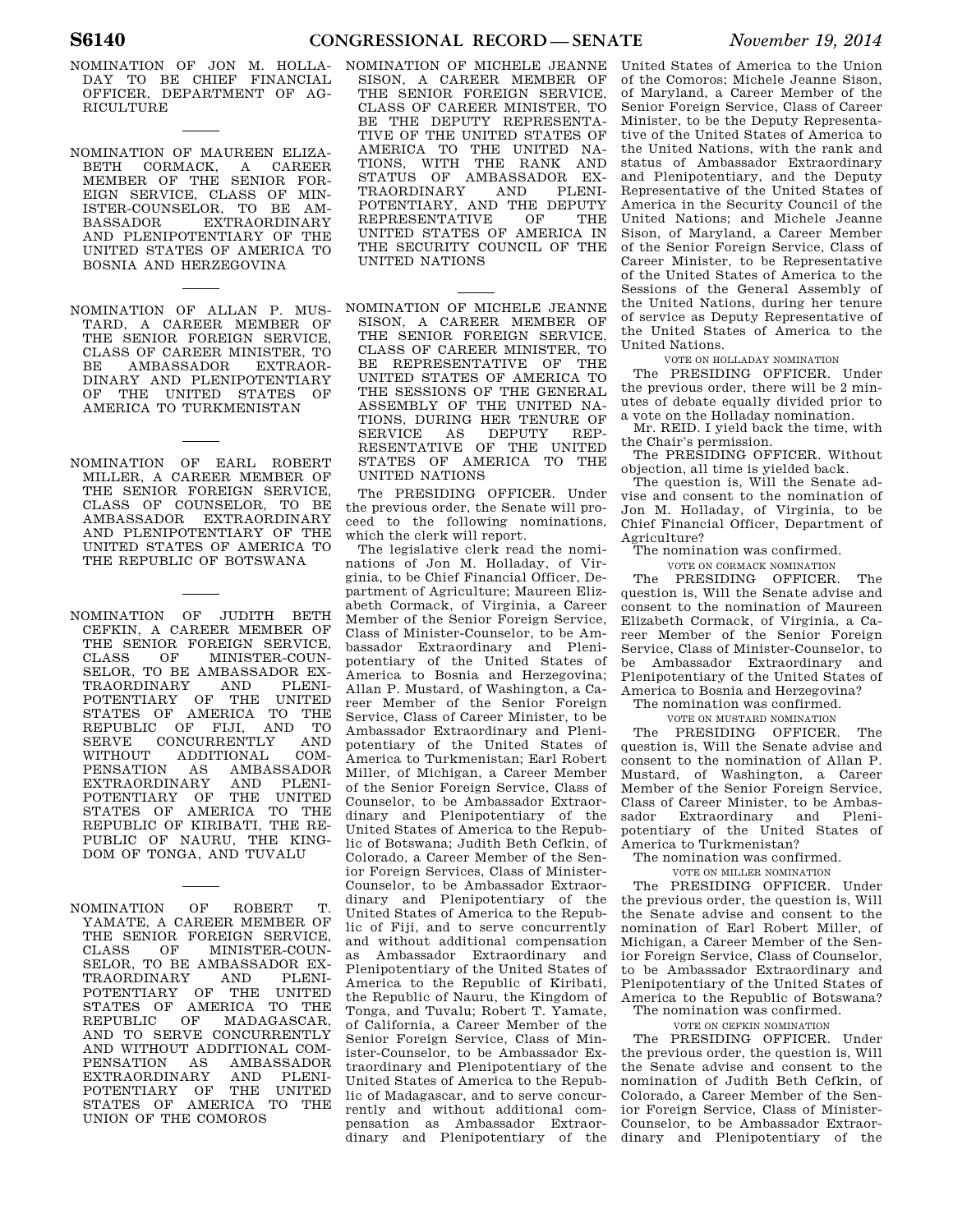NOMINATION OF JON M. HOLLA-DAY TO BE CHIEF FINANCIAL OFFICER, DEPARTMENT OF AG-RICULTURE

- NOMINATION OF MAUREEN ELIZA-BETH CORMACK, A CAREER MEMBER OF THE SENIOR FOR-EIGN SERVICE, CLASS OF MIN-ISTER-COUNSELOR, TO BE AM-BASSADOR EXTRAORDINARY AND PLENIPOTENTIARY OF THE UNITED STATES OF AMERICA TO BOSNIA AND HERZEGOVINA
- NOMINATION OF ALLAN P. MUS-TARD, A CAREER MEMBER OF THE SENIOR FOREIGN SERVICE, CLASS OF CAREER MINISTER, TO AMBASSADOR EXTRAOR-DINARY AND PLENIPOTENTIARY OF THE UNITED STATES OF AMERICA TO TURKMENISTAN
- NOMINATION OF EARL ROBERT MILLER, A CAREER MEMBER OF THE SENIOR FOREIGN SERVICE, CLASS OF COUNSELOR, TO BE AMBASSADOR EXTRAORDINARY AND PLENIPOTENTIARY OF THE UNITED STATES OF AMERICA TO THE REPUBLIC OF BOTSWANA
- NOMINATION OF JUDITH BETH CEFKIN, A CAREER MEMBER OF THE SENIOR FOREIGN SERVICE,<br>CLASS OF MINISTER-COUN-CLASS OF MINISTER-COUN-SELOR, TO BE AMBASSADOR EX-TRAORDINARY AND PLENI-POTENTIARY OF THE UNITED STATES OF AMERICA TO THE REPUBLIC OF FIJI, AND TO SERVE CONCURRENTLY AND<br>WITHOUT ADDITIONAL COM-WITHOUT ADDITIONAL COMPENSATION AS AMBASSADOR AS AMBASSADOR EXTRAORDINARY AND PLENI-POTENTIARY OF THE UNITED STATES OF AMERICA TO THE REPUBLIC OF KIRIBATI, THE RE-PUBLIC OF NAURU, THE KING-DOM OF TONGA, AND TUVALU

NOMINATION OF ROBERT T. YAMATE, A CAREER MEMBER OF THE SENIOR FOREIGN SERVICE, CLASS OF MINISTER-COUN-SELOR, TO BE AMBASSADOR EX-TRAORDINARY AND PLENI-TRAORDINARY AND PLENI-POTENTIARY OF THE UNITED STATES OF AMERICA TO THE REPUBLIC OF MADAGASCAR, REPUBLIC OF MADAGASCAR, AND TO SERVE CONCURRENTLY AND WITHOUT ADDITIONAL COM-PENSATION AS AMBASSADOR<br>EXTRAORDINARY AND PLENI-EXTRAORDINARY AND PLENI-<br>POTENTIARY OF THE UNITED POTENTIARY OF STATES OF AMERICA TO THE UNION OF THE COMOROS

NOMINATION OF MICHELE JEANNE SISON, A CAREER MEMBER OF THE SENIOR FOREIGN SERVICE, CLASS OF CAREER MINISTER, TO BE THE DEPUTY REPRESENTA-TIVE OF THE UNITED STATES OF AMERICA TO THE UNITED NA-TIONS, WITH THE RANK AND STATUS OF AMBASSADOR EX-TRAORDINARY AND PLENI-POTENTIARY, AND THE DEPUTY REPRESENTATIVE OF THE UNITED STATES OF AMERICA IN THE SECURITY COUNCIL OF THE UNITED NATIONS

NOMINATION OF MICHELE JEANNE SISON, A CAREER MEMBER OF THE SENIOR FOREIGN SERVICE, CLASS OF CAREER MINISTER, TO BE REPRESENTATIVE OF THE UNITED STATES OF AMERICA TO THE SESSIONS OF THE GENERAL ASSEMBLY OF THE UNITED NA-TIONS, DURING HER TENURE OF SERVICE AS DEPUTY REP-RESENTATIVE OF THE UNITED STATES OF AMERICA TO THE UNITED NATIONS

The PRESIDING OFFICER. Under the previous order, the Senate will proceed to the following nominations, which the clerk will report.

The legislative clerk read the nominations of Jon M. Holladay, of Virginia, to be Chief Financial Officer, Department of Agriculture; Maureen Elizabeth Cormack, of Virginia, a Career Member of the Senior Foreign Service, Class of Minister-Counselor, to be Ambassador Extraordinary and Plenipotentiary of the United States of America to Bosnia and Herzegovina; Allan P. Mustard, of Washington, a Career Member of the Senior Foreign Service, Class of Career Minister, to be Ambassador Extraordinary and Plenipotentiary of the United States of America to Turkmenistan; Earl Robert Miller, of Michigan, a Career Member of the Senior Foreign Service, Class of Counselor, to be Ambassador Extraordinary and Plenipotentiary of the United States of America to the Republic of Botswana; Judith Beth Cefkin, of Colorado, a Career Member of the Senior Foreign Services, Class of Minister-Counselor, to be Ambassador Extraordinary and Plenipotentiary of the United States of America to the Republic of Fiji, and to serve concurrently and without additional compensation as Ambassador Extraordinary and Plenipotentiary of the United States of America to the Republic of Kiribati, the Republic of Nauru, the Kingdom of Tonga, and Tuvalu; Robert T. Yamate, of California, a Career Member of the Senior Foreign Service, Class of Minister-Counselor, to be Ambassador Extraordinary and Plenipotentiary of the United States of America to the Republic of Madagascar, and to serve concurrently and without additional compensation as Ambassador Extraordinary and Plenipotentiary of the

United States of America to the Union of the Comoros; Michele Jeanne Sison, of Maryland, a Career Member of the Senior Foreign Service, Class of Career Minister, to be the Deputy Representative of the United States of America to the United Nations, with the rank and status of Ambassador Extraordinary and Plenipotentiary, and the Deputy Representative of the United States of America in the Security Council of the United Nations; and Michele Jeanne Sison, of Maryland, a Career Member of the Senior Foreign Service, Class of Career Minister, to be Representative of the United States of America to the Sessions of the General Assembly of the United Nations, during her tenure of service as Deputy Representative of the United States of America to the United Nations.

### VOTE ON HOLLADAY NOMINATION

The PRESIDING OFFICER. Under the previous order, there will be 2 minutes of debate equally divided prior to a vote on the Holladay nomination.

Mr. REID. I yield back the time, with the Chair's permission.

The PRESIDING OFFICER. Without objection, all time is yielded back.

The question is, Will the Senate advise and consent to the nomination of Jon M. Holladay, of Virginia, to be Chief Financial Officer, Department of Agriculture?

The nomination was confirmed.

VOTE ON CORMACK NOMINATION

The PRESIDING OFFICER. The question is, Will the Senate advise and consent to the nomination of Maureen Elizabeth Cormack, of Virginia, a Career Member of the Senior Foreign Service, Class of Minister-Counselor, to be Ambassador Extraordinary and Plenipotentiary of the United States of America to Bosnia and Herzegovina?

The nomination was confirmed.

VOTE ON MUSTARD NOMINATION

The PRESIDING OFFICER. The question is, Will the Senate advise and consent to the nomination of Allan P. Mustard, of Washington, a Career Member of the Senior Foreign Service, Class of Career Minister, to be Ambassador Extraordinary and Plenipotentiary of the United States of America to Turkmenistan?

The nomination was confirmed.

VOTE ON MILLER NOMINATION

The PRESIDING OFFICER. Under the previous order, the question is, Will the Senate advise and consent to the nomination of Earl Robert Miller, of Michigan, a Career Member of the Senior Foreign Service, Class of Counselor, to be Ambassador Extraordinary and Plenipotentiary of the United States of America to the Republic of Botswana?

The nomination was confirmed. VOTE ON CEFKIN NOMINATION

The PRESIDING OFFICER. Under the previous order, the question is, Will the Senate advise and consent to the nomination of Judith Beth Cefkin, of Colorado, a Career Member of the Senior Foreign Service, Class of Minister-Counselor, to be Ambassador Extraordinary and Plenipotentiary of the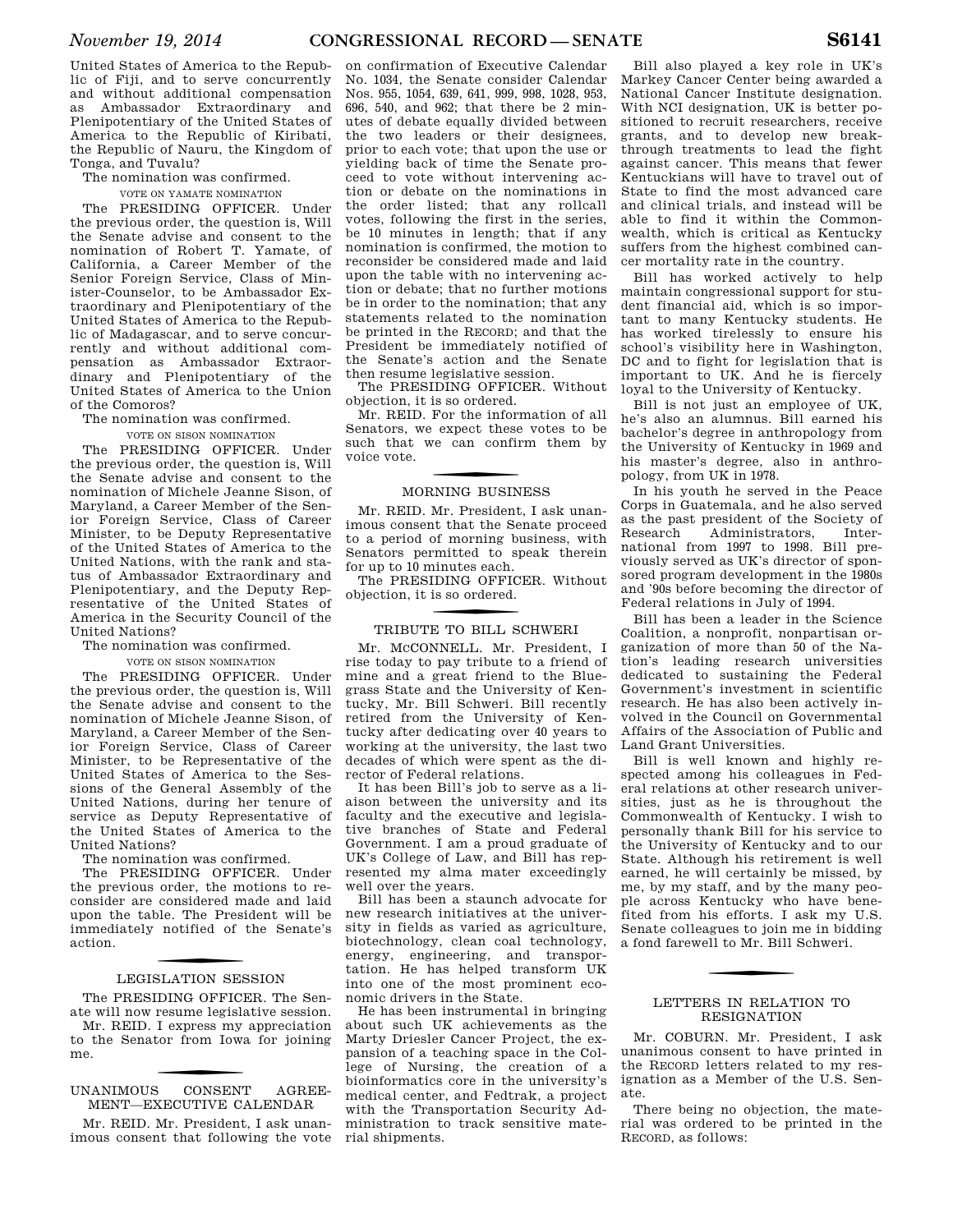United States of America to the Republic of Fiji, and to serve concurrently and without additional compensation as Ambassador Extraordinary and Plenipotentiary of the United States of America to the Republic of Kiribati, the Republic of Nauru, the Kingdom of Tonga, and Tuvalu?

The nomination was confirmed.

VOTE ON YAMATE NOMINATION

The PRESIDING OFFICER. Under the previous order, the question is, Will the Senate advise and consent to the nomination of Robert T. Yamate, of California, a Career Member of the Senior Foreign Service, Class of Minister-Counselor, to be Ambassador Extraordinary and Plenipotentiary of the United States of America to the Republic of Madagascar, and to serve concurrently and without additional compensation as Ambassador Extraordinary and Plenipotentiary of the United States of America to the Union of the Comoros?

The nomination was confirmed.

VOTE ON SISON NOMINATION The PRESIDING OFFICER. Under the previous order, the question is, Will the Senate advise and consent to the nomination of Michele Jeanne Sison, of Maryland, a Career Member of the Senior Foreign Service, Class of Career Minister, to be Deputy Representative of the United States of America to the United Nations, with the rank and status of Ambassador Extraordinary and Plenipotentiary, and the Deputy Representative of the United States of America in the Security Council of the United Nations?

The nomination was confirmed.

VOTE ON SISON NOMINATION

The PRESIDING OFFICER. Under the previous order, the question is, Will the Senate advise and consent to the nomination of Michele Jeanne Sison, of Maryland, a Career Member of the Senior Foreign Service, Class of Career Minister, to be Representative of the United States of America to the Sessions of the General Assembly of the United Nations, during her tenure of service as Deputy Representative of the United States of America to the United Nations?

The nomination was confirmed.

The PRESIDING OFFICER. Under the previous order, the motions to reconsider are considered made and laid upon the table. The President will be immediately notified of the Senate's action.

# LEGISLATION SESSION

The PRESIDING OFFICER. The Senate will now resume legislative session.

Mr. REID. I express my appreciation to the Senator from Iowa for joining me.

UNANIMOUS CONSENT AGREE-MENT—EXECUTIVE CALENDAR

Mr. REID. Mr. President, I ask unanimous consent that following the vote

on confirmation of Executive Calendar No. 1034, the Senate consider Calendar Nos. 955, 1054, 639, 641, 999, 998, 1028, 953, 696, 540, and 962; that there be 2 minutes of debate equally divided between the two leaders or their designees, prior to each vote; that upon the use or yielding back of time the Senate proceed to vote without intervening action or debate on the nominations in the order listed; that any rollcall votes, following the first in the series, be 10 minutes in length; that if any nomination is confirmed, the motion to reconsider be considered made and laid upon the table with no intervening action or debate; that no further motions be in order to the nomination; that any statements related to the nomination be printed in the RECORD; and that the President be immediately notified of the Senate's action and the Senate then resume legislative session.

The PRESIDING OFFICER. Without objection, it is so ordered.

Mr. REID. For the information of all Senators, we expect these votes to be such that we can confirm them by voice vote.

# f MORNING BUSINESS

Mr. REID. Mr. President, I ask unanimous consent that the Senate proceed to a period of morning business, with Senators permitted to speak therein for up to 10 minutes each.

The PRESIDING OFFICER. Without objection, it is so ordered.

# f TRIBUTE TO BILL SCHWERI

Mr. McCONNELL. Mr. President, I rise today to pay tribute to a friend of mine and a great friend to the Bluegrass State and the University of Kentucky, Mr. Bill Schweri. Bill recently retired from the University of Kentucky after dedicating over 40 years to working at the university, the last two decades of which were spent as the director of Federal relations.

It has been Bill's job to serve as a liaison between the university and its faculty and the executive and legislative branches of State and Federal Government. I am a proud graduate of UK's College of Law, and Bill has represented my alma mater exceedingly well over the years.

Bill has been a staunch advocate for new research initiatives at the university in fields as varied as agriculture, biotechnology, clean coal technology, energy, engineering, and transportation. He has helped transform UK into one of the most prominent economic drivers in the State.

He has been instrumental in bringing about such UK achievements as the Marty Driesler Cancer Project, the expansion of a teaching space in the College of Nursing, the creation of a bioinformatics core in the university's medical center, and Fedtrak, a project with the Transportation Security Administration to track sensitive material shipments.

Bill also played a key role in UK's Markey Cancer Center being awarded a National Cancer Institute designation. With NCI designation, UK is better positioned to recruit researchers, receive grants, and to develop new breakthrough treatments to lead the fight against cancer. This means that fewer Kentuckians will have to travel out of State to find the most advanced care and clinical trials, and instead will be able to find it within the Commonwealth, which is critical as Kentucky suffers from the highest combined cancer mortality rate in the country.

Bill has worked actively to help maintain congressional support for student financial aid, which is so important to many Kentucky students. He has worked tirelessly to ensure his school's visibility here in Washington, DC and to fight for legislation that is important to UK. And he is fiercely loyal to the University of Kentucky.

Bill is not just an employee of UK, he's also an alumnus. Bill earned his bachelor's degree in anthropology from the University of Kentucky in 1969 and his master's degree, also in anthropology, from UK in 1978.

In his youth he served in the Peace Corps in Guatemala, and he also served as the past president of the Society of Research Administrators, International from 1997 to 1998. Bill previously served as UK's director of sponsored program development in the 1980s and '90s before becoming the director of Federal relations in July of 1994.

Bill has been a leader in the Science Coalition, a nonprofit, nonpartisan organization of more than 50 of the Nation's leading research universities dedicated to sustaining the Federal Government's investment in scientific research. He has also been actively involved in the Council on Governmental Affairs of the Association of Public and Land Grant Universities.

Bill is well known and highly respected among his colleagues in Federal relations at other research universities, just as he is throughout the Commonwealth of Kentucky. I wish to personally thank Bill for his service to the University of Kentucky and to our State. Although his retirement is well earned, he will certainly be missed, by me, by my staff, and by the many people across Kentucky who have benefited from his efforts. I ask my U.S. Senate colleagues to join me in bidding a fond farewell to Mr. Bill Schweri.

### LETTERS IN RELATION TO RESIGNATION

Mr. COBURN. Mr. President, I ask unanimous consent to have printed in the RECORD letters related to my resignation as a Member of the U.S. Senate.

There being no objection, the material was ordered to be printed in the RECORD, as follows: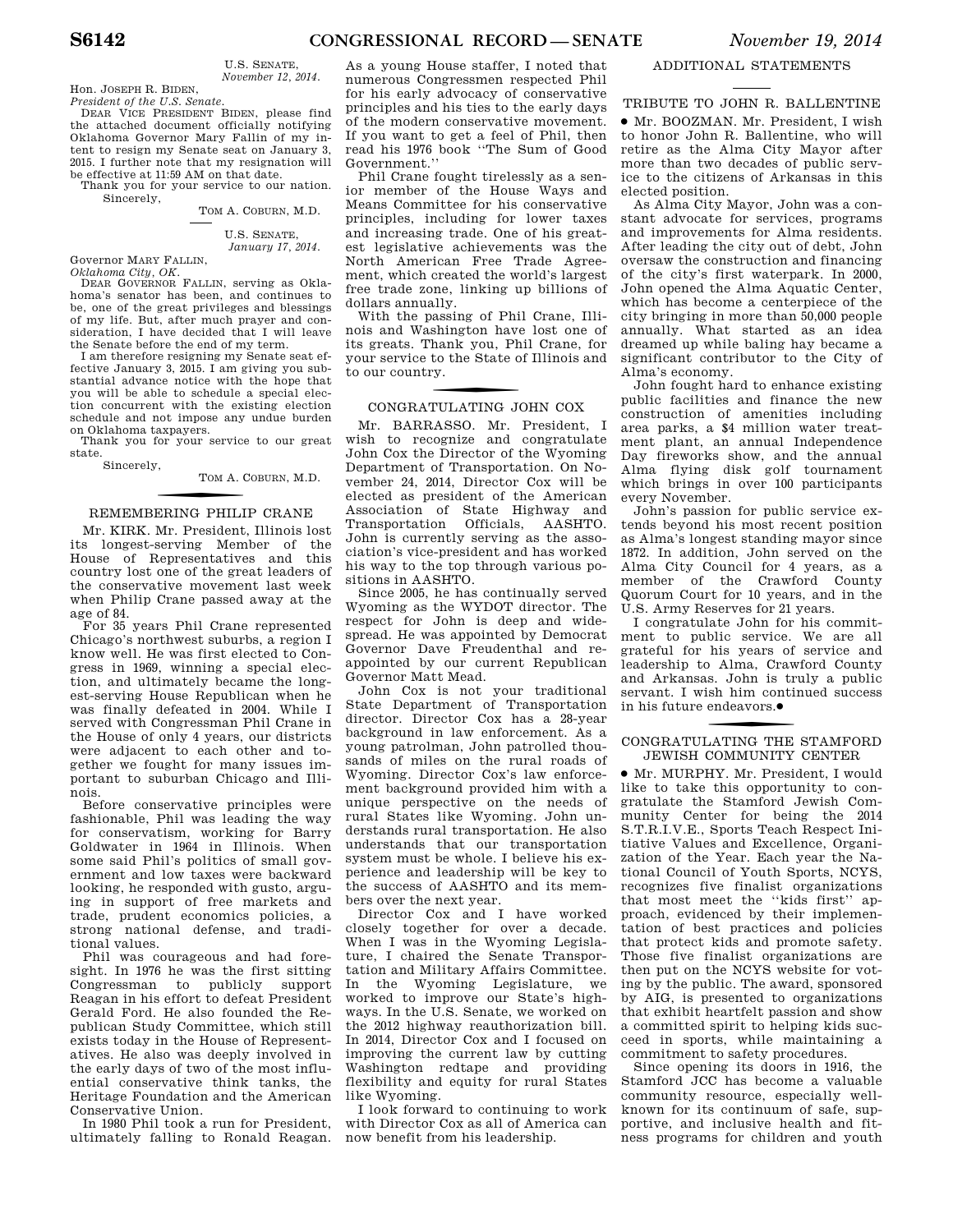### **S6142 CONGRESSIONAL RECORD — SENATE** *November 19, 2014*

### U.S. SENATE, *November 12, 2014.*

Hon. JOSEPH R. BIDEN,

*President of the U.S. Senate.*  DEAR VICE PRESIDENT BIDEN, please find the attached document officially notifying Oklahoma Governor Mary Fallin of my intent to resign my Senate seat on January 3, 2015. I further note that my resignation will be effective at 11:59 AM on that date.

Thank you for your service to our nation. Sincerely,

TOM A. COBURN, M.D.

U.S. SENATE, *January 17, 2014.* 

Governor MARY FALLIN, *Oklahoma City, OK.* 

DEAR GOVERNOR FALLIN, serving as Oklahoma's senator has been, and continues to be, one of the great privileges and blessings of my life. But, after much prayer and consideration, I have decided that I will leave

the Senate before the end of my term. I am therefore resigning my Senate seat effective January 3, 2015. I am giving you substantial advance notice with the hope that you will be able to schedule a special election concurrent with the existing election schedule and not impose any undue burden on Oklahoma taxpayers.

Thank you for your service to our great state.

Sincerely,

TOM A. COBURN, M.D.

# f REMEMBERING PHILIP CRANE

Mr. KIRK. Mr. President, Illinois lost its longest-serving Member of the House of Representatives and this country lost one of the great leaders of the conservative movement last week when Philip Crane passed away at the age of 84.

For 35 years Phil Crane represented Chicago's northwest suburbs, a region I know well. He was first elected to Congress in 1969, winning a special election, and ultimately became the longest-serving House Republican when he was finally defeated in 2004. While I served with Congressman Phil Crane in the House of only 4 years, our districts were adjacent to each other and together we fought for many issues important to suburban Chicago and Illinois.

Before conservative principles were fashionable, Phil was leading the way for conservatism, working for Barry Goldwater in 1964 in Illinois. When some said Phil's politics of small government and low taxes were backward looking, he responded with gusto, arguing in support of free markets and trade, prudent economics policies, a strong national defense, and traditional values.

Phil was courageous and had foresight. In 1976 he was the first sitting Congressman to publicly support Reagan in his effort to defeat President Gerald Ford. He also founded the Republican Study Committee, which still exists today in the House of Representatives. He also was deeply involved in the early days of two of the most influential conservative think tanks, the Heritage Foundation and the American Conservative Union.

In 1980 Phil took a run for President, ultimately falling to Ronald Reagan.

As a young House staffer, I noted that numerous Congressmen respected Phil for his early advocacy of conservative principles and his ties to the early days of the modern conservative movement. If you want to get a feel of Phil, then read his 1976 book ''The Sum of Good Government.''

Phil Crane fought tirelessly as a senior member of the House Ways and Means Committee for his conservative principles, including for lower taxes and increasing trade. One of his greatest legislative achievements was the North American Free Trade Agreement, which created the world's largest free trade zone, linking up billions of dollars annually.

With the passing of Phil Crane, Illinois and Washington have lost one of its greats. Thank you, Phil Crane, for your service to the State of Illinois and to our country.

# f CONGRATULATING JOHN COX

Mr. BARRASSO. Mr. President, I wish to recognize and congratulate John Cox the Director of the Wyoming Department of Transportation. On November 24, 2014, Director Cox will be elected as president of the American Association of State Highway and Transportation Officials, AASHTO. John is currently serving as the association's vice-president and has worked his way to the top through various positions in AASHTO.

Since 2005, he has continually served Wyoming as the WYDOT director. The respect for John is deep and widespread. He was appointed by Democrat Governor Dave Freudenthal and reappointed by our current Republican Governor Matt Mead.

John Cox is not your traditional State Department of Transportation director. Director Cox has a 28-year background in law enforcement. As a young patrolman, John patrolled thousands of miles on the rural roads of Wyoming. Director Cox's law enforcement background provided him with a unique perspective on the needs of rural States like Wyoming. John understands rural transportation. He also understands that our transportation system must be whole. I believe his experience and leadership will be key to the success of AASHTO and its members over the next year.

Director Cox and I have worked closely together for over a decade. When I was in the Wyoming Legislature, I chaired the Senate Transportation and Military Affairs Committee. In the Wyoming Legislature, we worked to improve our State's highways. In the U.S. Senate, we worked on the 2012 highway reauthorization bill. In 2014, Director Cox and I focused on improving the current law by cutting Washington redtape and providing flexibility and equity for rural States like Wyoming.

I look forward to continuing to work with Director Cox as all of America can now benefit from his leadership.

### ADDITIONAL STATEMENTS

### TRIBUTE TO JOHN R. BALLENTINE

∑ Mr. BOOZMAN. Mr. President, I wish to honor John R. Ballentine, who will retire as the Alma City Mayor after more than two decades of public service to the citizens of Arkansas in this elected position.

As Alma City Mayor, John was a constant advocate for services, programs and improvements for Alma residents. After leading the city out of debt, John oversaw the construction and financing of the city's first waterpark. In 2000, John opened the Alma Aquatic Center, which has become a centerpiece of the city bringing in more than 50,000 people annually. What started as an idea dreamed up while baling hay became a significant contributor to the City of Alma's economy.

John fought hard to enhance existing public facilities and finance the new construction of amenities including area parks, a \$4 million water treatment plant, an annual Independence Day fireworks show, and the annual Alma flying disk golf tournament which brings in over 100 participants every November.

John's passion for public service extends beyond his most recent position as Alma's longest standing mayor since 1872. In addition, John served on the Alma City Council for 4 years, as a member of the Crawford County Quorum Court for 10 years, and in the U.S. Army Reserves for 21 years.

I congratulate John for his commitment to public service. We are all grateful for his years of service and leadership to Alma, Crawford County and Arkansas. John is truly a public servant. I wish him continued success in his future endeavors. ∑

# CONGRATULATING THE STAMFORD JEWISH COMMUNITY CENTER

∑ Mr. MURPHY. Mr. President, I would like to take this opportunity to congratulate the Stamford Jewish Community Center for being the 2014 S.T.R.I.V.E., Sports Teach Respect Initiative Values and Excellence, Organization of the Year. Each year the National Council of Youth Sports, NCYS, recognizes five finalist organizations that most meet the ''kids first'' approach, evidenced by their implementation of best practices and policies that protect kids and promote safety. Those five finalist organizations are then put on the NCYS website for voting by the public. The award, sponsored by AIG, is presented to organizations that exhibit heartfelt passion and show a committed spirit to helping kids succeed in sports, while maintaining a commitment to safety procedures.

Since opening its doors in 1916, the Stamford JCC has become a valuable community resource, especially wellknown for its continuum of safe, supportive, and inclusive health and fitness programs for children and youth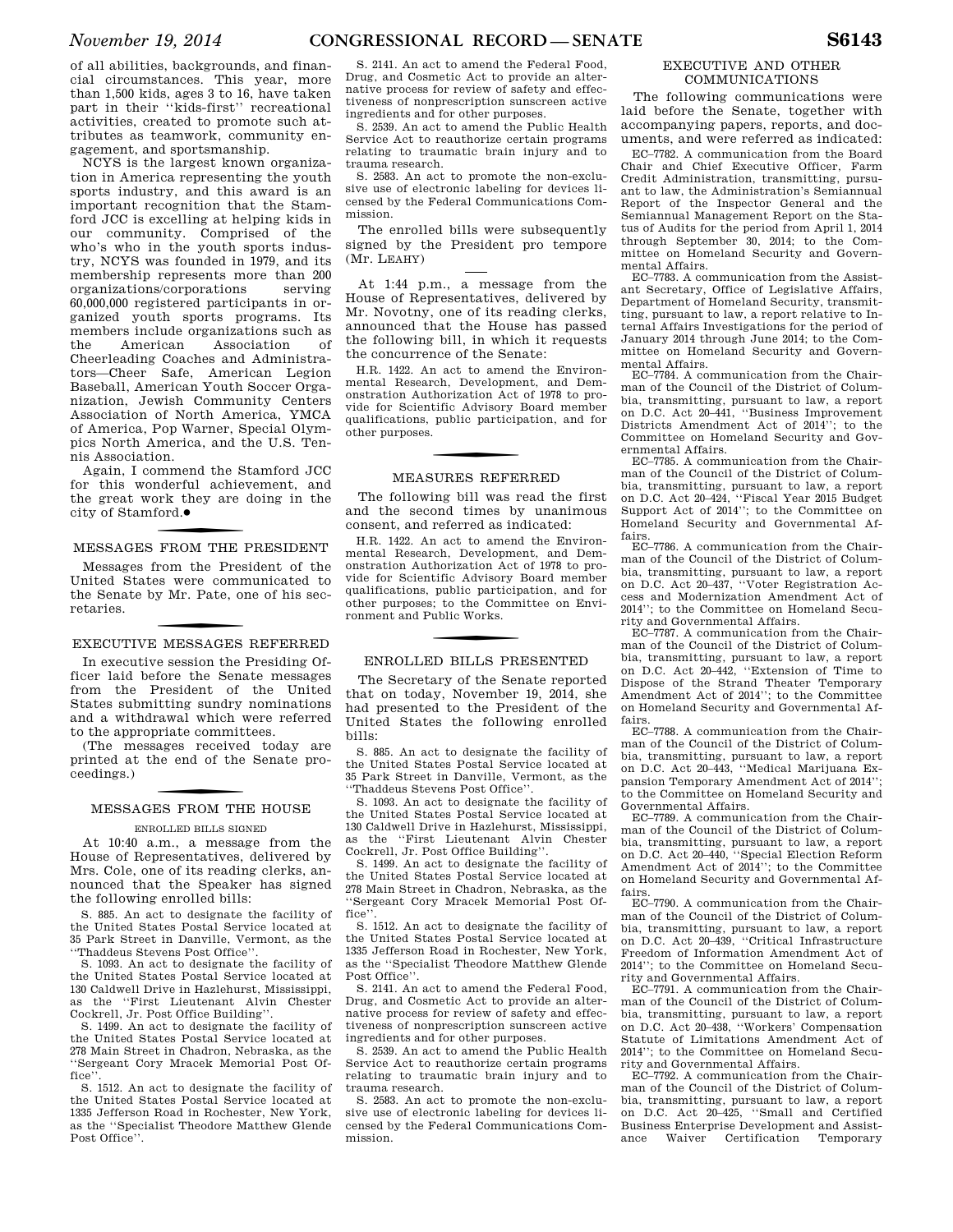of all abilities, backgrounds, and financial circumstances. This year, more than 1,500 kids, ages 3 to 16, have taken part in their ''kids-first'' recreational activities, created to promote such attributes as teamwork, community engagement, and sportsmanship.

NCYS is the largest known organization in America representing the youth sports industry, and this award is an important recognition that the Stamford JCC is excelling at helping kids in our community. Comprised of the who's who in the youth sports industry, NCYS was founded in 1979, and its membership represents more than 200 organizations/corporations serving 60,000,000 registered participants in organized youth sports programs. Its members include organizations such as the American Association of Cheerleading Coaches and Administrators—Cheer Safe, American Legion Baseball, American Youth Soccer Organization, Jewish Community Centers Association of North America, YMCA of America, Pop Warner, Special Olympics North America, and the U.S. Tennis Association.

Again, I commend the Stamford JCC for this wonderful achievement, and the great work they are doing in the city of Stamford. ∑

# f MESSAGES FROM THE PRESIDENT

Messages from the President of the United States were communicated to the Senate by Mr. Pate, one of his secretaries.

# f EXECUTIVE MESSAGES REFERRED

In executive session the Presiding Officer laid before the Senate messages from the President of the United States submitting sundry nominations and a withdrawal which were referred to the appropriate committees.

(The messages received today are printed at the end of the Senate proceedings.)

# f MESSAGES FROM THE HOUSE ENROLLED BILLS SIGNED

At 10:40 a.m., a message from the House of Representatives, delivered by Mrs. Cole, one of its reading clerks, announced that the Speaker has signed the following enrolled bills:

S. 885. An act to designate the facility of the United States Postal Service located at 35 Park Street in Danville, Vermont, as the ''Thaddeus Stevens Post Office''.

S. 1093. An act to designate the facility of the United States Postal Service located at 130 Caldwell Drive in Hazlehurst, Mississippi, as the ''First Lieutenant Alvin Chester Cockrell, Jr. Post Office Building''.

S. 1499. An act to designate the facility of the United States Postal Service located at 278 Main Street in Chadron, Nebraska, as the ''Sergeant Cory Mracek Memorial Post Office<sup>'</sup>

S. 1512. An act to designate the facility of the United States Postal Service located at 1335 Jefferson Road in Rochester, New York, as the ''Specialist Theodore Matthew Glende Post Office''.

S. 2141. An act to amend the Federal Food, Drug, and Cosmetic Act to provide an alternative process for review of safety and effectiveness of nonprescription sunscreen active ingredients and for other purposes.

S. 2539. An act to amend the Public Health Service Act to reauthorize certain programs relating to traumatic brain injury and to trauma research.

S. 2583. An act to promote the non-exclusive use of electronic labeling for devices licensed by the Federal Communications Commission.

The enrolled bills were subsequently signed by the President pro tempore (Mr. LEAHY)

At 1:44 p.m., a message from the House of Representatives, delivered by Mr. Novotny, one of its reading clerks, announced that the House has passed the following bill, in which it requests the concurrence of the Senate:

H.R. 1422. An act to amend the Environmental Research, Development, and Demonstration Authorization Act of 1978 to provide for Scientific Advisory Board member qualifications, public participation, and for other purposes.

### MEASURES REFERRED

The following bill was read the first and the second times by unanimous consent, and referred as indicated:

H.R. 1422. An act to amend the Environmental Research, Development, and Demonstration Authorization Act of 1978 to provide for Scientific Advisory Board member qualifications, public participation, and for other purposes; to the Committee on Environment and Public Works.

### ENROLLED BILLS PRESENTED

The Secretary of the Senate reported that on today, November 19, 2014, she had presented to the President of the United States the following enrolled bills:

S. 885. An act to designate the facility of the United States Postal Service located at 35 Park Street in Danville, Vermont, as the ''Thaddeus Stevens Post Office''.

S. 1093. An act to designate the facility of the United States Postal Service located at 130 Caldwell Drive in Hazlehurst, Mississippi, as the ''First Lieutenant Alvin Chester Cockrell, Jr. Post Office Building''.

S. 1499. An act to designate the facility of the United States Postal Service located at 278 Main Street in Chadron, Nebraska, as the ''Sergeant Cory Mracek Memorial Post Office'

S. 1512. An act to designate the facility of the United States Postal Service located at 1335 Jefferson Road in Rochester, New York, as the ''Specialist Theodore Matthew Glende Post Office''.

S. 2141. An act to amend the Federal Food, Drug, and Cosmetic Act to provide an alternative process for review of safety and effectiveness of nonprescription sunscreen active ingredients and for other purposes.

S. 2539. An act to amend the Public Health Service Act to reauthorize certain programs relating to traumatic brain injury and to trauma research.

S. 2583. An act to promote the non-exclusive use of electronic labeling for devices licensed by the Federal Communications Commission.

### EXECUTIVE AND OTHER COMMUNICATIONS

The following communications were laid before the Senate, together with accompanying papers, reports, and documents, and were referred as indicated:

EC–7782. A communication from the Board Chair and Chief Executive Officer, Farm Credit Administration, transmitting, pursuant to law, the Administration's Semiannual Report of the Inspector General and the Semiannual Management Report on the Status of Audits for the period from April 1, 2014 through September 30, 2014; to the Committee on Homeland Security and Governmental Affairs.

EC–7783. A communication from the Assistant Secretary, Office of Legislative Affairs, Department of Homeland Security, transmitting, pursuant to law, a report relative to Internal Affairs Investigations for the period of January 2014 through June 2014; to the Committee on Homeland Security and Governmental Affairs.

EC–7784. A communication from the Chairman of the Council of the District of Columbia, transmitting, pursuant to law, a report on D.C. Act 20–441, ''Business Improvement Districts Amendment Act of 2014''; to the Committee on Homeland Security and Governmental Affairs.

EC–7785. A communication from the Chairman of the Council of the District of Columbia, transmitting, pursuant to law, a report on D.C. Act 20–424, ''Fiscal Year 2015 Budget Support Act of 2014''; to the Committee on Homeland Security and Governmental Affairs.

EC–7786. A communication from the Chairman of the Council of the District of Columbia, transmitting, pursuant to law, a report on D.C. Act 20–437, ''Voter Registration Access and Modernization Amendment Act of 2014''; to the Committee on Homeland Security and Governmental Affairs.

EC–7787. A communication from the Chairman of the Council of the District of Columbia, transmitting, pursuant to law, a report on D.C. Act 20–442, ''Extension of Time to Dispose of the Strand Theater Temporary Amendment Act of 2014''; to the Committee on Homeland Security and Governmental Affairs.

EC–7788. A communication from the Chairman of the Council of the District of Columbia, transmitting, pursuant to law, a report on D.C. Act 20–443, ''Medical Marijuana Expansion Temporary Amendment Act of 2014''; to the Committee on Homeland Security and Governmental Affairs.

EC–7789. A communication from the Chairman of the Council of the District of Columbia, transmitting, pursuant to law, a report on D.C. Act 20–440, ''Special Election Reform Amendment Act of 2014''; to the Committee on Homeland Security and Governmental Affairs.

EC–7790. A communication from the Chairman of the Council of the District of Columbia, transmitting, pursuant to law, a report on D.C. Act 20–439, ''Critical Infrastructure Freedom of Information Amendment Act of 2014''; to the Committee on Homeland Security and Governmental Affairs.

EC–7791. A communication from the Chairman of the Council of the District of Columbia, transmitting, pursuant to law, a report on D.C. Act 20–438, ''Workers' Compensation Statute of Limitations Amendment Act of 2014''; to the Committee on Homeland Security and Governmental Affairs.

EC–7792. A communication from the Chairman of the Council of the District of Columbia, transmitting, pursuant to law, a report on D.C. Act 20–425, ''Small and Certified Business Enterprise Development and Assistance Waiver Certification Temporary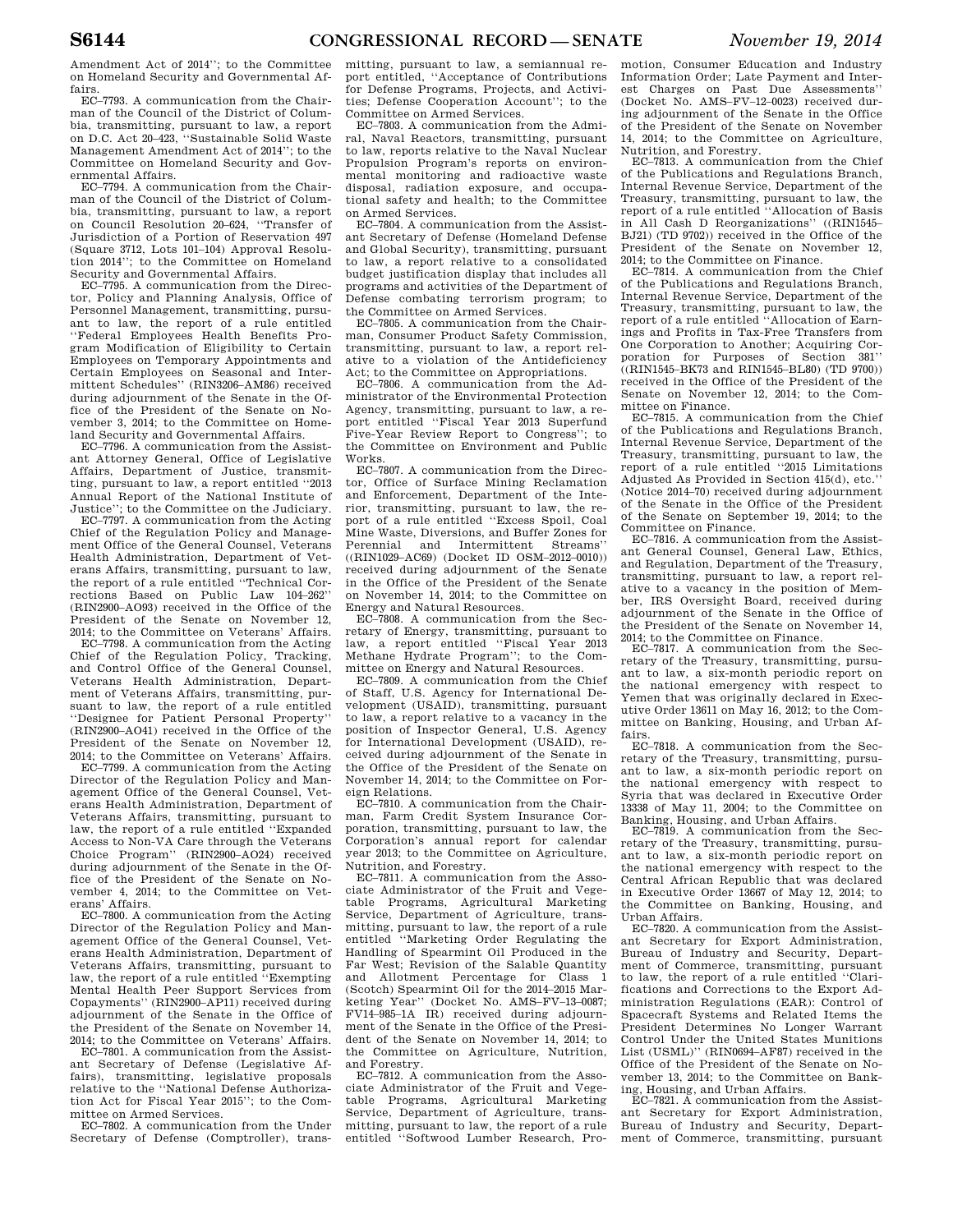Amendment Act of 2014''; to the Committee on Homeland Security and Governmental Affairs.

EC–7793. A communication from the Chairman of the Council of the District of Columbia, transmitting, pursuant to law, a report on D.C. Act 20–423, ''Sustainable Solid Waste Management Amendment Act of 2014''; to the Committee on Homeland Security and Governmental Affairs.

EC–7794. A communication from the Chairman of the Council of the District of Columbia, transmitting, pursuant to law, a report on Council Resolution 20–624, ''Transfer of Jurisdiction of a Portion of Reservation 497 (Square 3712, Lots 101–104) Approval Resolution 2014''; to the Committee on Homeland Security and Governmental Affairs.

EC–7795. A communication from the Director, Policy and Planning Analysis, Office of Personnel Management, transmitting, pursuant to law, the report of a rule entitled ''Federal Employees Health Benefits Program Modification of Eligibility to Certain Employees on Temporary Appointments and Certain Employees on Seasonal and Intermittent Schedules'' (RIN3206–AM86) received during adjournment of the Senate in the Office of the President of the Senate on November 3, 2014; to the Committee on Homeland Security and Governmental Affairs.

EC–7796. A communication from the Assistant Attorney General, Office of Legislative Affairs, Department of Justice, transmitting, pursuant to law, a report entitled ''2013 Annual Report of the National Institute of Justice''; to the Committee on the Judiciary.

EC–7797. A communication from the Acting Chief of the Regulation Policy and Management Office of the General Counsel, Veterans Health Administration, Department of Veterans Affairs, transmitting, pursuant to law, the report of a rule entitled ''Technical Corrections Based on Public Law 104–262'' (RIN2900–AO93) received in the Office of the President of the Senate on November 12, 2014; to the Committee on Veterans' Affairs.

EC–7798. A communication from the Acting Chief of the Regulation Policy, Tracking, and Control Office of the General Counsel, Veterans Health Administration, ment of Veterans Affairs, transmitting, pursuant to law, the report of a rule entitled ''Designee for Patient Personal Property'' (RIN2900–AO41) received in the Office of the President of the Senate on November 12, 2014; to the Committee on Veterans' Affairs.

EC–7799. A communication from the Acting Director of the Regulation Policy and Management Office of the General Counsel, Veterans Health Administration, Department of Veterans Affairs, transmitting, pursuant to law, the report of a rule entitled ''Expanded Access to Non-VA Care through the Veterans Choice Program'' (RIN2900–AO24) received during adjournment of the Senate in the Office of the President of the Senate on November 4, 2014; to the Committee on Veterans' Affairs.

EC–7800. A communication from the Acting Director of the Regulation Policy and Management Office of the General Counsel, Veterans Health Administration, Department of Veterans Affairs, transmitting, pursuant to law, the report of a rule entitled ''Exempting Mental Health Peer Support Services from Copayments'' (RIN2900–AP11) received during adjournment of the Senate in the Office of the President of the Senate on November 14, 2014; to the Committee on Veterans' Affairs.

EC–7801. A communication from the Assistant Secretary of Defense (Legislative Affairs), transmitting, legislative proposals relative to the ''National Defense Authorization Act for Fiscal Year 2015''; to the Committee on Armed Services.

EC–7802. A communication from the Under Secretary of Defense (Comptroller), transmitting, pursuant to law, a semiannual report entitled, ''Acceptance of Contributions for Defense Programs, Projects, and Activities; Defense Cooperation Account''; to the Committee on Armed Services.

EC–7803. A communication from the Admiral, Naval Reactors, transmitting, pursuant to law, reports relative to the Naval Nuclear Propulsion Program's reports on environmental monitoring and radioactive waste disposal, radiation exposure, and occupational safety and health; to the Committee on Armed Services.

EC–7804. A communication from the Assistant Secretary of Defense (Homeland Defense and Global Security), transmitting, pursuant to law, a report relative to a consolidated budget justification display that includes all programs and activities of the Department of Defense combating terrorism program; to the Committee on Armed Services.

EC–7805. A communication from the Chairman, Consumer Product Safety Commission, transmitting, pursuant to law, a report relative to a violation of the Antideficiency Act; to the Committee on Appropriations.

EC–7806. A communication from the Administrator of the Environmental Protection Agency, transmitting, pursuant to law, a report entitled ''Fiscal Year 2013 Superfund Five-Year Review Report to Congress''; to the Committee on Environment and Public Works.

EC–7807. A communication from the Director, Office of Surface Mining Reclamation and Enforcement, Department of the Interior, transmitting, pursuant to law, the report of a rule entitled ''Excess Spoil, Coal Mine Waste, Diversions, and Buffer Zones for Perennial and Intermittent Streams'' ((RIN1029–AC69) (Docket ID OSM–2012–0010)) received during adjournment of the Senate in the Office of the President of the Senate on November 14, 2014; to the Committee on Energy and Natural Resources.

EC–7808. A communication from the Secretary of Energy, transmitting, pursuant to law, a report entitled ''Fiscal Year 2013 Methane Hydrate Program''; to the Committee on Energy and Natural Resources.

EC–7809. A communication from the Chief of Staff, U.S. Agency for International Development (USAID), transmitting, pursuant to law, a report relative to a vacancy in the position of Inspector General, U.S. Agency for International Development (USAID), received during adjournment of the Senate in the Office of the President of the Senate on November 14, 2014; to the Committee on Foreign Relations.

EC–7810. A communication from the Chairman, Farm Credit System Insurance Corporation, transmitting, pursuant to law, the Corporation's annual report for calendar year 2013; to the Committee on Agriculture, Nutrition, and Forestry.

EC–7811. A communication from the Associate Administrator of the Fruit and Vegetable Programs, Agricultural Marketing Service, Department of Agriculture, transmitting, pursuant to law, the report of a rule entitled ''Marketing Order Regulating the Handling of Spearmint Oil Produced in the Far West; Revision of the Salable Quantity and Allotment Percentage for Class 1 (Scotch) Spearmint Oil for the 2014–2015 Marketing Year'' (Docket No. AMS–FV–13–0087; FV14–985–1A IR) received during adjournment of the Senate in the Office of the President of the Senate on November 14, 2014; to the Committee on Agriculture, Nutrition, and Forestry.

EC–7812. A communication from the Associate Administrator of the Fruit and Vegetable Programs, Agricultural Marketing Service, Department of Agriculture, transmitting, pursuant to law, the report of a rule entitled ''Softwood Lumber Research, Pro-

motion, Consumer Education and Industry Information Order; Late Payment and Interest Charges on Past Due Assessments'' (Docket No. AMS–FV–12–0023) received during adjournment of the Senate in the Office of the President of the Senate on November 14, 2014; to the Committee on Agriculture, Nutrition, and Forestry.

EC–7813. A communication from the Chief of the Publications and Regulations Branch, Internal Revenue Service, Department of the Treasury, transmitting, pursuant to law, the report of a rule entitled ''Allocation of Basis in All Cash D Reorganizations'' ((RIN1545– BJ21) (TD 9702)) received in the Office of the President of the Senate on November 12, 2014; to the Committee on Finance.

EC–7814. A communication from the Chief of the Publications and Regulations Branch, Internal Revenue Service, Department of the Treasury, transmitting, pursuant to law, the report of a rule entitled ''Allocation of Earnings and Profits in Tax-Free Transfers from One Corporation to Another; Acquiring Cor-<br>poration for Purposes of Section 381" poration for Purposes of Section ((RIN1545–BK73 and RIN1545–BL80) (TD 9700)) received in the Office of the President of the Senate on November 12, 2014; to the Committee on Finance.

EC–7815. A communication from the Chief of the Publications and Regulations Branch, Internal Revenue Service, Department of the Treasury, transmitting, pursuant to law, the report of a rule entitled ''2015 Limitations Adjusted As Provided in Section 415(d), etc.'' (Notice 2014–70) received during adjournment of the Senate in the Office of the President of the Senate on September 19, 2014; to the Committee on Finance.

EC–7816. A communication from the Assistant General Counsel, General Law, Ethics, and Regulation, Department of the Treasury, transmitting, pursuant to law, a report relative to a vacancy in the position of Member, IRS Oversight Board, received during adjournment of the Senate in the Office of the President of the Senate on November 14, 2014; to the Committee on Finance.

EC–7817. A communication from the Sec-retary of the Treasury, transmitting, pursuant to law, a six-month periodic report on the national emergency with respect to Yemen that was originally declared in Executive Order 13611 on May 16, 2012; to the Committee on Banking, Housing, and Urban Affairs.

EC–7818. A communication from the Secretary of the Treasury, transmitting, pursuant to law, a six-month periodic report on the national emergency with respect to Syria that was declared in Executive Order 13338 of May 11, 2004; to the Committee on Banking, Housing, and Urban Affairs.

EC–7819. A communication from the Sec-retary of the Treasury, transmitting, pursuant to law, a six-month periodic report on the national emergency with respect to the Central African Republic that was declared in Executive Order 13667 of May 12, 2014; to the Committee on Banking, Housing, and Urban Affairs.

EC–7820. A communication from the Assistant Secretary for Export Administration, Bureau of Industry and Security, Department of Commerce, transmitting, pursuant to law, the report of a rule entitled ''Clarifications and Corrections to the Export Administration Regulations (EAR): Control of Spacecraft Systems and Related Items the President Determines No Longer Warrant Control Under the United States Munitions List (USML)'' (RIN0694–AF87) received in the Office of the President of the Senate on November 13, 2014; to the Committee on Banking, Housing, and Urban Affairs.

EC–7821. A communication from the Assistant Secretary for Export Administration, Bureau of Industry and Security, Department of Commerce, transmitting, pursuant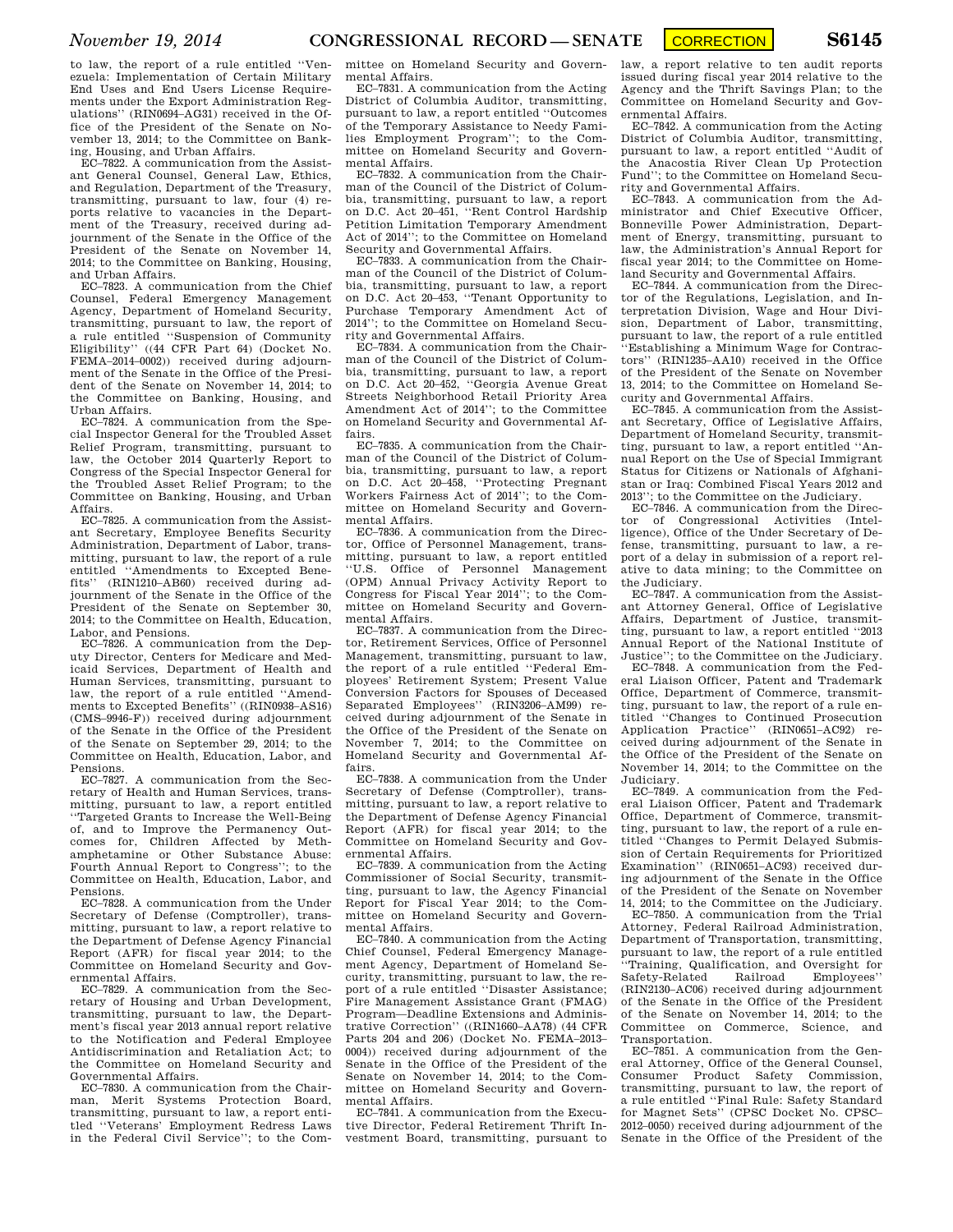to law, the report of a rule entitled ''Venezuela: Implementation of Certain Military End Uses and End Users License Requirements under the Export Administration Regulations'' (RIN0694–AG31) received in the Office of the President of the Senate on November 13, 2014; to the Committee on Banking, Housing, and Urban Affairs.

EC–7822. A communication from the Assistant General Counsel, General Law, Ethics, and Regulation, Department of the Treasury, transmitting, pursuant to law, four (4) reports relative to vacancies in the Department of the Treasury, received during adjournment of the Senate in the Office of the President of the Senate on November 14, 2014; to the Committee on Banking, Housing, and Urban Affairs.

EC–7823. A communication from the Chief Counsel, Federal Emergency Management Agency, Department of Homeland Security, transmitting, pursuant to law, the report of a rule entitled ''Suspension of Community Eligibility'' ((44 CFR Part 64) (Docket No. FEMA–2014–0002)) received during adjournment of the Senate in the Office of the President of the Senate on November 14, 2014; to the Committee on Banking, Housing, and Urban Affairs.

EC–7824. A communication from the Special Inspector General for the Troubled Asset Relief Program, transmitting, pursuant to law, the October 2014 Quarterly Report to Congress of the Special Inspector General for the Troubled Asset Relief Program; to the Committee on Banking, Housing, and Urban Affairs.

EC–7825. A communication from the Assistant Secretary, Employee Benefits Security Administration, Department of Labor, transmitting, pursuant to law, the report of a rule entitled ''Amendments to Excepted Benefits'' (RIN1210–AB60) received during adjournment of the Senate in the Office of the President of the Senate on September 30, 2014; to the Committee on Health, Education, Labor, and Pensions.

EC–7826. A communication from the Deputy Director, Centers for Medicare and Medicaid Services, Department of Health and Human Services, transmitting, pursuant to law, the report of a rule entitled ''Amendments to Excepted Benefits'' ((RIN0938–AS16) (CMS–9946-F)) received during adjournment of the Senate in the Office of the President of the Senate on September 29, 2014; to the Committee on Health, Education, Labor, and Pensions.

EC–7827. A communication from the Secretary of Health and Human Services, transmitting, pursuant to law, a report entitled ''Targeted Grants to Increase the Well-Being of, and to Improve the Permanency Outcomes for, Children Affected by Methamphetamine or Other Substance Abuse: Fourth Annual Report to Congress''; to the Committee on Health, Education, Labor, and Pensions.

EC–7828. A communication from the Under Secretary of Defense (Comptroller), transmitting, pursuant to law, a report relative to the Department of Defense Agency Financial Report (AFR) for fiscal year 2014; to the Committee on Homeland Security and Governmental Affairs.

EC–7829. A communication from the Secretary of Housing and Urban Development, transmitting, pursuant to law, the Department's fiscal year 2013 annual report relative to the Notification and Federal Employee Antidiscrimination and Retaliation Act; to the Committee on Homeland Security and Governmental Affairs.

EC–7830. A communication from the Chairman, Merit Systems Protection Board, transmitting, pursuant to law, a report entitled ''Veterans' Employment Redress Laws in the Federal Civil Service''; to the Com-

mittee on Homeland Security and Governmental Affairs.

EC–7831. A communication from the Acting District of Columbia Auditor, transmitting, pursuant to law, a report entitled ''Outcomes of the Temporary Assistance to Needy Families Employment Program''; to the Committee on Homeland Security and Governmental Affairs.

EC–7832. A communication from the Chairman of the Council of the District of Columbia, transmitting, pursuant to law, a report on D.C. Act 20–451, ''Rent Control Hardship Petition Limitation Temporary Amendment Act of  $2014$ " to the Committee on Homeland Security and Governmental Affairs.

EC–7833. A communication from the Chairman of the Council of the District of Columbia, transmitting, pursuant to law, a report on D.C. Act 20–453, ''Tenant Opportunity to Purchase Temporary Amendment Act of 2014''; to the Committee on Homeland Security and Governmental Affairs.

EC–7834. A communication from the Chairman of the Council of the District of Columbia, transmitting, pursuant to law, a report on D.C. Act 20–452, ''Georgia Avenue Great Streets Neighborhood Retail Priority Area Amendment Act of 2014''; to the Committee on Homeland Security and Governmental Affairs.

EC–7835. A communication from the Chairman of the Council of the District of Columbia, transmitting, pursuant to law, a report on D.C. Act 20–458, ''Protecting Pregnant Workers Fairness Act of 2014''; to the Committee on Homeland Security and Governmental Affairs.

EC–7836. A communication from the Director, Office of Personnel Management, transmitting, pursuant to law, a report entitled "U.S. Office of Personnel Management Office of Personnel Management (OPM) Annual Privacy Activity Report to Congress for Fiscal Year 2014''; to the Committee on Homeland Security and Governmental Affairs.

EC–7837. A communication from the Director, Retirement Services, Office of Personnel Management, transmitting, pursuant to law, the report of a rule entitled ''Federal Employees' Retirement System; Present Value Conversion Factors for Spouses of Deceased Separated Employees'' (RIN3206–AM99) received during adjournment of the Senate in the Office of the President of the Senate on November 7, 2014; to the Committee on Homeland Security and Governmental Affairs.

EC–7838. A communication from the Under Secretary of Defense (Comptroller), transmitting, pursuant to law, a report relative to the Department of Defense Agency Financial Report (AFR) for fiscal year 2014; to the Committee on Homeland Security and Governmental Affairs.

EC–7839. A communication from the Acting Commissioner of Social Security, transmitting, pursuant to law, the Agency Financial Report for Fiscal Year 2014; to the Committee on Homeland Security and Governmental Affairs.

EC–7840. A communication from the Acting Chief Counsel, Federal Emergency Management Agency, Department of Homeland Security, transmitting, pursuant to law, the report of a rule entitled ''Disaster Assistance; Fire Management Assistance Grant (FMAG) Program—Deadline Extensions and Administrative Correction'' ((RIN1660–AA78) (44 CFR Parts 204 and 206) (Docket No. FEMA–2013– 0004)) received during adjournment of the Senate in the Office of the President of the Senate on November 14, 2014; to the Committee on Homeland Security and Governmental Affairs.

EC–7841. A communication from the Executive Director, Federal Retirement Thrift Investment Board, transmitting, pursuant to law, a report relative to ten audit reports issued during fiscal year 2014 relative to the Agency and the Thrift Savings Plan; to the Committee on Homeland Security and Governmental Affairs.

EC–7842. A communication from the Acting District of Columbia Auditor, transmitting, pursuant to law, a report entitled ''Audit of the Anacostia River Clean Up Protection Fund''; to the Committee on Homeland Security and Governmental Affairs.

EC–7843. A communication from the Administrator and Chief Executive Officer, Bonneville Power Administration, Department of Energy, transmitting, pursuant to law, the Administration's Annual Report for fiscal year 2014; to the Committee on Homeland Security and Governmental Affairs.

EC–7844. A communication from the Director of the Regulations, Legislation, and Interpretation Division, Wage and Hour Division, Department of Labor, transmitting, pursuant to law, the report of a rule entitled ''Establishing a Minimum Wage for Contractors'' (RIN1235–AA10) received in the Office of the President of the Senate on November 13, 2014; to the Committee on Homeland Security and Governmental Affairs.

EC–7845. A communication from the Assistant Secretary, Office of Legislative Affairs, Department of Homeland Security, transmitting, pursuant to law, a report entitled ''Annual Report on the Use of Special Immigrant Status for Citizens or Nationals of Afghanistan or Iraq: Combined Fiscal Years 2012 and 2013''; to the Committee on the Judiciary.

EC–7846. A communication from the Director of Congressional Activities (Intelligence), Office of the Under Secretary of Defense, transmitting, pursuant to law, a report of a delay in submission of a report relative to data mining; to the Committee on the Judiciary.

EC–7847. A communication from the Assistant Attorney General, Office of Legislative Affairs, Department of Justice, transmitting, pursuant to law, a report entitled ''2013 Annual Report of the National Institute of Justice''; to the Committee on the Judiciary.

EC–7848. A communication from the Federal Liaison Officer, Patent and Trademark Office, Department of Commerce, transmitting, pursuant to law, the report of a rule entitled ''Changes to Continued Prosecution Application Practice'' (RIN0651–AC92) received during adjournment of the Senate in the Office of the President of the Senate on November 14, 2014; to the Committee on the Judiciary.

EC–7849. A communication from the Federal Liaison Officer, Patent and Trademark Office, Department of Commerce, transmitting, pursuant to law, the report of a rule entitled ''Changes to Permit Delayed Submission of Certain Requirements for Prioritized Examination'' (RIN0651–AC93) received during adjournment of the Senate in the Office of the President of the Senate on November 14, 2014; to the Committee on the Judiciary.

EC–7850. A communication from the Trial Attorney, Federal Railroad Administration, Department of Transportation, transmitting, pursuant to law, the report of a rule entitled ''Training, Qualification, and Oversight for Safety-Related Railroad Employees'' (RIN2130–AC06) received during adjournment of the Senate in the Office of the President of the Senate on November 14, 2014; to the Committee on Commerce, Science, and Transportation.

EC–7851. A communication from the General Attorney, Office of the General Counsel,<br>Consumer Product Safety Commission. Consumer Product Safety transmitting, pursuant to law, the report of a rule entitled ''Final Rule: Safety Standard for Magnet Sets'' (CPSC Docket No. CPSC– 2012–0050) received during adjournment of the Senate in the Office of the President of the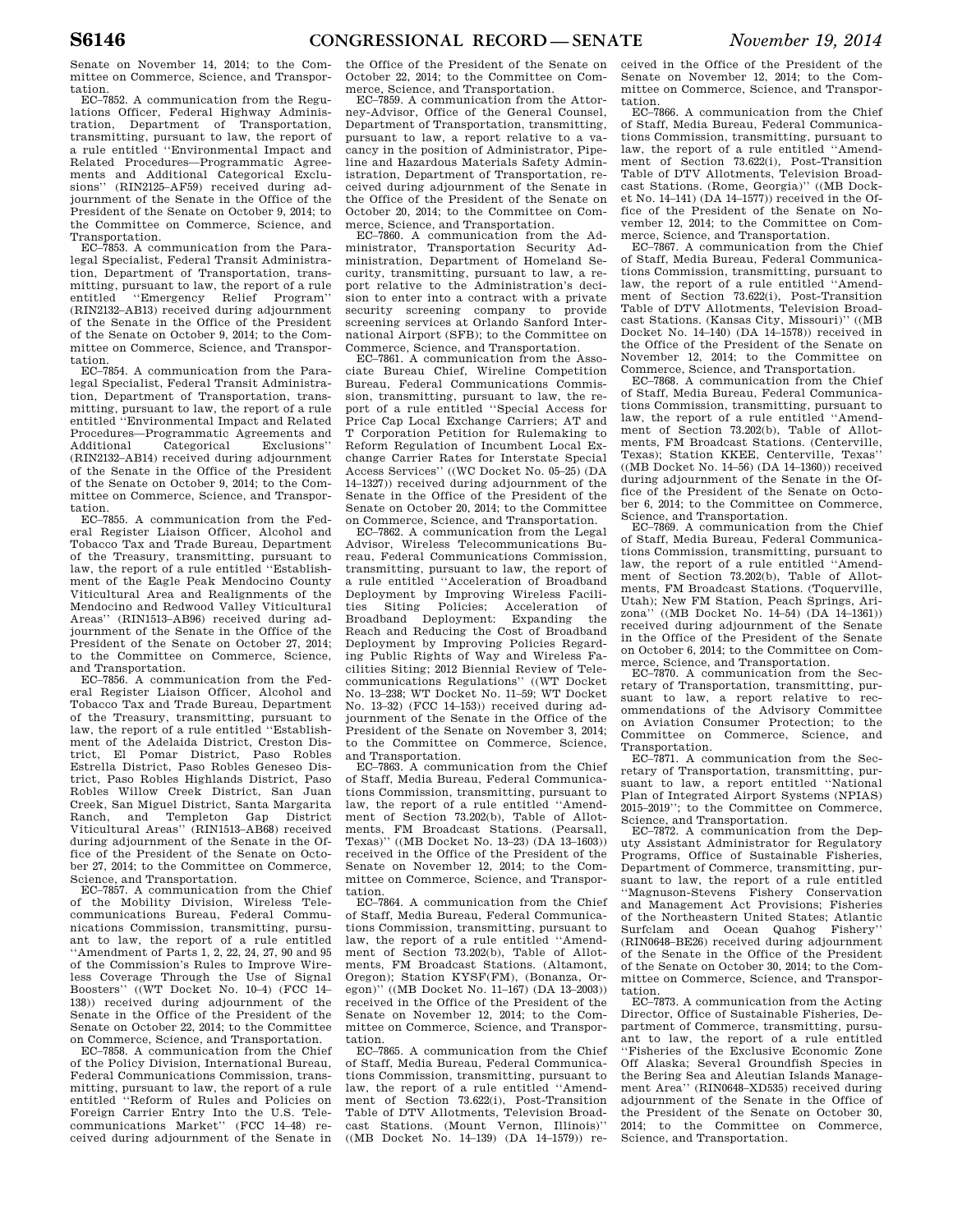Senate on November 14, 2014; to the Committee on Commerce, Science, and Transportation.

EC–7852. A communication from the Regulations Officer, Federal Highway Administration, Department of Transportation, transmitting, pursuant to law, the report of a rule entitled ''Environmental Impact and Related Procedures—Programmatic Agreements and Additional Categorical Exclusions'' (RIN2125–AF59) received during adjournment of the Senate in the Office of the President of the Senate on October 9, 2014; to the Committee on Commerce, Science, and Transportation.

EC–7853. A communication from the Paralegal Specialist, Federal Transit Administration, Department of Transportation, transmitting, pursuant to law, the report of a rule<br>entitled "Emergency Relief Program" "Emergency Relief Program" (RIN2132–AB13) received during adjournment of the Senate in the Office of the President of the Senate on October 9, 2014; to the Committee on Commerce, Science, and Transportation.

EC–7854. A communication from the Paralegal Specialist, Federal Transit Administration, Department of Transportation, transmitting, pursuant to law, the report of a rule entitled ''Environmental Impact and Related Procedures—Programmatic Agreements and Categorical Exclusions'' (RIN2132–AB14) received during adjournment of the Senate in the Office of the President of the Senate on October 9, 2014; to the Committee on Commerce, Science, and Transportation.

EC–7855. A communication from the Federal Register Liaison Officer, Alcohol and Tobacco Tax and Trade Bureau, Department of the Treasury, transmitting, pursuant to law, the report of a rule entitled ''Establishment of the Eagle Peak Mendocino County Viticultural Area and Realignments of the Mendocino and Redwood Valley Viticultural Areas'' (RIN1513–AB96) received during adjournment of the Senate in the Office of the President of the Senate on October 27, 2014; to the Committee on Commerce, Science, and Transportation.

EC–7856. A communication from the Federal Register Liaison Officer, Alcohol and Tobacco Tax and Trade Bureau, Department of the Treasury, transmitting, pursuant to law, the report of a rule entitled ''Establishment of the Adelaida District, Creston District, El Pomar District, Paso Robles Estrella District, Paso Robles Geneseo District, Paso Robles Highlands District, Paso Robles Willow Creek District, San Juan Creek, San Miguel District, Santa Margarita Ranch, and Templeton Gap District Viticultural Areas'' (RIN1513–AB68) received during adjournment of the Senate in the Office of the President of the Senate on October 27, 2014; to the Committee on Commerce, Science, and Transportation.

EC–7857. A communication from the Chief of the Mobility Division, Wireless Telecommunications Bureau, Federal Communications Commission, transmitting, pursuant to law, the report of a rule entitled ''Amendment of Parts 1, 2, 22, 24, 27, 90 and 95 of the Commission's Rules to Improve Wireless Coverage Through the Use of Signal Boosters'' ((WT Docket No. 10–4) (FCC 14– 138)) received during adjournment of the Senate in the Office of the President of the Senate on October 22, 2014; to the Committee on Commerce, Science, and Transportation.

EC–7858. A communication from the Chief of the Policy Division, International Bureau, Federal Communications Commission, transmitting, pursuant to law, the report of a rule<br>entitled "Reform of Rules and Policies on "Reform of Rules and Policies on Foreign Carrier Entry Into the U.S. Telecommunications Market'' (FCC 14–48) received during adjournment of the Senate in the Office of the President of the Senate on October 22, 2014; to the Committee on Commerce, Science, and Transportation.

EC–7859. A communication from the Attorney-Advisor, Office of the General Counsel, Department of Transportation, transmitting, pursuant to law, a report relative to a vacancy in the position of Administrator, Pipeline and Hazardous Materials Safety Administration, Department of Transportation, received during adjournment of the Senate in the Office of the President of the Senate on October 20, 2014; to the Committee on Commerce, Science, and Transportation. EC–7860. A communication from the Ad-

ministrator, Transportation Security Administration, Department of Homeland Security, transmitting, pursuant to law, a report relative to the Administration's decision to enter into a contract with a private security screening company to provide screening services at Orlando Sanford International Airport (SFB); to the Committee on Commerce, Science, and Transportation.

EC–7861. A communication from the Associate Bureau Chief, Wireline Competition Bureau, Federal Communications Commission, transmitting, pursuant to law, the report of a rule entitled ''Special Access for Price Cap Local Exchange Carriers; AT and T Corporation Petition for Rulemaking to Reform Regulation of Incumbent Local Exchange Carrier Rates for Interstate Special Access Services'' ((WC Docket No. 05–25) (DA 14–1327)) received during adjournment of the Senate in the Office of the President of the Senate on October 20, 2014; to the Committee on Commerce, Science, and Transportation.

EC–7862. A communication from the Legal Advisor, Wireless Telecommunications Bureau, Federal Communications Commission, transmitting, pursuant to law, the report of a rule entitled ''Acceleration of Broadband Deployment by Improving Wireless Facilities Siting Policies; Acceleration of Broadband Deployment: Expanding the Reach and Reducing the Cost of Broadband Deployment by Improving Policies Regarding Public Rights of Way and Wireless Facilities Siting; 2012 Biennial Review of Telecommunications Regulations'' ((WT Docket No. 13–238; WT Docket No. 11–59; WT Docket No. 13–32) (FCC 14–153)) received during adjournment of the Senate in the Office of the President of the Senate on November 3, 2014; to the Committee on Commerce, Science, and Transportation.

EC–7863. A communication from the Chief of Staff, Media Bureau, Federal Communications Commission, transmitting, pursuant to law, the report of a rule entitled ''Amendment of Section 73.202(b), Table of Allotments, FM Broadcast Stations. (Pearsall, Texas)'' ((MB Docket No. 13–23) (DA 13–1603)) received in the Office of the President of the Senate on November 12, 2014; to the Committee on Commerce, Science, and Transportation.

EC–7864. A communication from the Chief of Staff, Media Bureau, Federal Communications Commission, transmitting, pursuant to law, the report of a rule entitled ''Amendment of Section 73.202(b), Table of Allotments, FM Broadcast Stations. (Altamont, Oregon); Station KYSF(FM), (Bonanza, Oregon)'' ((MB Docket No. 11–167) (DA 13–2003)) received in the Office of the President of the Senate on November 12, 2014; to the Committee on Commerce, Science, and Transportation.

EC–7865. A communication from the Chief of Staff, Media Bureau, Federal Communications Commission, transmitting, pursuant to law, the report of a rule entitled ''Amendment of Section 73.622(i), Post-Transition Table of DTV Allotments, Television Broadcast Stations. (Mount Vernon, Illinois)'' ((MB Docket No. 14–139) (DA 14–1579)) re-

ceived in the Office of the President of the Senate on November 12, 2014; to the Committee on Commerce, Science, and Transportation.

EC–7866. A communication from the Chief of Staff, Media Bureau, Federal Communications Commission, transmitting, pursuant to law, the report of a rule entitled ''Amendment of Section 73.622(i), Post-Transition Table of DTV Allotments, Television Broadcast Stations. (Rome, Georgia)'' ((MB Docket No. 14–141) (DA 14–1577)) received in the Office of the President of the Senate on November 12, 2014; to the Committee on Commerce, Science, and Transportation.

EC–7867. A communication from the Chief of Staff, Media Bureau, Federal Communications Commission, transmitting, pursuant to law, the report of a rule entitled ''Amendment of Section 73.622(i), Post-Transition Table of DTV Allotments, Television Broadcast Stations. (Kansas City, Missouri)'' ((MB Docket No. 14–140) (DA 14–1578)) received in the Office of the President of the Senate on November 12, 2014; to the Committee on Commerce, Science, and Transportation.

EC–7868. A communication from the Chief of Staff, Media Bureau, Federal Communications Commission, transmitting, pursuant to law, the report of a rule entitled ''Amendment of Section 73.202(b), Table of Allotments, FM Broadcast Stations. (Centerville, Texas); Station KKEE, Centerville, Texas'' ((MB Docket No. 14–56) (DA 14–1360)) received during adjournment of the Senate in the Office of the President of the Senate on October 6, 2014; to the Committee on Commerce, Science, and Transportation.

EC–7869. A communication from the Chief of Staff, Media Bureau, Federal Communications Commission, transmitting, pursuant to law, the report of a rule entitled ''Amendment of Section 73.202(b). Table of Allotments, FM Broadcast Stations. (Toquerville, Utah); New FM Station, Peach Springs, Arizona'' ((MB Docket No. 14–54) (DA 14–1361)) received during adjournment of the Senate in the Office of the President of the Senate on October 6, 2014; to the Committee on Commerce, Science, and Transportation.

EC–7870. A communication from the Secretary of Transportation, transmitting, pursuant to law, a report relative to recommendations of the Advisory Committee on Aviation Consumer Protection; to the Committee on Commerce, Science, and Transportation.

EC–7871. A communication from the Secretary of Transportation, transmitting, pursuant to law, a report entitled ''National Plan of Integrated Airport Systems (NPIAS) 2015–2019''; to the Committee on Commerce, Science, and Transportation.

EC–7872. A communication from the Deputy Assistant Administrator for Regulatory Programs, Office of Sustainable Fisheries, Department of Commerce, transmitting, pursuant to law, the report of a rule entitled ''Magnuson-Stevens Fishery Conservation and Management Act Provisions; Fisheries of the Northeastern United States; Atlantic Surfclam and Ocean Quahog Fishery'' (RIN0648–BE26) received during adjournment of the Senate in the Office of the President of the Senate on October 30, 2014; to the Committee on Commerce, Science, and Transportation.

EC–7873. A communication from the Acting Director, Office of Sustainable Fisheries, Department of Commerce, transmitting, pursuant to law, the report of a rule entitled ''Fisheries of the Exclusive Economic Zone Off Alaska; Several Groundfish Species in the Bering Sea and Aleutian Islands Management Area'' (RIN0648–XD535) received during adjournment of the Senate in the Office of the President of the Senate on October 30, 2014; to the Committee on Commerce, Science, and Transportation.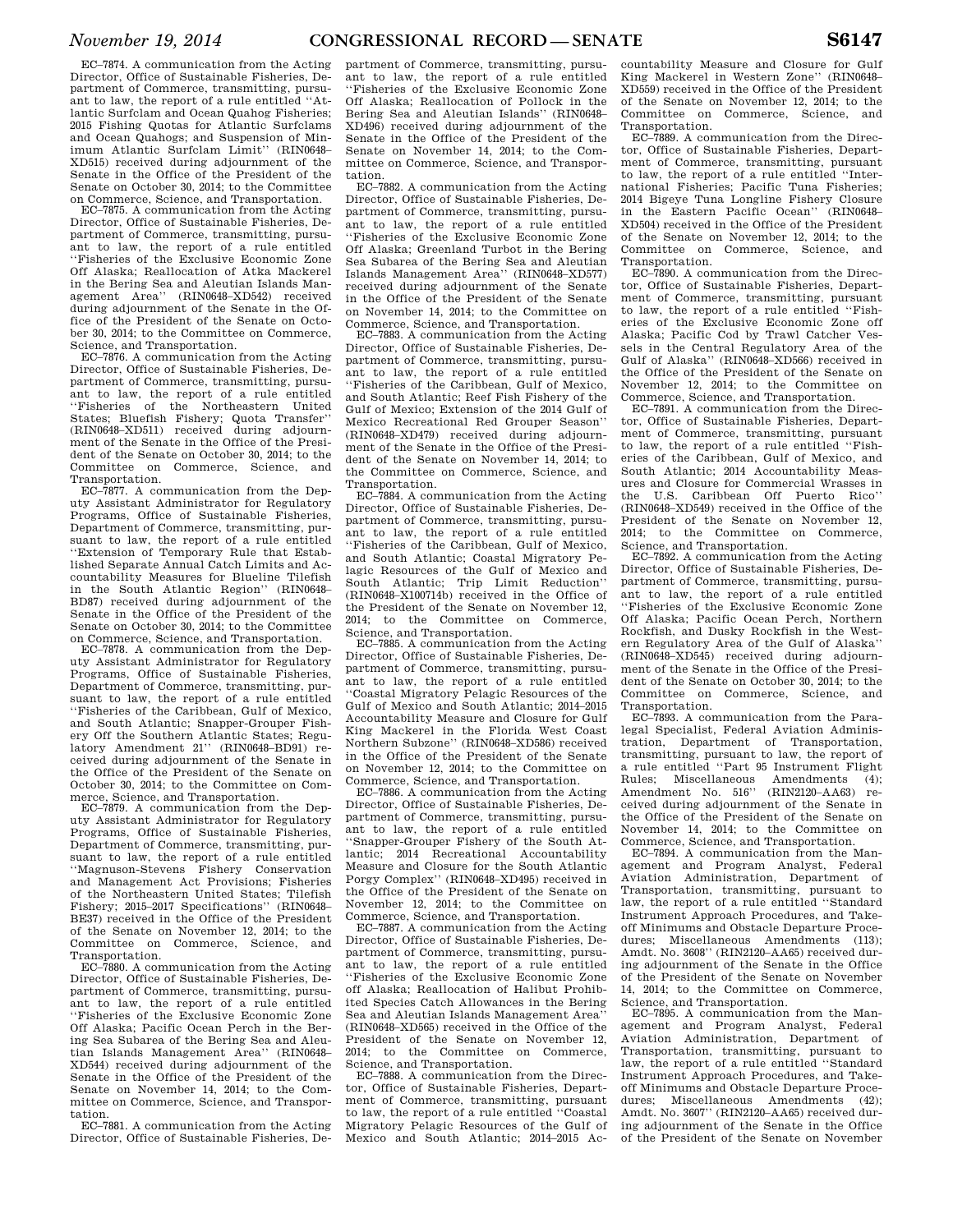EC–7874. A communication from the Acting Director, Office of Sustainable Fisheries, Department of Commerce, transmitting, pursuant to law, the report of a rule entitled ''Atlantic Surfclam and Ocean Quahog Fisheries; 2015 Fishing Quotas for Atlantic Surfclams and Ocean Quahogs; and Suspension of Minimum Atlantic Surfclam Limit'' (RIN0648– XD515) received during adjournment of the Senate in the Office of the President of the Senate on October 30, 2014; to the Committee on Commerce, Science, and Transportation.

EC–7875. A communication from the Acting Director, Office of Sustainable Fisheries, Department of Commerce, transmitting, pursuant to law, the report of a rule entitled ''Fisheries of the Exclusive Economic Zone Off Alaska; Reallocation of Atka Mackerel in the Bering Sea and Aleutian Islands Man-(RIN0648–XD542) received during adjournment of the Senate in the Office of the President of the Senate on October 30, 2014; to the Committee on Commerce, Science, and Transportation.

EC–7876. A communication from the Acting Director, Office of Sustainable Fisheries, Department of Commerce, transmitting, pursuant to law, the report of a rule entitled ''Fisheries of the Northeastern United States; Bluefish Fishery; Quota Transfer'' (RIN0648–XD511) received during adjournment of the Senate in the Office of the President of the Senate on October 30, 2014; to the Committee on Commerce, Science, and Transportation.

EC–7877. A communication from the Deputy Assistant Administrator for Regulatory Programs, Office of Sustainable Fisheries, Department of Commerce, transmitting, pursuant to law, the report of a rule entitled ''Extension of Temporary Rule that Established Separate Annual Catch Limits and Accountability Measures for Blueline Tilefish in the South Atlantic Region'' (RIN0648– BD87) received during adjournment of the Senate in the Office of the President of the Senate on October 30, 2014; to the Committee on Commerce, Science, and Transportation.

EC–7878. A communication from the Deputy Assistant Administrator for Regulatory Programs, Office of Sustainable Fisheries, Department of Commerce, transmitting, pursuant to law, the report of a rule entitled ''Fisheries of the Caribbean, Gulf of Mexico, and South Atlantic; Snapper-Grouper Fishery Off the Southern Atlantic States; Regulatory Amendment 21'' (RIN0648–BD91) received during adjournment of the Senate in the Office of the President of the Senate on October 30, 2014; to the Committee on Commerce, Science, and Transportation.

EC–7879. A communication from the Deputy Assistant Administrator for Regulatory Programs, Office of Sustainable Fisheries, Department of Commerce, transmitting, pursuant to law, the report of a rule entitled ''Magnuson-Stevens Fishery Conservation and Management Act Provisions; Fisheries of the Northeastern United States; Tilefish Fishery; 2015–2017 Specifications'' (RIN0648– BE37) received in the Office of the President of the Senate on November 12, 2014; to the Committee on Commerce, Science, and

Transportation. EC–7880. A communication from the Acting Director, Office of Sustainable Fisheries, Department of Commerce, transmitting, pursuant to law, the report of a rule entitled ''Fisheries of the Exclusive Economic Zone Off Alaska; Pacific Ocean Perch in the Bering Sea Subarea of the Bering Sea and Aleutian Islands Management Area'' (RIN0648– XD544) received during adjournment of the Senate in the Office of the President of the Senate on November 14, 2014; to the Committee on Commerce, Science, and Transportation.

EC–7881. A communication from the Acting Director, Office of Sustainable Fisheries, De-

partment of Commerce, transmitting, pursuant to law, the report of a rule entitled ''Fisheries of the Exclusive Economic Zone Off Alaska; Reallocation of Pollock in the Bering Sea and Aleutian Islands'' (RIN0648– XD496) received during adjournment of the Senate in the Office of the President of the Senate on November 14, 2014; to the Committee on Commerce, Science, and Transportation.

EC–7882. A communication from the Acting Director, Office of Sustainable Fisheries, Department of Commerce, transmitting, pursuant to law, the report of a rule entitled ''Fisheries of the Exclusive Economic Zone Off Alaska; Greenland Turbot in the Bering Sea Subarea of the Bering Sea and Aleutian Islands Management Area'' (RIN0648–XD577) received during adjournment of the Senate in the Office of the President of the Senate on November 14, 2014; to the Committee on Commerce, Science, and Transportation.

EC–7883. A communication from the Acting Director, Office of Sustainable Fisheries, Department of Commerce, transmitting, pursuant to law, the report of a rule entitled ''Fisheries of the Caribbean, Gulf of Mexico, and South Atlantic; Reef Fish Fishery of the Gulf of Mexico; Extension of the 2014 Gulf of Mexico Recreational Red Grouper Season'' (RIN0648–XD479) received during adjournment of the Senate in the Office of the President of the Senate on November 14, 2014; to the Committee on Commerce, Science, and Transportation.

EC–7884. A communication from the Acting Director, Office of Sustainable Fisheries, Department of Commerce, transmitting, pursuant to law, the report of a rule entitled ''Fisheries of the Caribbean, Gulf of Mexico, and South Atlantic; Coastal Migratory Pelagic Resources of the Gulf of Mexico and South Atlantic; Trip Limit Reduction'' (RIN0648–X100714b) received in the Office of the President of the Senate on November 12, 2014; to the Committee on Commerce, Science, and Transportation.

EC–7885. A communication from the Acting Director, Office of Sustainable Fisheries, Department of Commerce, transmitting, pursuant to law, the report of a rule entitled ''Coastal Migratory Pelagic Resources of the Gulf of Mexico and South Atlantic; 2014–2015 Accountability Measure and Closure for Gulf King Mackerel in the Florida West Coast Northern Subzone'' (RIN0648–XD586) received in the Office of the President of the Senate on November 12, 2014; to the Committee on Commerce, Science, and Transportation.

EC–7886. A communication from the Acting Director, Office of Sustainable Fisheries, Department of Commerce, transmitting, pursuant to law, the report of a rule entitled ''Snapper-Grouper Fishery of the South Atlantic; 2014 Recreational Accountability Measure and Closure for the South Atlantic Porgy Complex'' (RIN0648–XD495) received in the Office of the President of the Senate on November 12, 2014; to the Committee on Commerce, Science, and Transportation.

EC–7887. A communication from the Acting Director, Office of Sustainable Fisheries, Department of Commerce, transmitting, pursuant to law, the report of a rule entitled ''Fisheries of the Exclusive Economic Zone off Alaska; Reallocation of Halibut Prohibited Species Catch Allowances in the Bering Sea and Aleutian Islands Management Area'' (RIN0648–XD565) received in the Office of the President of the Senate on November 12, 2014; to the Committee on Commerce, Science, and Transportation.

EC–7888. A communication from the Director, Office of Sustainable Fisheries, Department of Commerce, transmitting, pursuant to law, the report of a rule entitled ''Coastal Migratory Pelagic Resources of the Gulf of Mexico and South Atlantic; 2014–2015 Ac-

countability Measure and Closure for Gulf King Mackerel in Western Zone'' (RIN0648– XD559) received in the Office of the President of the Senate on November 12, 2014; to the Committee on Commerce, Science, and

Transportation. EC–7889. A communication from the Director, Office of Sustainable Fisheries, Department of Commerce, transmitting, pursuant to law, the report of a rule entitled ''International Fisheries; Pacific Tuna Fisheries; 2014 Bigeye Tuna Longline Fishery Closure in the Eastern Pacific Ocean'' (RIN0648– XD504) received in the Office of the President of the Senate on November 12, 2014; to the Committee on Commerce, Science, and Transportation.

EC–7890. A communication from the Director, Office of Sustainable Fisheries, Department of Commerce, transmitting, pursuant to law, the report of a rule entitled ''Fisheries of the Exclusive Economic Zone off Alaska; Pacific Cod by Trawl Catcher Vessels in the Central Regulatory Area of the Gulf of Alaska'' (RIN0648–XD566) received in the Office of the President of the Senate on November 12, 2014; to the Committee on Commerce, Science, and Transportation.

EC–7891. A communication from the Director, Office of Sustainable Fisheries, Department of Commerce, transmitting, pursuant to law, the report of a rule entitled ''Fisheries of the Caribbean, Gulf of Mexico, and South Atlantic; 2014 Accountability Measures and Closure for Commercial Wrasses in the U.S. Caribbean Off Puerto Rico'' (RIN0648–XD549) received in the Office of the President of the Senate on November 12, 2014; to the Committee on Commerce, Science, and Transportation.

EC–7892. A communication from the Acting Director, Office of Sustainable Fisheries, Department of Commerce, transmitting, pursuant to law, the report of a rule entitled ''Fisheries of the Exclusive Economic Zone Off Alaska; Pacific Ocean Perch, Northern Rockfish, and Dusky Rockfish in the Western Regulatory Area of the Gulf of Alaska'' (RIN0648–XD545) received during adjournment of the Senate in the Office of the President of the Senate on October 30, 2014; to the Committee on Commerce, Science, and Transportation.

EC–7893. A communication from the Paralegal Specialist, Federal Aviation Administration, Department of Transportation, transmitting, pursuant to law, the report of a rule entitled ''Part 95 Instrument Flight Rules; Miscellaneous Amendments (4); Amendment No. 516'' (RIN2120–AA63) received during adjournment of the Senate in the Office of the President of the Senate on November 14, 2014; to the Committee on Commerce, Science, and Transportation.

EC–7894. A communication from the Management and Program Analyst, Federal Aviation Administration, Department of Transportation, transmitting, pursuant to law, the report of a rule entitled ''Standard Instrument Approach Procedures, and Takeoff Minimums and Obstacle Departure Procedures; Miscellaneous Amendments (113); Amdt. No. 3608'' (RIN2120–AA65) received during adjournment of the Senate in the Office of the President of the Senate on November 14, 2014; to the Committee on Commerce, Science, and Transportation.

EC–7895. A communication from the Management and Program Analyst, Federal Aviation Administration, Department of Transportation, transmitting, pursuant to law, the report of a rule entitled ''Standard Instrument Approach Procedures, and Takeoff Minimums and Obstacle Departure Proce-<br>dures: Miscellaneous Amendments (42) Miscellaneous Amendments Amdt. No. 3607'' (RIN2120–AA65) received during adjournment of the Senate in the Office of the President of the Senate on November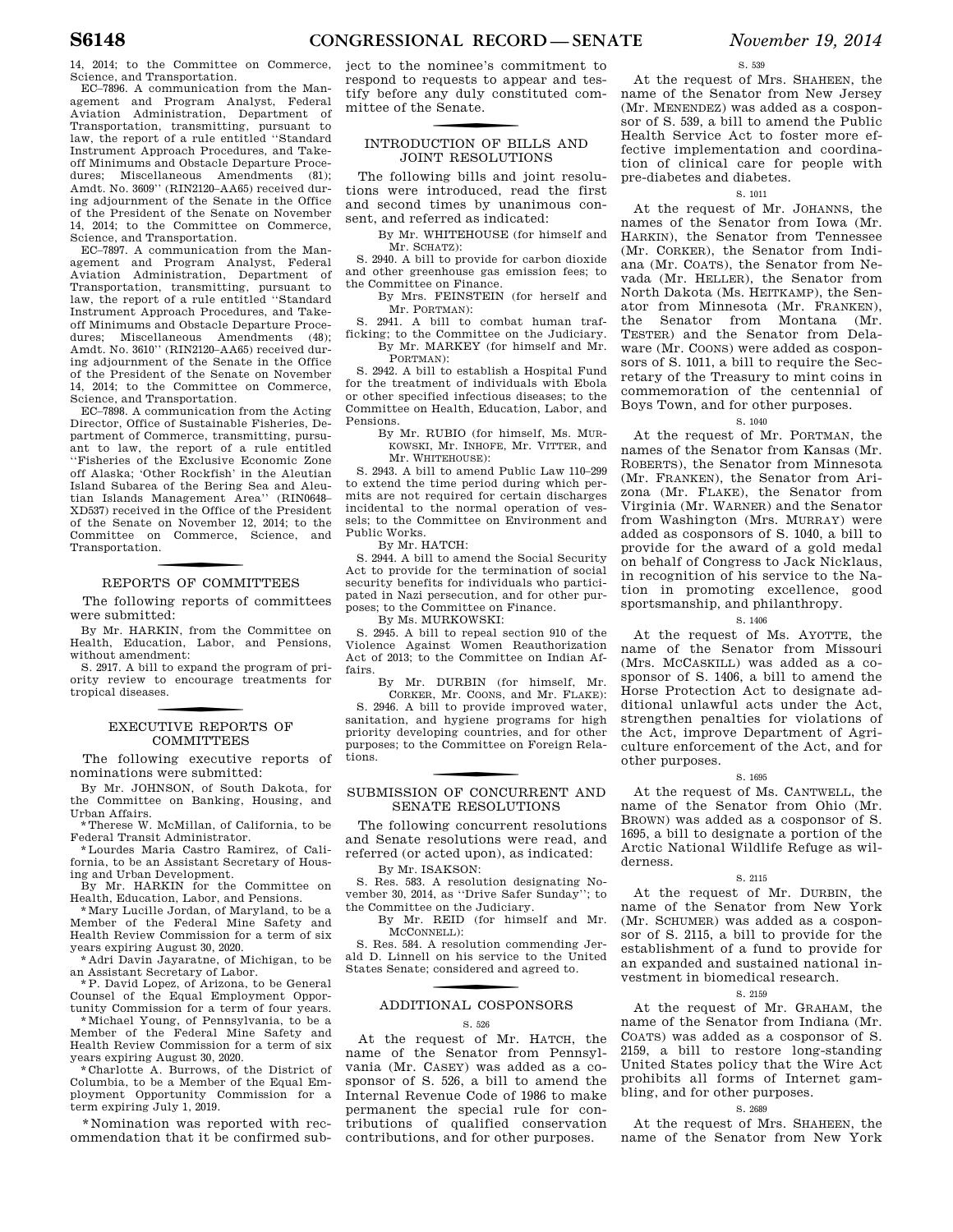14, 2014; to the Committee on Commerce, Science, and Transportation.

EC–7896. A communication from the Management and Program Analyst, Federal Aviation Administration, Department of Transportation, transmitting, pursuant to law, the report of a rule entitled ''Standard Instrument Approach Procedures, and Takeoff Minimums and Obstacle Departure Procedures; Miscellaneous Amendments (81); Amdt. No. 3609'' (RIN2120–AA65) received during adjournment of the Senate in the Office of the President of the Senate on November 14, 2014; to the Committee on Commerce, Science, and Transportation.

EC–7897. A communication from the Management and Program Analyst, Federal Aviation Administration, Department of Transportation, transmitting, pursuant to law, the report of a rule entitled ''Standard Instrument Approach Procedures, and Takeoff Minimums and Obstacle Departure Procedures; Miscellaneous Amendments (48); Amdt. No. 3610'' (RIN2120–AA65) received during adjournment of the Senate in the Office of the President of the Senate on November 14, 2014; to the Committee on Commerce, Science, and Transportation.

EC–7898. A communication from the Acting Director, Office of Sustainable Fisheries, Department of Commerce, transmitting, pursuant to law, the report of a rule entitled ''Fisheries of the Exclusive Economic Zone off Alaska; 'Other Rockfish' in the Aleutian Island Subarea of the Bering Sea and Aleutian Islands Management Area'' (RIN0648– XD537) received in the Office of the President of the Senate on November 12, 2014; to the Committee on Commerce, Science, and Transportation.

# f REPORTS OF COMMITTEES

The following reports of committees were submitted:

By Mr. HARKIN, from the Committee on Health, Education, Labor, and Pensions, without amendment:

S. 2917. A bill to expand the program of priority review to encourage treatments for tropical diseases.

# f EXECUTIVE REPORTS OF **COMMITTEES**

The following executive reports of nominations were submitted:

By Mr. JOHNSON, of South Dakota, for the Committee on Banking, Housing, and Urban Affairs.

\*Therese W. McMillan, of California, to be Federal Transit Administrator.

\*Lourdes Maria Castro Ramirez, of California, to be an Assistant Secretary of Housing and Urban Development.

By Mr. HARKIN for the Committee on Health, Education, Labor, and Pensions.

\*Mary Lucille Jordan, of Maryland, to be a Member of the Federal Mine Safety and Health Review Commission for a term of six years expiring August 30, 2020.

\*Adri Davin Jayaratne, of Michigan, to be an Assistant Secretary of Labor.

\*P. David Lopez, of Arizona, to be General Counsel of the Equal Employment Opportunity Commission for a term of four years.

\*Michael Young, of Pennsylvania, to be a Member of the Federal Mine Safety and Health Review Commission for a term of six years expiring August 30, 2020.

\*Charlotte A. Burrows, of the District of Columbia, to be a Member of the Equal Employment Opportunity Commission for a term expiring July 1, 2019.

\*Nomination was reported with recommendation that it be confirmed sub-

ject to the nominee's commitment to respond to requests to appear and testify before any duly constituted committee of the Senate.

# f INTRODUCTION OF BILLS AND JOINT RESOLUTIONS

The following bills and joint resolutions were introduced, read the first and second times by unanimous consent, and referred as indicated:

By Mr. WHITEHOUSE (for himself and Mr. SCHATZ):

S. 2940. A bill to provide for carbon dioxide and other greenhouse gas emission fees; to the Committee on Finance.

By Mrs. FEINSTEIN (for herself and Mr. PORTMAN):

S. 2941. A bill to combat human trafficking; to the Committee on the Judiciary. By Mr. MARKEY (for himself and Mr. PORTMAN):

S. 2942. A bill to establish a Hospital Fund for the treatment of individuals with Ebola or other specified infectious diseases; to the Committee on Health, Education, Labor, and Pensions.

> By Mr. RUBIO (for himself, Ms. MUR-KOWSKI, Mr. INHOFE, Mr. VITTER, and Mr. WHITEHOUSE):

S. 2943. A bill to amend Public Law 110–299 to extend the time period during which permits are not required for certain discharges incidental to the normal operation of vessels; to the Committee on Environment and Public Works.

By Mr. HATCH:

S. 2944. A bill to amend the Social Security Act to provide for the termination of social security benefits for individuals who participated in Nazi persecution, and for other purposes; to the Committee on Finance.

By Ms. MURKOWSKI:

S. 2945. A bill to repeal section 910 of the Violence Against Women Reauthorization Act of 2013; to the Committee on Indian Affairs.

By Mr. DURBIN (for himself, Mr. CORKER, Mr. COONS, and Mr. FLAKE):

S. 2946. A bill to provide improved water, sanitation, and hygiene programs for high priority developing countries, and for other purposes; to the Committee on Foreign Relations.

### SUBMISSION OF CONCURRENT AND SENATE RESOLUTIONS

The following concurrent resolutions and Senate resolutions were read, and referred (or acted upon), as indicated:

By Mr. ISAKSON:

S. Res. 583. A resolution designating November 30, 2014, as ''Drive Safer Sunday''; to the Committee on the Judiciary.

By Mr. REID (for himself and Mr. MCCONNELL):

S. Res. 584. A resolution commending Jerald D. Linnell on his service to the United States Senate; considered and agreed to.

# f ADDITIONAL COSPONSORS

### S. 526

At the request of Mr. HATCH, the name of the Senator from Pennsylvania (Mr. CASEY) was added as a cosponsor of S. 526, a bill to amend the Internal Revenue Code of 1986 to make permanent the special rule for contributions of qualified conservation contributions, and for other purposes.

At the request of Mrs. SHAHEEN, the name of the Senator from New Jersey (Mr. MENENDEZ) was added as a cosponsor of S. 539, a bill to amend the Public Health Service Act to foster more effective implementation and coordination of clinical care for people with pre-diabetes and diabetes.

S. 539

### S. 1011

At the request of Mr. JOHANNS, the names of the Senator from Iowa (Mr. HARKIN), the Senator from Tennessee (Mr. CORKER), the Senator from Indiana (Mr. COATS), the Senator from Nevada (Mr. HELLER), the Senator from North Dakota (Ms. HEITKAMP), the Senator from Minnesota (Mr. FRANKEN), the Senator from Montana (Mr. TESTER) and the Senator from Delaware (Mr. COONS) were added as cosponsors of S. 1011, a bill to require the Secretary of the Treasury to mint coins in commemoration of the centennial of Boys Town, and for other purposes.

### S. 1040

At the request of Mr. PORTMAN, the names of the Senator from Kansas (Mr. ROBERTS), the Senator from Minnesota (Mr. FRANKEN), the Senator from Arizona (Mr. FLAKE), the Senator from Virginia (Mr. WARNER) and the Senator from Washington (Mrs. MURRAY) were added as cosponsors of S. 1040, a bill to provide for the award of a gold medal on behalf of Congress to Jack Nicklaus, in recognition of his service to the Nation in promoting excellence, good sportsmanship, and philanthropy.

### S. 1406

At the request of Ms. AYOTTE, the name of the Senator from Missouri (Mrs. MCCASKILL) was added as a cosponsor of S. 1406, a bill to amend the Horse Protection Act to designate additional unlawful acts under the Act, strengthen penalties for violations of the Act, improve Department of Agriculture enforcement of the Act, and for other purposes.

### S. 1695

At the request of Ms. CANTWELL, the name of the Senator from Ohio (Mr. BROWN) was added as a cosponsor of S. 1695, a bill to designate a portion of the Arctic National Wildlife Refuge as wilderness.

### S. 2115

At the request of Mr. DURBIN, the name of the Senator from New York (Mr. SCHUMER) was added as a cosponsor of S. 2115, a bill to provide for the establishment of a fund to provide for an expanded and sustained national investment in biomedical research.

### S. 2159

At the request of Mr. GRAHAM, the name of the Senator from Indiana (Mr. COATS) was added as a cosponsor of S. 2159, a bill to restore long-standing United States policy that the Wire Act prohibits all forms of Internet gambling, and for other purposes.

### S. 2689

At the request of Mrs. SHAHEEN, the name of the Senator from New York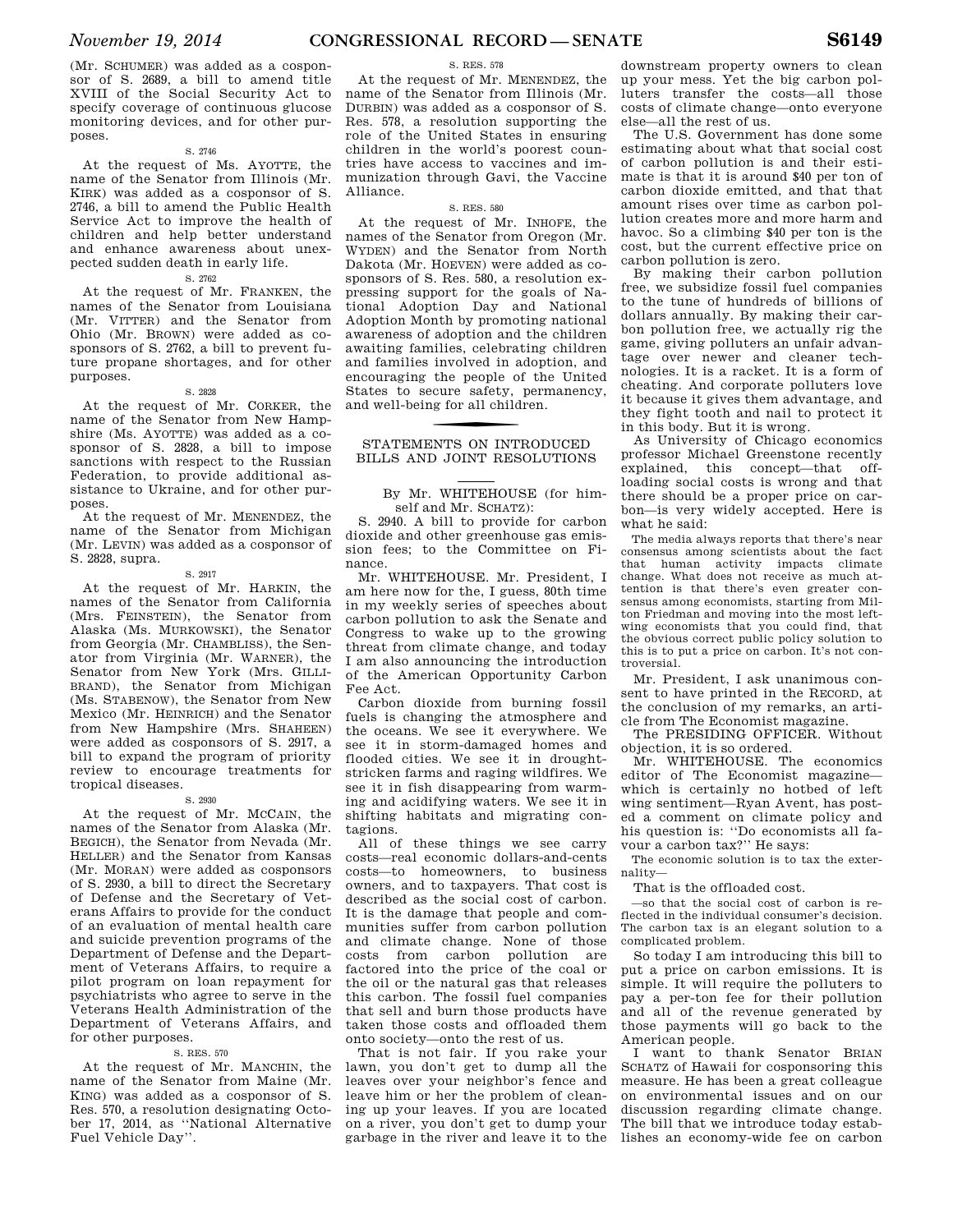(Mr. SCHUMER) was added as a cosponsor of S. 2689, a bill to amend title XVIII of the Social Security Act to specify coverage of continuous glucose monitoring devices, and for other purposes.

S. 2746

At the request of Ms. AYOTTE, the name of the Senator from Illinois (Mr. KIRK) was added as a cosponsor of S. 2746, a bill to amend the Public Health Service Act to improve the health of children and help better understand and enhance awareness about unexpected sudden death in early life.

### S. 2762

At the request of Mr. FRANKEN, the names of the Senator from Louisiana (Mr. VITTER) and the Senator from Ohio (Mr. BROWN) were added as cosponsors of S. 2762, a bill to prevent future propane shortages, and for other purposes.

S. 2828

At the request of Mr. CORKER, the name of the Senator from New Hampshire (Ms. AYOTTE) was added as a cosponsor of S. 2828, a bill to impose sanctions with respect to the Russian Federation, to provide additional assistance to Ukraine, and for other purposes.

At the request of Mr. MENENDEZ, the name of the Senator from Michigan (Mr. LEVIN) was added as a cosponsor of S. 2828, supra.

### S. 2917

At the request of Mr. HARKIN, the names of the Senator from California (Mrs. FEINSTEIN), the Senator from Alaska (Ms. MURKOWSKI), the Senator from Georgia (Mr. CHAMBLISS), the Senator from Virginia (Mr. WARNER), the Senator from New York (Mrs. GILLI-BRAND), the Senator from Michigan (Ms. STABENOW), the Senator from New Mexico (Mr. HEINRICH) and the Senator from New Hampshire (Mrs. SHAHEEN) were added as cosponsors of S. 2917, a bill to expand the program of priority review to encourage treatments for tropical diseases.

### S. 2930

At the request of Mr. MCCAIN, the names of the Senator from Alaska (Mr. BEGICH), the Senator from Nevada (Mr. HELLER) and the Senator from Kansas (Mr. MORAN) were added as cosponsors of S. 2930, a bill to direct the Secretary of Defense and the Secretary of Veterans Affairs to provide for the conduct of an evaluation of mental health care and suicide prevention programs of the Department of Defense and the Department of Veterans Affairs, to require a pilot program on loan repayment for psychiatrists who agree to serve in the Veterans Health Administration of the Department of Veterans Affairs, and for other purposes.

### S. RES. 570

At the request of Mr. MANCHIN, the name of the Senator from Maine (Mr. KING) was added as a cosponsor of S. Res. 570, a resolution designating October 17, 2014, as ''National Alternative Fuel Vehicle Day''.

### S. RES. 578

At the request of Mr. MENENDEZ, the name of the Senator from Illinois (Mr. DURBIN) was added as a cosponsor of S. Res. 578, a resolution supporting the role of the United States in ensuring children in the world's poorest countries have access to vaccines and immunization through Gavi, the Vaccine Alliance.

### S. RES. 580

At the request of Mr. INHOFE, the names of the Senator from Oregon (Mr. WYDEN) and the Senator from North Dakota (Mr. HOEVEN) were added as cosponsors of S. Res. 580, a resolution expressing support for the goals of National Adoption Day and National Adoption Month by promoting national awareness of adoption and the children awaiting families, celebrating children and families involved in adoption, and encouraging the people of the United States to secure safety, permanency, and well-being for all children.

# STATEMENTS ON INTRODUCED BILLS AND JOINT RESOLUTIONS

### By Mr. WHITEHOUSE (for himself and Mr. SCHATZ):

S. 2940. A bill to provide for carbon dioxide and other greenhouse gas emission fees; to the Committee on Finance.

Mr. WHITEHOUSE. Mr. President, I am here now for the, I guess, 80th time in my weekly series of speeches about carbon pollution to ask the Senate and Congress to wake up to the growing threat from climate change, and today I am also announcing the introduction of the American Opportunity Carbon Fee Act.

Carbon dioxide from burning fossil fuels is changing the atmosphere and the oceans. We see it everywhere. We see it in storm-damaged homes and flooded cities. We see it in droughtstricken farms and raging wildfires. We see it in fish disappearing from warming and acidifying waters. We see it in shifting habitats and migrating contagions.

All of these things we see carry costs—real economic dollars-and-cents costs—to homeowners, to business owners, and to taxpayers. That cost is described as the social cost of carbon. It is the damage that people and communities suffer from carbon pollution and climate change. None of those costs from carbon pollution are factored into the price of the coal or the oil or the natural gas that releases this carbon. The fossil fuel companies that sell and burn those products have taken those costs and offloaded them onto society—onto the rest of us.

That is not fair. If you rake your lawn, you don't get to dump all the leaves over your neighbor's fence and leave him or her the problem of cleaning up your leaves. If you are located on a river, you don't get to dump your garbage in the river and leave it to the

downstream property owners to clean up your mess. Yet the big carbon polluters transfer the costs—all those costs of climate change—onto everyone else—all the rest of us.

The U.S. Government has done some estimating about what that social cost of carbon pollution is and their estimate is that it is around \$40 per ton of carbon dioxide emitted, and that that amount rises over time as carbon pollution creates more and more harm and havoc. So a climbing \$40 per ton is the cost, but the current effective price on carbon pollution is zero.

By making their carbon pollution free, we subsidize fossil fuel companies to the tune of hundreds of billions of dollars annually. By making their carbon pollution free, we actually rig the game, giving polluters an unfair advantage over newer and cleaner technologies. It is a racket. It is a form of cheating. And corporate polluters love it because it gives them advantage, and they fight tooth and nail to protect it in this body. But it is wrong.

As University of Chicago economics professor Michael Greenstone recently<br>explained this concent—that offexplained, this concept—that loading social costs is wrong and that there should be a proper price on carbon—is very widely accepted. Here is what he said:

The media always reports that there's near consensus among scientists about the fact that human activity impacts climate change. What does not receive as much attention is that there's even greater consensus among economists, starting from Milton Friedman and moving into the most leftwing economists that you could find, that the obvious correct public policy solution to this is to put a price on carbon. It's not controversial.

Mr. President, I ask unanimous consent to have printed in the RECORD, at the conclusion of my remarks, an article from The Economist magazine.

The PRESIDING OFFICER. Without objection, it is so ordered.

Mr. WHITEHOUSE. The economics editor of The Economist magazine which is certainly no hotbed of left wing sentiment—Ryan Avent, has posted a comment on climate policy and his question is: ''Do economists all favour a carbon tax?'' He says:

The economic solution is to tax the externality—

That is the offloaded cost.

—so that the social cost of carbon is reflected in the individual consumer's decision. The carbon tax is an elegant solution to a complicated problem.

So today I am introducing this bill to put a price on carbon emissions. It is simple. It will require the polluters to pay a per-ton fee for their pollution and all of the revenue generated by those payments will go back to the American people.

I want to thank Senator BRIAN SCHATZ of Hawaii for cosponsoring this measure. He has been a great colleague on environmental issues and on our discussion regarding climate change. The bill that we introduce today establishes an economy-wide fee on carbon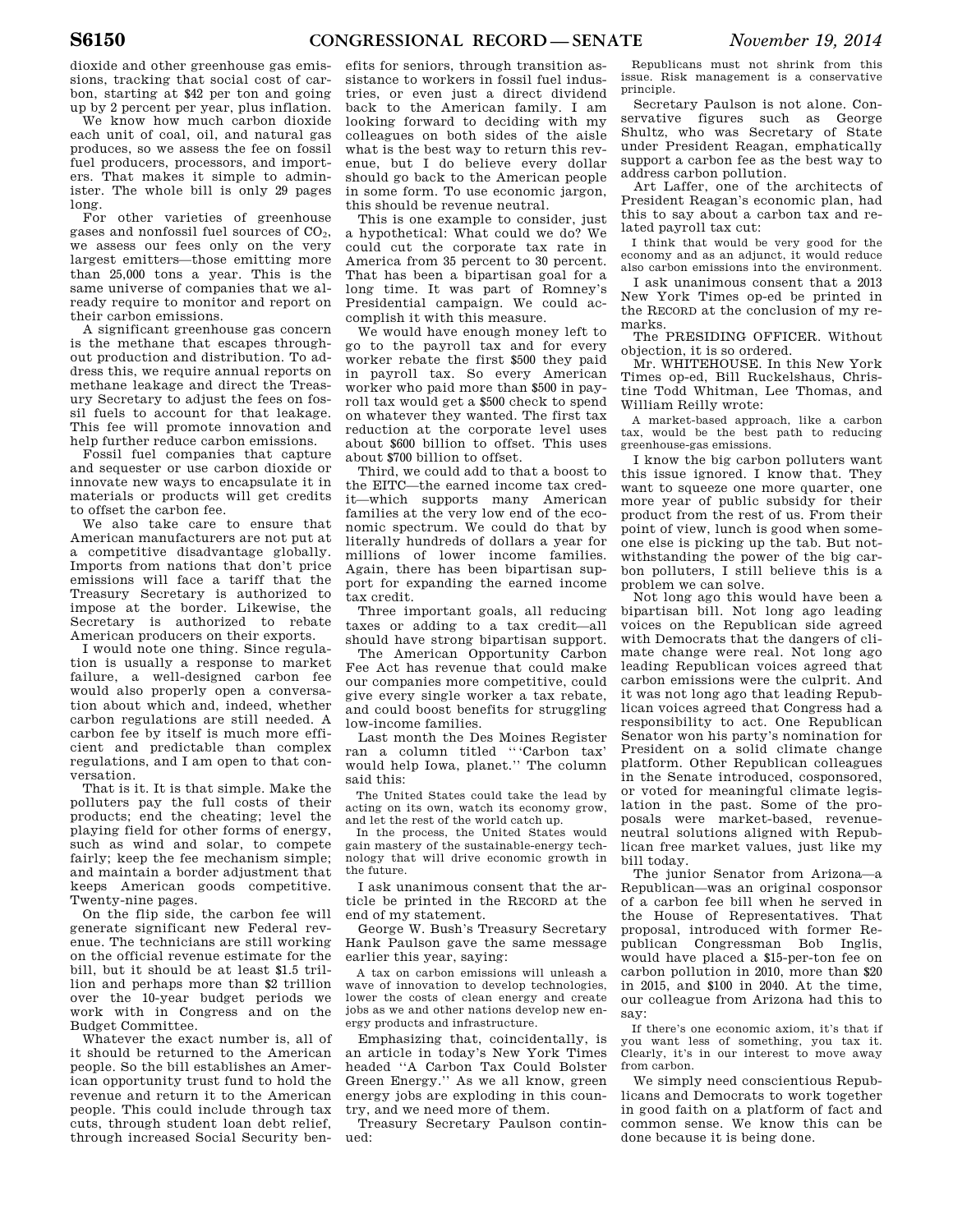dioxide and other greenhouse gas emissions, tracking that social cost of carbon, starting at \$42 per ton and going up by 2 percent per year, plus inflation.

We know how much carbon dioxide each unit of coal, oil, and natural gas produces, so we assess the fee on fossil fuel producers, processors, and importers. That makes it simple to administer. The whole bill is only 29 pages long.

For other varieties of greenhouse gases and nonfossil fuel sources of  $CO<sub>2</sub>$ , we assess our fees only on the very largest emitters—those emitting more than 25,000 tons a year. This is the same universe of companies that we already require to monitor and report on their carbon emissions.

A significant greenhouse gas concern is the methane that escapes throughout production and distribution. To address this, we require annual reports on methane leakage and direct the Treasury Secretary to adjust the fees on fossil fuels to account for that leakage. This fee will promote innovation and help further reduce carbon emissions.

Fossil fuel companies that capture and sequester or use carbon dioxide or innovate new ways to encapsulate it in materials or products will get credits to offset the carbon fee.

We also take care to ensure that American manufacturers are not put at a competitive disadvantage globally. Imports from nations that don't price emissions will face a tariff that the Treasury Secretary is authorized to impose at the border. Likewise, the Secretary is authorized to rebate American producers on their exports.

I would note one thing. Since regulation is usually a response to market failure, a well-designed carbon fee would also properly open a conversation about which and, indeed, whether carbon regulations are still needed. A carbon fee by itself is much more efficient and predictable than complex regulations, and I am open to that conversation.

That is it. It is that simple. Make the polluters pay the full costs of their products; end the cheating; level the playing field for other forms of energy, such as wind and solar, to compete fairly; keep the fee mechanism simple; and maintain a border adjustment that keeps American goods competitive. Twenty-nine pages.

On the flip side, the carbon fee will generate significant new Federal revenue. The technicians are still working on the official revenue estimate for the bill, but it should be at least \$1.5 trillion and perhaps more than \$2 trillion over the 10-year budget periods we work with in Congress and on the Budget Committee.

Whatever the exact number is, all of it should be returned to the American people. So the bill establishes an American opportunity trust fund to hold the revenue and return it to the American people. This could include through tax cuts, through student loan debt relief, through increased Social Security ben-

efits for seniors, through transition assistance to workers in fossil fuel industries, or even just a direct dividend back to the American family. I am looking forward to deciding with my colleagues on both sides of the aisle what is the best way to return this revenue, but I do believe every dollar should go back to the American people in some form. To use economic jargon, this should be revenue neutral.

This is one example to consider, just a hypothetical: What could we do? We could cut the corporate tax rate in America from 35 percent to 30 percent. That has been a bipartisan goal for a long time. It was part of Romney's Presidential campaign. We could accomplish it with this measure.

We would have enough money left to go to the payroll tax and for every worker rebate the first \$500 they paid in payroll tax. So every American worker who paid more than \$500 in payroll tax would get a \$500 check to spend on whatever they wanted. The first tax reduction at the corporate level uses about \$600 billion to offset. This uses about \$700 billion to offset.

Third, we could add to that a boost to the EITC—the earned income tax credit—which supports many American families at the very low end of the economic spectrum. We could do that by literally hundreds of dollars a year for millions of lower income families. Again, there has been bipartisan support for expanding the earned income tax credit.

Three important goals, all reducing taxes or adding to a tax credit—all should have strong bipartisan support.

The American Opportunity Carbon Fee Act has revenue that could make our companies more competitive, could give every single worker a tax rebate, and could boost benefits for struggling low-income families.

Last month the Des Moines Register ran a column titled '''Carbon tax' would help Iowa, planet.'' The column said this:

The United States could take the lead by acting on its own, watch its economy grow, and let the rest of the world catch up.

In the process, the United States would gain mastery of the sustainable-energy technology that will drive economic growth in the future.

I ask unanimous consent that the article be printed in the RECORD at the end of my statement.

George W. Bush's Treasury Secretary Hank Paulson gave the same message earlier this year, saying:

A tax on carbon emissions will unleash a wave of innovation to develop technologies, lower the costs of clean energy and create jobs as we and other nations develop new energy products and infrastructure.

Emphasizing that, coincidentally, is an article in today's New York Times headed ''A Carbon Tax Could Bolster Green Energy.'' As we all know, green energy jobs are exploding in this country, and we need more of them.

Treasury Secretary Paulson continued:

Republicans must not shrink from this issue. Risk management is a conservative principle.

Secretary Paulson is not alone. Conservative figures such as George Shultz, who was Secretary of State under President Reagan, emphatically support a carbon fee as the best way to address carbon pollution.

Art Laffer, one of the architects of President Reagan's economic plan, had this to say about a carbon tax and related payroll tax cut:

I think that would be very good for the economy and as an adjunct, it would reduce also carbon emissions into the environment.

I ask unanimous consent that a 2013 New York Times op-ed be printed in the RECORD at the conclusion of my remarks.

The PRESIDING OFFICER. Without objection, it is so ordered.

Mr. WHITEHOUSE. In this New York Times op-ed, Bill Ruckelshaus, Christine Todd Whitman, Lee Thomas, and William Reilly wrote:

A market-based approach, like a carbon tax, would be the best path to reducing greenhouse-gas emissions.

I know the big carbon polluters want this issue ignored. I know that. They want to squeeze one more quarter, one more year of public subsidy for their product from the rest of us. From their point of view, lunch is good when someone else is picking up the tab. But notwithstanding the power of the big carbon polluters, I still believe this is a problem we can solve.

Not long ago this would have been a bipartisan bill. Not long ago leading voices on the Republican side agreed with Democrats that the dangers of climate change were real. Not long ago leading Republican voices agreed that carbon emissions were the culprit. And it was not long ago that leading Republican voices agreed that Congress had a responsibility to act. One Republican Senator won his party's nomination for President on a solid climate change platform. Other Republican colleagues in the Senate introduced, cosponsored, or voted for meaningful climate legislation in the past. Some of the proposals were market-based, revenueneutral solutions aligned with Republican free market values, just like my bill today.

The junior Senator from Arizona—a Republican—was an original cosponsor of a carbon fee bill when he served in the House of Representatives. That proposal, introduced with former Republican Congressman Bob Inglis, would have placed a \$15-per-ton fee on carbon pollution in 2010, more than \$20 in 2015, and \$100 in 2040. At the time, our colleague from Arizona had this to say:

If there's one economic axiom, it's that if you want less of something, you tax it. Clearly, it's in our interest to move away from carbon.

We simply need conscientious Republicans and Democrats to work together in good faith on a platform of fact and common sense. We know this can be done because it is being done.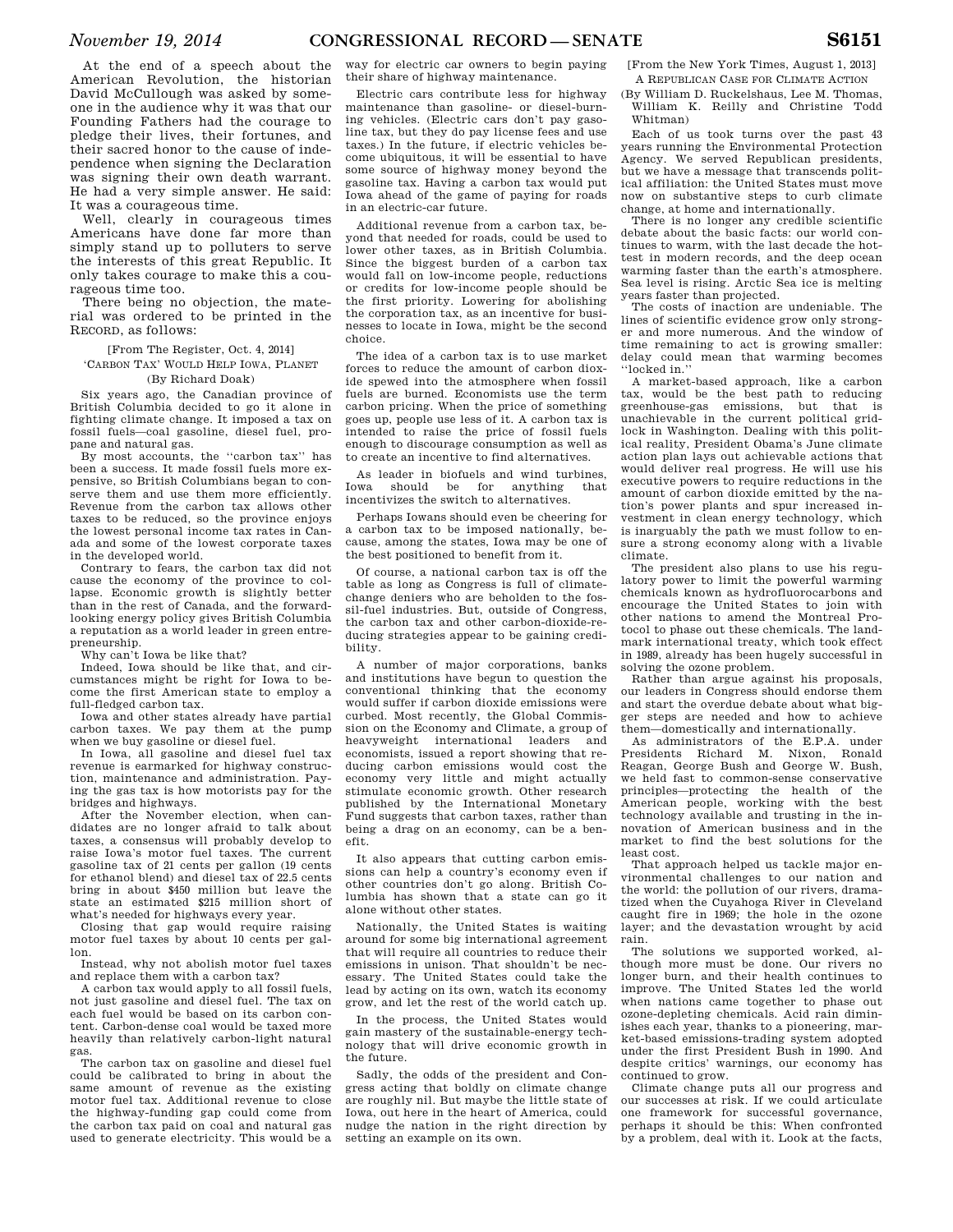At the end of a speech about the American Revolution, the historian David McCullough was asked by someone in the audience why it was that our Founding Fathers had the courage to pledge their lives, their fortunes, and their sacred honor to the cause of independence when signing the Declaration was signing their own death warrant. He had a very simple answer. He said: It was a courageous time.

Well, clearly in courageous times Americans have done far more than simply stand up to polluters to serve the interests of this great Republic. It only takes courage to make this a courageous time too.

There being no objection, the material was ordered to be printed in the RECORD, as follows:

### [From The Register, Oct. 4, 2014] 'CARBON TAX' WOULD HELP IOWA, PLANET

(By Richard Doak)

Six years ago, the Canadian province of British Columbia decided to go it alone in fighting climate change. It imposed a tax on fossil fuels—coal gasoline, diesel fuel, propane and natural gas.

By most accounts, the ''carbon tax'' has been a success. It made fossil fuels more expensive, so British Columbians began to conserve them and use them more efficiently. Revenue from the carbon tax allows other taxes to be reduced, so the province enjoys the lowest personal income tax rates in Canada and some of the lowest corporate taxes in the developed world.

Contrary to fears, the carbon tax did not cause the economy of the province to collapse. Economic growth is slightly better than in the rest of Canada, and the forwardlooking energy policy gives British Columbia a reputation as a world leader in green entrepreneurship.

Why can't Iowa be like that?

Indeed, Iowa should be like that, and circumstances might be right for Iowa to become the first American state to employ a full-fledged carbon tax.

Iowa and other states already have partial carbon taxes. We pay them at the pump when we buy gasoline or diesel fuel.

In Iowa, all gasoline and diesel fuel tax revenue is earmarked for highway construction, maintenance and administration. Paying the gas tax is how motorists pay for the bridges and highways.

After the November election, when candidates are no longer afraid to talk about taxes, a consensus will probably develop to raise Iowa's motor fuel taxes. The current gasoline tax of 21 cents per gallon (19 cents for ethanol blend) and diesel tax of 22.5 cents bring in about \$450 million but leave the state an estimated \$215 million short of what's needed for highways every year.

Closing that gap would require raising motor fuel taxes by about 10 cents per gallon.

Instead, why not abolish motor fuel taxes and replace them with a carbon tax?

A carbon tax would apply to all fossil fuels, not just gasoline and diesel fuel. The tax on each fuel would be based on its carbon content. Carbon-dense coal would be taxed more heavily than relatively carbon-light natural gas.

The carbon tax on gasoline and diesel fuel could be calibrated to bring in about the same amount of revenue as the existing motor fuel tax. Additional revenue to close the highway-funding gap could come from the carbon tax paid on coal and natural gas used to generate electricity. This would be a

way for electric car owners to begin paying their share of highway maintenance.

Electric cars contribute less for highway maintenance than gasoline- or diesel-burning vehicles. (Electric cars don't pay gasoline tax, but they do pay license fees and use taxes.) In the future, if electric vehicles become ubiquitous, it will be essential to have some source of highway money beyond the gasoline tax. Having a carbon tax would put Iowa ahead of the game of paying for roads in an electric-car future.

Additional revenue from a carbon tax, beyond that needed for roads, could be used to lower other taxes, as in British Columbia. Since the biggest burden of a carbon tax would fall on low-income people, reductions or credits for low-income people should be the first priority. Lowering for abolishing the corporation tax, as an incentive for businesses to locate in Iowa, might be the second choice.

The idea of a carbon tax is to use market forces to reduce the amount of carbon dioxide spewed into the atmosphere when fossil fuels are burned. Economists use the term carbon pricing. When the price of something goes up, people use less of it. A carbon tax is intended to raise the price of fossil fuels enough to discourage consumption as well as to create an incentive to find alternatives.

As leader in biofuels and wind turbines, Iowa should be for anything that incentivizes the switch to alternatives.

Perhaps Iowans should even be cheering for a carbon tax to be imposed nationally, because, among the states, Iowa may be one of the best positioned to benefit from it.

Of course, a national carbon tax is off the table as long as Congress is full of climatechange deniers who are beholden to the fossil-fuel industries. But, outside of Congress, the carbon tax and other carbon-dioxide-reducing strategies appear to be gaining credibility.

A number of major corporations, banks and institutions have begun to question the conventional thinking that the economy would suffer if carbon dioxide emissions were curbed. Most recently, the Global Commission on the Economy and Climate, a group of heavyweight international leaders and economists, issued a report showing that reducing carbon emissions would cost the economy very little and might actually stimulate economic growth. Other research published by the International Monetary Fund suggests that carbon taxes, rather than being a drag on an economy, can be a benefit.

It also appears that cutting carbon emissions can help a country's economy even if other countries don't go along. British Columbia has shown that a state can go it alone without other states.

Nationally, the United States is waiting around for some big international agreement that will require all countries to reduce their emissions in unison. That shouldn't be necessary. The United States could take the lead by acting on its own, watch its economy grow, and let the rest of the world catch up.

In the process, the United States would gain mastery of the sustainable-energy technology that will drive economic growth in the future.

Sadly, the odds of the president and Congress acting that boldly on climate change are roughly nil. But maybe the little state of Iowa, out here in the heart of America, could nudge the nation in the right direction by setting an example on its own.

[From the New York Times, August 1, 2013] A REPUBLICAN CASE FOR CLIMATE ACTION

(By William D. Ruckelshaus, Lee M. Thomas, William K. Reilly and Christine Todd Whitman)

Each of us took turns over the past 43 years running the Environmental Protection Agency. We served Republican presidents, but we have a message that transcends political affiliation: the United States must move now on substantive steps to curb climate change, at home and internationally.

There is no longer any credible scientific debate about the basic facts: our world continues to warm, with the last decade the hottest in modern records, and the deep ocean warming faster than the earth's atmosphere. Sea level is rising. Arctic Sea ice is melting years faster than projected.

The costs of inaction are undeniable. The lines of scientific evidence grow only stronger and more numerous. And the window of time remaining to act is growing smaller: delay could mean that warming becomes ''locked in.''

A market-based approach, like a carbon tax, would be the best path to reducing greenhouse-gas emissions, but that is unachievable in the current political gridlock in Washington. Dealing with this political reality, President Obama's June climate action plan lays out achievable actions that would deliver real progress. He will use his executive powers to require reductions in the amount of carbon dioxide emitted by the nation's power plants and spur increased investment in clean energy technology, which is inarguably the path we must follow to ensure a strong economy along with a livable climate.

The president also plans to use his regulatory power to limit the powerful warming chemicals known as hydrofluorocarbons and encourage the United States to join with other nations to amend the Montreal Protocol to phase out these chemicals. The landmark international treaty, which took effect in 1989, already has been hugely successful in solving the ozone problem.

Rather than argue against his proposals, our leaders in Congress should endorse them and start the overdue debate about what bigger steps are needed and how to achieve them—domestically and internationally.

As administrators of the E.P.A. under Presidents Richard M. Nixon, Ronald Reagan, George Bush and George W. Bush, we held fast to common-sense conservative principles—protecting the health of the American people, working with the best technology available and trusting in the innovation of American business and in the market to find the best solutions for the least cost.

That approach helped us tackle major environmental challenges to our nation and the world: the pollution of our rivers, dramatized when the Cuyahoga River in Cleveland caught fire in 1969; the hole in the ozone layer; and the devastation wrought by acid rain.

The solutions we supported worked, although more must be done. Our rivers no longer burn, and their health continues to improve. The United States led the world when nations came together to phase out ozone-depleting chemicals. Acid rain diminishes each year, thanks to a pioneering, market-based emissions-trading system adopted under the first President Bush in 1990. And despite critics' warnings, our economy has continued to grow.

Climate change puts all our progress and our successes at risk. If we could articulate one framework for successful governance, perhaps it should be this: When confronted by a problem, deal with it. Look at the facts,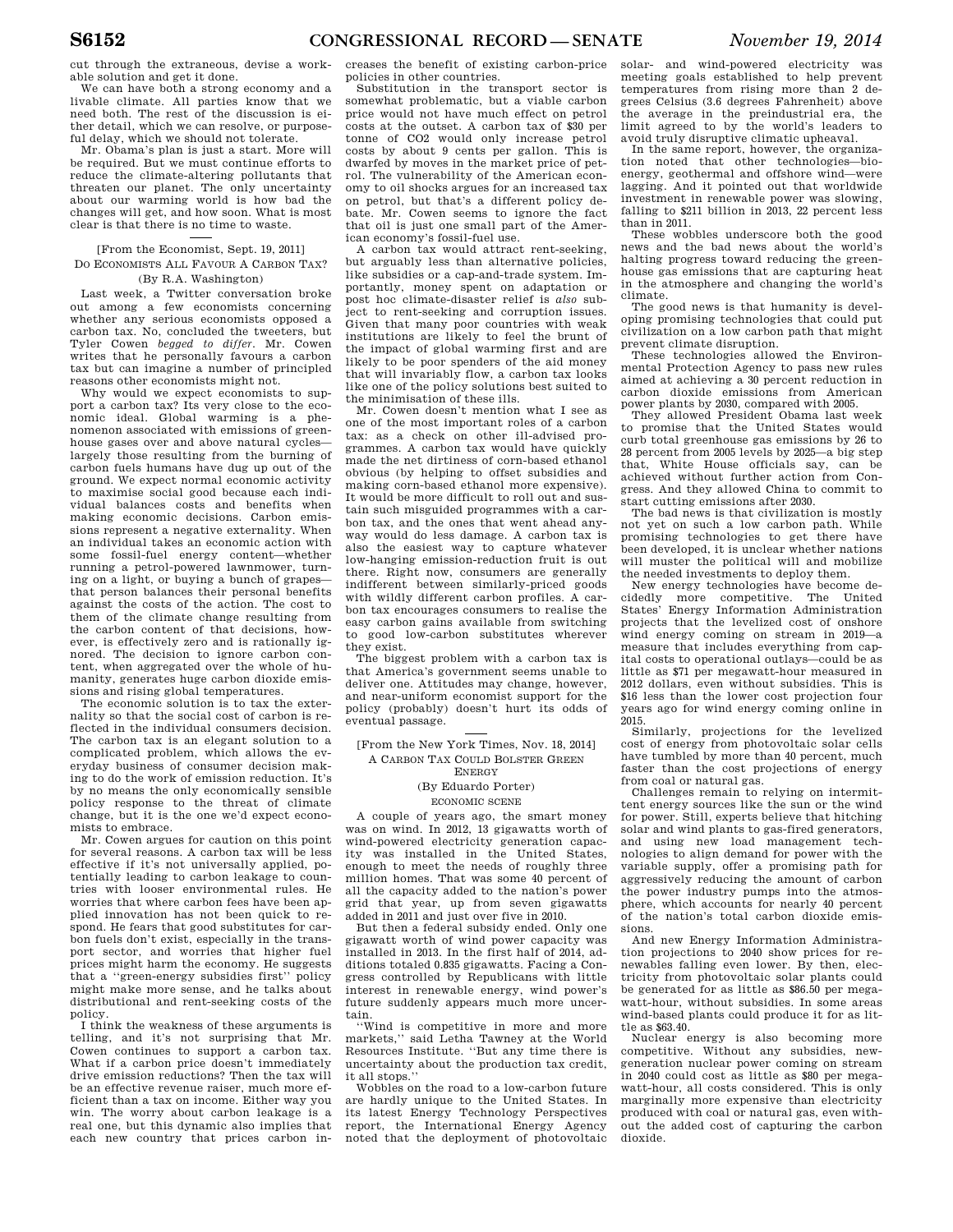cut through the extraneous, devise a workable solution and get it done.

We can have both a strong economy and a livable climate. All parties know that we need both. The rest of the discussion is either detail, which we can resolve, or purposeful delay, which we should not tolerate.

Mr. Obama's plan is just a start. More will be required. But we must continue efforts to reduce the climate-altering pollutants that threaten our planet. The only uncertainty about our warming world is how bad the changes will get, and how soon. What is most clear is that there is no time to waste.

### [From the Economist, Sept. 19, 2011] DO ECONOMISTS ALL FAVOUR A CARBON TAX? (By R.A. Washington)

Last week, a Twitter conversation broke out among a few economists concerning whether any serious economists opposed a carbon tax. No, concluded the tweeters, but Tyler Cowen *begged to differ.* Mr. Cowen writes that he personally favours a carbon tax but can imagine a number of principled reasons other economists might not.

Why would we expect economists to support a carbon tax? Its very close to the economic ideal. Global warming is a phenomenon associated with emissions of greenhouse gases over and above natural cycles largely those resulting from the burning of carbon fuels humans have dug up out of the ground. We expect normal economic activity to maximise social good because each individual balances costs and benefits when making economic decisions. Carbon emissions represent a negative externality. When an individual takes an economic action with some fossil-fuel energy content—whether running a petrol-powered lawnmower, turning on a light, or buying a bunch of grapes that person balances their personal benefits against the costs of the action. The cost to them of the climate change resulting from the carbon content of that decisions, however, is effectively zero and is rationally ignored. The decision to ignore carbon content, when aggregated over the whole of humanity, generates huge carbon dioxide emissions and rising global temperatures.

The economic solution is to tax the externality so that the social cost of carbon is reflected in the individual consumers decision. The carbon tax is an elegant solution to a complicated problem, which allows the everyday business of consumer decision making to do the work of emission reduction. It's by no means the only economically sensible policy response to the threat of climate change, but it is the one we'd expect economists to embrace.

Mr. Cowen argues for caution on this point for several reasons. A carbon tax will be less effective if it's not universally applied, potentially leading to carbon leakage to countries with looser environmental rules. He worries that where carbon fees have been applied innovation has not been quick to respond. He fears that good substitutes for carbon fuels don't exist, especially in the transport sector, and worries that higher fuel prices might harm the economy. He suggests that a ''green-energy subsidies first'' policy might make more sense, and he talks about distributional and rent-seeking costs of the policy.

I think the weakness of these arguments is telling, and it's not surprising that Mr. Cowen continues to support a carbon tax. What if a carbon price doesn't immediately drive emission reductions? Then the tax will be an effective revenue raiser, much more efficient than a tax on income. Either way you win. The worry about carbon leakage is a real one, but this dynamic also implies that each new country that prices carbon increases the benefit of existing carbon-price policies in other countries.

Substitution in the transport sector is somewhat problematic, but a viable carbon price would not have much effect on petrol costs at the outset. A carbon tax of \$30 per tonne of CO2 would only increase petrol costs by about 9 cents per gallon. This is dwarfed by moves in the market price of petrol. The vulnerability of the American economy to oil shocks argues for an increased tax on petrol, but that's a different policy debate. Mr. Cowen seems to ignore the fact that oil is just one small part of the American economy's fossil-fuel use.

A carbon tax would attract rent-seeking, but arguably less than alternative policies, like subsidies or a cap-and-trade system. Importantly, money spent on adaptation or post hoc climate-disaster relief is *also* subject to rent-seeking and corruption issues. Given that many poor countries with weak institutions are likely to feel the brunt of the impact of global warming first and are likely to be poor spenders of the aid money that will invariably flow, a carbon tax looks like one of the policy solutions best suited to the minimisation of these ills.

Mr. Cowen doesn't mention what I see as one of the most important roles of a carbon tax: as a check on other ill-advised programmes. A carbon tax would have quickly made the net dirtiness of corn-based ethanol obvious (by helping to offset subsidies and making corn-based ethanol more expensive). It would be more difficult to roll out and sustain such misguided programmes with a carbon tax, and the ones that went ahead anyway would do less damage. A carbon tax is also the easiest way to capture whatever low-hanging emission-reduction fruit is out there. Right now, consumers are generally indifferent between similarly-priced goods with wildly different carbon profiles. A carbon tax encourages consumers to realise the easy carbon gains available from switching to good low-carbon substitutes wherever they exist.

The biggest problem with a carbon tax is that America's government seems unable to deliver one. Attitudes may change, however, and near-uniform economist support for the policy (probably) doesn't hurt its odds of eventual passage.

### [From the New York Times, Nov. 18, 2014] A CARBON TAX COULD BOLSTER GREEN ENERGY

(By Eduardo Porter)

### ECONOMIC SCENE A couple of years ago, the smart money

was on wind. In 2012, 13 gigawatts worth of wind-powered electricity generation capacity was installed in the United States, enough to meet the needs of roughly three million homes. That was some 40 percent of all the capacity added to the nation's power grid that year, up from seven gigawatts added in 2011 and just over five in 2010.

But then a federal subsidy ended. Only one gigawatt worth of wind power capacity was installed in 2013. In the first half of 2014, additions totaled 0.835 gigawatts. Facing a Congress controlled by Republicans with little interest in renewable energy, wind power's future suddenly appears much more uncertain.

''Wind is competitive in more and more markets,'' said Letha Tawney at the World Resources Institute. ''But any time there is uncertainty about the production tax credit, it all stops.

Wobbles on the road to a low-carbon future are hardly unique to the United States. In its latest Energy Technology Perspectives report, the International Energy Agency noted that the deployment of photovoltaic solar- and wind-powered electricity was meeting goals established to help prevent temperatures from rising more than 2 degrees Celsius (3.6 degrees Fahrenheit) above the average in the preindustrial era, the limit agreed to by the world's leaders to avoid truly disruptive climatic upheaval.

In the same report, however, the organization noted that other technologies—bioenergy, geothermal and offshore wind—were lagging. And it pointed out that worldwide investment in renewable power was slowing, falling to \$211 billion in 2013, 22 percent less than in 2011.

These wobbles underscore both the good news and the bad news about the world's halting progress toward reducing the greenhouse gas emissions that are capturing heat in the atmosphere and changing the world's climate.

The good news is that humanity is developing promising technologies that could put civilization on a low carbon path that might prevent climate disruption.

These technologies allowed the Environmental Protection Agency to pass new rules aimed at achieving a 30 percent reduction in carbon dioxide emissions from American power plants by 2030, compared with 2005.

They allowed President Obama last week to promise that the United States would curb total greenhouse gas emissions by 26 to 28 percent from 2005 levels by 2025—a big step that, White House officials say, can be achieved without further action from Congress. And they allowed China to commit to start cutting emissions after 2030.

The bad news is that civilization is mostly not yet on such a low carbon path. While promising technologies to get there have been developed, it is unclear whether nations will muster the political will and mobilize the needed investments to deploy them.

New energy technologies have become decidedly more competitive. The United States' Energy Information Administration projects that the levelized cost of onshore wind energy coming on stream in 2019—a measure that includes everything from capital costs to operational outlays—could be as little as \$71 per megawatt-hour measured in 2012 dollars, even without subsidies. This is \$16 less than the lower cost projection four years ago for wind energy coming online in 2015.

Similarly, projections for the levelized cost of energy from photovoltaic solar cells have tumbled by more than 40 percent, much faster than the cost projections of energy from coal or natural gas.

Challenges remain to relying on intermittent energy sources like the sun or the wind for power. Still, experts believe that hitching solar and wind plants to gas-fired generators, and using new load management technologies to align demand for power with the variable supply, offer a promising path for aggressively reducing the amount of carbon the power industry pumps into the atmosphere, which accounts for nearly 40 percent of the nation's total carbon dioxide emissions.

And new Energy Information Administration projections to 2040 show prices for renewables falling even lower. By then, electricity from photovoltaic solar plants could be generated for as little as \$86.50 per megawatt-hour, without subsidies. In some areas wind-based plants could produce it for as little as \$63.40.

Nuclear energy is also becoming more competitive. Without any subsidies, newgeneration nuclear power coming on stream in 2040 could cost as little as \$80 per megawatt-hour, all costs considered. This is only marginally more expensive than electricity produced with coal or natural gas, even without the added cost of capturing the carbon dioxide.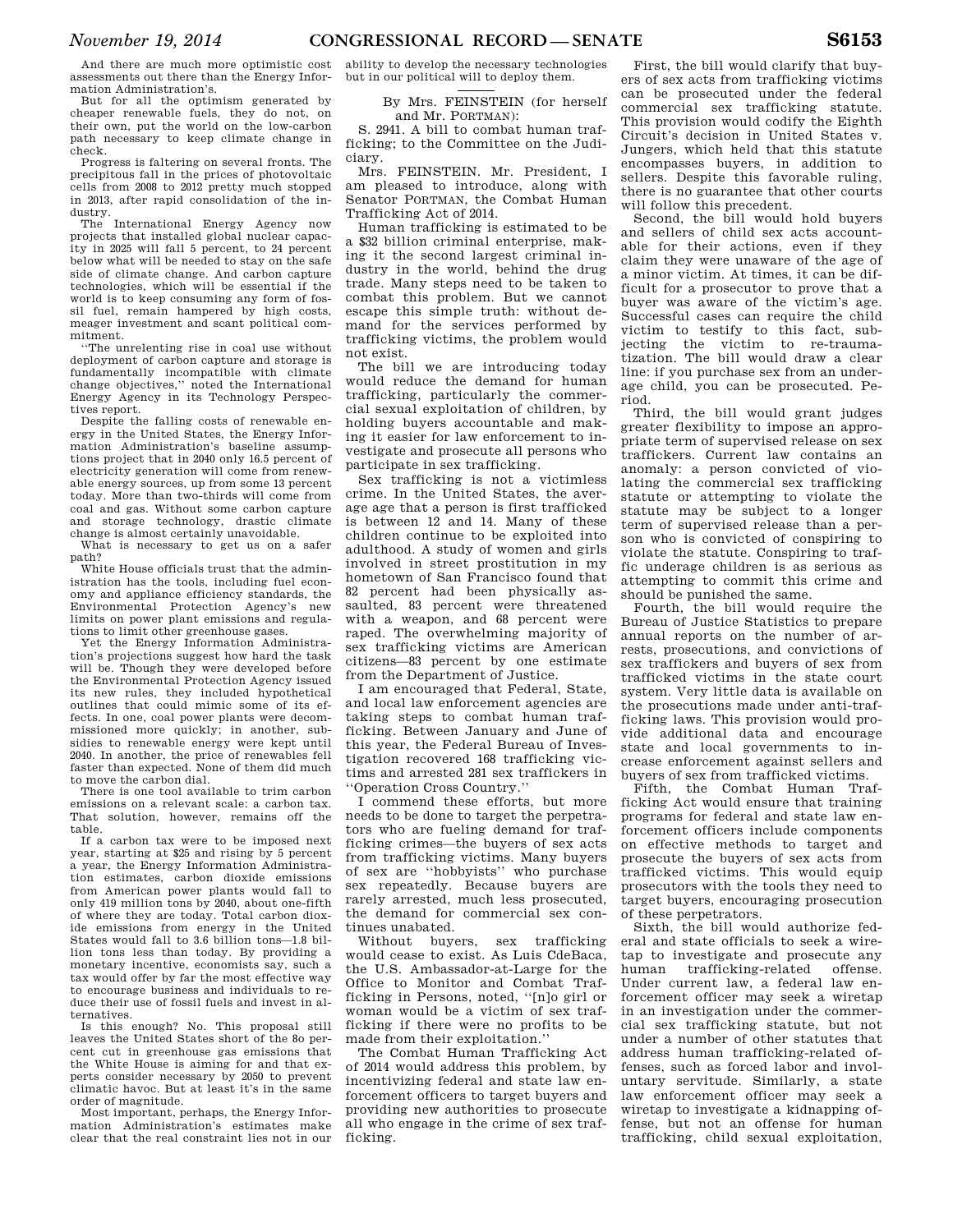And there are much more optimistic cost assessments out there than the Energy Information Administration's.

But for all the optimism generated by cheaper renewable fuels, they do not, on their own, put the world on the low-carbon path necessary to keep climate change in check.

Progress is faltering on several fronts. The precipitous fall in the prices of photovoltaic cells from 2008 to 2012 pretty much stopped in 2013, after rapid consolidation of the industry.

The International Energy Agency now projects that installed global nuclear capacity in 2025 will fall 5 percent, to 24 percent below what will be needed to stay on the safe side of climate change. And carbon capture technologies, which will be essential if the world is to keep consuming any form of fossil fuel, remain hampered by high costs, meager investment and scant political commitment.

''The unrelenting rise in coal use without deployment of carbon capture and storage is fundamentally incompatible with climate change objectives,'' noted the International Energy Agency in its Technology Perspectives report.

Despite the falling costs of renewable energy in the United States, the Energy Information Administration's baseline assumptions project that in 2040 only 16.5 percent of electricity generation will come from renewable energy sources, up from some 13 percent today. More than two-thirds will come from coal and gas. Without some carbon capture and storage technology, drastic climate change is almost certainly unavoidable.

What is necessary to get us on a safer path?

White House officials trust that the administration has the tools, including fuel economy and appliance efficiency standards, the Environmental Protection Agency's new limits on power plant emissions and regulations to limit other greenhouse gases.

Yet the Energy Information Administration's projections suggest how hard the task will be. Though they were developed before the Environmental Protection Agency issued its new rules, they included hypothetical outlines that could mimic some of its effects. In one, coal power plants were decommissioned more quickly; in another, subsidies to renewable energy were kept until 2040. In another, the price of renewables fell faster than expected. None of them did much to move the carbon dial.

There is one tool available to trim carbon emissions on a relevant scale: a carbon tax. That solution, however, remains off the table.

If a carbon tax were to be imposed next year, starting at \$25 and rising by 5 percent a year, the Energy Information Administration estimates, carbon dioxide emissions from American power plants would fall to only 419 million tons by 2040, about one-fifth of where they are today. Total carbon dioxide emissions from energy in the United States would fall to 3.6 billion tons—1.8 billion tons less than today. By providing a monetary incentive, economists say, such a tax would offer by far the most effective way to encourage business and individuals to reduce their use of fossil fuels and invest in alternatives.

Is this enough? No. This proposal still leaves the United States short of the 8o percent cut in greenhouse gas emissions that the White House is aiming for and that experts consider necessary by 2050 to prevent climatic havoc. But at least it's in the same order of magnitude.

Most important, perhaps, the Energy Information Administration's estimates make clear that the real constraint lies not in our

ability to develop the necessary technologies but in our political will to deploy them.

### By Mrs. FEINSTEIN (for herself and Mr. PORTMAN):

S. 2941. A bill to combat human trafficking; to the Committee on the Judiciary.

Mrs. FEINSTEIN. Mr. President, I am pleased to introduce, along with Senator PORTMAN, the Combat Human Trafficking Act of 2014.

Human trafficking is estimated to be a \$32 billion criminal enterprise, making it the second largest criminal industry in the world, behind the drug trade. Many steps need to be taken to combat this problem. But we cannot escape this simple truth: without demand for the services performed by trafficking victims, the problem would not exist.

The bill we are introducing today would reduce the demand for human trafficking, particularly the commercial sexual exploitation of children, by holding buyers accountable and making it easier for law enforcement to investigate and prosecute all persons who participate in sex trafficking.

Sex trafficking is not a victimless crime. In the United States, the average age that a person is first trafficked is between 12 and 14. Many of these children continue to be exploited into adulthood. A study of women and girls involved in street prostitution in my hometown of San Francisco found that 82 percent had been physically assaulted, 83 percent were threatened with a weapon, and 68 percent were raped. The overwhelming majority of sex trafficking victims are American citizens—83 percent by one estimate from the Department of Justice.

I am encouraged that Federal, State, and local law enforcement agencies are taking steps to combat human trafficking. Between January and June of this year, the Federal Bureau of Investigation recovered 168 trafficking victims and arrested 281 sex traffickers in ''Operation Cross Country.''

I commend these efforts, but more needs to be done to target the perpetrators who are fueling demand for trafficking crimes—the buyers of sex acts from trafficking victims. Many buyers of sex are ''hobbyists'' who purchase sex repeatedly. Because buyers are rarely arrested, much less prosecuted, the demand for commercial sex continues unabated.

Without buyers, sex trafficking would cease to exist. As Luis CdeBaca, the U.S. Ambassador-at-Large for the Office to Monitor and Combat Trafficking in Persons, noted, ''[n]o girl or woman would be a victim of sex trafficking if there were no profits to be made from their exploitation.''

The Combat Human Trafficking Act of 2014 would address this problem, by incentivizing federal and state law enforcement officers to target buyers and providing new authorities to prosecute all who engage in the crime of sex trafficking.

First, the bill would clarify that buyers of sex acts from trafficking victims can be prosecuted under the federal commercial sex trafficking statute. This provision would codify the Eighth Circuit's decision in United States v. Jungers, which held that this statute encompasses buyers, in addition to sellers. Despite this favorable ruling, there is no guarantee that other courts will follow this precedent.

Second, the bill would hold buyers and sellers of child sex acts accountable for their actions, even if they claim they were unaware of the age of a minor victim. At times, it can be difficult for a prosecutor to prove that a buyer was aware of the victim's age. Successful cases can require the child victim to testify to this fact, subjecting the victim to re-traumatization. The bill would draw a clear line: if you purchase sex from an underage child, you can be prosecuted. Period.

Third, the bill would grant judges greater flexibility to impose an appropriate term of supervised release on sex traffickers. Current law contains an anomaly: a person convicted of violating the commercial sex trafficking statute or attempting to violate the statute may be subject to a longer term of supervised release than a person who is convicted of conspiring to violate the statute. Conspiring to traffic underage children is as serious as attempting to commit this crime and should be punished the same.

Fourth, the bill would require the Bureau of Justice Statistics to prepare annual reports on the number of arrests, prosecutions, and convictions of sex traffickers and buyers of sex from trafficked victims in the state court system. Very little data is available on the prosecutions made under anti-trafficking laws. This provision would provide additional data and encourage state and local governments to increase enforcement against sellers and buyers of sex from trafficked victims.

Fifth, the Combat Human Trafficking Act would ensure that training programs for federal and state law enforcement officers include components on effective methods to target and prosecute the buyers of sex acts from trafficked victims. This would equip prosecutors with the tools they need to target buyers, encouraging prosecution of these perpetrators.

Sixth, the bill would authorize federal and state officials to seek a wiretap to investigate and prosecute any human trafficking-related offense. Under current law, a federal law enforcement officer may seek a wiretap in an investigation under the commercial sex trafficking statute, but not under a number of other statutes that address human trafficking-related offenses, such as forced labor and involuntary servitude. Similarly, a state law enforcement officer may seek a wiretap to investigate a kidnapping offense, but not an offense for human trafficking, child sexual exploitation,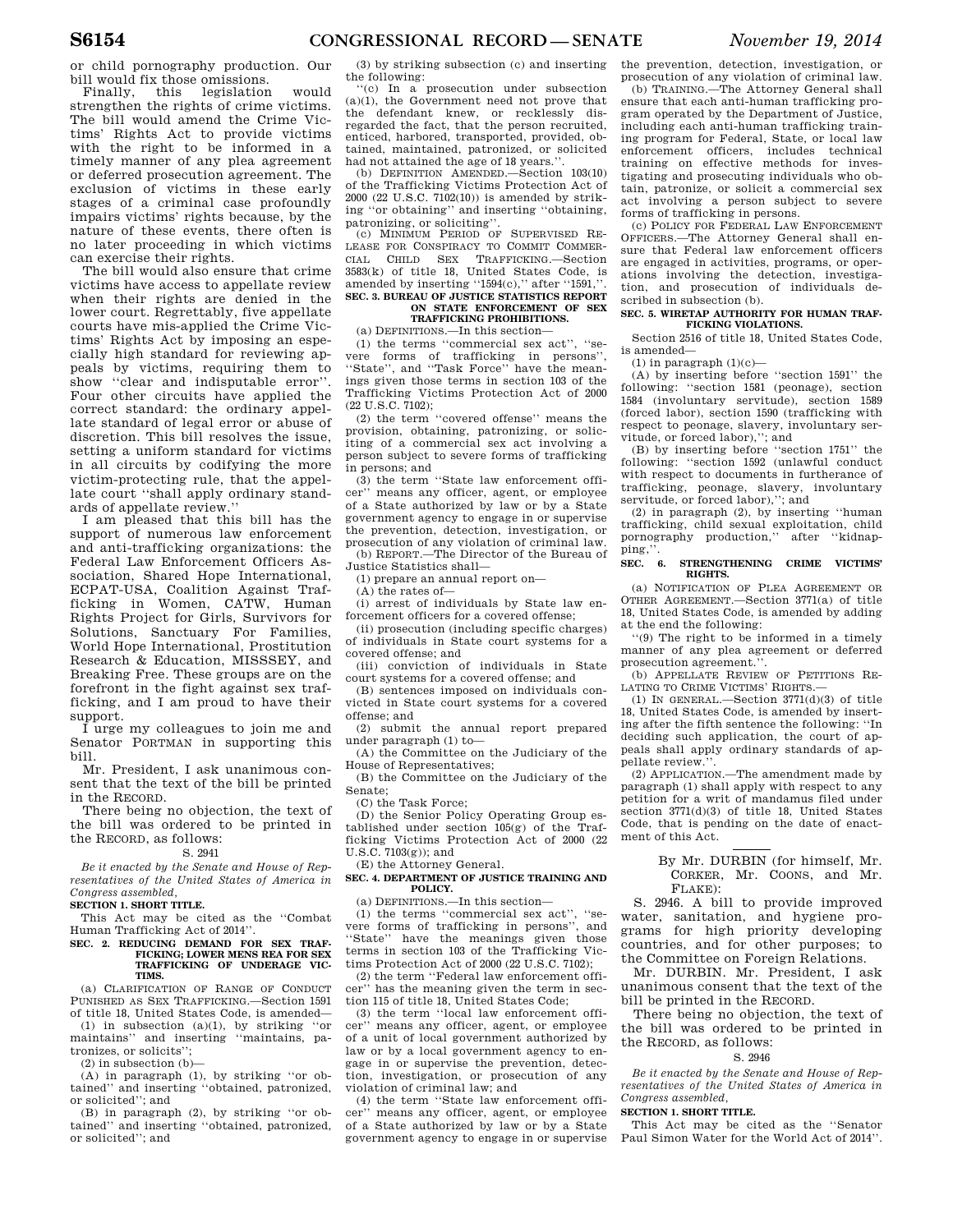or child pornography production. Our bill would fix those omissions.

Finally, this legislation would strengthen the rights of crime victims. The bill would amend the Crime Victims' Rights Act to provide victims with the right to be informed in a timely manner of any plea agreement or deferred prosecution agreement. The exclusion of victims in these early stages of a criminal case profoundly impairs victims' rights because, by the nature of these events, there often is no later proceeding in which victims can exercise their rights.

The bill would also ensure that crime victims have access to appellate review when their rights are denied in the lower court. Regrettably, five appellate courts have mis-applied the Crime Victims' Rights Act by imposing an especially high standard for reviewing appeals by victims, requiring them to show ''clear and indisputable error''. Four other circuits have applied the correct standard: the ordinary appellate standard of legal error or abuse of discretion. This bill resolves the issue, setting a uniform standard for victims in all circuits by codifying the more victim-protecting rule, that the appellate court ''shall apply ordinary standards of appellate review.''

I am pleased that this bill has the support of numerous law enforcement and anti-trafficking organizations: the Federal Law Enforcement Officers Association, Shared Hope International, ECPAT-USA, Coalition Against Trafficking in Women, CATW, Human Rights Project for Girls, Survivors for Solutions, Sanctuary For Families, World Hope International, Prostitution Research & Education, MISSSEY, and Breaking Free. These groups are on the forefront in the fight against sex trafficking, and I am proud to have their support.

I urge my colleagues to join me and Senator PORTMAN in supporting this bill.

Mr. President, I ask unanimous consent that the text of the bill be printed in the RECORD.

There being no objection, the text of the bill was ordered to be printed in the RECORD, as follows:

### S. 2941

*Be it enacted by the Senate and House of Representatives of the United States of America in Congress assembled,* 

### **SECTION 1. SHORT TITLE.**

This Act may be cited as the ''Combat Human Trafficking Act of 2014''.

### **SEC. 2. REDUCING DEMAND FOR SEX TRAF-FICKING; LOWER MENS REA FOR SEX TRAFFICKING OF UNDERAGE VIC-TIMS.**

(a) CLARIFICATION OF RANGE OF CONDUCT PUNISHED AS SEX TRAFFICKING.—Section 1591 of title 18, United States Code, is amended—

(1) in subsection (a)(1), by striking ''or maintains'' and inserting ''maintains, patronizes, or solicits'';

 $(2)$  in subsection  $(b)$ 

(A) in paragraph (1), by striking ''or obtained'' and inserting ''obtained, patronized, or solicited''; and

(B) in paragraph (2), by striking ''or obtained'' and inserting ''obtained, patronized, or solicited''; and

(3) by striking subsection (c) and inserting the following:

''(c) In a prosecution under subsection (a)(1), the Government need not prove that the defendant knew, or recklessly disregarded the fact, that the person recruited, enticed, harbored, transported, provided, obtained, maintained, patronized, or solicited had not attained the age of 18 years.

(b) DEFINITION AMENDED.—Section 103(10) of the Trafficking Victims Protection Act of 2000 (22 U.S.C. 7102(10)) is amended by striking ''or obtaining'' and inserting ''obtaining, patronizing, or soliciting''.

(c) MINIMUM PERIOD OF SUPERVISED RE-LEASE FOR CONSPIRACY TO COMMIT COMMERCIAL CHILD SEX TRAFFICKING.—Section TRAFFICKING.-Section 3583(k) of title 18, United States Code, is amended by inserting "1594(c)," after "1591,". **SEC. 3. BUREAU OF JUSTICE STATISTICS REPORT** 

### **ON STATE ENFORCEMENT OF SEX TRAFFICKING PROHIBITIONS.**

(a) DEFINITIONS.—In this section—

(1) the terms ''commercial sex act'', ''severe forms of trafficking in persons'', ''State'', and ''Task Force'' have the meanings given those terms in section 103 of the Trafficking Victims Protection Act of 2000 (22 U.S.C. 7102);

(2) the term ''covered offense'' means the provision, obtaining, patronizing, or soliciting of a commercial sex act involving a person subject to severe forms of trafficking in persons; and

(3) the term ''State law enforcement officer'' means any officer, agent, or employee of a State authorized by law or by a State government agency to engage in or supervise the prevention, detection, investigation, or prosecution of any violation of criminal law. (b) REPORT.—The Director of the Bureau of

Justice Statistics shall— (1) prepare an annual report on—

(A) the rates of—

(i) arrest of individuals by State law enforcement officers for a covered offense;

(ii) prosecution (including specific charges) of individuals in State court systems for a covered offense; and

(iii) conviction of individuals in State court systems for a covered offense; and

(B) sentences imposed on individuals convicted in State court systems for a covered offense; and

(2) submit the annual report prepared under paragraph (1) to—

(A) the Committee on the Judiciary of the House of Representatives;

(B) the Committee on the Judiciary of the Senate;

(C) the Task Force;

(D) the Senior Policy Operating Group established under section 105(g) of the Trafficking Victims Protection Act of 2000 (22 U.S.C. 7103(g)); and

(E) the Attorney General.

**SEC. 4. DEPARTMENT OF JUSTICE TRAINING AND POLICY.** 

(a) DEFINITIONS.—In this section—

(1) the terms "commercial sex act", "se-<br>ere forms of trafficking in persons", and vere forms of trafficking in persons" ''State'' have the meanings given those terms in section 103 of the Trafficking Victims Protection Act of 2000 (22 U.S.C. 7102);

(2) the term ''Federal law enforcement officer'' has the meaning given the term in section 115 of title 18, United States Code;

(3) the term ''local law enforcement officer'' means any officer, agent, or employee of a unit of local government authorized by law or by a local government agency to engage in or supervise the prevention, detection, investigation, or prosecution of any violation of criminal law; and

(4) the term ''State law enforcement officer'' means any officer, agent, or employee of a State authorized by law or by a State government agency to engage in or supervise the prevention, detection, investigation, or prosecution of any violation of criminal law.

(b) TRAINING.—The Attorney General shall ensure that each anti-human trafficking program operated by the Department of Justice, including each anti-human trafficking training program for Federal, State, or local law enforcement officers, includes technical training on effective methods for investigating and prosecuting individuals who obtain, patronize, or solicit a commercial sex act involving a person subject to severe forms of trafficking in persons.

(c) POLICY FOR FEDERAL LAW ENFORCEMENT OFFICERS.—The Attorney General shall ensure that Federal law enforcement officers are engaged in activities, programs, or operations involving the detection, investigation, and prosecution of individuals described in subsection (b).

### **SEC. 5. WIRETAP AUTHORITY FOR HUMAN TRAF-FICKING VIOLATIONS.**

Section 2516 of title 18, United States Code, is amended—

 $(1)$  in paragraph  $(1)(c)$ —

(A) by inserting before ''section 1591'' the following: ''section 1581 (peonage), section 1584 (involuntary servitude), section 1589 (forced labor), section 1590 (trafficking with respect to peonage, slavery, involuntary servitude, or forced labor),''; and

(B) by inserting before ''section 1751'' the following: ''section 1592 (unlawful conduct with respect to documents in furtherance of trafficking, peonage, slavery, involuntary servitude, or forced labor),''; and

(2) in paragraph (2), by inserting ''human trafficking, child sexual exploitation, child pornography production,'' after ''kidnap-

### ping,".<br>SEC. 6. STRENGTHENING CRIME VICTIMS' **RIGHTS.**

(a) NOTIFICATION OF PLEA AGREEMENT OR OTHER AGREEMENT.—Section 3771(a) of title 18, United States Code, is amended by adding at the end the following:

''(9) The right to be informed in a timely manner of any plea agreement or deferred prosecution agreement.''.

(b) APPELLATE REVIEW OF PETITIONS RE-LATING TO CRIME VICTIMS' RIGHTS.—

(1) IN GENERAL.—Section 3771(d)(3) of title 18, United States Code, is amended by inserting after the fifth sentence the following: ''In deciding such application, the court of appeals shall apply ordinary standards of appellate review.''.

(2) APPLICATION.—The amendment made by paragraph (1) shall apply with respect to any petition for a writ of mandamus filed under section 3771(d)(3) of title 18, United States Code, that is pending on the date of enactment of this Act.

### By Mr. DURBIN (for himself, Mr. CORKER, Mr. COONS, and Mr. FLAKE):

S. 2946. A bill to provide improved water, sanitation, and hygiene programs for high priority developing countries, and for other purposes; to the Committee on Foreign Relations.

Mr. DURBIN. Mr. President, I ask unanimous consent that the text of the bill be printed in the RECORD.

There being no objection, the text of the bill was ordered to be printed in the RECORD, as follows:

### S. 2946

*Be it enacted by the Senate and House of Representatives of the United States of America in Congress assembled,* 

### **SECTION 1. SHORT TITLE.**

This Act may be cited as the ''Senator Paul Simon Water for the World Act of 2014''.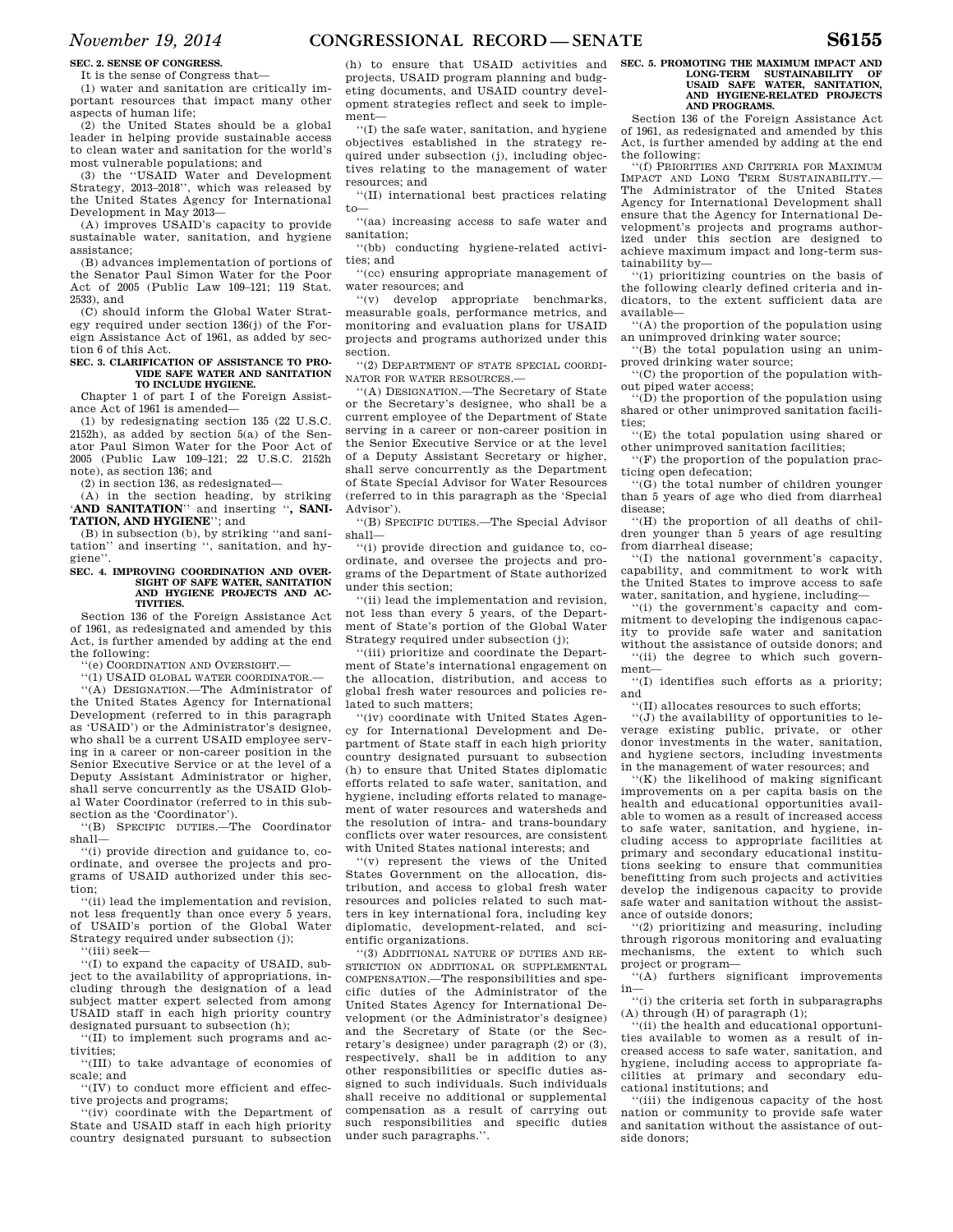### **SEC. 2. SENSE OF CONGRESS.**

It is the sense of Congress that—

(1) water and sanitation are critically important resources that impact many other aspects of human life;

(2) the United States should be a global leader in helping provide sustainable access to clean water and sanitation for the world's most vulnerable populations; and

(3) the ''USAID Water and Development Strategy, 2013–2018'', which was released by the United States Agency for International Development in May 2013—

(A) improves USAID's capacity to provide sustainable water, sanitation, and hygiene assistance;

(B) advances implementation of portions of the Senator Paul Simon Water for the Poor Act of 2005 (Public Law 109–121; 119 Stat. 2533), and

(C) should inform the Global Water Strategy required under section 136(j) of the Foreign Assistance Act of 1961, as added by section 6 of this Act.

### **SEC. 3. CLARIFICATION OF ASSISTANCE TO PRO-VIDE SAFE WATER AND SANITATION TO INCLUDE HYGIENE.**

Chapter 1 of part I of the Foreign Assistance Act of 1961 is amended—

(1) by redesignating section 135 (22 U.S.C. 2152h), as added by section 5(a) of the Senator Paul Simon Water for the Poor Act of 2005 (Public Law 109–121; 22 U.S.C. 2152h note), as section 136; and

(2) in section 136, as redesignated—

(A) in the section heading, by striking '**AND SANITATION**'' and inserting ''**, SANI-TATION, AND HYGIENE**''; and

(B) in subsection (b), by striking ''and sanitation'' and inserting '', sanitation, and hygiene''.

### **SEC. 4. IMPROVING COORDINATION AND OVER-SIGHT OF SAFE WATER, SANITATION AND HYGIENE PROJECTS AND AC-TIVITIES.**

Section 136 of the Foreign Assistance Act of 1961, as redesignated and amended by this Act, is further amended by adding at the end the following:

''(e) COORDINATION AND OVERSIGHT.—

''(1) USAID GLOBAL WATER COORDINATOR.— ''(A) DESIGNATION.—The Administrator of the United States Agency for International Development (referred to in this paragraph as 'USAID') or the Administrator's designee, who shall be a current USAID employee serving in a career or non-career position in the Senior Executive Service or at the level of a Deputy Assistant Administrator or higher, shall serve concurrently as the USAID Global Water Coordinator (referred to in this subsection as the 'Coordinator').

''(B) SPECIFIC DUTIES.—The Coordinator shall—

''(i) provide direction and guidance to, coordinate, and oversee the projects and programs of USAID authorized under this section;

''(ii) lead the implementation and revision, not less frequently than once every 5 years, of USAID's portion of the Global Water Strategy required under subsection (j);

''(iii) seek—

''(I) to expand the capacity of USAID, subject to the availability of appropriations, including through the designation of a lead subject matter expert selected from among USAID staff in each high priority country designated pursuant to subsection (h);

''(II) to implement such programs and activities;

''(III) to take advantage of economies of scale; and

''(IV) to conduct more efficient and effective projects and programs;

''(iv) coordinate with the Department of State and USAID staff in each high priority country designated pursuant to subsection

(h) to ensure that USAID activities and projects, USAID program planning and budgeting documents, and USAID country development strategies reflect and seek to implement—

''(I) the safe water, sanitation, and hygiene objectives established in the strategy required under subsection (j), including objectives relating to the management of water resources; and

''(II) international best practices relating to—

''(aa) increasing access to safe water and sanitation;

''(bb) conducting hygiene-related activities; and

''(cc) ensuring appropriate management of water resources; and

''(v) develop appropriate benchmarks, measurable goals, performance metrics, and monitoring and evaluation plans for USAID projects and programs authorized under this section.

''(2) DEPARTMENT OF STATE SPECIAL COORDI-NATOR FOR WATER RESOURCES.—

''(A) DESIGNATION.—The Secretary of State or the Secretary's designee, who shall be a current employee of the Department of State serving in a career or non-career position in the Senior Executive Service or at the level of a Deputy Assistant Secretary or higher, shall serve concurrently as the Department of State Special Advisor for Water Resources (referred to in this paragraph as the 'Special Advisor').

''(B) SPECIFIC DUTIES.—The Special Advisor shall—

''(i) provide direction and guidance to, coordinate, and oversee the projects and programs of the Department of State authorized under this section;

''(ii) lead the implementation and revision, not less than every 5 years, of the Department of State's portion of the Global Water Strategy required under subsection (j);

''(iii) prioritize and coordinate the Department of State's international engagement on the allocation, distribution, and access to global fresh water resources and policies related to such matters;

''(iv) coordinate with United States Agency for International Development and Department of State staff in each high priority country designated pursuant to subsection (h) to ensure that United States diplomatic efforts related to safe water, sanitation, and hygiene, including efforts related to management of water resources and watersheds and the resolution of intra- and trans-boundary conflicts over water resources, are consistent with United States national interests; and

''(v) represent the views of the United States Government on the allocation, distribution, and access to global fresh water resources and policies related to such matters in key international fora, including key diplomatic, development-related, and scientific organizations.

''(3) ADDITIONAL NATURE OF DUTIES AND RE-STRICTION ON ADDITIONAL OR SUPPLEMENTAL COMPENSATION.—The responsibilities and specific duties of the Administrator of the United States Agency for International Development (or the Administrator's designee) and the Secretary of State (or the Secretary's designee) under paragraph (2) or (3), respectively, shall be in addition to any other responsibilities or specific duties assigned to such individuals. Such individuals shall receive no additional or supplemental compensation as a result of carrying out such responsibilities and specific duties under such paragraphs.''.

# **SEC. 5. PROMOTING THE MAXIMUM IMPACT AND LONG-TERM SUSTAINABILITY OF USAID SAFE WATER, SANITATION, AND HYGIENE-RELATED PROJECTS AND PROGRAMS.**

Section 136 of the Foreign Assistance Act of 1961, as redesignated and amended by this Act, is further amended by adding at the end the following:

''(f) PRIORITIES AND CRITERIA FOR MAXIMUM IMPACT AND LONG TERM SUSTAINABILITY.— The Administrator of the United States Agency for International Development shall ensure that the Agency for International Development's projects and programs authorized under this section are designed to achieve maximum impact and long-term sustainability by—

''(1) prioritizing countries on the basis of the following clearly defined criteria and indicators, to the extent sufficient data are available—

''(A) the proportion of the population using an unimproved drinking water source;

''(B) the total population using an unimproved drinking water source;

''(C) the proportion of the population without piped water access;

''(D) the proportion of the population using shared or other unimproved sanitation facilities;

''(E) the total population using shared or other unimproved sanitation facilities;

''(F) the proportion of the population practicing open defecation;

''(G) the total number of children younger than 5 years of age who died from diarrheal disease;

''(H) the proportion of all deaths of children younger than 5 years of age resulting from diarrheal disease;

''(I) the national government's capacity, capability, and commitment to work with the United States to improve access to safe water, sanitation, and hygiene, including—

''(i) the government's capacity and commitment to developing the indigenous capacity to provide safe water and sanitation without the assistance of outside donors; and ''(ii) the degree to which such govern-

ment— ''(I) identifies such efforts as a priority;

and

''(II) allocates resources to such efforts;

 $''(J)$  the availability of opportunities to leverage existing public, private, or other donor investments in the water, sanitation, and hygiene sectors, including investments in the management of water resources; and

''(K) the likelihood of making significant improvements on a per capita basis on the health and educational opportunities available to women as a result of increased access to safe water, sanitation, and hygiene, including access to appropriate facilities at primary and secondary educational institutions seeking to ensure that communities benefitting from such projects and activities develop the indigenous capacity to provide safe water and sanitation without the assistance of outside donors;

''(2) prioritizing and measuring, including through rigorous monitoring and evaluating mechanisms, the extent to which such project or program—

''(A) furthers significant improvements in—

''(i) the criteria set forth in subparagraphs (A) through (H) of paragraph (1);

''(ii) the health and educational opportunities available to women as a result of increased access to safe water, sanitation, and hygiene, including access to appropriate facilities at primary and secondary educational institutions; and

''(iii) the indigenous capacity of the host nation or community to provide safe water and sanitation without the assistance of outside donors;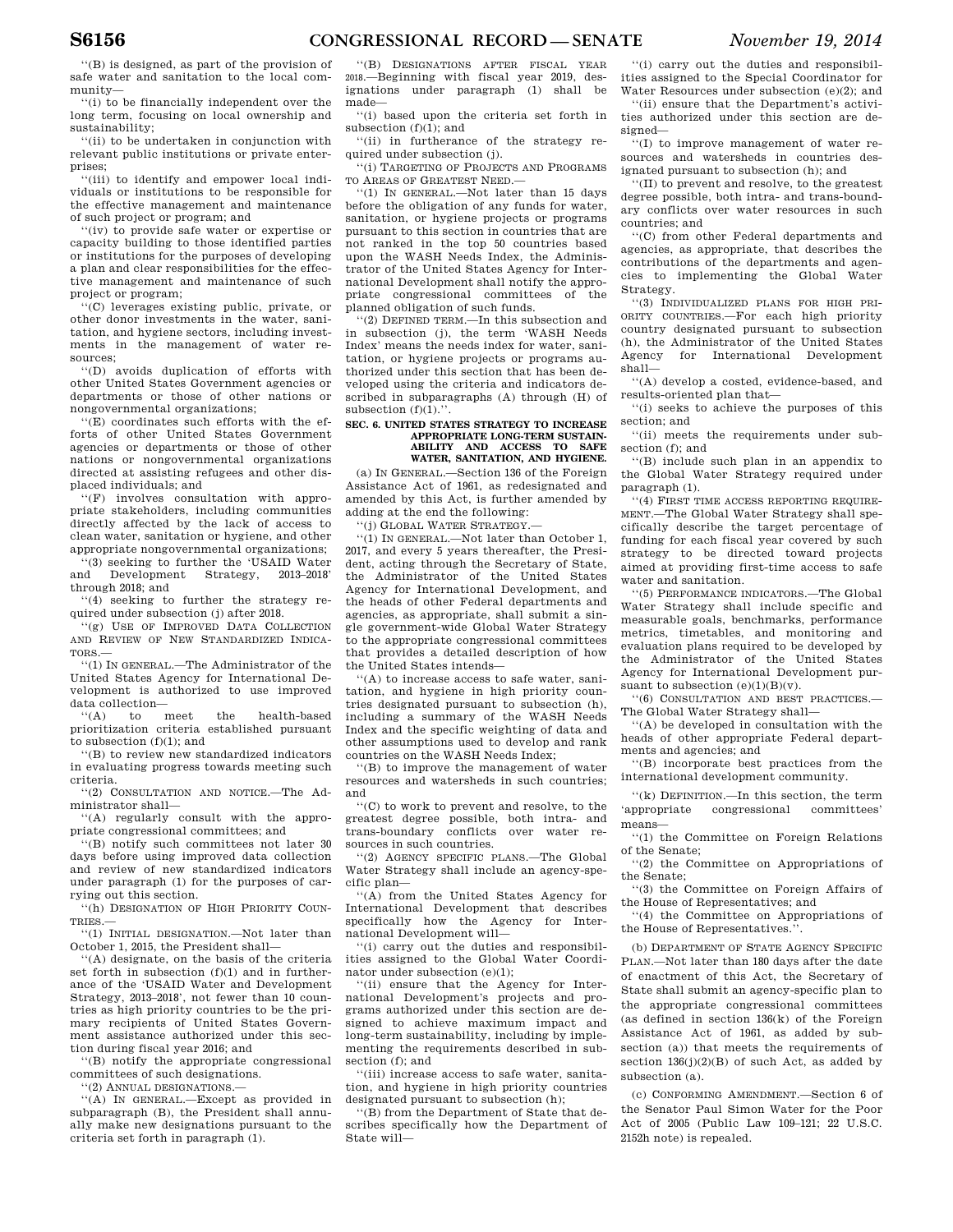''(B) is designed, as part of the provision of safe water and sanitation to the local community—

''(i) to be financially independent over the long term, focusing on local ownership and sustainability;

''(ii) to be undertaken in conjunction with relevant public institutions or private enterprises;

''(iii) to identify and empower local individuals or institutions to be responsible for the effective management and maintenance of such project or program; and

'(iv) to provide safe water or expertise or capacity building to those identified parties or institutions for the purposes of developing a plan and clear responsibilities for the effective management and maintenance of such project or program;

''(C) leverages existing public, private, or other donor investments in the water, sanitation, and hygiene sectors, including investments in the management of water resources;

''(D) avoids duplication of efforts with other United States Government agencies or departments or those of other nations or nongovernmental organizations;

''(E) coordinates such efforts with the efforts of other United States Government agencies or departments or those of other nations or nongovernmental organizations directed at assisting refugees and other displaced individuals; and

''(F) involves consultation with appropriate stakeholders, including communities directly affected by the lack of access to clean water, sanitation or hygiene, and other appropriate nongovernmental organizations;

''(3) seeking to further the 'USAID Water and Development Strategy, 2013–2018' through 2018; and

 $(4)$  seeking to further the strategy required under subsection (j) after 2018.

''(g) USE OF IMPROVED DATA COLLECTION AND REVIEW OF NEW STANDARDIZED INDICA-TORS.—

''(1) IN GENERAL.—The Administrator of the United States Agency for International Development is authorized to use improved data collection—

''(A) to meet the health-based prioritization criteria established pursuant to subsection (f)(1); and

''(B) to review new standardized indicators in evaluating progress towards meeting such criteria.

''(2) CONSULTATION AND NOTICE.—The Administrator shall—

''(A) regularly consult with the appropriate congressional committees; and

''(B) notify such committees not later 30 days before using improved data collection and review of new standardized indicators under paragraph (1) for the purposes of carrying out this section.

''(h) DESIGNATION OF HIGH PRIORITY COUN-TRIES.—

''(1) INITIAL DESIGNATION.—Not later than October 1, 2015, the President shall—

''(A) designate, on the basis of the criteria set forth in subsection (f)(1) and in furtherance of the 'USAID Water and Development Strategy, 2013–2018', not fewer than 10 countries as high priority countries to be the primary recipients of United States Government assistance authorized under this section during fiscal year 2016; and

''(B) notify the appropriate congressional committees of such designations.

''(2) ANNUAL DESIGNATIONS.—

''(A) IN GENERAL.—Except as provided in subparagraph (B), the President shall annually make new designations pursuant to the criteria set forth in paragraph (1).

''(B) DESIGNATIONS AFTER FISCAL YEAR 2018.—Beginning with fiscal year 2019, designations under paragraph (1) shall be made—

''(i) based upon the criteria set forth in subsection  $(f)(1)$ ; and

''(ii) in furtherance of the strategy required under subsection (j).

''(i) TARGETING OF PROJECTS AND PROGRAMS TO AREAS OF GREATEST NEED.—

''(1) IN GENERAL.—Not later than 15 days before the obligation of any funds for water, sanitation, or hygiene projects or programs pursuant to this section in countries that are not ranked in the top 50 countries based upon the WASH Needs Index, the Administrator of the United States Agency for International Development shall notify the appropriate congressional committees of the planned obligation of such funds.

''(2) DEFINED TERM.—In this subsection and in subsection (j), the term 'WASH Needs Index' means the needs index for water, sanitation, or hygiene projects or programs authorized under this section that has been developed using the criteria and indicators described in subparagraphs (A) through (H) of subsection  $(f)(1)$ .".

### **SEC. 6. UNITED STATES STRATEGY TO INCREASE APPROPRIATE LONG-TERM SUSTAIN-ABILITY AND ACCESS TO WATER, SANITATION, AND HYGIENE.**

(a) IN GENERAL.—Section 136 of the Foreign Assistance Act of 1961, as redesignated and amended by this Act, is further amended by adding at the end the following:

''(j) GLOBAL WATER STRATEGY.—

''(1) IN GENERAL.—Not later than October 1, 2017, and every 5 years thereafter, the President, acting through the Secretary of State, the Administrator of the United States Agency for International Development, and the heads of other Federal departments and agencies, as appropriate, shall submit a single government-wide Global Water Strategy to the appropriate congressional committees that provides a detailed description of how the United States intends—

''(A) to increase access to safe water, sanitation, and hygiene in high priority countries designated pursuant to subsection (h), including a summary of the WASH Needs Index and the specific weighting of data and other assumptions used to develop and rank countries on the WASH Needs Index;

''(B) to improve the management of water resources and watersheds in such countries; and

''(C) to work to prevent and resolve, to the greatest degree possible, both intra- and trans-boundary conflicts over water resources in such countries.

''(2) AGENCY SPECIFIC PLANS.—The Global Water Strategy shall include an agency-specific plan—

''(A) from the United States Agency for International Development that describes specifically how the Agency for International Development will—

''(i) carry out the duties and responsibilities assigned to the Global Water Coordinator under subsection (e)(1);

''(ii) ensure that the Agency for International Development's projects and programs authorized under this section are designed to achieve maximum impact and long-term sustainability, including by implementing the requirements described in subsection (f); and

''(iii) increase access to safe water, sanitation, and hygiene in high priority countries designated pursuant to subsection (h);

''(B) from the Department of State that describes specifically how the Department of State will—

''(i) carry out the duties and responsibilities assigned to the Special Coordinator for Water Resources under subsection (e)(2); and ''(ii) ensure that the Department's activi-

ties authorized under this section are designed— ''(I) to improve management of water re-

sources and watersheds in countries designated pursuant to subsection (h); and

''(II) to prevent and resolve, to the greatest degree possible, both intra- and trans-boundary conflicts over water resources in such countries; and

''(C) from other Federal departments and agencies, as appropriate, that describes the contributions of the departments and agencies to implementing the Global Water Strategy.

''(3) INDIVIDUALIZED PLANS FOR HIGH PRI-ORITY COUNTRIES.—For each high priority country designated pursuant to subsection (h), the Administrator of the United States for International Development shall—

''(A) develop a costed, evidence-based, and results-oriented plan that—

''(i) seeks to achieve the purposes of this section; and

''(ii) meets the requirements under subsection (f); and

''(B) include such plan in an appendix to the Global Water Strategy required under paragraph (1).

''(4) FIRST TIME ACCESS REPORTING REQUIRE-MENT.—The Global Water Strategy shall specifically describe the target percentage of funding for each fiscal year covered by such strategy to be directed toward projects aimed at providing first-time access to safe water and sanitation.

''(5) PERFORMANCE INDICATORS.—The Global Water Strategy shall include specific and measurable goals, benchmarks, performance metrics, timetables, and monitoring and evaluation plans required to be developed by the Administrator of the United States Agency for International Development pursuant to subsection  $(e)(1)(B)(v)$ .

''(6) CONSULTATION AND BEST PRACTICES.— The Global Water Strategy shall—

''(A) be developed in consultation with the heads of other appropriate Federal departments and agencies; and

''(B) incorporate best practices from the international development community.

''(k) DEFINITION.—In this section, the term 'appropriate congressional committees' means—

''(1) the Committee on Foreign Relations of the Senate;

''(2) the Committee on Appropriations of the Senate;

''(3) the Committee on Foreign Affairs of the House of Representatives; and

''(4) the Committee on Appropriations of the House of Representatives.''.

(b) DEPARTMENT OF STATE AGENCY SPECIFIC PLAN.—Not later than 180 days after the date of enactment of this Act, the Secretary of State shall submit an agency-specific plan to the appropriate congressional committees (as defined in section  $136(k)$  of the Foreign Assistance Act of 1961, as added by subsection (a)) that meets the requirements of section 136(j)(2)(B) of such Act, as added by subsection (a).

(c) CONFORMING AMENDMENT.—Section 6 of the Senator Paul Simon Water for the Poor Act of 2005 (Public Law 109–121; 22 U.S.C. 2152h note) is repealed.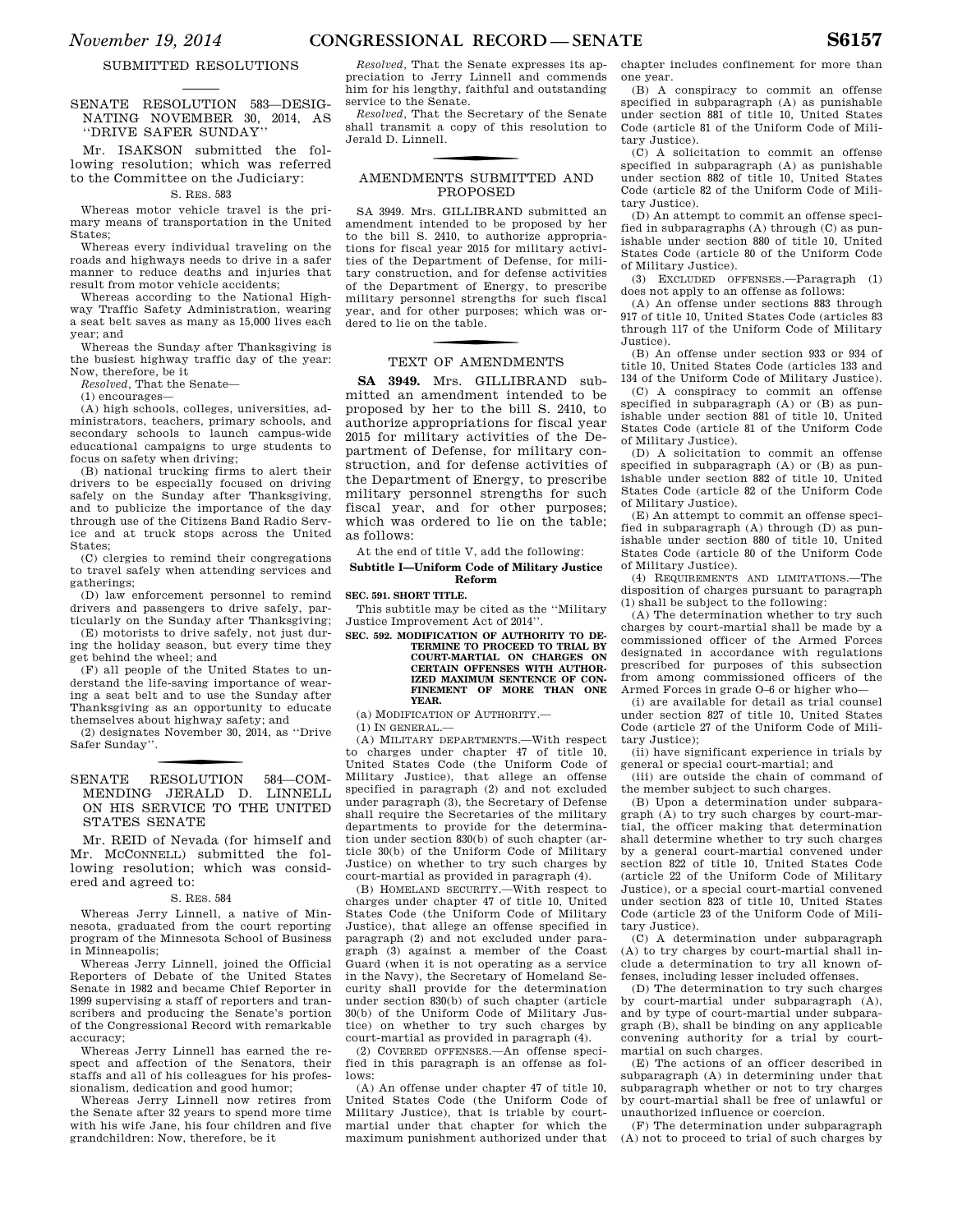### SUBMITTED RESOLUTIONS

SENATE RESOLUTION 583—DESIG-NATING NOVEMBER 30, 2014, AS ''DRIVE SAFER SUNDAY''

Mr. ISAKSON submitted the following resolution; which was referred to the Committee on the Judiciary:

### S. RES. 583

Whereas motor vehicle travel is the primary means of transportation in the United States;

Whereas every individual traveling on the roads and highways needs to drive in a safer manner to reduce deaths and injuries that result from motor vehicle accidents;

Whereas according to the National Highway Traffic Safety Administration, wearing a seat belt saves as many as 15,000 lives each year; and

Whereas the Sunday after Thanksgiving is the busiest highway traffic day of the year: Now, therefore, be it

*Resolved,* That the Senate—

(1) encourages—

(A) high schools, colleges, universities, administrators, teachers, primary schools, and secondary schools to launch campus-wide educational campaigns to urge students to focus on safety when driving;

(B) national trucking firms to alert their drivers to be especially focused on driving safely on the Sunday after Thanksgiving, and to publicize the importance of the day through use of the Citizens Band Radio Service and at truck stops across the United States;

(C) clergies to remind their congregations to travel safely when attending services and gatherings;

(D) law enforcement personnel to remind drivers and passengers to drive safely, particularly on the Sunday after Thanksgiving;

(E) motorists to drive safely, not just during the holiday season, but every time they get behind the wheel; and

(F) all people of the United States to understand the life-saving importance of wearing a seat belt and to use the Sunday after Thanksgiving as an opportunity to educate themselves about highway safety; and

(2) designates November 30, 2014, as ''Drive Safer Sunday''.

*Resolved,* That the Senate expresses its appreciation to Jerry Linnell and commends him for his lengthy, faithful and outstanding

service to the Senate. *Resolved,* That the Secretary of the Senate shall transmit a copy of this resolution to

Jerald D. Linnell.

# f AMENDMENTS SUBMITTED AND PROPOSED

SA 3949. Mrs. GILLIBRAND submitted an amendment intended to be proposed by her to the bill S. 2410, to authorize appropriations for fiscal year 2015 for military activities of the Department of Defense, for military construction, and for defense activities of the Department of Energy, to prescribe military personnel strengths for such fiscal year, and for other purposes; which was ordered to lie on the table.

### TEXT OF AMENDMENTS

**SA 3949.** Mrs. GILLIBRAND submitted an amendment intended to be proposed by her to the bill S. 2410, to authorize appropriations for fiscal year 2015 for military activities of the Department of Defense, for military construction, and for defense activities of the Department of Energy, to prescribe military personnel strengths for such fiscal year, and for other purposes; which was ordered to lie on the table; as follows:

At the end of title V, add the following:

### **Subtitle I—Uniform Code of Military Justice Reform**

**SEC. 591. SHORT TITLE.** 

This subtitle may be cited as the ''Military Justice Improvement Act of 2014''.

**SEC. 592. MODIFICATION OF AUTHORITY TO DE-TERMINE TO PROCEED TO TRIAL BY COURT-MARTIAL ON CHARGES ON CERTAIN OFFENSES WITH AUTHOR-IZED MAXIMUM SENTENCE OF CON-FINEMENT OF MORE THAN ONE YEAR.** 

(a) MODIFICATION OF AUTHORITY.—

(1) IN GENERAL.—

(A) MILITARY DEPARTMENTS.—With respect to charges under chapter 47 of title 10, United States Code (the Uniform Code of Military Justice), that allege an offense specified in paragraph (2) and not excluded under paragraph (3), the Secretary of Defense shall require the Secretaries of the military departments to provide for the determination under section 830(b) of such chapter (article 30(b) of the Uniform Code of Military Justice) on whether to try such charges by court-martial as provided in paragraph (4).

(B) HOMELAND SECURITY.—With respect to charges under chapter 47 of title 10, United States Code (the Uniform Code of Military Justice), that allege an offense specified in paragraph (2) and not excluded under paragraph (3) against a member of the Coast Guard (when it is not operating as a service in the Navy), the Secretary of Homeland Security shall provide for the determination under section 830(b) of such chapter (article 30(b) of the Uniform Code of Military Justice) on whether to try such charges by court-martial as provided in paragraph (4).

(2) COVERED OFFENSES.—An offense specified in this paragraph is an offense as follows:

(A) An offense under chapter 47 of title 10, United States Code (the Uniform Code of Military Justice), that is triable by courtmartial under that chapter for which the maximum punishment authorized under that chapter includes confinement for more than one year. (B) A conspiracy to commit an offense

specified in subparagraph (A) as punishable under section 881 of title 10, United States Code (article 81 of the Uniform Code of Military Justice).

(C) A solicitation to commit an offense specified in subparagraph (A) as punishable under section 882 of title 10, United States Code (article 82 of the Uniform Code of Military Justice).

(D) An attempt to commit an offense specified in subparagraphs (A) through (C) as punishable under section 880 of title 10, United States Code (article 80 of the Uniform Code of Military Justice).

(3) EXCLUDED OFFENSES.—Paragraph (1) does not apply to an offense as follows:

(A) An offense under sections 883 through 917 of title 10, United States Code (articles 83 through 117 of the Uniform Code of Military Justice).

(B) An offense under section 933 or 934 of title 10, United States Code (articles 133 and 134 of the Uniform Code of Military Justice).

(C) A conspiracy to commit an offense specified in subparagraph (A) or (B) as punishable under section 881 of title 10, United States Code (article 81 of the Uniform Code of Military Justice).

(D) A solicitation to commit an offense specified in subparagraph (A) or (B) as punishable under section 882 of title 10, United States Code (article 82 of the Uniform Code of Military Justice).

(E) An attempt to commit an offense specified in subparagraph (A) through (D) as punishable under section 880 of title 10, United States Code (article 80 of the Uniform Code of Military Justice).

(4) REQUIREMENTS AND LIMITATIONS.—The disposition of charges pursuant to paragraph (1) shall be subject to the following:

(A) The determination whether to try such charges by court-martial shall be made by a commissioned officer of the Armed Forces designated in accordance with regulations prescribed for purposes of this subsection from among commissioned officers of the Armed Forces in grade O–6 or higher who—

(i) are available for detail as trial counsel under section 827 of title 10, United States Code (article 27 of the Uniform Code of Military Justice);

(ii) have significant experience in trials by general or special court-martial; and

(iii) are outside the chain of command of the member subject to such charges.

(B) Upon a determination under subparagraph (A) to try such charges by court-martial, the officer making that determination shall determine whether to try such charges by a general court-martial convened under section 822 of title 10, United States Code (article 22 of the Uniform Code of Military Justice), or a special court-martial convened under section 823 of title 10, United States Code (article 23 of the Uniform Code of Military Justice).

(C) A determination under subparagraph (A) to try charges by court-martial shall include a determination to try all known offenses, including lesser included offenses.

(D) The determination to try such charges by court-martial under subparagraph (A), and by type of court-martial under subparagraph (B), shall be binding on any applicable convening authority for a trial by courtmartial on such charges.

(E) The actions of an officer described in subparagraph (A) in determining under that subparagraph whether or not to try charges by court-martial shall be free of unlawful or unauthorized influence or coercion.

(F) The determination under subparagraph (A) not to proceed to trial of such charges by

### SENATE RESOLUTION 584-COM-MENDING JERALD D. LINNELL ON HIS SERVICE TO THE UNITED STATES SENATE

Mr. REID of Nevada (for himself and Mr. MCCONNELL) submitted the following resolution; which was considered and agreed to:

### S. RES. 584

Whereas Jerry Linnell, a native of Minnesota, graduated from the court reporting program of the Minnesota School of Business in Minneapolis;

Whereas Jerry Linnell, joined the Official Reporters of Debate of the United States Senate in 1982 and became Chief Reporter in 1999 supervising a staff of reporters and transcribers and producing the Senate's portion of the Congressional Record with remarkable accuracy;

Whereas Jerry Linnell has earned the respect and affection of the Senators, their staffs and all of his colleagues for his professionalism, dedication and good humor;

Whereas Jerry Linnell now retires from the Senate after 32 years to spend more time with his wife Jane, his four children and five grandchildren: Now, therefore, be it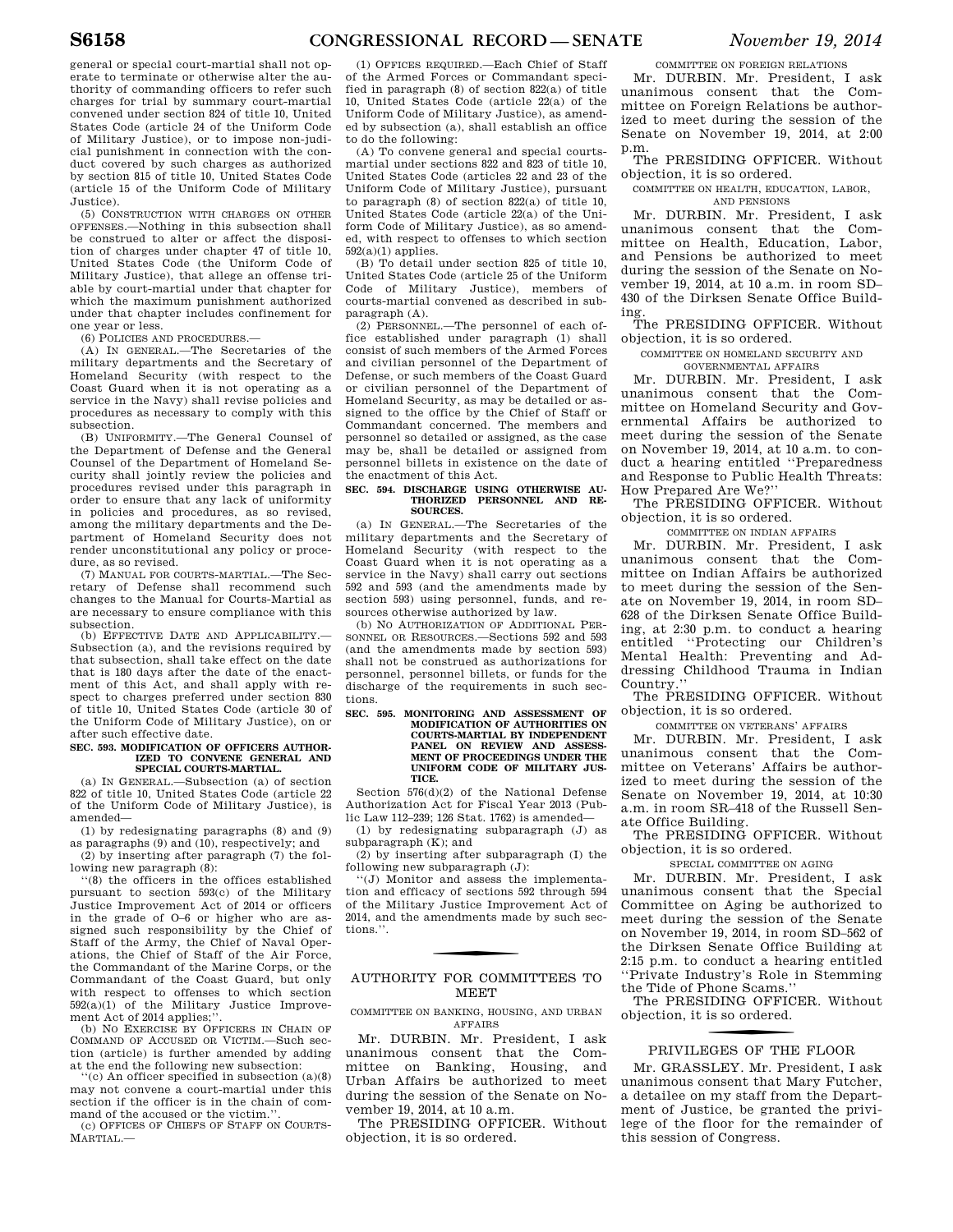general or special court-martial shall not operate to terminate or otherwise alter the authority of commanding officers to refer such charges for trial by summary court-martial convened under section 824 of title 10, United States Code (article 24 of the Uniform Code of Military Justice), or to impose non-judicial punishment in connection with the conduct covered by such charges as authorized by section 815 of title 10, United States Code (article 15 of the Uniform Code of Military Justice).

(5) CONSTRUCTION WITH CHARGES ON OTHER OFFENSES.—Nothing in this subsection shall be construed to alter or affect the disposition of charges under chapter 47 of title 10, United States Code (the Uniform Code of Military Justice), that allege an offense triable by court-martial under that chapter for which the maximum punishment authorized under that chapter includes confinement for one year or less.

(6) POLICIES AND PROCEDURES.—

(A) IN GENERAL.—The Secretaries of the military departments and the Secretary of Homeland Security (with respect to the Coast Guard when it is not operating as a service in the Navy) shall revise policies and procedures as necessary to comply with this subsection.

(B) UNIFORMITY.—The General Counsel of the Department of Defense and the General Counsel of the Department of Homeland Security shall jointly review the policies and procedures revised under this paragraph in order to ensure that any lack of uniformity in policies and procedures, as so revised, among the military departments and the Department of Homeland Security does not render unconstitutional any policy or procedure, as so revised.

(7) MANUAL FOR COURTS-MARTIAL.—The Secretary of Defense shall recommend such changes to the Manual for Courts-Martial as are necessary to ensure compliance with this subsection.

(b) EFFECTIVE DATE AND APPLICABILITY.— Subsection (a), and the revisions required by that subsection, shall take effect on the date that is 180 days after the date of the enactment of this Act, and shall apply with respect to charges preferred under section 830 of title 10, United States Code (article 30 of the Uniform Code of Military Justice), on or after such effective date.

### **SEC. 593. MODIFICATION OF OFFICERS AUTHOR-IZED TO CONVENE GENERAL AND SPECIAL COURTS-MARTIAL.**

(a) IN GENERAL.—Subsection (a) of section 822 of title 10, United States Code (article 22 of the Uniform Code of Military Justice), is amended—

(1) by redesignating paragraphs (8) and (9) as paragraphs (9) and (10), respectively; and

(2) by inserting after paragraph (7) the following new paragraph (8):

''(8) the officers in the offices established pursuant to section 593(c) of the Military Justice Improvement Act of 2014 or officers in the grade of O–6 or higher who are assigned such responsibility by the Chief of Staff of the Army, the Chief of Naval Operations, the Chief of Staff of the Air Force, the Commandant of the Marine Corps, or the Commandant of the Coast Guard, but only with respect to offenses to which section 592(a)(1) of the Military Justice Improvement Act of 2014 applies;

(b) NO EXERCISE BY OFFICERS IN CHAIN OF COMMAND OF ACCUSED OR VICTIM -Such section (article) is further amended by adding at the end the following new subsection:

 $'(c)$  An officer specified in subsection  $(a)(8)$ may not convene a court-martial under this section if the officer is in the chain of command of the accused or the victim.<sup>1</sup>

(c) OFFICES OF CHIEFS OF STAFF ON COURTS-MARTIAL.—

(1) OFFICES REQUIRED.—Each Chief of Staff of the Armed Forces or Commandant specified in paragraph (8) of section 822(a) of title 10, United States Code (article 22(a) of the Uniform Code of Military Justice), as amended by subsection (a), shall establish an office to do the following:

(A) To convene general and special courtsmartial under sections 822 and 823 of title 10, United States Code (articles 22 and 23 of the Uniform Code of Military Justice), pursuant to paragraph (8) of section 822(a) of title 10, United States Code (article 22(a) of the Uniform Code of Military Justice), as so amended, with respect to offenses to which section  $592(a)(1)$  applies.

(B) To detail under section 825 of title 10, United States Code (article 25 of the Uniform Code of Military Justice), members of courts-martial convened as described in subparagraph (A).

(2) PERSONNEL.—The personnel of each office established under paragraph (1) shall consist of such members of the Armed Forces and civilian personnel of the Department of Defense, or such members of the Coast Guard or civilian personnel of the Department of Homeland Security, as may be detailed or assigned to the office by the Chief of Staff or Commandant concerned. The members and personnel so detailed or assigned, as the case may be, shall be detailed or assigned from personnel billets in existence on the date of the enactment of this Act.

### **SEC. 594. DISCHARGE USING OTHERWISE AU-THORIZED PERSONNEL AND RE-SOURCES.**

(a) IN GENERAL.—The Secretaries of the military departments and the Secretary of Homeland Security (with respect to the Coast Guard when it is not operating as a service in the Navy) shall carry out sections 592 and 593 (and the amendments made by section 593) using personnel, funds, and resources otherwise authorized by law.

(b) NO AUTHORIZATION OF ADDITIONAL PER-SONNEL OR RESOURCES.—Sections 592 and 593 (and the amendments made by section 593) shall not be construed as authorizations for personnel, personnel billets, or funds for the discharge of the requirements in such sections.

### **SEC. 595. MONITORING AND ASSESSMENT OF MODIFICATION OF AUTHORITIES ON COURTS-MARTIAL BY INDEPENDENT PANEL ON REVIEW AND ASSESS-MENT OF PROCEEDINGS UNDER THE UNIFORM CODE OF MILITARY JUS-TICE.**

Section 576(d)(2) of the National Defense Authorization Act for Fiscal Year 2013 (Public Law 112–239; 126 Stat. 1762) is amended—

(1) by redesignating subparagraph (J) as subparagraph (K); and

(2) by inserting after subparagraph (I) the following new subparagraph (J):

''(J) Monitor and assess the implementation and efficacy of sections 592 through 594 of the Military Justice Improvement Act of 2014, and the amendments made by such sections.''.

### AUTHORITY FOR COMMITTEES TO MEET

COMMITTEE ON BANKING, HOUSING, AND URBAN AFFAIRS

Mr. DURBIN. Mr. President, I ask unanimous consent that the Committee on Banking, Housing, and Urban Affairs be authorized to meet during the session of the Senate on November 19, 2014, at 10 a.m.

The PRESIDING OFFICER. Without objection, it is so ordered.

COMMITTEE ON FOREIGN RELATIONS

Mr. DURBIN. Mr. President, I ask unanimous consent that the Committee on Foreign Relations be authorized to meet during the session of the Senate on November 19, 2014, at 2:00 p.m.

The PRESIDING OFFICER. Without objection, it is so ordered.

COMMITTEE ON HEALTH, EDUCATION, LABOR,

AND PENSIONS Mr. DURBIN. Mr. President, I ask unanimous consent that the Committee on Health, Education, Labor, and Pensions be authorized to meet during the session of the Senate on November 19, 2014, at 10 a.m. in room SD– 430 of the Dirksen Senate Office Building.

The PRESIDING OFFICER. Without objection, it is so ordered.

COMMITTEE ON HOMELAND SECURITY AND

GOVERNMENTAL AFFAIRS Mr. DURBIN. Mr. President, I ask unanimous consent that the Committee on Homeland Security and Governmental Affairs be authorized to meet during the session of the Senate on November 19, 2014, at 10 a.m. to conduct a hearing entitled ''Preparedness

and Response to Public Health Threats: How Prepared Are We?'' The PRESIDING OFFICER. Without

objection, it is so ordered.

COMMITTEE ON INDIAN AFFAIRS

Mr. DURBIN. Mr. President, I ask unanimous consent that the Committee on Indian Affairs be authorized to meet during the session of the Senate on November 19, 2014, in room SD– 628 of the Dirksen Senate Office Building, at 2:30 p.m. to conduct a hearing entitled ''Protecting our Children's Mental Health: Preventing and Addressing Childhood Trauma in Indian Country.

The PRESIDING OFFICER. Without objection, it is so ordered.

COMMITTEE ON VETERANS' AFFAIRS

Mr. DURBIN. Mr. President, I ask unanimous consent that the Committee on Veterans' Affairs be authorized to meet during the session of the Senate on November 19, 2014, at 10:30 a.m. in room SR–418 of the Russell Senate Office Building.

The PRESIDING OFFICER. Without objection, it is so ordered.

SPECIAL COMMITTEE ON AGING

Mr. DURBIN. Mr. President, I ask unanimous consent that the Special Committee on Aging be authorized to meet during the session of the Senate on November 19, 2014, in room SD–562 of the Dirksen Senate Office Building at 2:15 p.m. to conduct a hearing entitled ''Private Industry's Role in Stemming the Tide of Phone Scams.''

The PRESIDING OFFICER. Without objection, it is so ordered.

# f PRIVILEGES OF THE FLOOR

Mr. GRASSLEY. Mr. President, I ask unanimous consent that Mary Futcher, a detailee on my staff from the Department of Justice, be granted the privilege of the floor for the remainder of this session of Congress.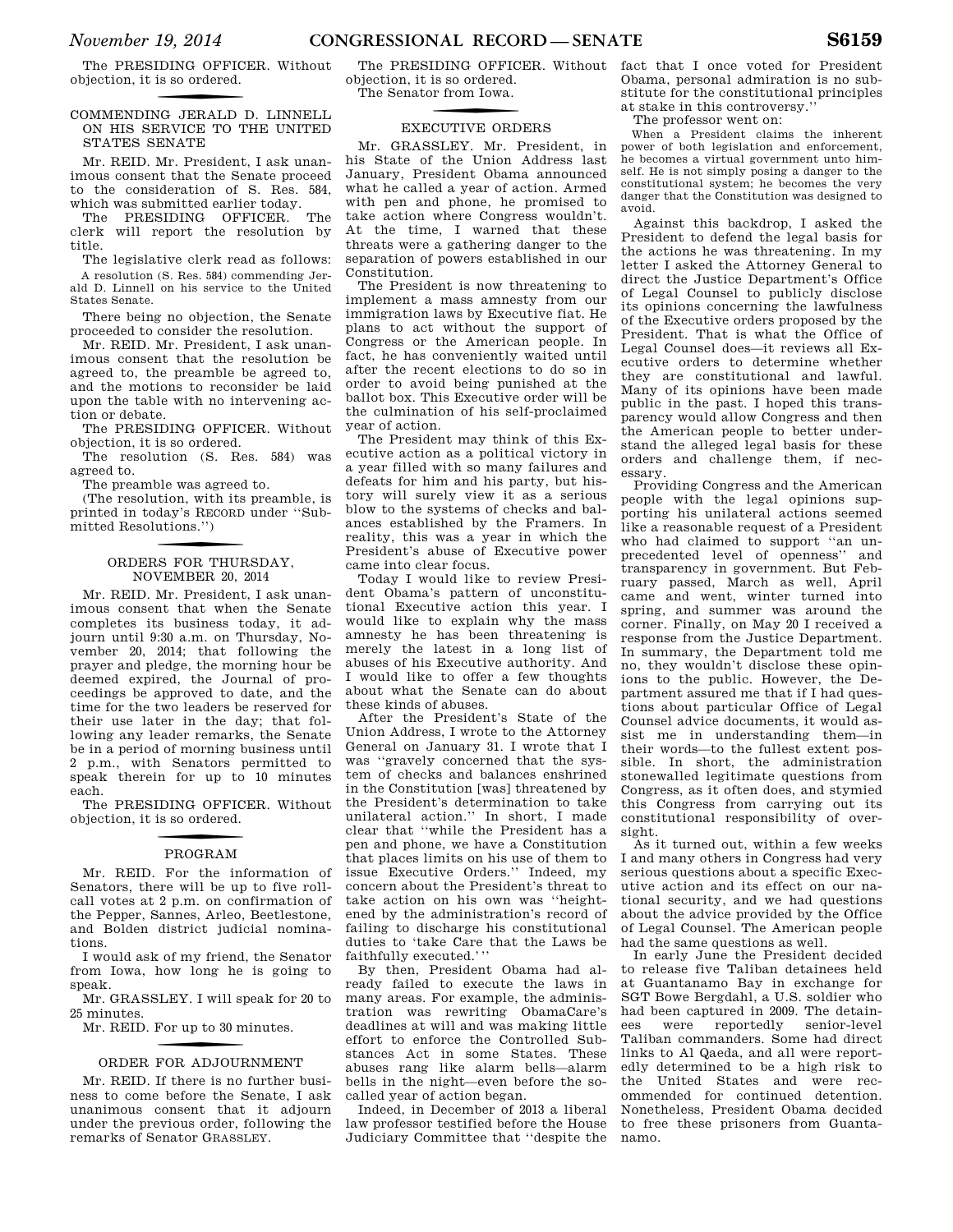The PRESIDING OFFICER. Without objection, it is so ordered.

f COMMENDING JERALD D. LINNELL ON HIS SERVICE TO THE UNITED STATES SENATE

Mr. REID. Mr. President, I ask unanimous consent that the Senate proceed to the consideration of S. Res. 584, which was submitted earlier today.

The PRESIDING OFFICER. The clerk will report the resolution by title.

The legislative clerk read as follows: A resolution (S. Res. 584) commending Jerald D. Linnell on his service to the United States Senate.

There being no objection, the Senate proceeded to consider the resolution.

Mr. REID. Mr. President, I ask unanimous consent that the resolution be agreed to, the preamble be agreed to, and the motions to reconsider be laid upon the table with no intervening action or debate.

The PRESIDING OFFICER. Without objection, it is so ordered.

The resolution (S. Res. 584) was agreed to.

The preamble was agreed to.

(The resolution, with its preamble, is printed in today's RECORD under ''Submitted Resolutions.'')

# ORDERS FOR THURSDAY, NOVEMBER 20, 2014

Mr. REID. Mr. President, I ask unanimous consent that when the Senate completes its business today, it adjourn until 9:30 a.m. on Thursday, November 20, 2014; that following the prayer and pledge, the morning hour be deemed expired, the Journal of proceedings be approved to date, and the time for the two leaders be reserved for their use later in the day; that following any leader remarks, the Senate be in a period of morning business until 2 p.m., with Senators permitted to speak therein for up to 10 minutes each.

The PRESIDING OFFICER. Without objection, it is so ordered.

# f PROGRAM

Mr. REID. For the information of Senators, there will be up to five rollcall votes at 2 p.m. on confirmation of the Pepper, Sannes, Arleo, Beetlestone, and Bolden district judicial nominations.

I would ask of my friend, the Senator from Iowa, how long he is going to speak.

Mr. GRASSLEY. I will speak for 20 to 25 minutes.

Mr. REID. For up to 30 minutes.

# ORDER FOR ADJOURNMENT

Mr. REID. If there is no further business to come before the Senate, I ask unanimous consent that it adjourn under the previous order, following the remarks of Senator GRASSLEY.

The PRESIDING OFFICER. Without objection, it is so ordered. The Senator from Iowa.

# f EXECUTIVE ORDERS

Mr. GRASSLEY. Mr. President, in his State of the Union Address last January, President Obama announced what he called a year of action. Armed with pen and phone, he promised to take action where Congress wouldn't. At the time, I warned that these threats were a gathering danger to the separation of powers established in our Constitution.

The President is now threatening to implement a mass amnesty from our immigration laws by Executive fiat. He plans to act without the support of Congress or the American people. In fact, he has conveniently waited until after the recent elections to do so in order to avoid being punished at the ballot box. This Executive order will be the culmination of his self-proclaimed year of action.

The President may think of this Executive action as a political victory in a year filled with so many failures and defeats for him and his party, but history will surely view it as a serious blow to the systems of checks and balances established by the Framers. In reality, this was a year in which the President's abuse of Executive power came into clear focus.

Today I would like to review President Obama's pattern of unconstitutional Executive action this year. I would like to explain why the mass amnesty he has been threatening is merely the latest in a long list of abuses of his Executive authority. And I would like to offer a few thoughts about what the Senate can do about these kinds of abuses.

After the President's State of the Union Address, I wrote to the Attorney General on January 31. I wrote that I was ''gravely concerned that the system of checks and balances enshrined in the Constitution [was] threatened by the President's determination to take unilateral action.'' In short, I made clear that ''while the President has a pen and phone, we have a Constitution that places limits on his use of them to issue Executive Orders.'' Indeed, my concern about the President's threat to take action on his own was ''heightened by the administration's record of failing to discharge his constitutional duties to 'take Care that the Laws be faithfully executed.'''

By then, President Obama had already failed to execute the laws in many areas. For example, the administration was rewriting ObamaCare's deadlines at will and was making little effort to enforce the Controlled Substances Act in some States. These abuses rang like alarm bells—alarm bells in the night—even before the socalled year of action began.

Indeed, in December of 2013 a liberal law professor testified before the House Judiciary Committee that ''despite the

fact that I once voted for President Obama, personal admiration is no substitute for the constitutional principles at stake in this controversy.''

The professor went on:

When a President claims the inherent power of both legislation and enforcement, he becomes a virtual government unto himself. He is not simply posing a danger to the constitutional system; he becomes the very danger that the Constitution was designed to avoid.

Against this backdrop, I asked the President to defend the legal basis for the actions he was threatening. In my letter I asked the Attorney General to direct the Justice Department's Office of Legal Counsel to publicly disclose its opinions concerning the lawfulness of the Executive orders proposed by the President. That is what the Office of Legal Counsel does—it reviews all Executive orders to determine whether they are constitutional and lawful. Many of its opinions have been made public in the past. I hoped this transparency would allow Congress and then the American people to better understand the alleged legal basis for these orders and challenge them, if necessary.

Providing Congress and the American people with the legal opinions supporting his unilateral actions seemed like a reasonable request of a President who had claimed to support ''an unprecedented level of openness'' and transparency in government. But February passed, March as well, April came and went, winter turned into spring, and summer was around the corner. Finally, on May 20 I received a response from the Justice Department. In summary, the Department told me no, they wouldn't disclose these opinions to the public. However, the Department assured me that if I had questions about particular Office of Legal Counsel advice documents, it would assist me in understanding them—in their words—to the fullest extent possible. In short, the administration stonewalled legitimate questions from Congress, as it often does, and stymied this Congress from carrying out its constitutional responsibility of oversight.

As it turned out, within a few weeks I and many others in Congress had very serious questions about a specific Executive action and its effect on our national security, and we had questions about the advice provided by the Office of Legal Counsel. The American people had the same questions as well.

In early June the President decided to release five Taliban detainees held at Guantanamo Bay in exchange for SGT Bowe Bergdahl, a U.S. soldier who had been captured in 2009. The detainees were reportedly senior-level Taliban commanders. Some had direct links to Al Qaeda, and all were reportedly determined to be a high risk to the United States and were recommended for continued detention. Nonetheless, President Obama decided to free these prisoners from Guantanamo.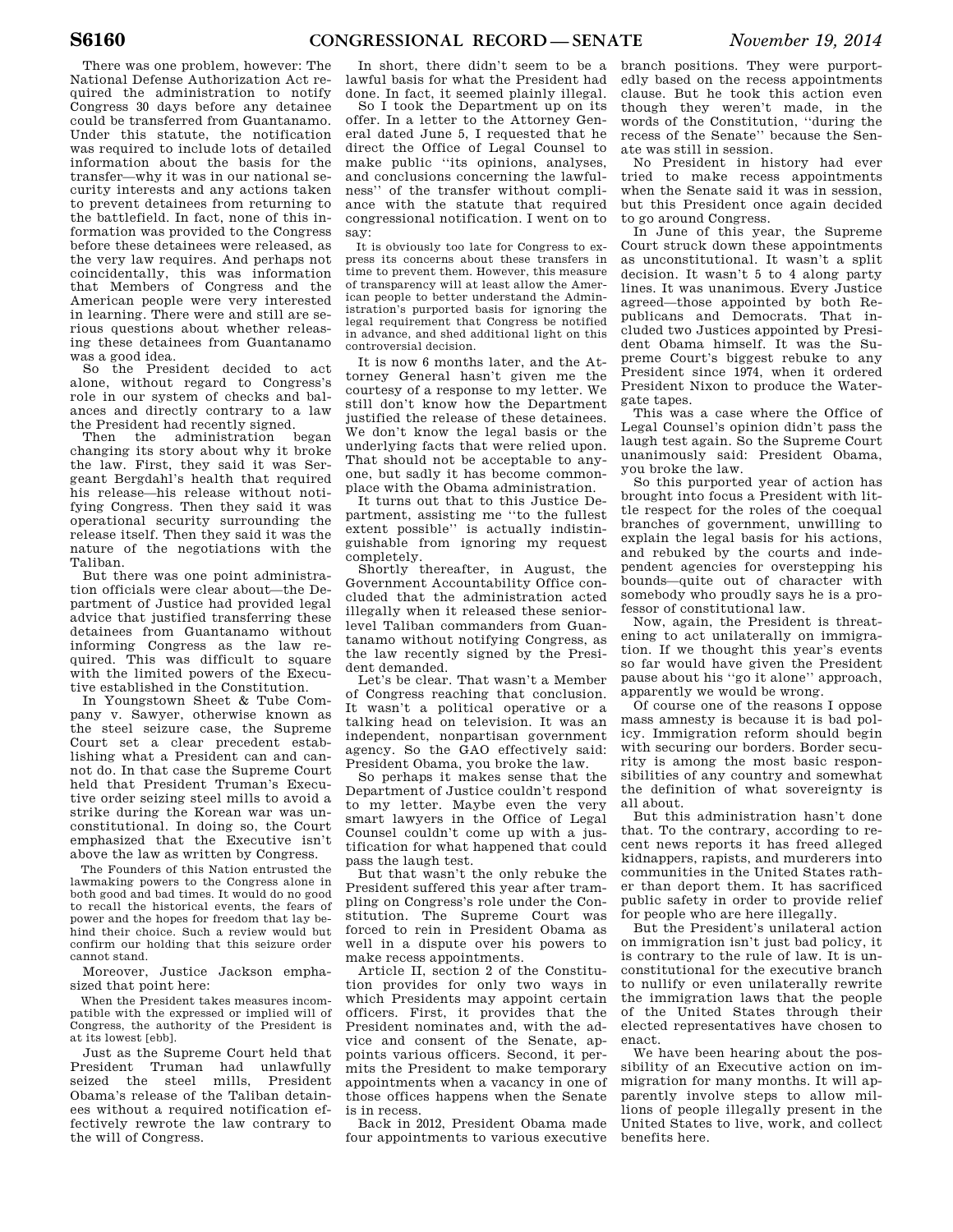There was one problem, however: The National Defense Authorization Act required the administration to notify Congress 30 days before any detainee could be transferred from Guantanamo. Under this statute, the notification was required to include lots of detailed information about the basis for the transfer—why it was in our national security interests and any actions taken to prevent detainees from returning to the battlefield. In fact, none of this information was provided to the Congress before these detainees were released, as the very law requires. And perhaps not coincidentally, this was information that Members of Congress and the American people were very interested in learning. There were and still are serious questions about whether releasing these detainees from Guantanamo was a good idea.

So the President decided to act alone, without regard to Congress's role in our system of checks and balances and directly contrary to a law the President had recently signed.

Then the administration began changing its story about why it broke the law. First, they said it was Sergeant Bergdahl's health that required his release—his release without notifying Congress. Then they said it was operational security surrounding the release itself. Then they said it was the nature of the negotiations with the Taliban.

But there was one point administration officials were clear about—the Department of Justice had provided legal advice that justified transferring these detainees from Guantanamo without informing Congress as the law required. This was difficult to square with the limited powers of the Executive established in the Constitution.

In Youngstown Sheet & Tube Company v. Sawyer, otherwise known as the steel seizure case, the Supreme Court set a clear precedent establishing what a President can and cannot do. In that case the Supreme Court held that President Truman's Executive order seizing steel mills to avoid a strike during the Korean war was unconstitutional. In doing so, the Court emphasized that the Executive isn't above the law as written by Congress.

The Founders of this Nation entrusted the lawmaking powers to the Congress alone in both good and bad times. It would do no good to recall the historical events, the fears of power and the hopes for freedom that lay behind their choice. Such a review would but confirm our holding that this seizure order cannot stand.

Moreover, Justice Jackson emphasized that point here:

When the President takes measures incompatible with the expressed or implied will of Congress, the authority of the President is at its lowest [ebb].

Just as the Supreme Court held that President Truman had unlawfully seized the steel mills, President Obama's release of the Taliban detainees without a required notification effectively rewrote the law contrary to the will of Congress.

In short, there didn't seem to be a lawful basis for what the President had done. In fact, it seemed plainly illegal.

So I took the Department up on its offer. In a letter to the Attorney General dated June 5, I requested that he direct the Office of Legal Counsel to make public ''its opinions, analyses, and conclusions concerning the lawfulness'' of the transfer without compliance with the statute that required congressional notification. I went on to say:

It is obviously too late for Congress to express its concerns about these transfers in time to prevent them. However, this measure of transparency will at least allow the American people to better understand the Administration's purported basis for ignoring the legal requirement that Congress be notified in advance, and shed additional light on this controversial decision.

It is now 6 months later, and the Attorney General hasn't given me the courtesy of a response to my letter. We still don't know how the Department justified the release of these detainees. We don't know the legal basis or the underlying facts that were relied upon. That should not be acceptable to anyone, but sadly it has become commonplace with the Obama administration.

It turns out that to this Justice Department, assisting me ''to the fullest extent possible'' is actually indistinguishable from ignoring my request completely.

Shortly thereafter, in August, the Government Accountability Office concluded that the administration acted illegally when it released these seniorlevel Taliban commanders from Guantanamo without notifying Congress, as the law recently signed by the President demanded.

Let's be clear. That wasn't a Member of Congress reaching that conclusion. It wasn't a political operative or a talking head on television. It was an independent, nonpartisan government agency. So the GAO effectively said: President Obama, you broke the law.

So perhaps it makes sense that the Department of Justice couldn't respond to my letter. Maybe even the very smart lawyers in the Office of Legal Counsel couldn't come up with a justification for what happened that could pass the laugh test.

But that wasn't the only rebuke the President suffered this year after trampling on Congress's role under the Constitution. The Supreme Court was forced to rein in President Obama as well in a dispute over his powers to make recess appointments.

Article II, section 2 of the Constitution provides for only two ways in which Presidents may appoint certain officers. First, it provides that the President nominates and, with the advice and consent of the Senate, appoints various officers. Second, it permits the President to make temporary appointments when a vacancy in one of those offices happens when the Senate is in recess.

Back in 2012, President Obama made four appointments to various executive

branch positions. They were purportedly based on the recess appointments clause. But he took this action even though they weren't made, in the words of the Constitution, ''during the recess of the Senate'' because the Senate was still in session.

No President in history had ever tried to make recess appointments when the Senate said it was in session, but this President once again decided to go around Congress.

In June of this year, the Supreme Court struck down these appointments as unconstitutional. It wasn't a split decision. It wasn't 5 to 4 along party lines. It was unanimous. Every Justice agreed—those appointed by both Republicans and Democrats. That included two Justices appointed by President Obama himself. It was the Supreme Court's biggest rebuke to any President since 1974, when it ordered President Nixon to produce the Watergate tapes.

This was a case where the Office of Legal Counsel's opinion didn't pass the laugh test again. So the Supreme Court unanimously said: President Obama, you broke the law.

So this purported year of action has brought into focus a President with little respect for the roles of the coequal branches of government, unwilling to explain the legal basis for his actions, and rebuked by the courts and independent agencies for overstepping his bounds—quite out of character with somebody who proudly says he is a professor of constitutional law.

Now, again, the President is threatening to act unilaterally on immigration. If we thought this year's events so far would have given the President pause about his ''go it alone'' approach, apparently we would be wrong.

Of course one of the reasons I oppose mass amnesty is because it is bad policy. Immigration reform should begin with securing our borders. Border security is among the most basic responsibilities of any country and somewhat the definition of what sovereignty is all about.

But this administration hasn't done that. To the contrary, according to recent news reports it has freed alleged kidnappers, rapists, and murderers into communities in the United States rather than deport them. It has sacrificed public safety in order to provide relief for people who are here illegally.

But the President's unilateral action on immigration isn't just bad policy, it is contrary to the rule of law. It is unconstitutional for the executive branch to nullify or even unilaterally rewrite the immigration laws that the people of the United States through their elected representatives have chosen to enact.

We have been hearing about the possibility of an Executive action on immigration for many months. It will apparently involve steps to allow millions of people illegally present in the United States to live, work, and collect benefits here.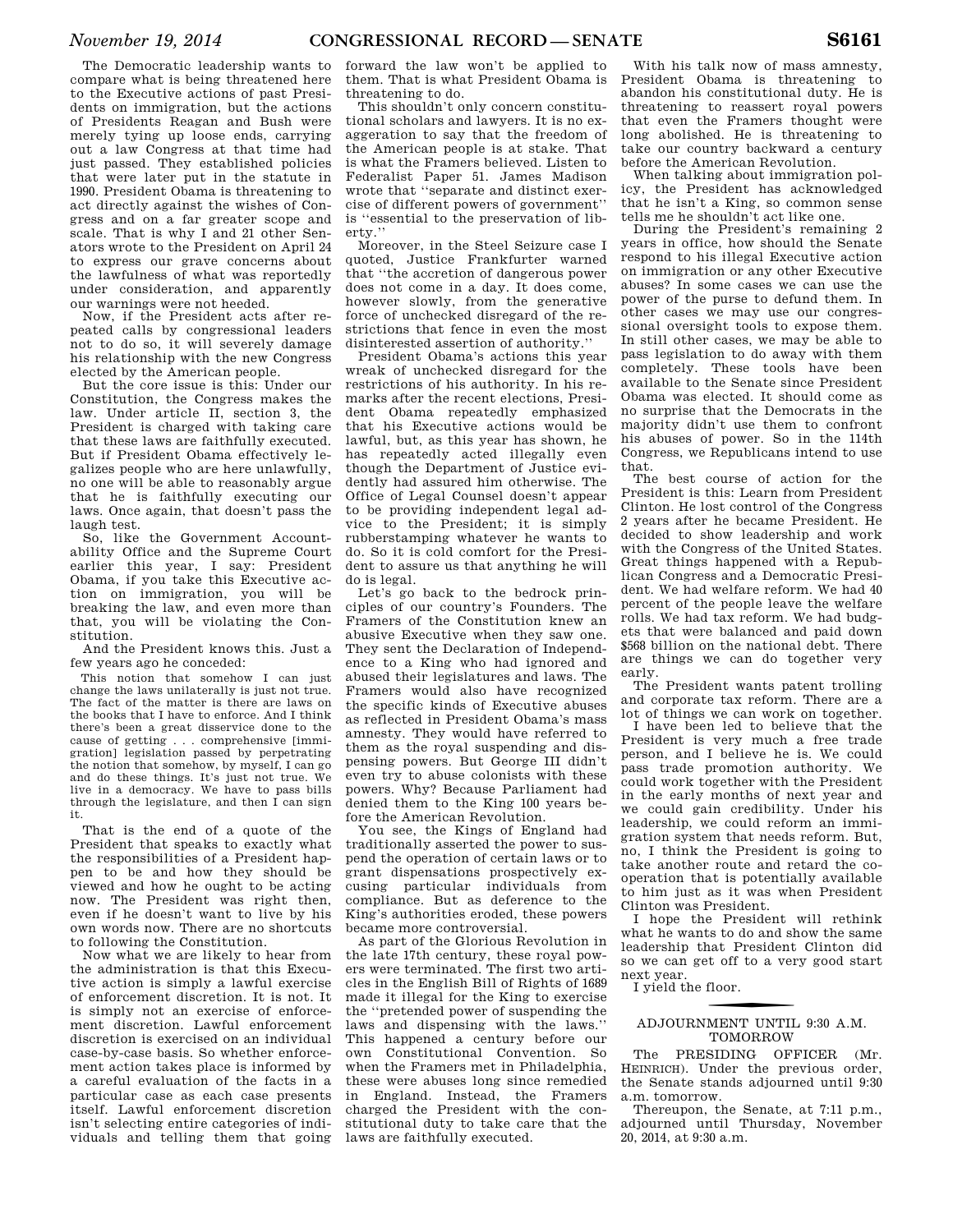The Democratic leadership wants to compare what is being threatened here to the Executive actions of past Presidents on immigration, but the actions of Presidents Reagan and Bush were merely tying up loose ends, carrying out a law Congress at that time had just passed. They established policies that were later put in the statute in 1990. President Obama is threatening to act directly against the wishes of Congress and on a far greater scope and scale. That is why I and 21 other Senators wrote to the President on April 24 to express our grave concerns about the lawfulness of what was reportedly under consideration, and apparently our warnings were not heeded.

Now, if the President acts after repeated calls by congressional leaders not to do so, it will severely damage his relationship with the new Congress elected by the American people.

But the core issue is this: Under our Constitution, the Congress makes the law. Under article II, section 3, the President is charged with taking care that these laws are faithfully executed. But if President Obama effectively legalizes people who are here unlawfully, no one will be able to reasonably argue that he is faithfully executing our laws. Once again, that doesn't pass the laugh test.

So, like the Government Accountability Office and the Supreme Court earlier this year, I say: President Obama, if you take this Executive action on immigration, you will be breaking the law, and even more than that, you will be violating the Constitution.

And the President knows this. Just a few years ago he conceded:

This notion that somehow I can just change the laws unilaterally is just not true. The fact of the matter is there are laws on the books that I have to enforce. And I think there's been a great disservice done to the cause of getting . . . comprehensive [immigration] legislation passed by perpetrating the notion that somehow, by myself, I can go and do these things. It's just not true. We live in a democracy. We have to pass bills through the legislature, and then I can sign it.

That is the end of a quote of the President that speaks to exactly what the responsibilities of a President happen to be and how they should be viewed and how he ought to be acting now. The President was right then, even if he doesn't want to live by his own words now. There are no shortcuts to following the Constitution.

Now what we are likely to hear from the administration is that this Executive action is simply a lawful exercise of enforcement discretion. It is not. It is simply not an exercise of enforcement discretion. Lawful enforcement discretion is exercised on an individual case-by-case basis. So whether enforcement action takes place is informed by a careful evaluation of the facts in a particular case as each case presents itself. Lawful enforcement discretion isn't selecting entire categories of individuals and telling them that going

forward the law won't be applied to them. That is what President Obama is threatening to do.

This shouldn't only concern constitutional scholars and lawyers. It is no exaggeration to say that the freedom of the American people is at stake. That is what the Framers believed. Listen to Federalist Paper 51. James Madison wrote that ''separate and distinct exercise of different powers of government'' is ''essential to the preservation of liberty.''

Moreover, in the Steel Seizure case I quoted, Justice Frankfurter warned that ''the accretion of dangerous power does not come in a day. It does come, however slowly, from the generative force of unchecked disregard of the restrictions that fence in even the most disinterested assertion of authority.''

President Obama's actions this year wreak of unchecked disregard for the restrictions of his authority. In his remarks after the recent elections, President Obama repeatedly emphasized that his Executive actions would be lawful, but, as this year has shown, he has repeatedly acted illegally even though the Department of Justice evidently had assured him otherwise. The Office of Legal Counsel doesn't appear to be providing independent legal advice to the President; it is simply rubberstamping whatever he wants to do. So it is cold comfort for the President to assure us that anything he will do is legal.

Let's go back to the bedrock principles of our country's Founders. The Framers of the Constitution knew an abusive Executive when they saw one. They sent the Declaration of Independence to a King who had ignored and abused their legislatures and laws. The Framers would also have recognized the specific kinds of Executive abuses as reflected in President Obama's mass amnesty. They would have referred to them as the royal suspending and dispensing powers. But George III didn't even try to abuse colonists with these powers. Why? Because Parliament had denied them to the King 100 years before the American Revolution.

You see, the Kings of England had traditionally asserted the power to suspend the operation of certain laws or to grant dispensations prospectively excusing particular individuals from compliance. But as deference to the King's authorities eroded, these powers became more controversial.

As part of the Glorious Revolution in the late 17th century, these royal powers were terminated. The first two articles in the English Bill of Rights of 1689 made it illegal for the King to exercise the ''pretended power of suspending the laws and dispensing with the laws.'' This happened a century before our own Constitutional Convention. So when the Framers met in Philadelphia, these were abuses long since remedied in England. Instead, the Framers charged the President with the constitutional duty to take care that the laws are faithfully executed.

With his talk now of mass amnesty, President Obama is threatening to abandon his constitutional duty. He is threatening to reassert royal powers that even the Framers thought were long abolished. He is threatening to take our country backward a century before the American Revolution.

When talking about immigration policy, the President has acknowledged that he isn't a King, so common sense tells me he shouldn't act like one.

During the President's remaining 2 years in office, how should the Senate respond to his illegal Executive action on immigration or any other Executive abuses? In some cases we can use the power of the purse to defund them. In other cases we may use our congressional oversight tools to expose them. In still other cases, we may be able to pass legislation to do away with them completely. These tools have been available to the Senate since President Obama was elected. It should come as no surprise that the Democrats in the majority didn't use them to confront his abuses of power. So in the 114th Congress, we Republicans intend to use that.

The best course of action for the President is this: Learn from President Clinton. He lost control of the Congress 2 years after he became President. He decided to show leadership and work with the Congress of the United States. Great things happened with a Republican Congress and a Democratic President. We had welfare reform. We had 40 percent of the people leave the welfare rolls. We had tax reform. We had budgets that were balanced and paid down \$568 billion on the national debt. There are things we can do together very early.

The President wants patent trolling and corporate tax reform. There are a lot of things we can work on together.

I have been led to believe that the President is very much a free trade person, and I believe he is. We could pass trade promotion authority. We could work together with the President in the early months of next year and we could gain credibility. Under his leadership, we could reform an immigration system that needs reform. But, no, I think the President is going to take another route and retard the cooperation that is potentially available to him just as it was when President Clinton was President.

I hope the President will rethink what he wants to do and show the same leadership that President Clinton did so we can get off to a very good start next year.

I yield the floor.

# f ADJOURNMENT UNTIL 9:30 A.M. TOMORROW

The PRESIDING OFFICER (Mr. HEINRICH). Under the previous order, the Senate stands adjourned until 9:30 a.m. tomorrow.

Thereupon, the Senate, at 7:11 p.m., adjourned until Thursday, November 20, 2014, at 9:30 a.m.